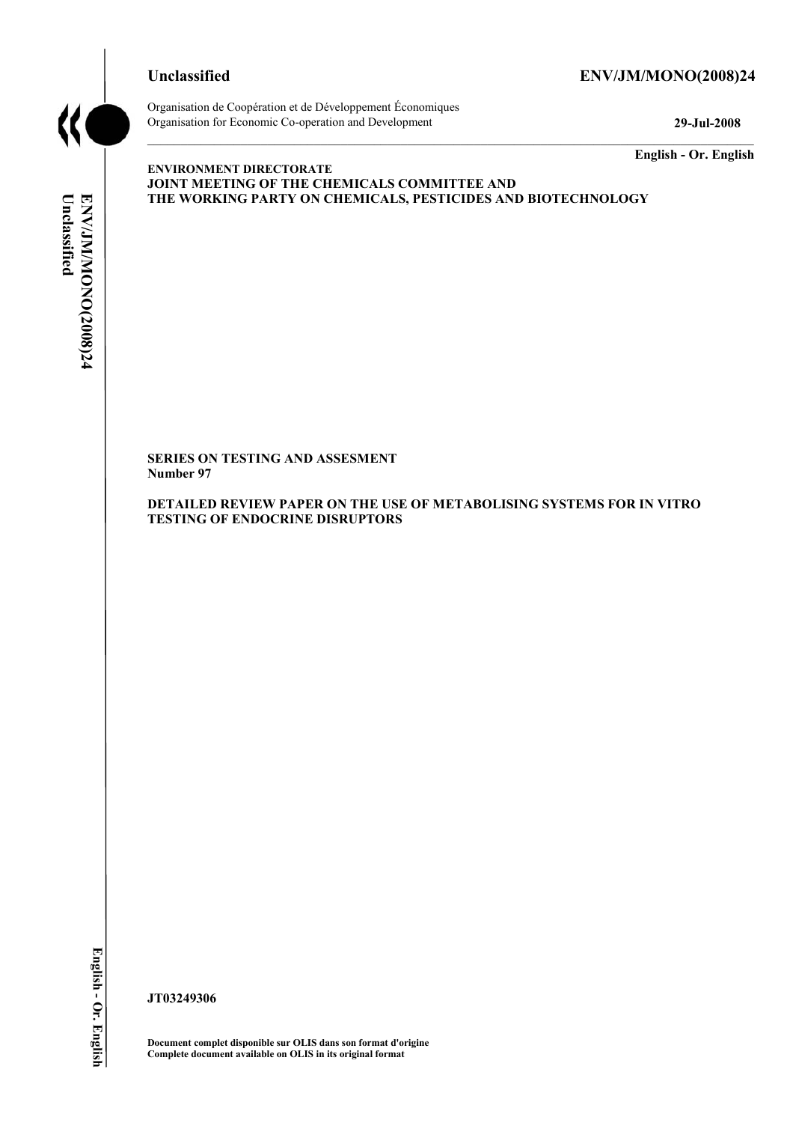

# **Unclassified ENV/JM/MONO(2008)24**



Organisation de Coopération et de Développement Économiques Organisation for Economic Co-operation and Development **29-Jul-2008** 

**English - Or. English** 

# Unclassified ENV/JMIMONO(2008)24 **Unclassified ENV/JM/MONO(2008)24 English - Or. English**

**ENVIRONMENT DIRECTORATE JOINT MEETING OF THE CHEMICALS COMMITTEE AND THE WORKING PARTY ON CHEMICALS, PESTICIDES AND BIOTECHNOLOGY** 

**SERIES ON TESTING AND ASSESMENT Number 97** 

**DETAILED REVIEW PAPER ON THE USE OF METABOLISING SYSTEMS FOR IN VITRO TESTING OF ENDOCRINE DISRUPTORS** 

**JT03249306** 

**Document complet disponible sur OLIS dans son format d'origine Complete document available on OLIS in its original format**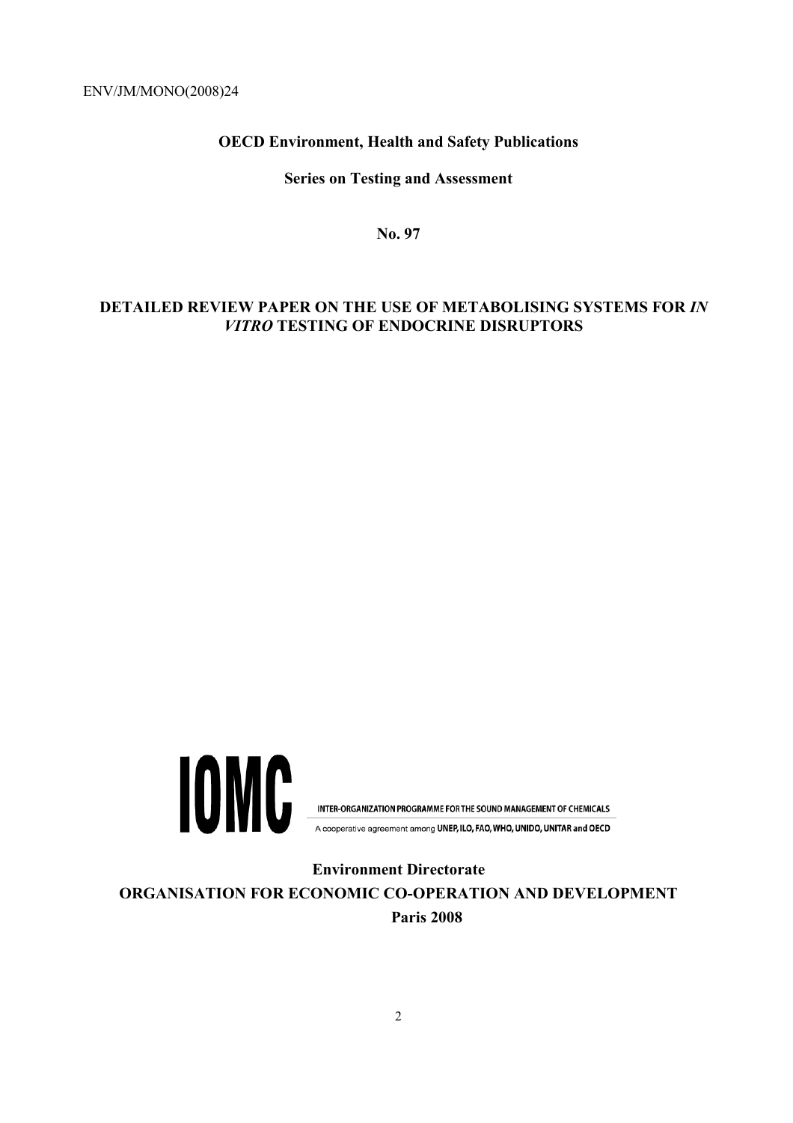**OECD Environment, Health and Safety Publications** 

**Series on Testing and Assessment** 

**No. 97** 

# **DETAILED REVIEW PAPER ON THE USE OF METABOLISING SYSTEMS FOR** *IN VITRO* **TESTING OF ENDOCRINE DISRUPTORS**



INTER-ORGANIZATION PROGRAMME FOR THE SOUND MANAGEMENT OF CHEMICALS

A cooperative agreement among UNEP, ILO, FAO, WHO, UNIDO, UNITAR and OECD

**Environment Directorate ORGANISATION FOR ECONOMIC CO-OPERATION AND DEVELOPMENT Paris 2008**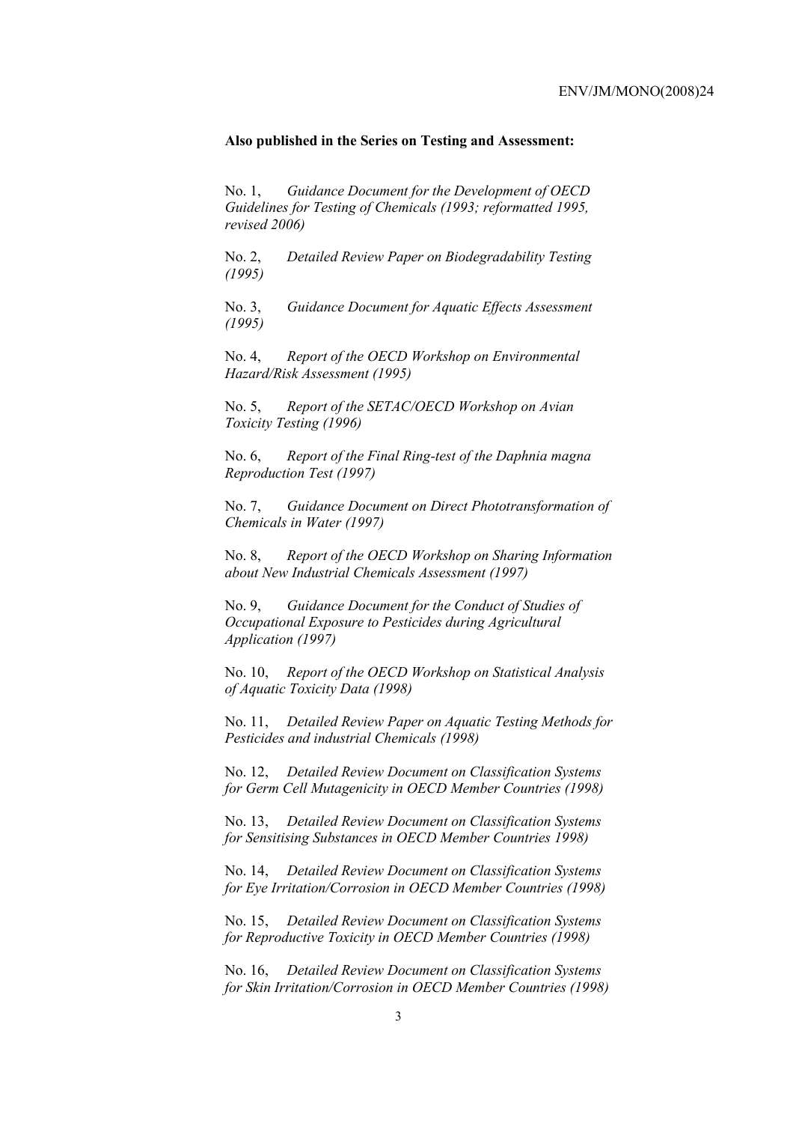## **Also published in the Series on Testing and Assessment:**

No. 1, *Guidance Document for the Development of OECD Guidelines for Testing of Chemicals (1993; reformatted 1995, revised 2006)*

No. 2, *Detailed Review Paper on Biodegradability Testing (1995)*

No. 3, *Guidance Document for Aquatic Effects Assessment (1995)* 

No. 4, *Report of the OECD Workshop on Environmental Hazard/Risk Assessment (1995)*

No. 5, *Report of the SETAC/OECD Workshop on Avian Toxicity Testing (1996)*

No. 6, *Report of the Final Ring-test of the Daphnia magna Reproduction Test (1997)*

No. 7, *Guidance Document on Direct Phototransformation of Chemicals in Water (1997)* 

No. 8, *Report of the OECD Workshop on Sharing Information about New Industrial Chemicals Assessment (1997)*

No. 9, *Guidance Document for the Conduct of Studies of Occupational Exposure to Pesticides during Agricultural Application (1997)*

No. 10, *Report of the OECD Workshop on Statistical Analysis of Aquatic Toxicity Data (1998)*

No. 11, *Detailed Review Paper on Aquatic Testing Methods for Pesticides and industrial Chemicals (1998)*

No. 12, *Detailed Review Document on Classification Systems for Germ Cell Mutagenicity in OECD Member Countries (1998)*

No. 13, *Detailed Review Document on Classification Systems for Sensitising Substances in OECD Member Countries 1998)*

No. 14, *Detailed Review Document on Classification Systems for Eye Irritation/Corrosion in OECD Member Countries (1998)*

No. 15, *Detailed Review Document on Classification Systems for Reproductive Toxicity in OECD Member Countries (1998)*

No. 16, *Detailed Review Document on Classification Systems for Skin Irritation/Corrosion in OECD Member Countries (1998)*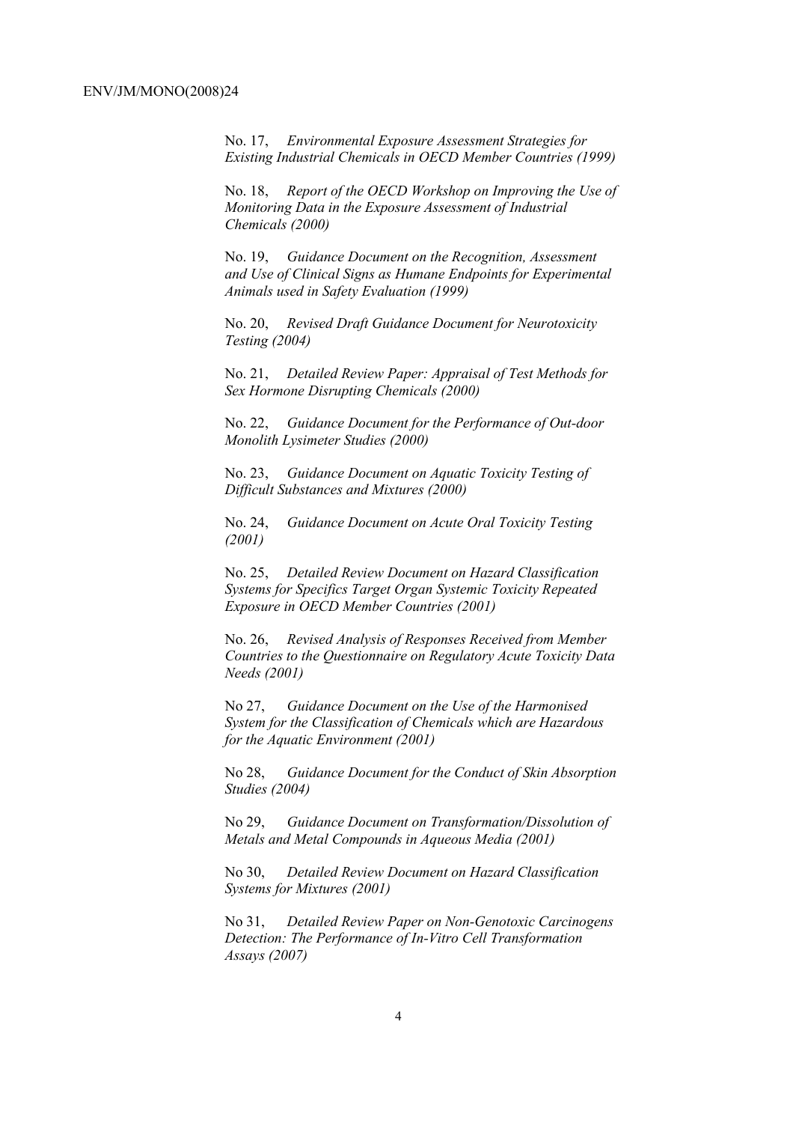No. 17, *Environmental Exposure Assessment Strategies for Existing Industrial Chemicals in OECD Member Countries (1999)*

No. 18, *Report of the OECD Workshop on Improving the Use of Monitoring Data in the Exposure Assessment of Industrial Chemicals (2000)*

No. 19, *Guidance Document on the Recognition, Assessment and Use of Clinical Signs as Humane Endpoints for Experimental Animals used in Safety Evaluation (1999)*

No. 20, *Revised Draft Guidance Document for Neurotoxicity Testing (2004)*

No. 21, *Detailed Review Paper: Appraisal of Test Methods for Sex Hormone Disrupting Chemicals (2000)*

No. 22, *Guidance Document for the Performance of Out-door Monolith Lysimeter Studies (2000)*

No. 23, *Guidance Document on Aquatic Toxicity Testing of Difficult Substances and Mixtures (2000)*

No. 24, *Guidance Document on Acute Oral Toxicity Testing (2001)*

No. 25, *Detailed Review Document on Hazard Classification Systems for Specifics Target Organ Systemic Toxicity Repeated Exposure in OECD Member Countries (2001)*

No. 26, *Revised Analysis of Responses Received from Member Countries to the Questionnaire on Regulatory Acute Toxicity Data Needs (2001)*

No 27, *Guidance Document on the Use of the Harmonised System for the Classification of Chemicals which are Hazardous for the Aquatic Environment (2001)*

No 28, *Guidance Document for the Conduct of Skin Absorption Studies (2004)*

No 29, *Guidance Document on Transformation/Dissolution of Metals and Metal Compounds in Aqueous Media (2001)*

No 30, *Detailed Review Document on Hazard Classification Systems for Mixtures (2001)*

No 31, *Detailed Review Paper on Non-Genotoxic Carcinogens Detection: The Performance of In-Vitro Cell Transformation Assays (2007)*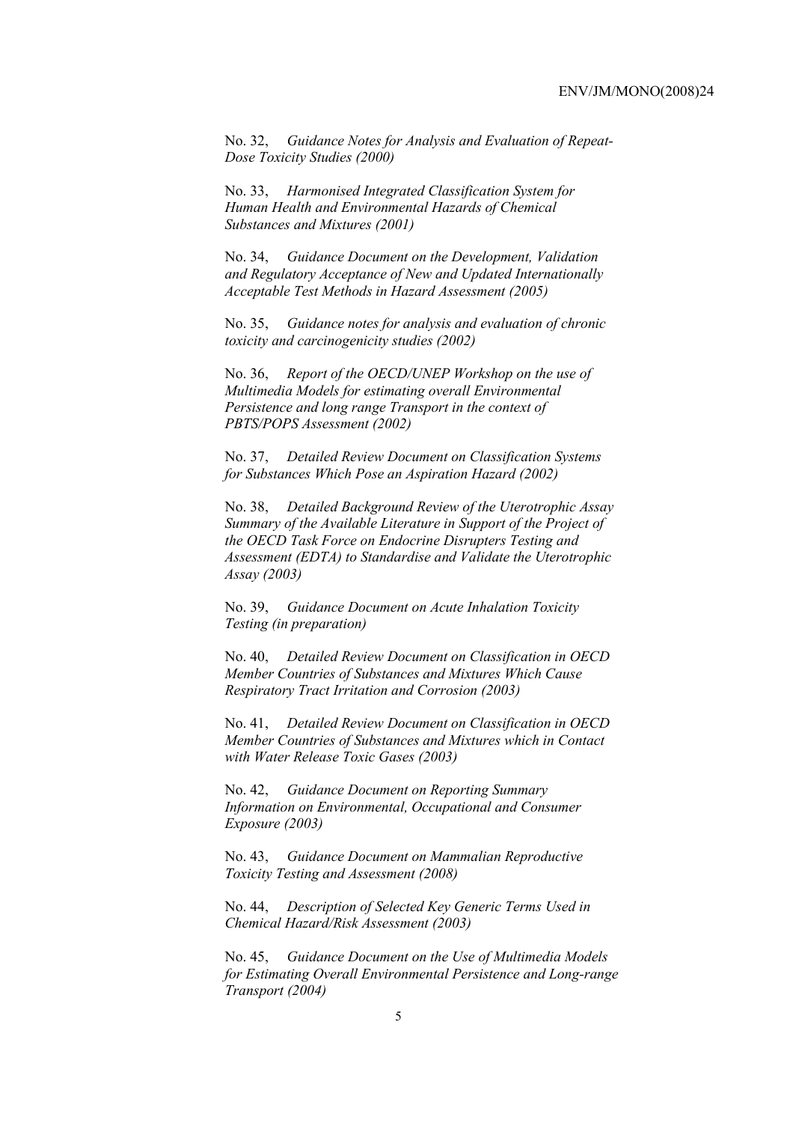No. 32, *Guidance Notes for Analysis and Evaluation of Repeat-Dose Toxicity Studies (2000)*

No. 33, *Harmonised Integrated Classification System for Human Health and Environmental Hazards of Chemical Substances and Mixtures (2001)*

No. 34, *Guidance Document on the Development, Validation and Regulatory Acceptance of New and Updated Internationally Acceptable Test Methods in Hazard Assessment (2005)*

No. 35, *Guidance notes for analysis and evaluation of chronic toxicity and carcinogenicity studies (2002)*

No. 36, *Report of the OECD/UNEP Workshop on the use of Multimedia Models for estimating overall Environmental Persistence and long range Transport in the context of PBTS/POPS Assessment (2002)*

No. 37, *Detailed Review Document on Classification Systems for Substances Which Pose an Aspiration Hazard (2002)*

No. 38, *Detailed Background Review of the Uterotrophic Assay Summary of the Available Literature in Support of the Project of the OECD Task Force on Endocrine Disrupters Testing and Assessment (EDTA) to Standardise and Validate the Uterotrophic Assay (2003)*

No. 39, *Guidance Document on Acute Inhalation Toxicity Testing (in preparation)*

No. 40, *Detailed Review Document on Classification in OECD Member Countries of Substances and Mixtures Which Cause Respiratory Tract Irritation and Corrosion (2003)*

No. 41, *Detailed Review Document on Classification in OECD Member Countries of Substances and Mixtures which in Contact with Water Release Toxic Gases (2003)*

No. 42, *Guidance Document on Reporting Summary Information on Environmental, Occupational and Consumer Exposure (2003)*

No. 43, *Guidance Document on Mammalian Reproductive Toxicity Testing and Assessment (2008)*

No. 44, *Description of Selected Key Generic Terms Used in Chemical Hazard/Risk Assessment (2003)* 

No. 45, *Guidance Document on the Use of Multimedia Models for Estimating Overall Environmental Persistence and Long-range Transport (2004)*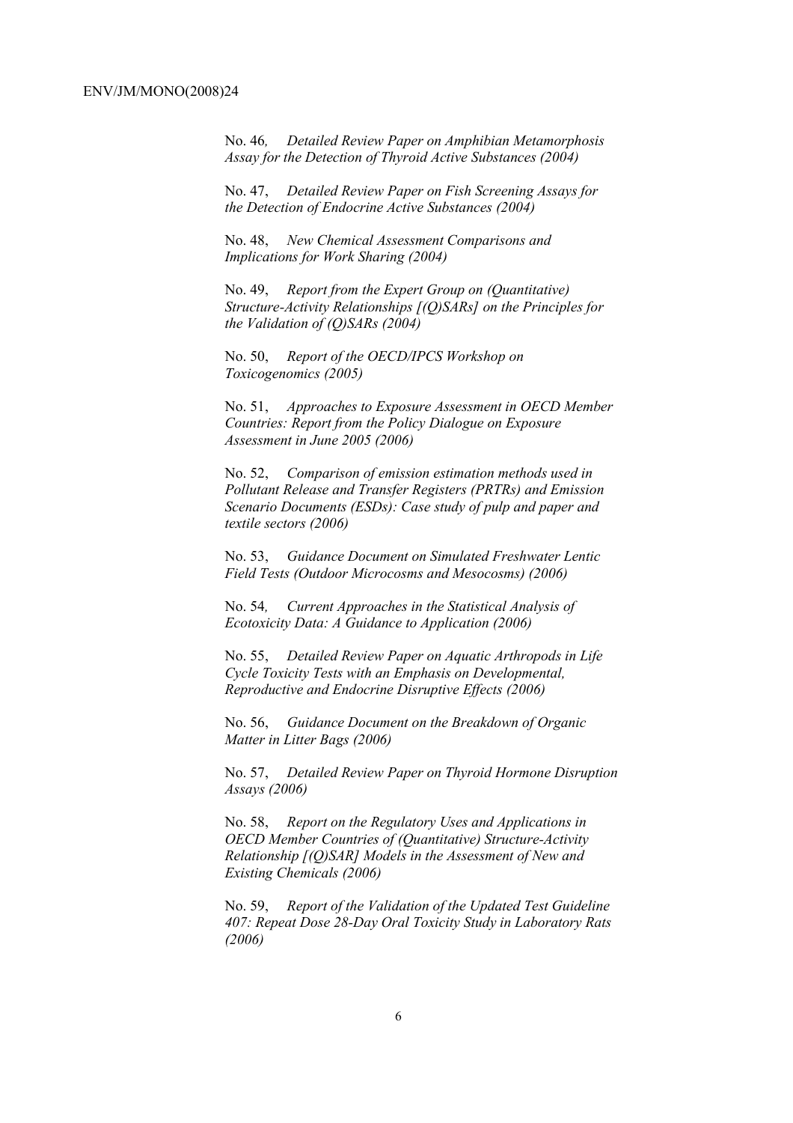No. 46*, Detailed Review Paper on Amphibian Metamorphosis Assay for the Detection of Thyroid Active Substances (2004)* 

No. 47, *Detailed Review Paper on Fish Screening Assays for the Detection of Endocrine Active Substances (2004)* 

No. 48, *New Chemical Assessment Comparisons and Implications for Work Sharing (2004)* 

No. 49, *Report from the Expert Group on (Quantitative) Structure-Activity Relationships [(Q)SARs] on the Principles for the Validation of (Q)SARs (2004)* 

No. 50, *Report of the OECD/IPCS Workshop on Toxicogenomics (2005)* 

No. 51, *Approaches to Exposure Assessment in OECD Member Countries: Report from the Policy Dialogue on Exposure Assessment in June 2005 (2006)* 

No. 52, *Comparison of emission estimation methods used in Pollutant Release and Transfer Registers (PRTRs) and Emission Scenario Documents (ESDs): Case study of pulp and paper and textile sectors (2006)* 

No. 53, *Guidance Document on Simulated Freshwater Lentic Field Tests (Outdoor Microcosms and Mesocosms) (2006)* 

No. 54*, Current Approaches in the Statistical Analysis of Ecotoxicity Data: A Guidance to Application (2006)* 

No. 55, *Detailed Review Paper on Aquatic Arthropods in Life Cycle Toxicity Tests with an Emphasis on Developmental, Reproductive and Endocrine Disruptive Effects (2006)* 

No. 56, *Guidance Document on the Breakdown of Organic Matter in Litter Bags (2006)* 

No. 57, *Detailed Review Paper on Thyroid Hormone Disruption Assays (2006)* 

No. 58, *Report on the Regulatory Uses and Applications in OECD Member Countries of (Quantitative) Structure-Activity Relationship [(Q)SAR] Models in the Assessment of New and Existing Chemicals (2006)* 

No. 59, *Report of the Validation of the Updated Test Guideline 407: Repeat Dose 28-Day Oral Toxicity Study in Laboratory Rats (2006)*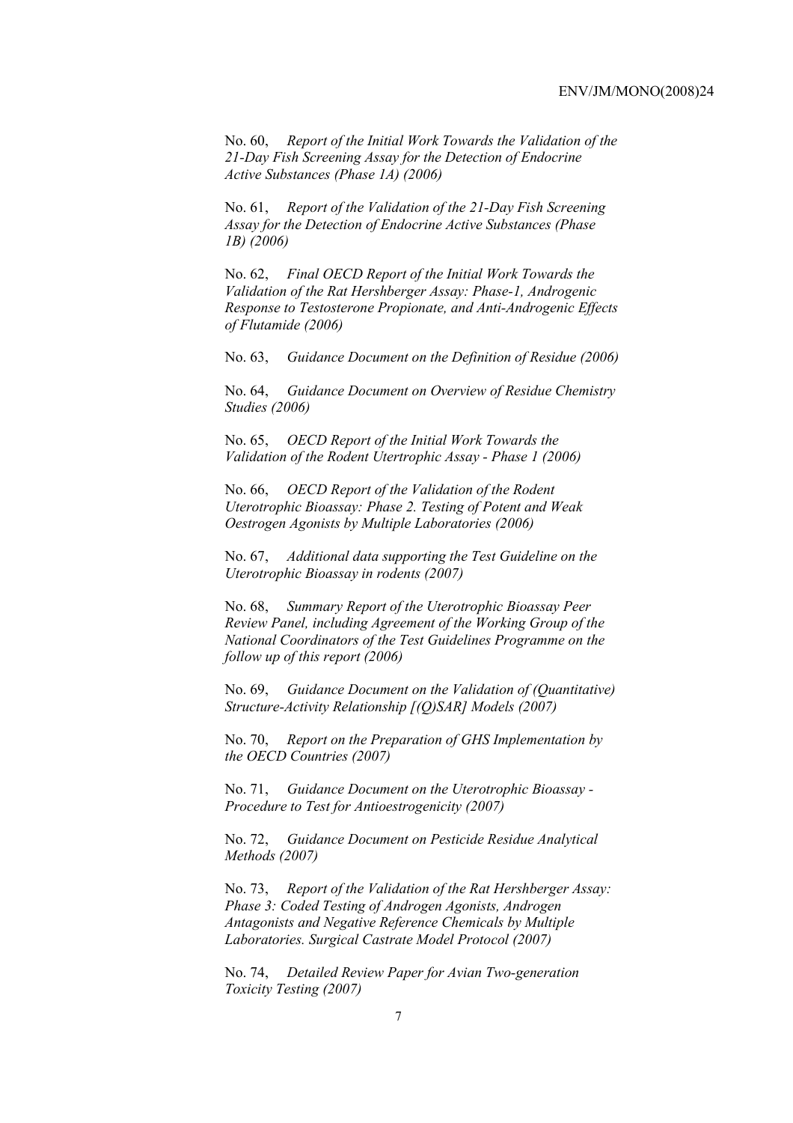No. 60, *Report of the Initial Work Towards the Validation of the 21-Day Fish Screening Assay for the Detection of Endocrine Active Substances (Phase 1A) (2006)* 

No. 61, *Report of the Validation of the 21-Day Fish Screening Assay for the Detection of Endocrine Active Substances (Phase 1B) (2006)* 

No. 62, *Final OECD Report of the Initial Work Towards the Validation of the Rat Hershberger Assay: Phase-1, Androgenic Response to Testosterone Propionate, and Anti-Androgenic Effects of Flutamide (2006)* 

No. 63, *Guidance Document on the Definition of Residue (2006)* 

No. 64, *Guidance Document on Overview of Residue Chemistry Studies (2006)* 

No. 65, *OECD Report of the Initial Work Towards the Validation of the Rodent Utertrophic Assay - Phase 1 (2006)* 

No. 66, *OECD Report of the Validation of the Rodent Uterotrophic Bioassay: Phase 2. Testing of Potent and Weak Oestrogen Agonists by Multiple Laboratories (2006)* 

No. 67, *Additional data supporting the Test Guideline on the Uterotrophic Bioassay in rodents (2007)* 

No. 68, *Summary Report of the Uterotrophic Bioassay Peer Review Panel, including Agreement of the Working Group of the National Coordinators of the Test Guidelines Programme on the follow up of this report (2006)* 

No. 69, *Guidance Document on the Validation of (Quantitative) Structure-Activity Relationship [(Q)SAR] Models (2007)* 

No. 70, *Report on the Preparation of GHS Implementation by the OECD Countries (2007)*

No. 71, *Guidance Document on the Uterotrophic Bioassay - Procedure to Test for Antioestrogenicity (2007)*

No. 72, *Guidance Document on Pesticide Residue Analytical Methods (2007)* 

No. 73, *Report of the Validation of the Rat Hershberger Assay: Phase 3: Coded Testing of Androgen Agonists, Androgen Antagonists and Negative Reference Chemicals by Multiple Laboratories. Surgical Castrate Model Protocol (2007)* 

No. 74, *Detailed Review Paper for Avian Two-generation Toxicity Testing (2007)*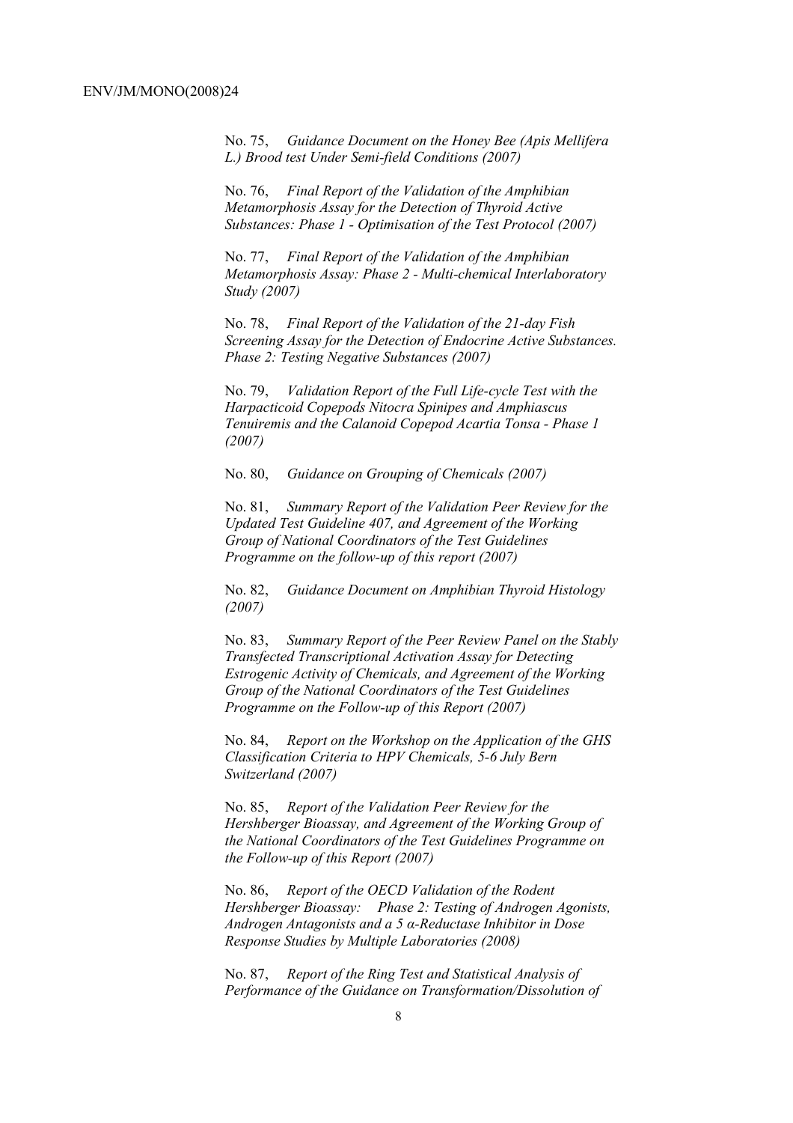No. 75, *Guidance Document on the Honey Bee (Apis Mellifera L.) Brood test Under Semi-field Conditions (2007)* 

No. 76, *Final Report of the Validation of the Amphibian Metamorphosis Assay for the Detection of Thyroid Active Substances: Phase 1 - Optimisation of the Test Protocol (2007)* 

No. 77, *Final Report of the Validation of the Amphibian Metamorphosis Assay: Phase 2 - Multi-chemical Interlaboratory Study (2007)* 

No. 78, *Final Report of the Validation of the 21-day Fish Screening Assay for the Detection of Endocrine Active Substances. Phase 2: Testing Negative Substances (2007)* 

No. 79, *Validation Report of the Full Life-cycle Test with the Harpacticoid Copepods Nitocra Spinipes and Amphiascus Tenuiremis and the Calanoid Copepod Acartia Tonsa - Phase 1 (2007)* 

No. 80, *Guidance on Grouping of Chemicals (2007)* 

No. 81, *Summary Report of the Validation Peer Review for the Updated Test Guideline 407, and Agreement of the Working Group of National Coordinators of the Test Guidelines Programme on the follow-up of this report (2007)* 

No. 82, *Guidance Document on Amphibian Thyroid Histology (2007)* 

No. 83, *Summary Report of the Peer Review Panel on the Stably Transfected Transcriptional Activation Assay for Detecting Estrogenic Activity of Chemicals, and Agreement of the Working Group of the National Coordinators of the Test Guidelines Programme on the Follow-up of this Report (2007)* 

No. 84, *Report on the Workshop on the Application of the GHS Classification Criteria to HPV Chemicals, 5-6 July Bern Switzerland (2007)* 

No. 85, *Report of the Validation Peer Review for the Hershberger Bioassay, and Agreement of the Working Group of the National Coordinators of the Test Guidelines Programme on the Follow-up of this Report (2007)* 

No. 86, *Report of the OECD Validation of the Rodent Hershberger Bioassay: Phase 2: Testing of Androgen Agonists, Androgen Antagonists and a 5 α-Reductase Inhibitor in Dose Response Studies by Multiple Laboratories (2008)*

No. 87, *Report of the Ring Test and Statistical Analysis of Performance of the Guidance on Transformation/Dissolution of*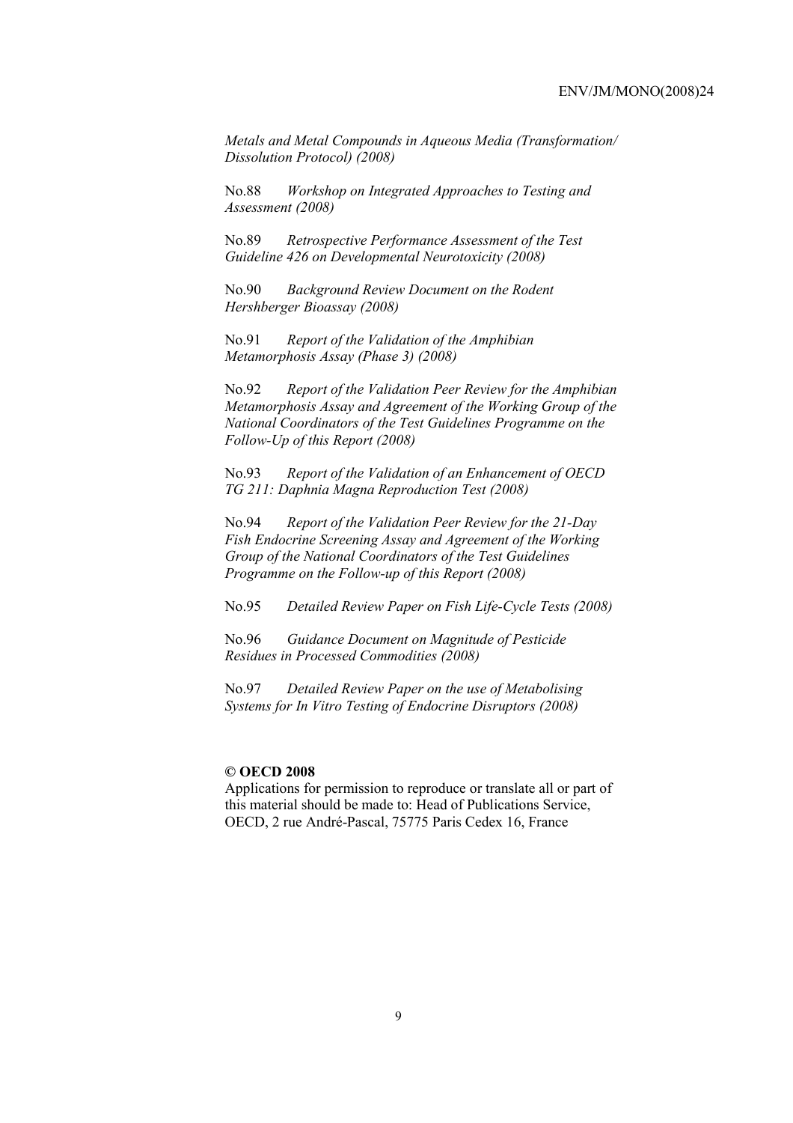*Metals and Metal Compounds in Aqueous Media (Transformation/ Dissolution Protocol) (2008)*

No.88 *Workshop on Integrated Approaches to Testing and Assessment (2008)* 

No.89 *Retrospective Performance Assessment of the Test Guideline 426 on Developmental Neurotoxicity (2008)* 

No.90 *Background Review Document on the Rodent Hershberger Bioassay (2008)* 

No.91 *Report of the Validation of the Amphibian Metamorphosis Assay (Phase 3) (2008)* 

No.92 *Report of the Validation Peer Review for the Amphibian Metamorphosis Assay and Agreement of the Working Group of the National Coordinators of the Test Guidelines Programme on the Follow-Up of this Report (2008)* 

No.93 *Report of the Validation of an Enhancement of OECD TG 211: Daphnia Magna Reproduction Test (2008)* 

No.94 *Report of the Validation Peer Review for the 21-Day Fish Endocrine Screening Assay and Agreement of the Working Group of the National Coordinators of the Test Guidelines Programme on the Follow-up of this Report (2008)* 

No.95 *Detailed Review Paper on Fish Life-Cycle Tests (2008)* 

No.96 *Guidance Document on Magnitude of Pesticide Residues in Processed Commodities (2008)* 

No.97 *Detailed Review Paper on the use of Metabolising Systems for In Vitro Testing of Endocrine Disruptors (2008)* 

## **© OECD 2008**

Applications for permission to reproduce or translate all or part of this material should be made to: Head of Publications Service, OECD, 2 rue André-Pascal, 75775 Paris Cedex 16, France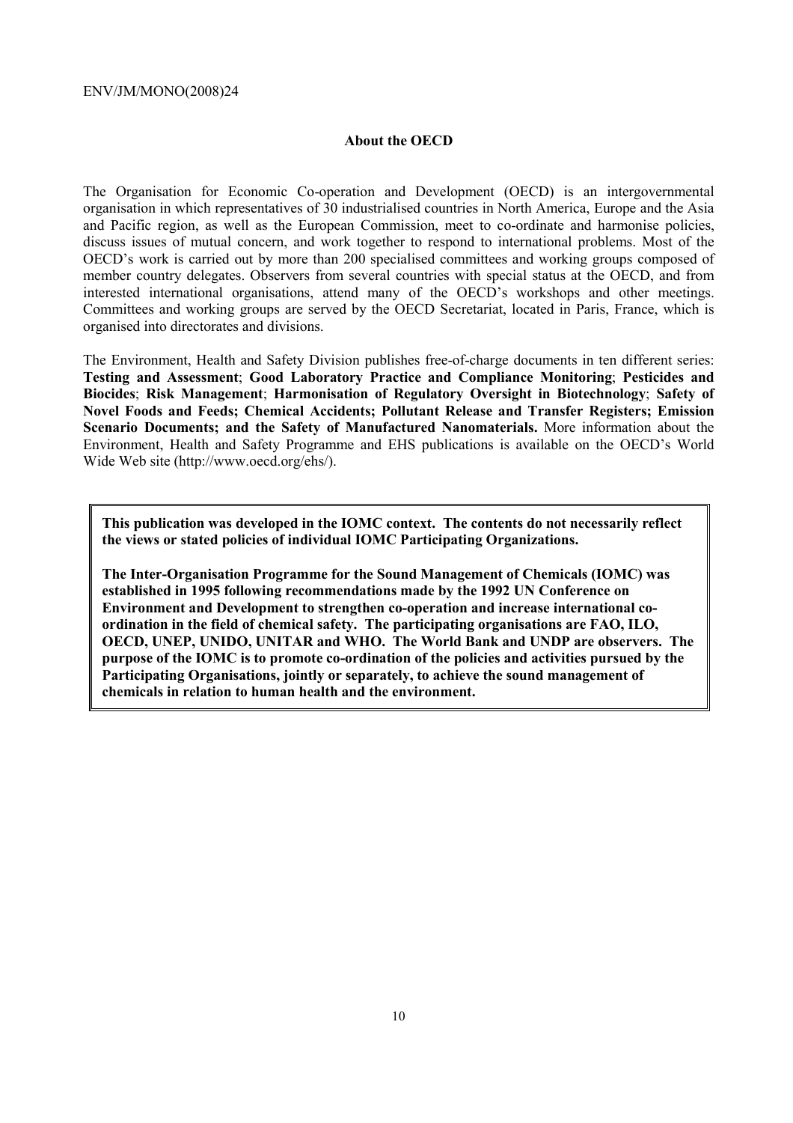## **About the OECD**

The Organisation for Economic Co-operation and Development (OECD) is an intergovernmental organisation in which representatives of 30 industrialised countries in North America, Europe and the Asia and Pacific region, as well as the European Commission, meet to co-ordinate and harmonise policies, discuss issues of mutual concern, and work together to respond to international problems. Most of the OECD's work is carried out by more than 200 specialised committees and working groups composed of member country delegates. Observers from several countries with special status at the OECD, and from interested international organisations, attend many of the OECD's workshops and other meetings. Committees and working groups are served by the OECD Secretariat, located in Paris, France, which is organised into directorates and divisions.

The Environment, Health and Safety Division publishes free-of-charge documents in ten different series: **Testing and Assessment**; **Good Laboratory Practice and Compliance Monitoring**; **Pesticides and Biocides**; **Risk Management**; **Harmonisation of Regulatory Oversight in Biotechnology**; **Safety of Novel Foods and Feeds; Chemical Accidents; Pollutant Release and Transfer Registers; Emission Scenario Documents; and the Safety of Manufactured Nanomaterials.** More information about the Environment, Health and Safety Programme and EHS publications is available on the OECD's World Wide Web site (http://www.oecd.org/ehs/).

**This publication was developed in the IOMC context. The contents do not necessarily reflect the views or stated policies of individual IOMC Participating Organizations.** 

**The Inter-Organisation Programme for the Sound Management of Chemicals (IOMC) was established in 1995 following recommendations made by the 1992 UN Conference on Environment and Development to strengthen co-operation and increase international coordination in the field of chemical safety. The participating organisations are FAO, ILO, OECD, UNEP, UNIDO, UNITAR and WHO. The World Bank and UNDP are observers. The purpose of the IOMC is to promote co-ordination of the policies and activities pursued by the Participating Organisations, jointly or separately, to achieve the sound management of chemicals in relation to human health and the environment.**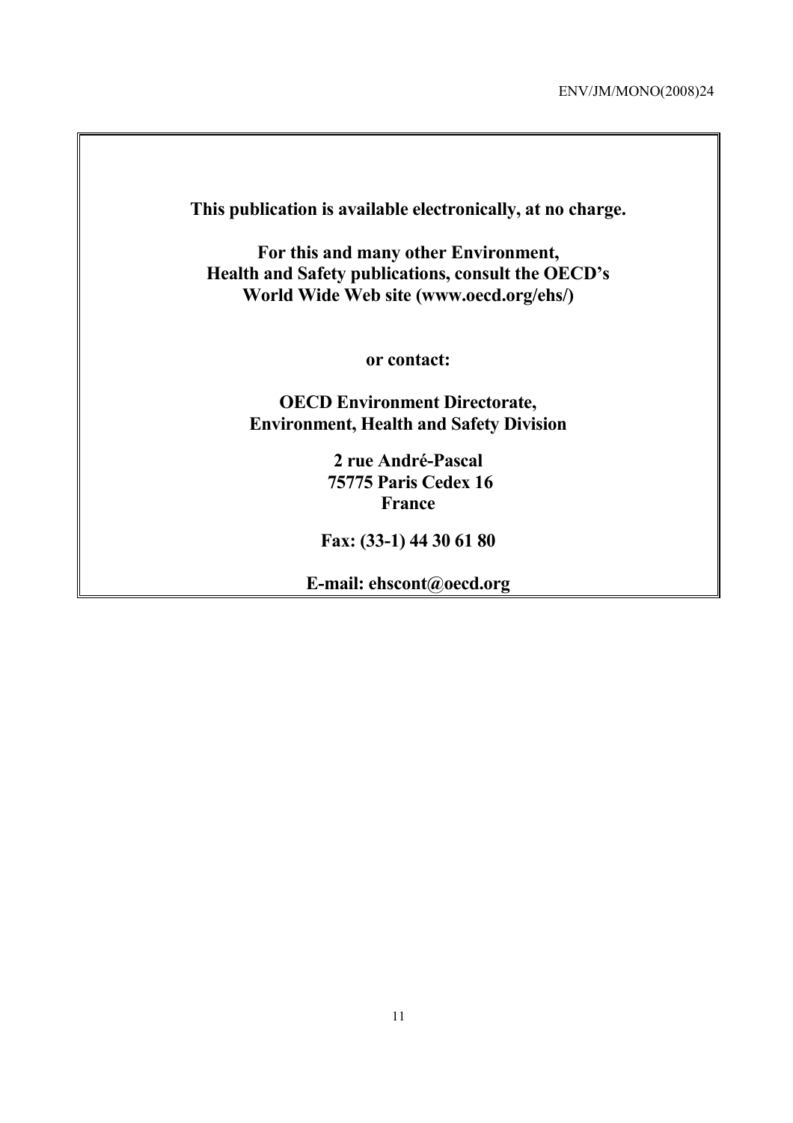**This publication is available electronically, at no charge. For this and many other Environment, Health and Safety publications, consult the OECD's World Wide Web site (www.oecd.org/ehs/) or contact: OECD Environment Directorate, Environment, Health and Safety Division 2 rue André-Pascal 75775 Paris Cedex 16 France Fax: (33-1) 44 30 61 80 E-mail: ehscont@oecd.org**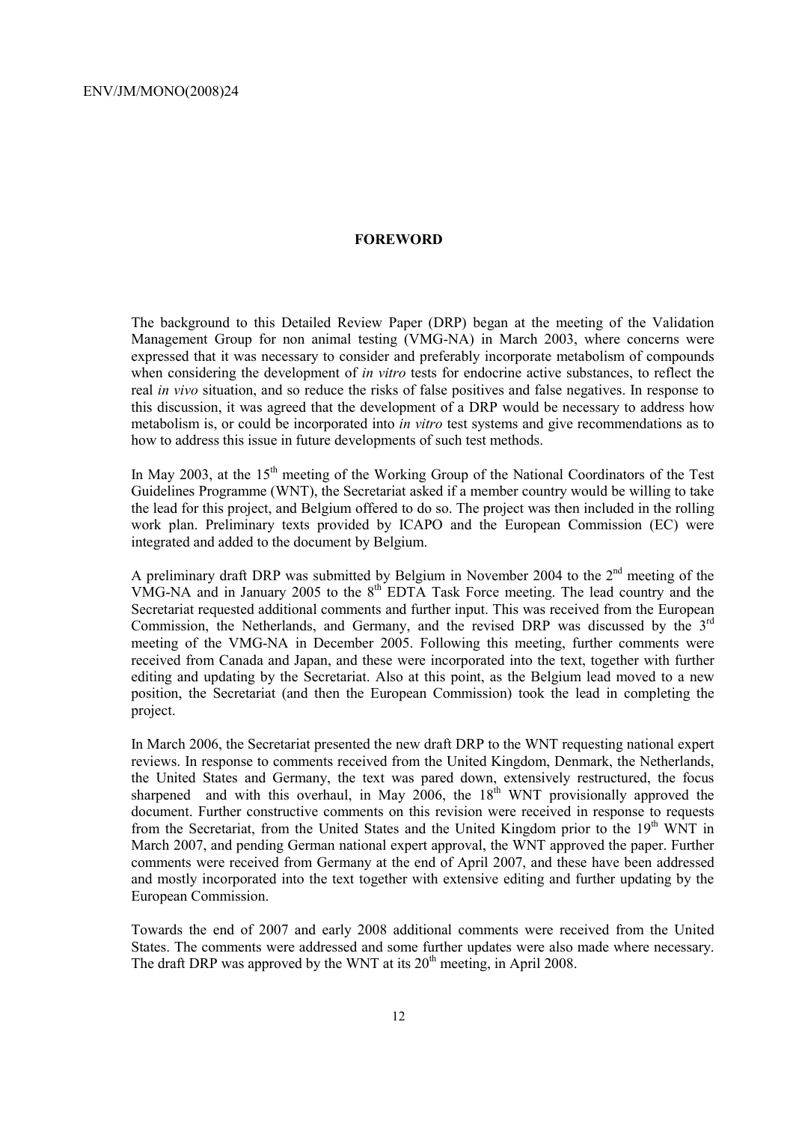## **FOREWORD**

The background to this Detailed Review Paper (DRP) began at the meeting of the Validation Management Group for non animal testing (VMG-NA) in March 2003, where concerns were expressed that it was necessary to consider and preferably incorporate metabolism of compounds when considering the development of *in vitro* tests for endocrine active substances, to reflect the real *in vivo* situation, and so reduce the risks of false positives and false negatives. In response to this discussion, it was agreed that the development of a DRP would be necessary to address how metabolism is, or could be incorporated into *in vitro* test systems and give recommendations as to how to address this issue in future developments of such test methods.

In May 2003, at the  $15<sup>th</sup>$  meeting of the Working Group of the National Coordinators of the Test Guidelines Programme (WNT), the Secretariat asked if a member country would be willing to take the lead for this project, and Belgium offered to do so. The project was then included in the rolling work plan. Preliminary texts provided by ICAPO and the European Commission (EC) were integrated and added to the document by Belgium.

A preliminary draft DRP was submitted by Belgium in November 2004 to the  $2<sup>nd</sup>$  meeting of the VMG-NA and in January 2005 to the  $8<sup>th</sup>$  EDTA Task Force meeting. The lead country and the Secretariat requested additional comments and further input. This was received from the European Commission, the Netherlands, and Germany, and the revised DRP was discussed by the 3rd meeting of the VMG-NA in December 2005. Following this meeting, further comments were received from Canada and Japan, and these were incorporated into the text, together with further editing and updating by the Secretariat. Also at this point, as the Belgium lead moved to a new position, the Secretariat (and then the European Commission) took the lead in completing the project.

In March 2006, the Secretariat presented the new draft DRP to the WNT requesting national expert reviews. In response to comments received from the United Kingdom, Denmark, the Netherlands, the United States and Germany, the text was pared down, extensively restructured, the focus sharpened and with this overhaul, in May 2006, the 18<sup>th</sup> WNT provisionally approved the document. Further constructive comments on this revision were received in response to requests from the Secretariat, from the United States and the United Kingdom prior to the 19<sup>th</sup> WNT in March 2007, and pending German national expert approval, the WNT approved the paper. Further comments were received from Germany at the end of April 2007, and these have been addressed and mostly incorporated into the text together with extensive editing and further updating by the European Commission.

Towards the end of 2007 and early 2008 additional comments were received from the United States. The comments were addressed and some further updates were also made where necessary. The draft DRP was approved by the WNT at its  $20<sup>th</sup>$  meeting, in April 2008.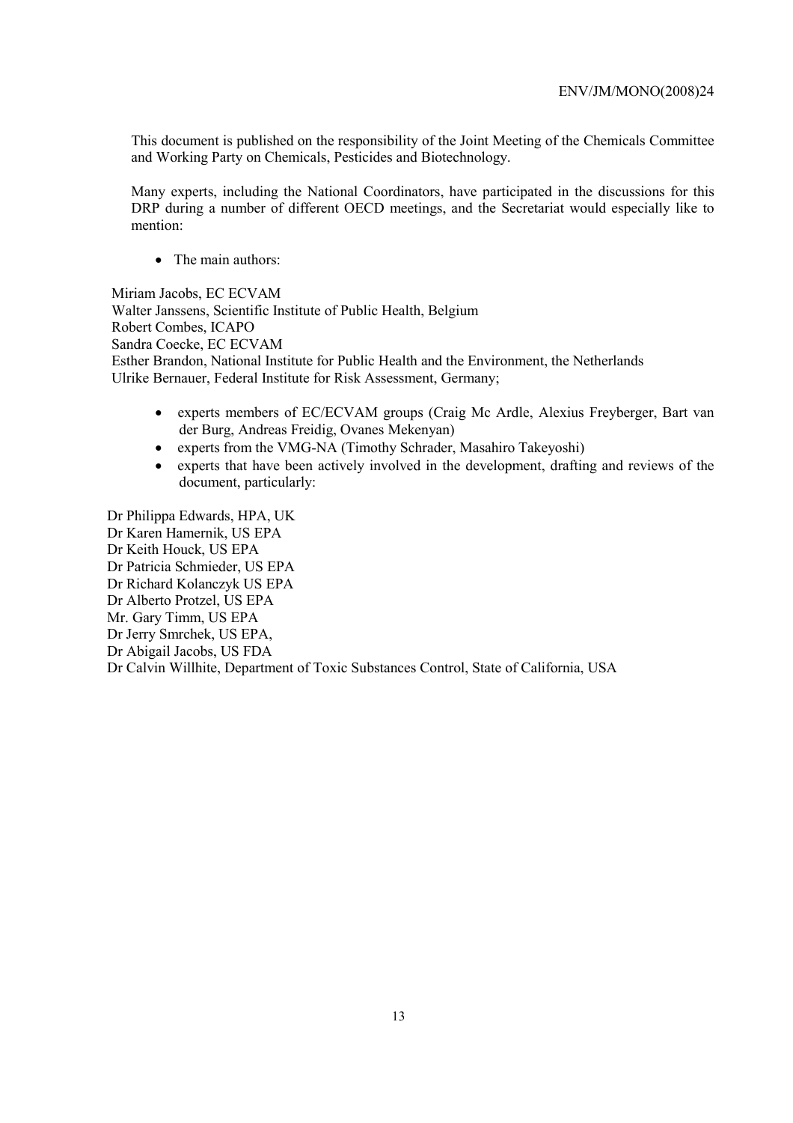This document is published on the responsibility of the Joint Meeting of the Chemicals Committee and Working Party on Chemicals, Pesticides and Biotechnology.

Many experts, including the National Coordinators, have participated in the discussions for this DRP during a number of different OECD meetings, and the Secretariat would especially like to mention:

• The main authors:

Miriam Jacobs, EC ECVAM Walter Janssens, Scientific Institute of Public Health, Belgium Robert Combes, ICAPO Sandra Coecke, EC ECVAM Esther Brandon, National Institute for Public Health and the Environment, the Netherlands Ulrike Bernauer, Federal Institute for Risk Assessment, Germany;

- experts members of EC/ECVAM groups (Craig Mc Ardle, Alexius Freyberger, Bart van der Burg, Andreas Freidig, Ovanes Mekenyan)
- experts from the VMG-NA (Timothy Schrader, Masahiro Takeyoshi)
- experts that have been actively involved in the development, drafting and reviews of the document, particularly:

Dr Philippa Edwards, HPA, UK Dr Karen Hamernik, US EPA Dr Keith Houck, US EPA Dr Patricia Schmieder, US EPA Dr Richard Kolanczyk US EPA Dr Alberto Protzel, US EPA Mr. Gary Timm, US EPA Dr Jerry Smrchek, US EPA, Dr Abigail Jacobs, US FDA Dr Calvin Willhite, Department of Toxic Substances Control, State of California, USA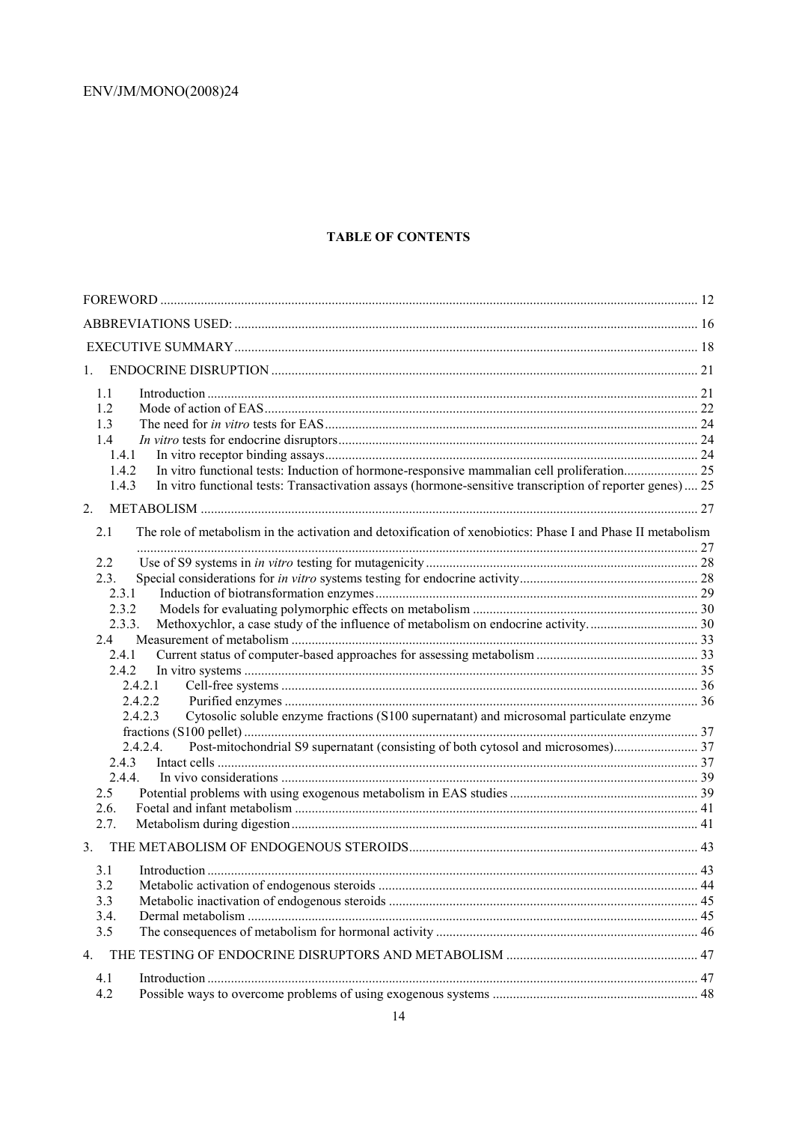# **TABLE OF CONTENTS**

| 1.                                                                                                                                                                                                                                                                                                                                                                                         |      |  |  |
|--------------------------------------------------------------------------------------------------------------------------------------------------------------------------------------------------------------------------------------------------------------------------------------------------------------------------------------------------------------------------------------------|------|--|--|
| 1.1<br>1.2<br>1.3<br>1.4<br>1.4.1<br>In vitro functional tests: Induction of hormone-responsive mammalian cell proliferation 25<br>1.4.2<br>In vitro functional tests: Transactivation assays (hormone-sensitive transcription of reporter genes)  25<br>1.4.3                                                                                                                             |      |  |  |
| 2 <sub>1</sub>                                                                                                                                                                                                                                                                                                                                                                             |      |  |  |
| The role of metabolism in the activation and detoxification of xenobiotics: Phase I and Phase II metabolism<br>2.1<br>2.2<br>2.3.<br>2.3.1<br>2.3.2<br>2.3.3.<br>2.4<br>2.4.1<br>2.4.2<br>2.4.2.1<br>2.4.2.2<br>Cytosolic soluble enzyme fractions (S100 supernatant) and microsomal particulate enzyme<br>2.4.2.3<br>2.4.2.4.<br>2.4.3<br>2.4.4.<br>2.5<br>2.6.<br>2.7.<br>3 <sub>1</sub> |      |  |  |
| 3.1<br>3.2<br>3.3<br>3.4.<br>3.5                                                                                                                                                                                                                                                                                                                                                           | . 44 |  |  |
| 4.                                                                                                                                                                                                                                                                                                                                                                                         |      |  |  |
| 4.1<br>4.2                                                                                                                                                                                                                                                                                                                                                                                 |      |  |  |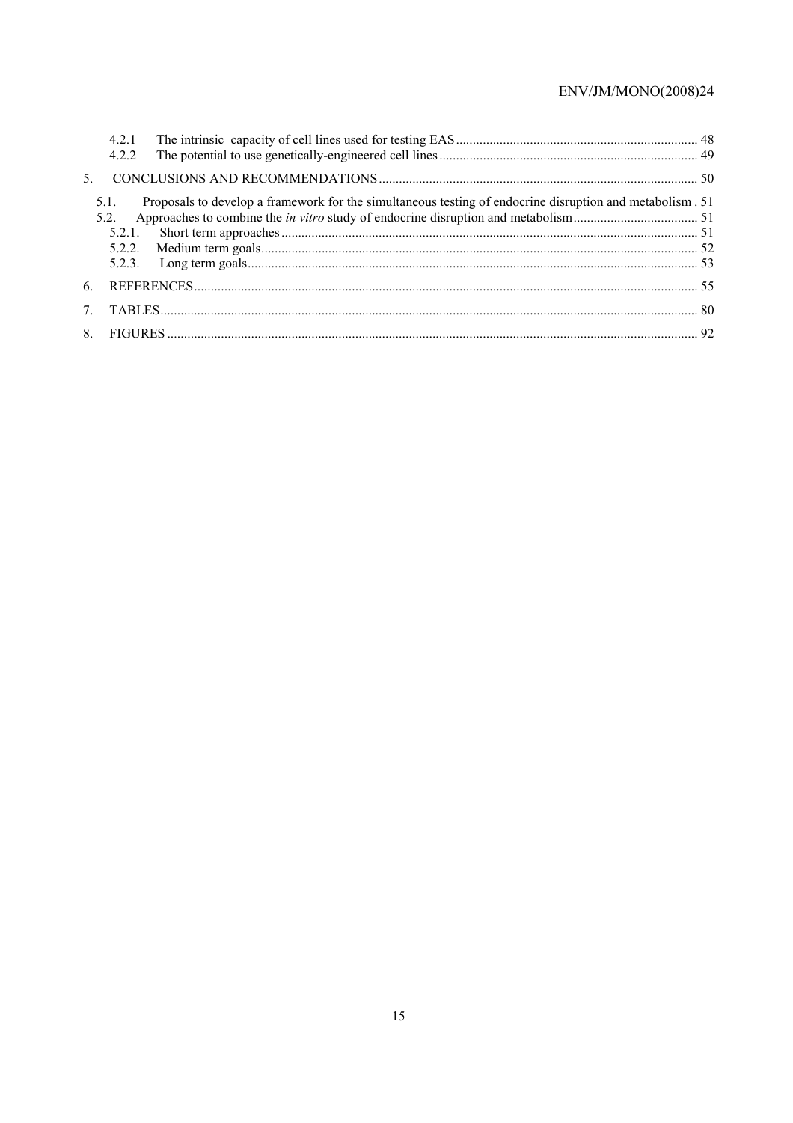|   | 4.2.1<br>4.2.2 |                                                                                                           |  |  |
|---|----------------|-----------------------------------------------------------------------------------------------------------|--|--|
|   |                |                                                                                                           |  |  |
|   | 5.1            | Proposals to develop a framework for the simultaneous testing of endocrine disruption and metabolism . 51 |  |  |
|   | 5.2.           |                                                                                                           |  |  |
|   |                |                                                                                                           |  |  |
|   |                |                                                                                                           |  |  |
|   |                |                                                                                                           |  |  |
| 6 |                |                                                                                                           |  |  |
|   |                |                                                                                                           |  |  |
|   |                |                                                                                                           |  |  |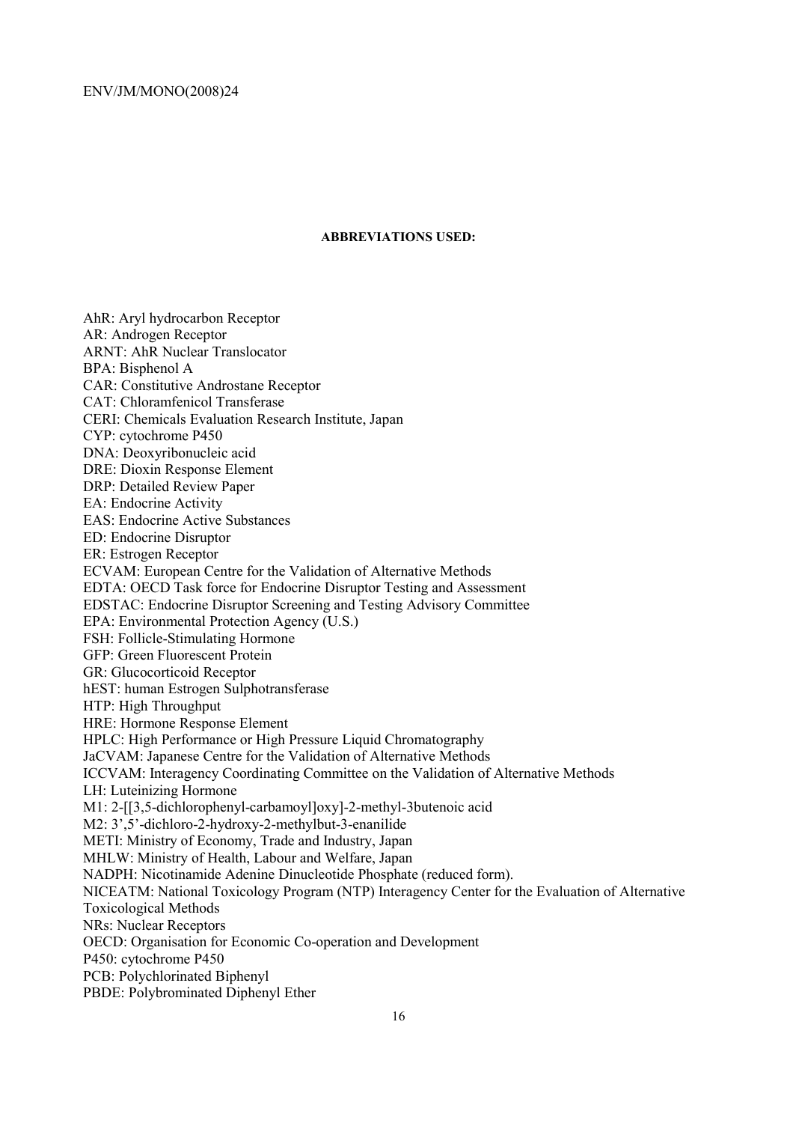#### **ABBREVIATIONS USED:**

AhR: Aryl hydrocarbon Receptor AR: Androgen Receptor ARNT: AhR Nuclear Translocator BPA: Bisphenol A CAR: Constitutive Androstane Receptor CAT: Chloramfenicol Transferase CERI: Chemicals Evaluation Research Institute, Japan CYP: cytochrome P450 DNA: Deoxyribonucleic acid DRE: Dioxin Response Element DRP: Detailed Review Paper EA: Endocrine Activity EAS: Endocrine Active Substances ED: Endocrine Disruptor ER: Estrogen Receptor ECVAM: European Centre for the Validation of Alternative Methods EDTA: OECD Task force for Endocrine Disruptor Testing and Assessment EDSTAC: Endocrine Disruptor Screening and Testing Advisory Committee EPA: Environmental Protection Agency (U.S.) FSH: Follicle-Stimulating Hormone GFP: Green Fluorescent Protein GR: Glucocorticoid Receptor hEST: human Estrogen Sulphotransferase HTP: High Throughput HRE: Hormone Response Element HPLC: High Performance or High Pressure Liquid Chromatography JaCVAM: Japanese Centre for the Validation of Alternative Methods ICCVAM: Interagency Coordinating Committee on the Validation of Alternative Methods LH: Luteinizing Hormone M1: 2-[[3,5-dichlorophenyl-carbamoyl]oxy]-2-methyl-3butenoic acid M2: 3',5'-dichloro-2-hydroxy-2-methylbut-3-enanilide METI: Ministry of Economy, Trade and Industry, Japan MHLW: Ministry of Health, Labour and Welfare, Japan NADPH: Nicotinamide Adenine Dinucleotide Phosphate (reduced form). NICEATM: National Toxicology Program (NTP) Interagency Center for the Evaluation of Alternative Toxicological Methods NRs: Nuclear Receptors OECD: Organisation for Economic Co-operation and Development P450: cytochrome P450 PCB: Polychlorinated Biphenyl PBDE: Polybrominated Diphenyl Ether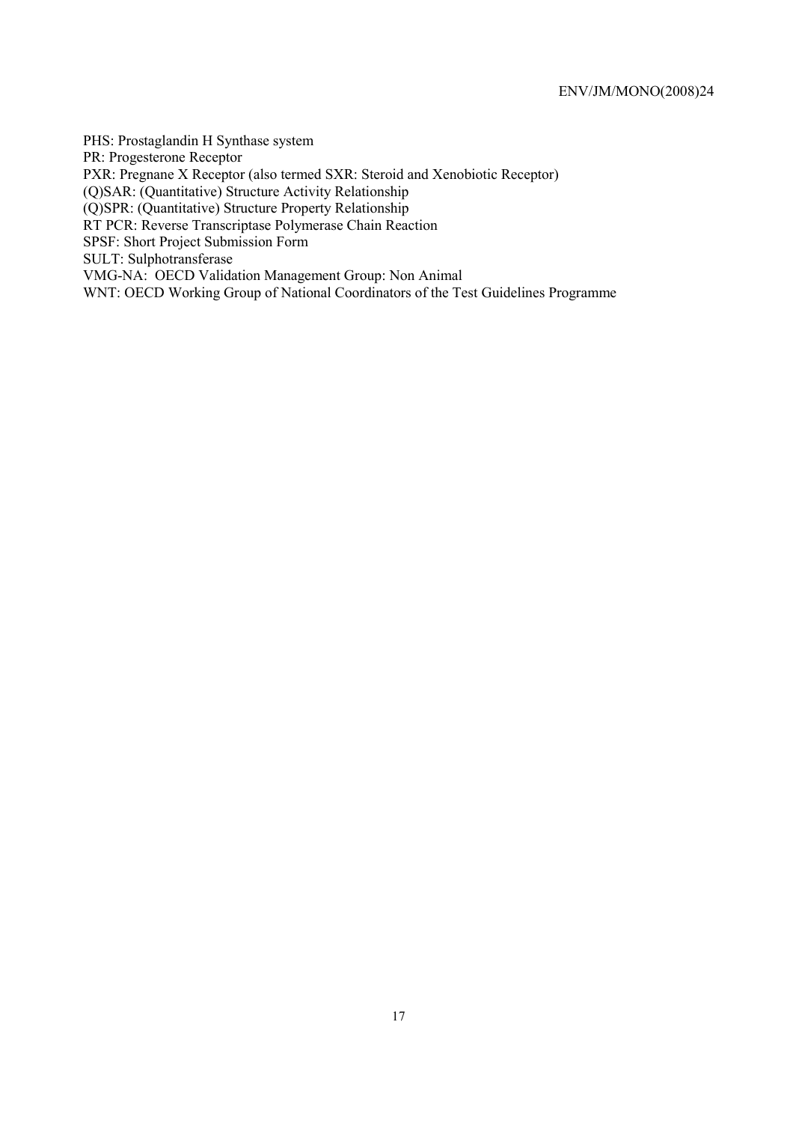PHS: Prostaglandin H Synthase system PR: Progesterone Receptor PXR: Pregnane X Receptor (also termed SXR: Steroid and Xenobiotic Receptor) (Q)SAR: (Quantitative) Structure Activity Relationship (Q)SPR: (Quantitative) Structure Property Relationship RT PCR: Reverse Transcriptase Polymerase Chain Reaction SPSF: Short Project Submission Form SULT: Sulphotransferase VMG-NA: OECD Validation Management Group: Non Animal WNT: OECD Working Group of National Coordinators of the Test Guidelines Programme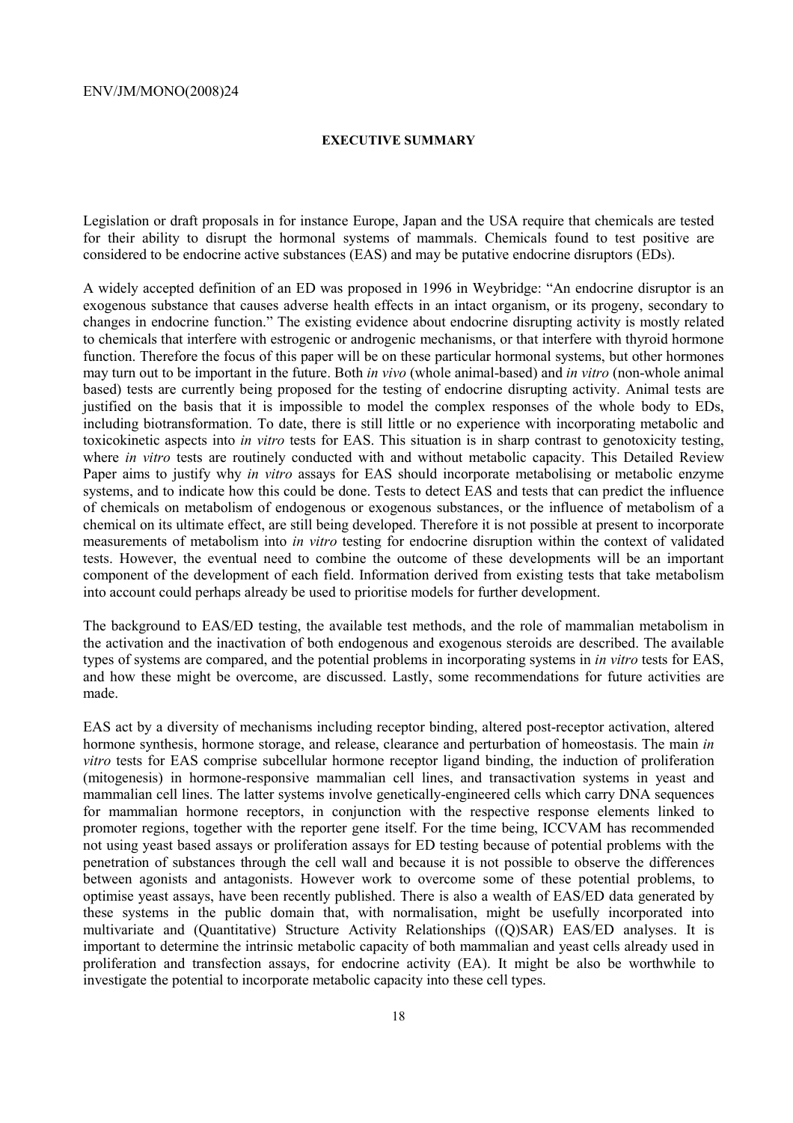## **EXECUTIVE SUMMARY**

Legislation or draft proposals in for instance Europe, Japan and the USA require that chemicals are tested for their ability to disrupt the hormonal systems of mammals. Chemicals found to test positive are considered to be endocrine active substances (EAS) and may be putative endocrine disruptors (EDs).

A widely accepted definition of an ED was proposed in 1996 in Weybridge: "An endocrine disruptor is an exogenous substance that causes adverse health effects in an intact organism, or its progeny, secondary to changes in endocrine function." The existing evidence about endocrine disrupting activity is mostly related to chemicals that interfere with estrogenic or androgenic mechanisms, or that interfere with thyroid hormone function. Therefore the focus of this paper will be on these particular hormonal systems, but other hormones may turn out to be important in the future. Both *in vivo* (whole animal-based) and *in vitro* (non-whole animal based) tests are currently being proposed for the testing of endocrine disrupting activity. Animal tests are justified on the basis that it is impossible to model the complex responses of the whole body to EDs, including biotransformation. To date, there is still little or no experience with incorporating metabolic and toxicokinetic aspects into *in vitro* tests for EAS. This situation is in sharp contrast to genotoxicity testing, where *in vitro* tests are routinely conducted with and without metabolic capacity. This Detailed Review Paper aims to justify why *in vitro* assays for EAS should incorporate metabolising or metabolic enzyme systems, and to indicate how this could be done. Tests to detect EAS and tests that can predict the influence of chemicals on metabolism of endogenous or exogenous substances, or the influence of metabolism of a chemical on its ultimate effect, are still being developed. Therefore it is not possible at present to incorporate measurements of metabolism into *in vitro* testing for endocrine disruption within the context of validated tests. However, the eventual need to combine the outcome of these developments will be an important component of the development of each field. Information derived from existing tests that take metabolism into account could perhaps already be used to prioritise models for further development.

The background to EAS/ED testing, the available test methods, and the role of mammalian metabolism in the activation and the inactivation of both endogenous and exogenous steroids are described. The available types of systems are compared, and the potential problems in incorporating systems in *in vitro* tests for EAS, and how these might be overcome, are discussed. Lastly, some recommendations for future activities are made.

EAS act by a diversity of mechanisms including receptor binding, altered post-receptor activation, altered hormone synthesis, hormone storage, and release, clearance and perturbation of homeostasis. The main *in vitro* tests for EAS comprise subcellular hormone receptor ligand binding, the induction of proliferation (mitogenesis) in hormone-responsive mammalian cell lines, and transactivation systems in yeast and mammalian cell lines. The latter systems involve genetically-engineered cells which carry DNA sequences for mammalian hormone receptors, in conjunction with the respective response elements linked to promoter regions, together with the reporter gene itself. For the time being, ICCVAM has recommended not using yeast based assays or proliferation assays for ED testing because of potential problems with the penetration of substances through the cell wall and because it is not possible to observe the differences between agonists and antagonists. However work to overcome some of these potential problems, to optimise yeast assays, have been recently published. There is also a wealth of EAS/ED data generated by these systems in the public domain that, with normalisation, might be usefully incorporated into multivariate and (Quantitative) Structure Activity Relationships ((Q)SAR) EAS/ED analyses. It is important to determine the intrinsic metabolic capacity of both mammalian and yeast cells already used in proliferation and transfection assays, for endocrine activity (EA). It might be also be worthwhile to investigate the potential to incorporate metabolic capacity into these cell types.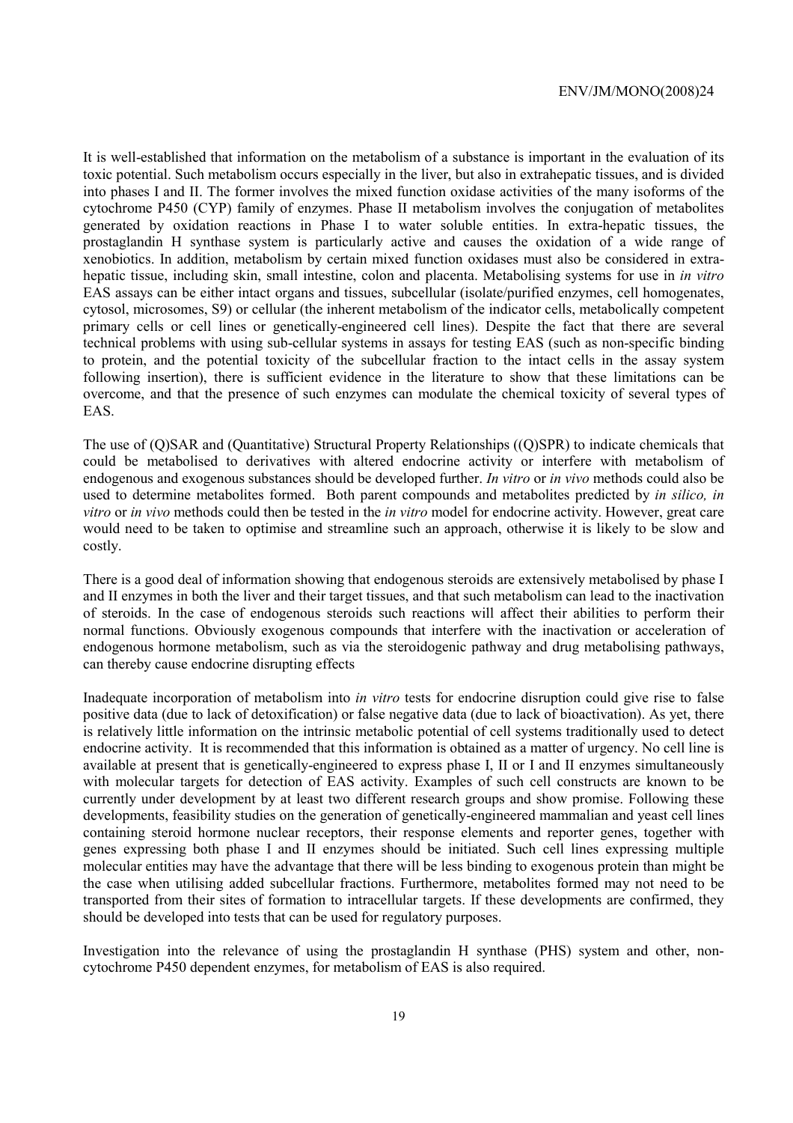It is well-established that information on the metabolism of a substance is important in the evaluation of its toxic potential. Such metabolism occurs especially in the liver, but also in extrahepatic tissues, and is divided into phases I and II. The former involves the mixed function oxidase activities of the many isoforms of the cytochrome P450 (CYP) family of enzymes. Phase II metabolism involves the conjugation of metabolites generated by oxidation reactions in Phase I to water soluble entities. In extra-hepatic tissues, the prostaglandin H synthase system is particularly active and causes the oxidation of a wide range of xenobiotics. In addition, metabolism by certain mixed function oxidases must also be considered in extrahepatic tissue, including skin, small intestine, colon and placenta. Metabolising systems for use in *in vitro* EAS assays can be either intact organs and tissues, subcellular (isolate/purified enzymes, cell homogenates, cytosol, microsomes, S9) or cellular (the inherent metabolism of the indicator cells, metabolically competent primary cells or cell lines or genetically-engineered cell lines). Despite the fact that there are several technical problems with using sub-cellular systems in assays for testing EAS (such as non-specific binding to protein, and the potential toxicity of the subcellular fraction to the intact cells in the assay system following insertion), there is sufficient evidence in the literature to show that these limitations can be overcome, and that the presence of such enzymes can modulate the chemical toxicity of several types of EAS.

The use of (Q)SAR and (Quantitative) Structural Property Relationships ((Q)SPR) to indicate chemicals that could be metabolised to derivatives with altered endocrine activity or interfere with metabolism of endogenous and exogenous substances should be developed further. *In vitro* or *in vivo* methods could also be used to determine metabolites formed. Both parent compounds and metabolites predicted by *in silico, in vitro* or *in vivo* methods could then be tested in the *in vitro* model for endocrine activity. However, great care would need to be taken to optimise and streamline such an approach, otherwise it is likely to be slow and costly.

There is a good deal of information showing that endogenous steroids are extensively metabolised by phase I and II enzymes in both the liver and their target tissues, and that such metabolism can lead to the inactivation of steroids. In the case of endogenous steroids such reactions will affect their abilities to perform their normal functions. Obviously exogenous compounds that interfere with the inactivation or acceleration of endogenous hormone metabolism, such as via the steroidogenic pathway and drug metabolising pathways, can thereby cause endocrine disrupting effects

Inadequate incorporation of metabolism into *in vitro* tests for endocrine disruption could give rise to false positive data (due to lack of detoxification) or false negative data (due to lack of bioactivation). As yet, there is relatively little information on the intrinsic metabolic potential of cell systems traditionally used to detect endocrine activity. It is recommended that this information is obtained as a matter of urgency. No cell line is available at present that is genetically-engineered to express phase I, II or I and II enzymes simultaneously with molecular targets for detection of EAS activity. Examples of such cell constructs are known to be currently under development by at least two different research groups and show promise. Following these developments, feasibility studies on the generation of genetically-engineered mammalian and yeast cell lines containing steroid hormone nuclear receptors, their response elements and reporter genes, together with genes expressing both phase I and II enzymes should be initiated. Such cell lines expressing multiple molecular entities may have the advantage that there will be less binding to exogenous protein than might be the case when utilising added subcellular fractions. Furthermore, metabolites formed may not need to be transported from their sites of formation to intracellular targets. If these developments are confirmed, they should be developed into tests that can be used for regulatory purposes.

Investigation into the relevance of using the prostaglandin H synthase (PHS) system and other, noncytochrome P450 dependent enzymes, for metabolism of EAS is also required.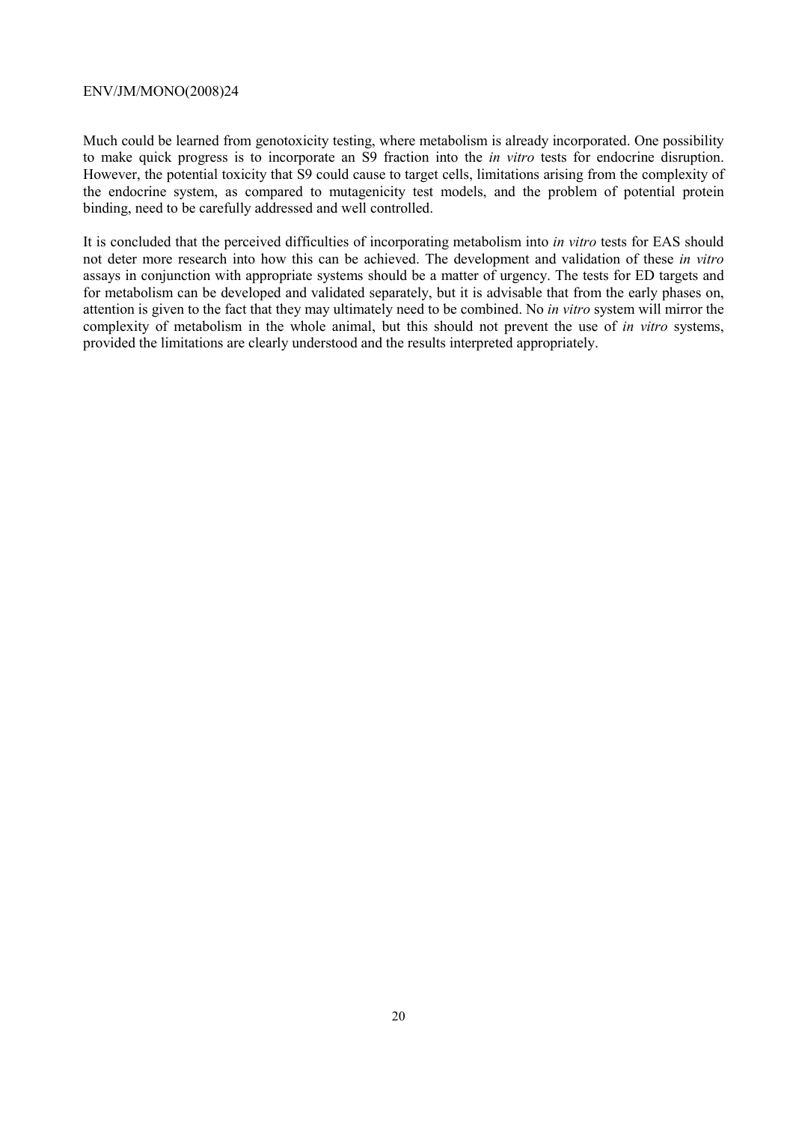Much could be learned from genotoxicity testing, where metabolism is already incorporated. One possibility to make quick progress is to incorporate an S9 fraction into the *in vitro* tests for endocrine disruption. However, the potential toxicity that S9 could cause to target cells, limitations arising from the complexity of the endocrine system, as compared to mutagenicity test models, and the problem of potential protein binding, need to be carefully addressed and well controlled.

It is concluded that the perceived difficulties of incorporating metabolism into *in vitro* tests for EAS should not deter more research into how this can be achieved. The development and validation of these *in vitro* assays in conjunction with appropriate systems should be a matter of urgency. The tests for ED targets and for metabolism can be developed and validated separately, but it is advisable that from the early phases on, attention is given to the fact that they may ultimately need to be combined. No *in vitro* system will mirror the complexity of metabolism in the whole animal, but this should not prevent the use of *in vitro* systems, provided the limitations are clearly understood and the results interpreted appropriately.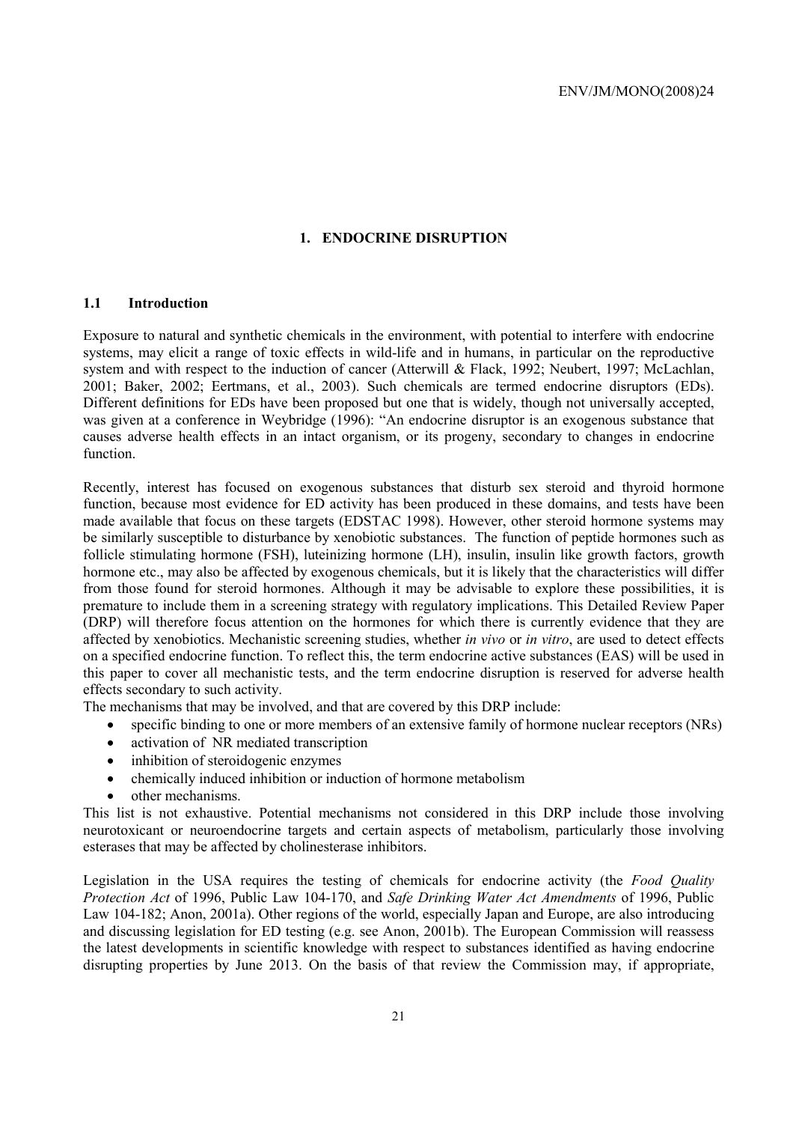## **1. ENDOCRINE DISRUPTION**

## **1.1 Introduction**

Exposure to natural and synthetic chemicals in the environment, with potential to interfere with endocrine systems, may elicit a range of toxic effects in wild-life and in humans, in particular on the reproductive system and with respect to the induction of cancer (Atterwill & Flack, 1992; Neubert, 1997; McLachlan, 2001; Baker, 2002; Eertmans, et al., 2003). Such chemicals are termed endocrine disruptors (EDs). Different definitions for EDs have been proposed but one that is widely, though not universally accepted, was given at a conference in Weybridge (1996): "An endocrine disruptor is an exogenous substance that causes adverse health effects in an intact organism, or its progeny, secondary to changes in endocrine function.

Recently, interest has focused on exogenous substances that disturb sex steroid and thyroid hormone function, because most evidence for ED activity has been produced in these domains, and tests have been made available that focus on these targets (EDSTAC 1998). However, other steroid hormone systems may be similarly susceptible to disturbance by xenobiotic substances. The function of peptide hormones such as follicle stimulating hormone (FSH), luteinizing hormone (LH), insulin, insulin like growth factors, growth hormone etc., may also be affected by exogenous chemicals, but it is likely that the characteristics will differ from those found for steroid hormones. Although it may be advisable to explore these possibilities, it is premature to include them in a screening strategy with regulatory implications. This Detailed Review Paper (DRP) will therefore focus attention on the hormones for which there is currently evidence that they are affected by xenobiotics. Mechanistic screening studies, whether *in vivo* or *in vitro*, are used to detect effects on a specified endocrine function. To reflect this, the term endocrine active substances (EAS) will be used in this paper to cover all mechanistic tests, and the term endocrine disruption is reserved for adverse health effects secondary to such activity.

The mechanisms that may be involved, and that are covered by this DRP include:

- specific binding to one or more members of an extensive family of hormone nuclear receptors (NRs)
- activation of NR mediated transcription
- inhibition of steroidogenic enzymes
- chemically induced inhibition or induction of hormone metabolism
- other mechanisms.

This list is not exhaustive. Potential mechanisms not considered in this DRP include those involving neurotoxicant or neuroendocrine targets and certain aspects of metabolism, particularly those involving esterases that may be affected by cholinesterase inhibitors.

Legislation in the USA requires the testing of chemicals for endocrine activity (the *Food Quality Protection Act* of 1996, Public Law 104-170, and *Safe Drinking Water Act Amendments* of 1996, Public Law 104-182; Anon, 2001a). Other regions of the world, especially Japan and Europe, are also introducing and discussing legislation for ED testing (e.g. see Anon, 2001b). The European Commission will reassess the latest developments in scientific knowledge with respect to substances identified as having endocrine disrupting properties by June 2013. On the basis of that review the Commission may, if appropriate,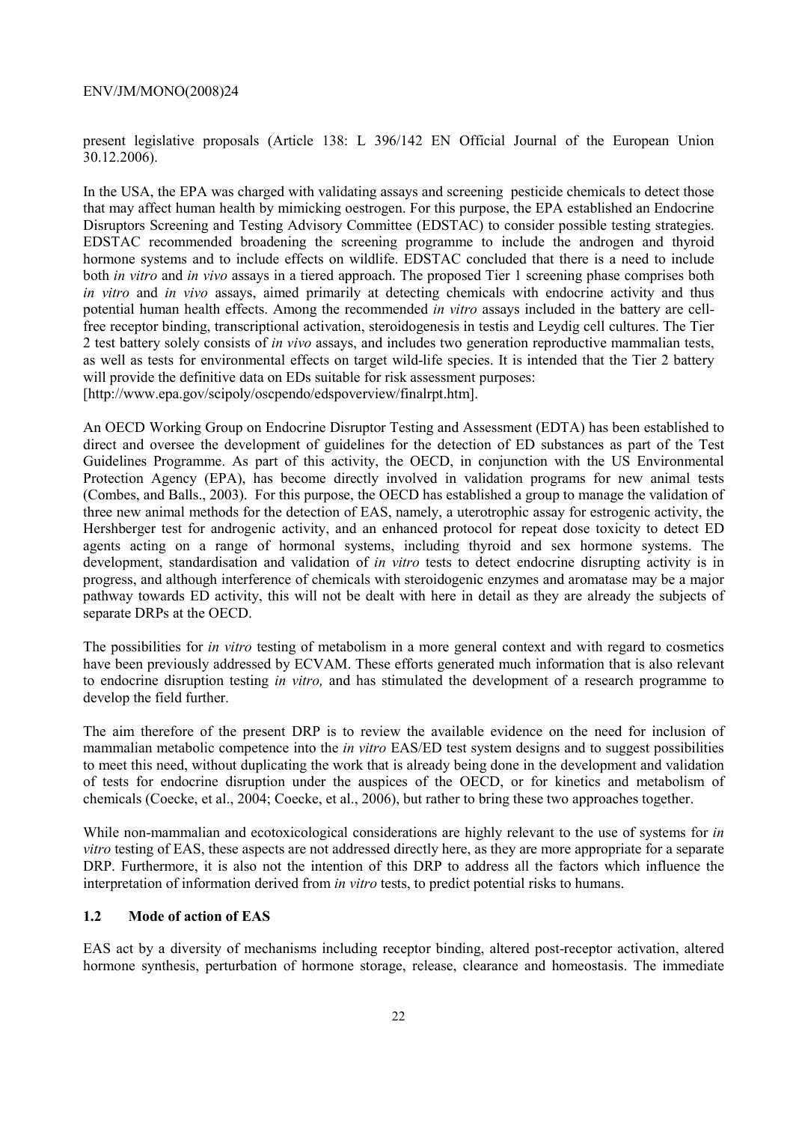present legislative proposals (Article 138: L 396/142 EN Official Journal of the European Union 30.12.2006).

In the USA, the EPA was charged with validating assays and screening pesticide chemicals to detect those that may affect human health by mimicking oestrogen. For this purpose, the EPA established an Endocrine Disruptors Screening and Testing Advisory Committee (EDSTAC) to consider possible testing strategies. EDSTAC recommended broadening the screening programme to include the androgen and thyroid hormone systems and to include effects on wildlife. EDSTAC concluded that there is a need to include both *in vitro* and *in vivo* assays in a tiered approach. The proposed Tier 1 screening phase comprises both *in vitro* and *in vivo* assays, aimed primarily at detecting chemicals with endocrine activity and thus potential human health effects. Among the recommended *in vitro* assays included in the battery are cellfree receptor binding, transcriptional activation, steroidogenesis in testis and Leydig cell cultures. The Tier 2 test battery solely consists of *in vivo* assays, and includes two generation reproductive mammalian tests, as well as tests for environmental effects on target wild-life species. It is intended that the Tier 2 battery will provide the definitive data on EDs suitable for risk assessment purposes:

[http://www.epa.gov/scipoly/oscpendo/edspoverview/finalrpt.htm].

An OECD Working Group on Endocrine Disruptor Testing and Assessment (EDTA) has been established to direct and oversee the development of guidelines for the detection of ED substances as part of the Test Guidelines Programme. As part of this activity, the OECD, in conjunction with the US Environmental Protection Agency (EPA), has become directly involved in validation programs for new animal tests (Combes, and Balls., 2003). For this purpose, the OECD has established a group to manage the validation of three new animal methods for the detection of EAS, namely, a uterotrophic assay for estrogenic activity, the Hershberger test for androgenic activity, and an enhanced protocol for repeat dose toxicity to detect ED agents acting on a range of hormonal systems, including thyroid and sex hormone systems. The development, standardisation and validation of *in vitro* tests to detect endocrine disrupting activity is in progress, and although interference of chemicals with steroidogenic enzymes and aromatase may be a major pathway towards ED activity, this will not be dealt with here in detail as they are already the subjects of separate DRPs at the OECD.

The possibilities for *in vitro* testing of metabolism in a more general context and with regard to cosmetics have been previously addressed by ECVAM. These efforts generated much information that is also relevant to endocrine disruption testing *in vitro,* and has stimulated the development of a research programme to develop the field further.

The aim therefore of the present DRP is to review the available evidence on the need for inclusion of mammalian metabolic competence into the *in vitro* EAS/ED test system designs and to suggest possibilities to meet this need, without duplicating the work that is already being done in the development and validation of tests for endocrine disruption under the auspices of the OECD, or for kinetics and metabolism of chemicals (Coecke, et al., 2004; Coecke, et al., 2006), but rather to bring these two approaches together.

While non-mammalian and ecotoxicological considerations are highly relevant to the use of systems for *in vitro* testing of EAS, these aspects are not addressed directly here, as they are more appropriate for a separate DRP. Furthermore, it is also not the intention of this DRP to address all the factors which influence the interpretation of information derived from *in vitro* tests, to predict potential risks to humans.

## **1.2 Mode of action of EAS**

EAS act by a diversity of mechanisms including receptor binding, altered post-receptor activation, altered hormone synthesis, perturbation of hormone storage, release, clearance and homeostasis. The immediate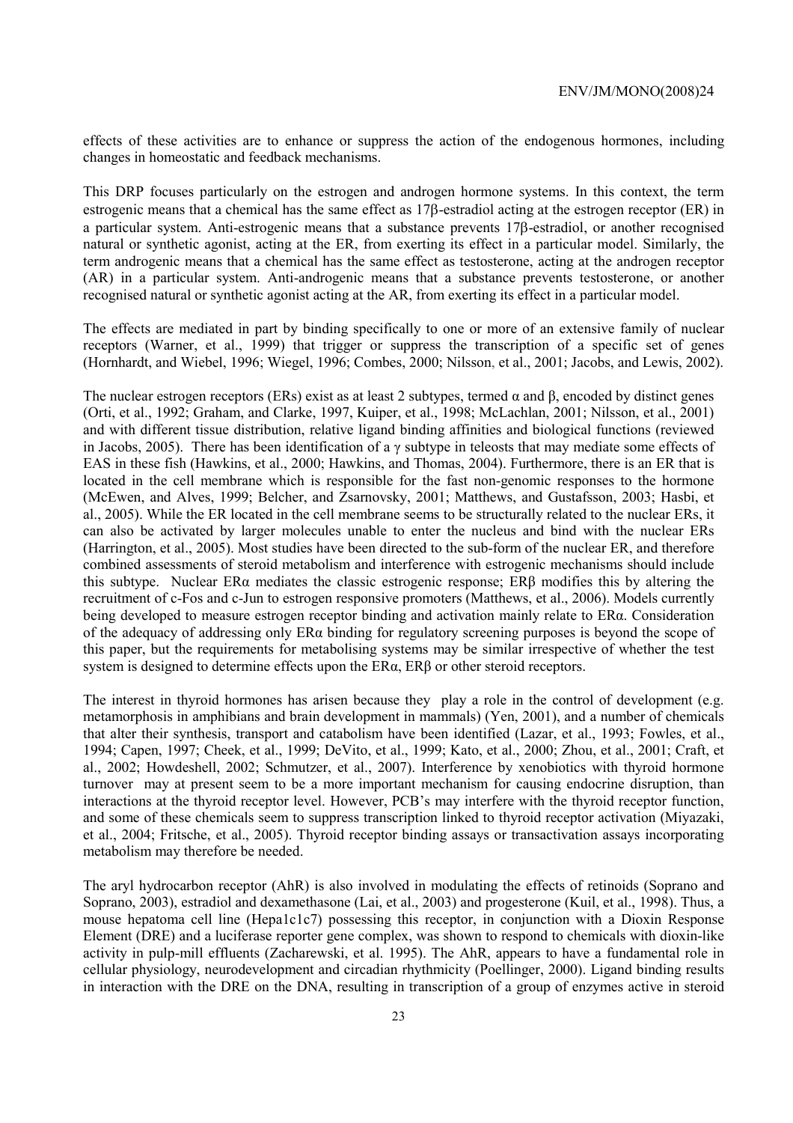effects of these activities are to enhance or suppress the action of the endogenous hormones, including changes in homeostatic and feedback mechanisms.

This DRP focuses particularly on the estrogen and androgen hormone systems. In this context, the term estrogenic means that a chemical has the same effect as 17β-estradiol acting at the estrogen receptor (ER) in a particular system. Anti-estrogenic means that a substance prevents 17β-estradiol, or another recognised natural or synthetic agonist, acting at the ER, from exerting its effect in a particular model. Similarly, the term androgenic means that a chemical has the same effect as testosterone, acting at the androgen receptor (AR) in a particular system. Anti-androgenic means that a substance prevents testosterone, or another recognised natural or synthetic agonist acting at the AR, from exerting its effect in a particular model.

The effects are mediated in part by binding specifically to one or more of an extensive family of nuclear receptors (Warner, et al., 1999) that trigger or suppress the transcription of a specific set of genes (Hornhardt, and Wiebel, 1996; Wiegel, 1996; Combes, 2000; Nilsson, et al., 2001; Jacobs, and Lewis, 2002).

The nuclear estrogen receptors (ERs) exist as at least 2 subtypes, termed  $\alpha$  and  $\beta$ , encoded by distinct genes (Orti, et al., 1992; Graham, and Clarke, 1997, Kuiper, et al., 1998; McLachlan, 2001; Nilsson, et al., 2001) and with different tissue distribution, relative ligand binding affinities and biological functions (reviewed in Jacobs, 2005). There has been identification of a  $\gamma$  subtype in teleosts that may mediate some effects of EAS in these fish (Hawkins, et al., 2000; Hawkins, and Thomas, 2004). Furthermore, there is an ER that is located in the cell membrane which is responsible for the fast non-genomic responses to the hormone (McEwen, and Alves, 1999; Belcher, and Zsarnovsky, 2001; Matthews, and Gustafsson, 2003; Hasbi, et al., 2005). While the ER located in the cell membrane seems to be structurally related to the nuclear ERs, it can also be activated by larger molecules unable to enter the nucleus and bind with the nuclear ERs (Harrington, et al., 2005). Most studies have been directed to the sub-form of the nuclear ER, and therefore combined assessments of steroid metabolism and interference with estrogenic mechanisms should include this subtype. Nuclear ERα mediates the classic estrogenic response; ERβ modifies this by altering the recruitment of c-Fos and c-Jun to estrogen responsive promoters (Matthews, et al., 2006). Models currently being developed to measure estrogen receptor binding and activation mainly relate to ERα. Consideration of the adequacy of addressing only ERα binding for regulatory screening purposes is beyond the scope of this paper, but the requirements for metabolising systems may be similar irrespective of whether the test system is designed to determine effects upon the  $ER\alpha$ . ERB or other steroid receptors.

The interest in thyroid hormones has arisen because they play a role in the control of development (e.g. metamorphosis in amphibians and brain development in mammals) (Yen, 2001), and a number of chemicals that alter their synthesis, transport and catabolism have been identified (Lazar, et al., 1993; Fowles, et al., 1994; Capen, 1997; Cheek, et al., 1999; DeVito, et al., 1999; Kato, et al., 2000; Zhou, et al., 2001; Craft, et al., 2002; Howdeshell, 2002; Schmutzer, et al., 2007). Interference by xenobiotics with thyroid hormone turnover may at present seem to be a more important mechanism for causing endocrine disruption, than interactions at the thyroid receptor level. However, PCB's may interfere with the thyroid receptor function, and some of these chemicals seem to suppress transcription linked to thyroid receptor activation (Miyazaki, et al., 2004; Fritsche, et al., 2005). Thyroid receptor binding assays or transactivation assays incorporating metabolism may therefore be needed.

The aryl hydrocarbon receptor (AhR) is also involved in modulating the effects of retinoids (Soprano and Soprano, 2003), estradiol and dexamethasone (Lai, et al., 2003) and progesterone (Kuil, et al., 1998). Thus, a mouse hepatoma cell line (Hepa1c1c7) possessing this receptor, in conjunction with a Dioxin Response Element (DRE) and a luciferase reporter gene complex, was shown to respond to chemicals with dioxin-like activity in pulp-mill effluents (Zacharewski, et al. 1995). The AhR, appears to have a fundamental role in cellular physiology, neurodevelopment and circadian rhythmicity (Poellinger, 2000). Ligand binding results in interaction with the DRE on the DNA, resulting in transcription of a group of enzymes active in steroid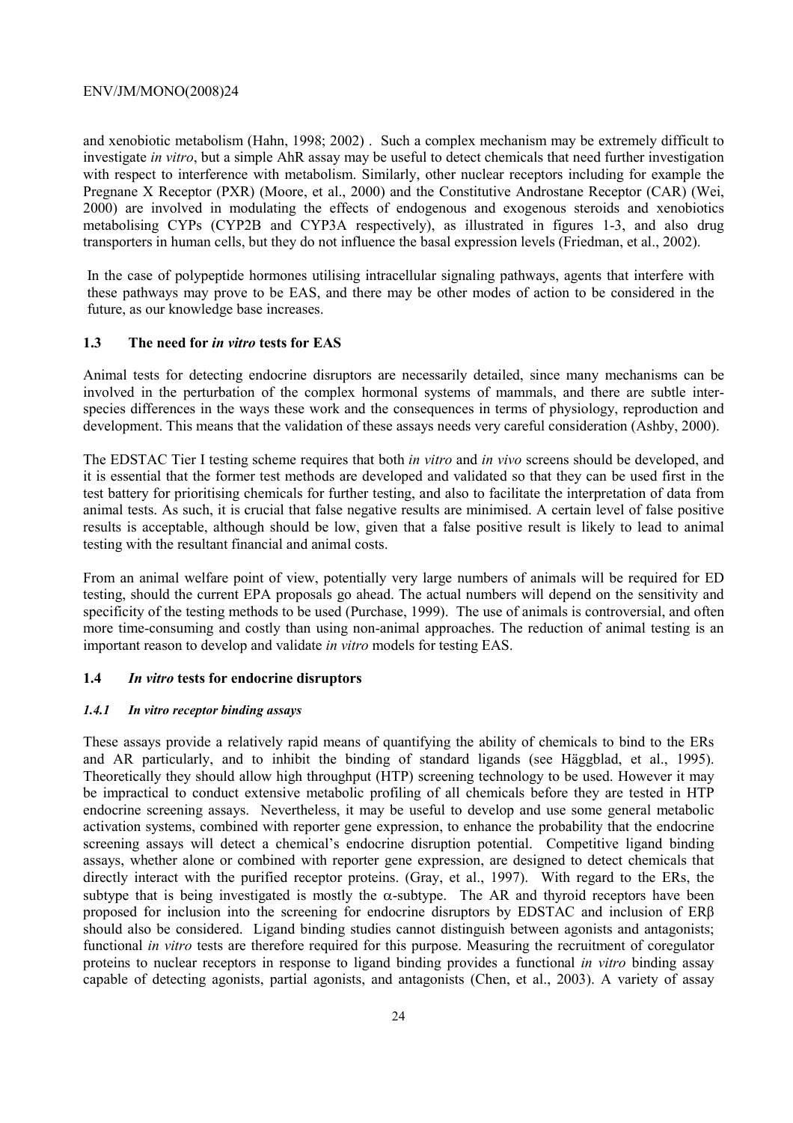and xenobiotic metabolism (Hahn, 1998; 2002) . Such a complex mechanism may be extremely difficult to investigate *in vitro*, but a simple AhR assay may be useful to detect chemicals that need further investigation with respect to interference with metabolism. Similarly, other nuclear receptors including for example the Pregnane X Receptor (PXR) (Moore, et al., 2000) and the Constitutive Androstane Receptor (CAR) (Wei, 2000) are involved in modulating the effects of endogenous and exogenous steroids and xenobiotics metabolising CYPs (CYP2B and CYP3A respectively), as illustrated in figures 1-3, and also drug transporters in human cells, but they do not influence the basal expression levels (Friedman, et al., 2002).

In the case of polypeptide hormones utilising intracellular signaling pathways, agents that interfere with these pathways may prove to be EAS, and there may be other modes of action to be considered in the future, as our knowledge base increases.

# **1.3 The need for** *in vitro* **tests for EAS**

Animal tests for detecting endocrine disruptors are necessarily detailed, since many mechanisms can be involved in the perturbation of the complex hormonal systems of mammals, and there are subtle interspecies differences in the ways these work and the consequences in terms of physiology, reproduction and development. This means that the validation of these assays needs very careful consideration (Ashby, 2000).

The EDSTAC Tier I testing scheme requires that both *in vitro* and *in vivo* screens should be developed, and it is essential that the former test methods are developed and validated so that they can be used first in the test battery for prioritising chemicals for further testing, and also to facilitate the interpretation of data from animal tests. As such, it is crucial that false negative results are minimised. A certain level of false positive results is acceptable, although should be low, given that a false positive result is likely to lead to animal testing with the resultant financial and animal costs.

From an animal welfare point of view, potentially very large numbers of animals will be required for ED testing, should the current EPA proposals go ahead. The actual numbers will depend on the sensitivity and specificity of the testing methods to be used (Purchase, 1999). The use of animals is controversial, and often more time-consuming and costly than using non-animal approaches. The reduction of animal testing is an important reason to develop and validate *in vitro* models for testing EAS.

## **1.4** *In vitro* **tests for endocrine disruptors**

## *1.4.1 In vitro receptor binding assays*

These assays provide a relatively rapid means of quantifying the ability of chemicals to bind to the ERs and AR particularly, and to inhibit the binding of standard ligands (see Häggblad, et al., 1995). Theoretically they should allow high throughput (HTP) screening technology to be used. However it may be impractical to conduct extensive metabolic profiling of all chemicals before they are tested in HTP endocrine screening assays. Nevertheless, it may be useful to develop and use some general metabolic activation systems, combined with reporter gene expression, to enhance the probability that the endocrine screening assays will detect a chemical's endocrine disruption potential. Competitive ligand binding assays, whether alone or combined with reporter gene expression, are designed to detect chemicals that directly interact with the purified receptor proteins. (Gray, et al., 1997). With regard to the ERs, the subtype that is being investigated is mostly the  $\alpha$ -subtype. The AR and thyroid receptors have been proposed for inclusion into the screening for endocrine disruptors by EDSTAC and inclusion of ERβ should also be considered. Ligand binding studies cannot distinguish between agonists and antagonists; functional *in vitro* tests are therefore required for this purpose. Measuring the recruitment of coregulator proteins to nuclear receptors in response to ligand binding provides a functional *in vitro* binding assay capable of detecting agonists, partial agonists, and antagonists (Chen, et al., 2003). A variety of assay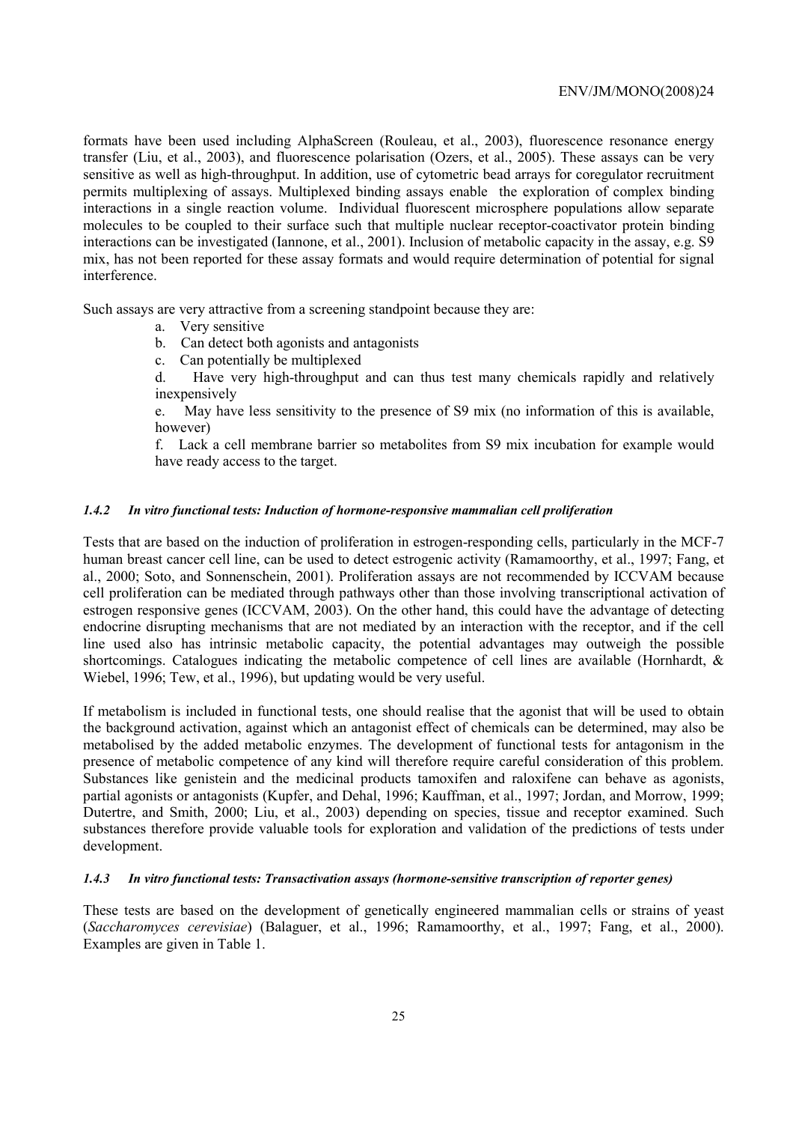formats have been used including AlphaScreen (Rouleau, et al., 2003), fluorescence resonance energy transfer (Liu, et al., 2003), and fluorescence polarisation (Ozers, et al., 2005). These assays can be very sensitive as well as high-throughput. In addition, use of cytometric bead arrays for coregulator recruitment permits multiplexing of assays. Multiplexed binding assays enable the exploration of complex binding interactions in a single reaction volume. Individual fluorescent microsphere populations allow separate molecules to be coupled to their surface such that multiple nuclear receptor-coactivator protein binding interactions can be investigated (Iannone, et al., 2001). Inclusion of metabolic capacity in the assay, e.g. S9 mix, has not been reported for these assay formats and would require determination of potential for signal interference.

Such assays are very attractive from a screening standpoint because they are:

- a. Very sensitive
- b. Can detect both agonists and antagonists
- c. Can potentially be multiplexed

d. Have very high-throughput and can thus test many chemicals rapidly and relatively inexpensively

e. May have less sensitivity to the presence of S9 mix (no information of this is available, however)

f. Lack a cell membrane barrier so metabolites from S9 mix incubation for example would have ready access to the target.

## *1.4.2 In vitro functional tests: Induction of hormone-responsive mammalian cell proliferation*

Tests that are based on the induction of proliferation in estrogen-responding cells, particularly in the MCF-7 human breast cancer cell line, can be used to detect estrogenic activity (Ramamoorthy, et al., 1997; Fang, et al., 2000; Soto, and Sonnenschein, 2001). Proliferation assays are not recommended by ICCVAM because cell proliferation can be mediated through pathways other than those involving transcriptional activation of estrogen responsive genes (ICCVAM, 2003). On the other hand, this could have the advantage of detecting endocrine disrupting mechanisms that are not mediated by an interaction with the receptor, and if the cell line used also has intrinsic metabolic capacity, the potential advantages may outweigh the possible shortcomings. Catalogues indicating the metabolic competence of cell lines are available (Hornhardt, & Wiebel, 1996; Tew, et al., 1996), but updating would be very useful.

If metabolism is included in functional tests, one should realise that the agonist that will be used to obtain the background activation, against which an antagonist effect of chemicals can be determined, may also be metabolised by the added metabolic enzymes. The development of functional tests for antagonism in the presence of metabolic competence of any kind will therefore require careful consideration of this problem. Substances like genistein and the medicinal products tamoxifen and raloxifene can behave as agonists, partial agonists or antagonists (Kupfer, and Dehal, 1996; Kauffman, et al., 1997; Jordan, and Morrow, 1999; Dutertre, and Smith, 2000; Liu, et al., 2003) depending on species, tissue and receptor examined. Such substances therefore provide valuable tools for exploration and validation of the predictions of tests under development.

#### *1.4.3 In vitro functional tests: Transactivation assays (hormone-sensitive transcription of reporter genes)*

These tests are based on the development of genetically engineered mammalian cells or strains of yeast (*Saccharomyces cerevisiae*) (Balaguer, et al., 1996; Ramamoorthy, et al., 1997; Fang, et al., 2000). Examples are given in Table 1.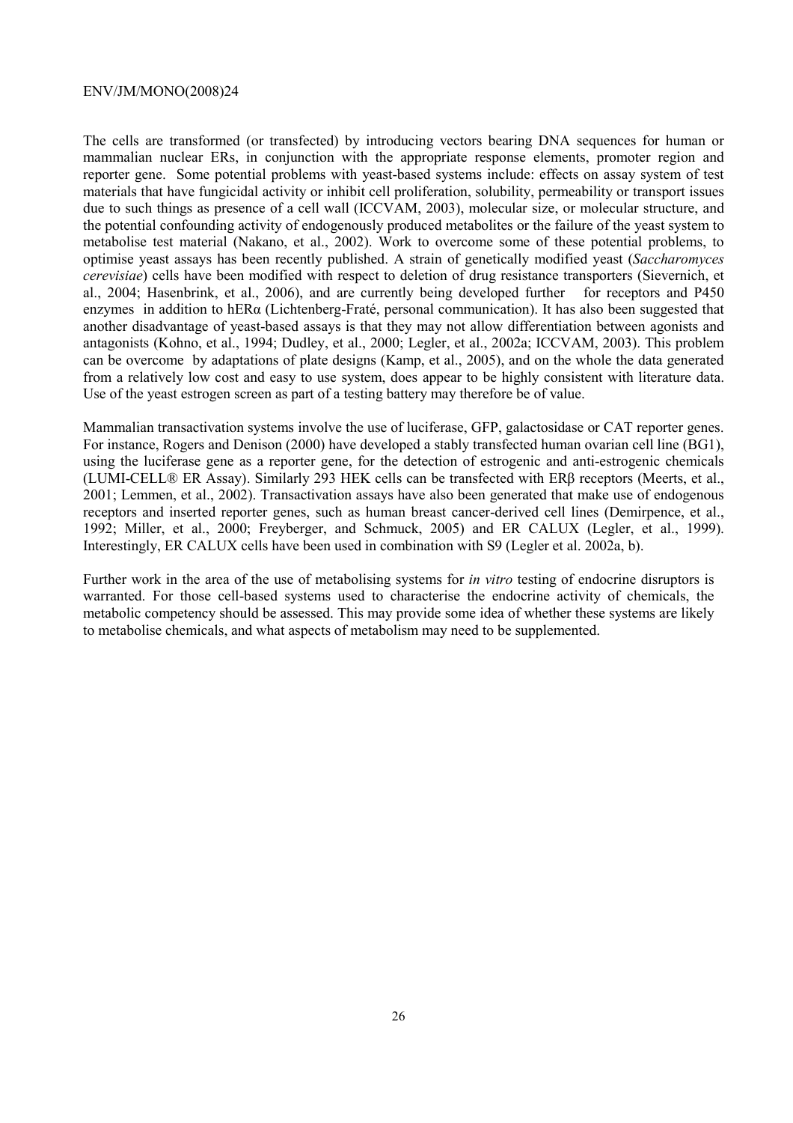The cells are transformed (or transfected) by introducing vectors bearing DNA sequences for human or mammalian nuclear ERs, in conjunction with the appropriate response elements, promoter region and reporter gene. Some potential problems with yeast-based systems include: effects on assay system of test materials that have fungicidal activity or inhibit cell proliferation, solubility, permeability or transport issues due to such things as presence of a cell wall (ICCVAM, 2003), molecular size, or molecular structure, and the potential confounding activity of endogenously produced metabolites or the failure of the yeast system to metabolise test material (Nakano, et al., 2002). Work to overcome some of these potential problems, to optimise yeast assays has been recently published. A strain of genetically modified yeast (*Saccharomyces cerevisiae*) cells have been modified with respect to deletion of drug resistance transporters (Sievernich, et al., 2004; Hasenbrink, et al., 2006), and are currently being developed further for receptors and P450 enzymes in addition to hERα (Lichtenberg-Fraté, personal communication). It has also been suggested that another disadvantage of yeast-based assays is that they may not allow differentiation between agonists and antagonists (Kohno, et al., 1994; Dudley, et al., 2000; Legler, et al., 2002a; ICCVAM, 2003). This problem can be overcome by adaptations of plate designs (Kamp, et al., 2005), and on the whole the data generated from a relatively low cost and easy to use system, does appear to be highly consistent with literature data. Use of the yeast estrogen screen as part of a testing battery may therefore be of value.

Mammalian transactivation systems involve the use of luciferase, GFP, galactosidase or CAT reporter genes. For instance, Rogers and Denison (2000) have developed a stably transfected human ovarian cell line (BG1), using the luciferase gene as a reporter gene, for the detection of estrogenic and anti-estrogenic chemicals (LUMI-CELL® ER Assay). Similarly 293 HEK cells can be transfected with ERβ receptors (Meerts, et al., 2001; Lemmen, et al., 2002). Transactivation assays have also been generated that make use of endogenous receptors and inserted reporter genes, such as human breast cancer-derived cell lines (Demirpence, et al., 1992; Miller, et al., 2000; Freyberger, and Schmuck, 2005) and ER CALUX (Legler, et al., 1999). Interestingly, ER CALUX cells have been used in combination with S9 (Legler et al. 2002a, b).

Further work in the area of the use of metabolising systems for *in vitro* testing of endocrine disruptors is warranted. For those cell-based systems used to characterise the endocrine activity of chemicals, the metabolic competency should be assessed. This may provide some idea of whether these systems are likely to metabolise chemicals, and what aspects of metabolism may need to be supplemented.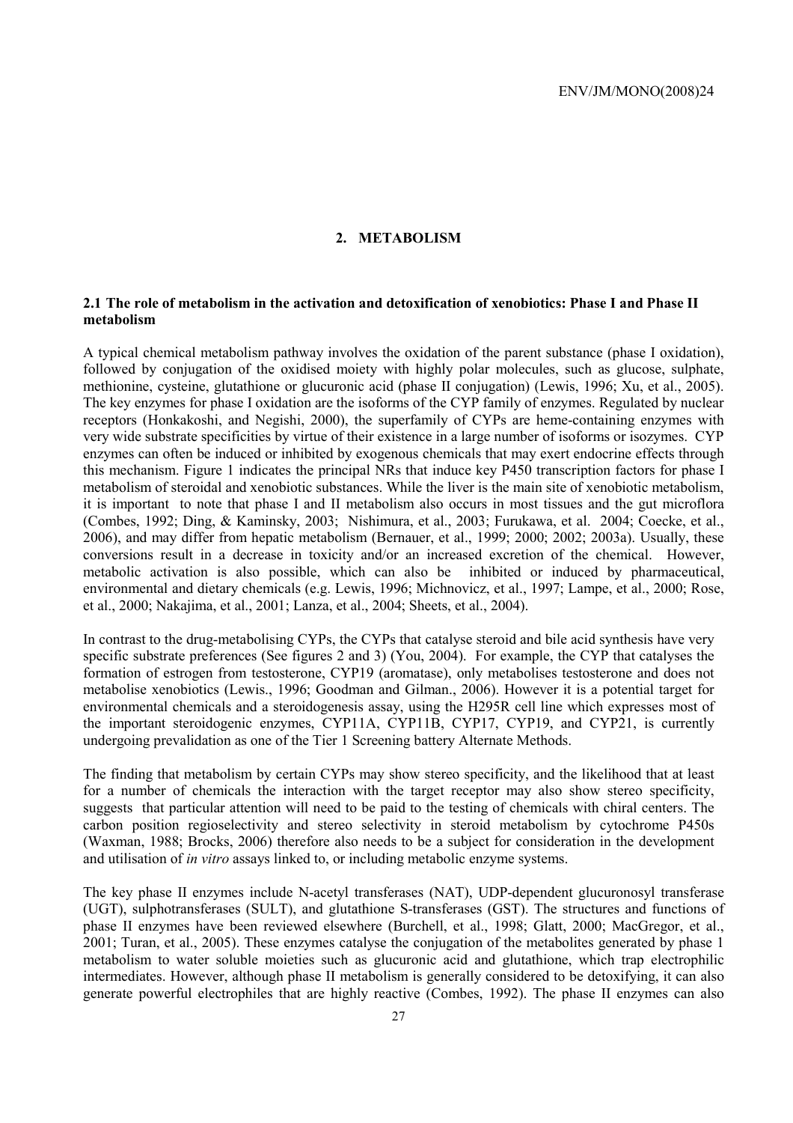## **2. METABOLISM**

## **2.1 The role of metabolism in the activation and detoxification of xenobiotics: Phase I and Phase II metabolism**

A typical chemical metabolism pathway involves the oxidation of the parent substance (phase I oxidation), followed by conjugation of the oxidised moiety with highly polar molecules, such as glucose, sulphate, methionine, cysteine, glutathione or glucuronic acid (phase II conjugation) (Lewis, 1996; Xu, et al., 2005). The key enzymes for phase I oxidation are the isoforms of the CYP family of enzymes. Regulated by nuclear receptors (Honkakoshi, and Negishi, 2000), the superfamily of CYPs are heme-containing enzymes with very wide substrate specificities by virtue of their existence in a large number of isoforms or isozymes. CYP enzymes can often be induced or inhibited by exogenous chemicals that may exert endocrine effects through this mechanism. Figure 1 indicates the principal NRs that induce key P450 transcription factors for phase I metabolism of steroidal and xenobiotic substances. While the liver is the main site of xenobiotic metabolism, it is important to note that phase I and II metabolism also occurs in most tissues and the gut microflora (Combes, 1992; Ding, & Kaminsky, 2003; Nishimura, et al., 2003; Furukawa, et al. 2004; Coecke, et al., 2006), and may differ from hepatic metabolism (Bernauer, et al., 1999; 2000; 2002; 2003a). Usually, these conversions result in a decrease in toxicity and/or an increased excretion of the chemical. However, metabolic activation is also possible, which can also be inhibited or induced by pharmaceutical, environmental and dietary chemicals (e.g. Lewis, 1996; Michnovicz, et al., 1997; Lampe, et al., 2000; Rose, et al., 2000; Nakajima, et al., 2001; Lanza, et al., 2004; Sheets, et al., 2004).

In contrast to the drug-metabolising CYPs, the CYPs that catalyse steroid and bile acid synthesis have very specific substrate preferences (See figures 2 and 3) (You, 2004). For example, the CYP that catalyses the formation of estrogen from testosterone, CYP19 (aromatase), only metabolises testosterone and does not metabolise xenobiotics (Lewis., 1996; Goodman and Gilman., 2006). However it is a potential target for environmental chemicals and a steroidogenesis assay, using the H295R cell line which expresses most of the important steroidogenic enzymes, CYP11A, CYP11B, CYP17, CYP19, and CYP21, is currently undergoing prevalidation as one of the Tier 1 Screening battery Alternate Methods.

The finding that metabolism by certain CYPs may show stereo specificity, and the likelihood that at least for a number of chemicals the interaction with the target receptor may also show stereo specificity, suggests that particular attention will need to be paid to the testing of chemicals with chiral centers. The carbon position regioselectivity and stereo selectivity in steroid metabolism by cytochrome P450s (Waxman, 1988; Brocks, 2006) therefore also needs to be a subject for consideration in the development and utilisation of *in vitro* assays linked to, or including metabolic enzyme systems.

The key phase II enzymes include N-acetyl transferases (NAT), UDP-dependent glucuronosyl transferase (UGT), sulphotransferases (SULT), and glutathione S-transferases (GST). The structures and functions of phase II enzymes have been reviewed elsewhere (Burchell, et al., 1998; Glatt, 2000; MacGregor, et al., 2001; Turan, et al., 2005). These enzymes catalyse the conjugation of the metabolites generated by phase 1 metabolism to water soluble moieties such as glucuronic acid and glutathione, which trap electrophilic intermediates. However, although phase II metabolism is generally considered to be detoxifying, it can also generate powerful electrophiles that are highly reactive (Combes, 1992). The phase II enzymes can also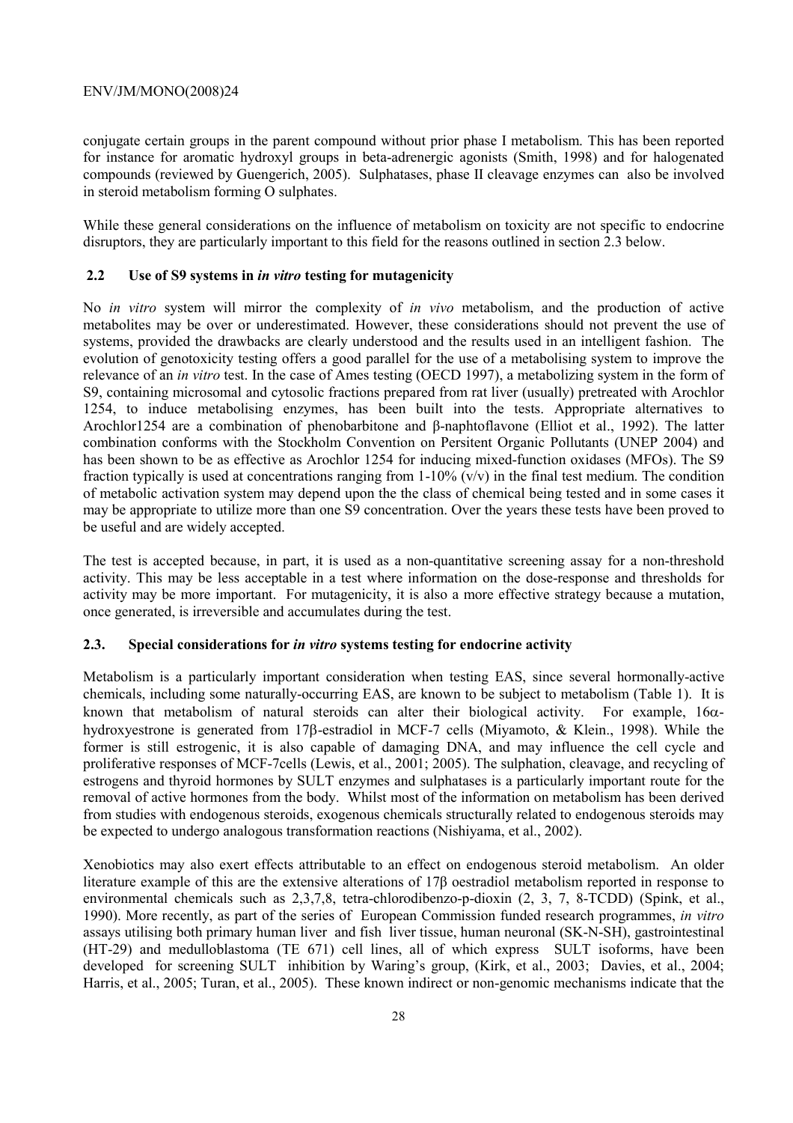conjugate certain groups in the parent compound without prior phase I metabolism. This has been reported for instance for aromatic hydroxyl groups in beta-adrenergic agonists (Smith, 1998) and for halogenated compounds (reviewed by Guengerich, 2005). Sulphatases, phase II cleavage enzymes can also be involved in steroid metabolism forming O sulphates.

While these general considerations on the influence of metabolism on toxicity are not specific to endocrine disruptors, they are particularly important to this field for the reasons outlined in section 2.3 below.

## **2.2 Use of S9 systems in** *in vitro* **testing for mutagenicity**

No *in vitro* system will mirror the complexity of *in vivo* metabolism, and the production of active metabolites may be over or underestimated. However, these considerations should not prevent the use of systems, provided the drawbacks are clearly understood and the results used in an intelligent fashion. The evolution of genotoxicity testing offers a good parallel for the use of a metabolising system to improve the relevance of an *in vitro* test. In the case of Ames testing (OECD 1997), a metabolizing system in the form of S9, containing microsomal and cytosolic fractions prepared from rat liver (usually) pretreated with Arochlor 1254, to induce metabolising enzymes, has been built into the tests. Appropriate alternatives to Arochlor1254 are a combination of phenobarbitone and β-naphtoflavone (Elliot et al., 1992). The latter combination conforms with the Stockholm Convention on Persitent Organic Pollutants (UNEP 2004) and has been shown to be as effective as Arochlor 1254 for inducing mixed-function oxidases (MFOs). The S9 fraction typically is used at concentrations ranging from  $1-10\%$  (v/v) in the final test medium. The condition of metabolic activation system may depend upon the the class of chemical being tested and in some cases it may be appropriate to utilize more than one S9 concentration. Over the years these tests have been proved to be useful and are widely accepted.

The test is accepted because, in part, it is used as a non-quantitative screening assay for a non-threshold activity. This may be less acceptable in a test where information on the dose-response and thresholds for activity may be more important. For mutagenicity, it is also a more effective strategy because a mutation, once generated, is irreversible and accumulates during the test.

## **2.3. Special considerations for** *in vitro* **systems testing for endocrine activity**

Metabolism is a particularly important consideration when testing EAS, since several hormonally-active chemicals, including some naturally-occurring EAS, are known to be subject to metabolism (Table 1). It is known that metabolism of natural steroids can alter their biological activity. For example,  $16\alpha$ hydroxyestrone is generated from 17β-estradiol in MCF-7 cells (Miyamoto, & Klein., 1998). While the former is still estrogenic, it is also capable of damaging DNA, and may influence the cell cycle and proliferative responses of MCF-7cells (Lewis, et al., 2001; 2005). The sulphation, cleavage, and recycling of estrogens and thyroid hormones by SULT enzymes and sulphatases is a particularly important route for the removal of active hormones from the body. Whilst most of the information on metabolism has been derived from studies with endogenous steroids, exogenous chemicals structurally related to endogenous steroids may be expected to undergo analogous transformation reactions (Nishiyama, et al., 2002).

Xenobiotics may also exert effects attributable to an effect on endogenous steroid metabolism. An older literature example of this are the extensive alterations of 17β oestradiol metabolism reported in response to environmental chemicals such as 2,3,7,8, tetra-chlorodibenzo-p-dioxin (2, 3, 7, 8-TCDD) (Spink, et al., 1990). More recently, as part of the series of European Commission funded research programmes, *in vitro* assays utilising both primary human liver and fish liver tissue, human neuronal (SK-N-SH), gastrointestinal (HT-29) and medulloblastoma (TE 671) cell lines, all of which express SULT isoforms, have been developed for screening SULT inhibition by Waring's group, (Kirk, et al., 2003; Davies, et al., 2004; Harris, et al., 2005; Turan, et al., 2005). These known indirect or non-genomic mechanisms indicate that the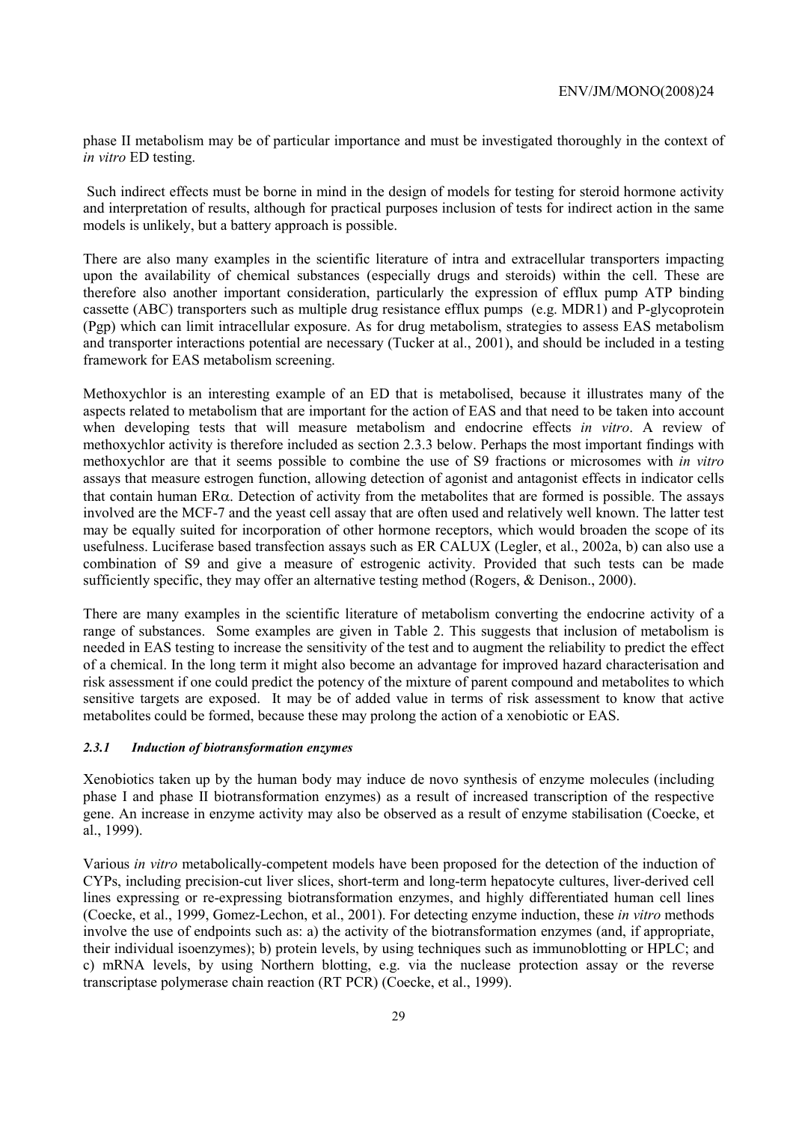phase II metabolism may be of particular importance and must be investigated thoroughly in the context of *in vitro* ED testing.

 Such indirect effects must be borne in mind in the design of models for testing for steroid hormone activity and interpretation of results, although for practical purposes inclusion of tests for indirect action in the same models is unlikely, but a battery approach is possible.

There are also many examples in the scientific literature of intra and extracellular transporters impacting upon the availability of chemical substances (especially drugs and steroids) within the cell. These are therefore also another important consideration, particularly the expression of efflux pump ATP binding cassette (ABC) transporters such as multiple drug resistance efflux pumps (e.g. MDR1) and P-glycoprotein (Pgp) which can limit intracellular exposure. As for drug metabolism, strategies to assess EAS metabolism and transporter interactions potential are necessary (Tucker at al., 2001), and should be included in a testing framework for EAS metabolism screening.

Methoxychlor is an interesting example of an ED that is metabolised, because it illustrates many of the aspects related to metabolism that are important for the action of EAS and that need to be taken into account when developing tests that will measure metabolism and endocrine effects *in vitro*. A review of methoxychlor activity is therefore included as section 2.3.3 below. Perhaps the most important findings with methoxychlor are that it seems possible to combine the use of S9 fractions or microsomes with *in vitro* assays that measure estrogen function, allowing detection of agonist and antagonist effects in indicator cells that contain human  $ER\alpha$ . Detection of activity from the metabolites that are formed is possible. The assays involved are the MCF-7 and the yeast cell assay that are often used and relatively well known. The latter test may be equally suited for incorporation of other hormone receptors, which would broaden the scope of its usefulness. Luciferase based transfection assays such as ER CALUX (Legler, et al., 2002a, b) can also use a combination of S9 and give a measure of estrogenic activity. Provided that such tests can be made sufficiently specific, they may offer an alternative testing method (Rogers, & Denison., 2000).

There are many examples in the scientific literature of metabolism converting the endocrine activity of a range of substances. Some examples are given in Table 2. This suggests that inclusion of metabolism is needed in EAS testing to increase the sensitivity of the test and to augment the reliability to predict the effect of a chemical. In the long term it might also become an advantage for improved hazard characterisation and risk assessment if one could predict the potency of the mixture of parent compound and metabolites to which sensitive targets are exposed. It may be of added value in terms of risk assessment to know that active metabolites could be formed, because these may prolong the action of a xenobiotic or EAS.

## *2.3.1 Induction of biotransformation enzymes*

Xenobiotics taken up by the human body may induce de novo synthesis of enzyme molecules (including phase I and phase II biotransformation enzymes) as a result of increased transcription of the respective gene. An increase in enzyme activity may also be observed as a result of enzyme stabilisation (Coecke, et al., 1999).

Various *in vitro* metabolically-competent models have been proposed for the detection of the induction of CYPs, including precision-cut liver slices, short-term and long-term hepatocyte cultures, liver-derived cell lines expressing or re-expressing biotransformation enzymes, and highly differentiated human cell lines (Coecke, et al., 1999, Gomez-Lechon, et al., 2001). For detecting enzyme induction, these *in vitro* methods involve the use of endpoints such as: a) the activity of the biotransformation enzymes (and, if appropriate, their individual isoenzymes); b) protein levels, by using techniques such as immunoblotting or HPLC; and c) mRNA levels, by using Northern blotting, e.g. via the nuclease protection assay or the reverse transcriptase polymerase chain reaction (RT PCR) (Coecke, et al., 1999).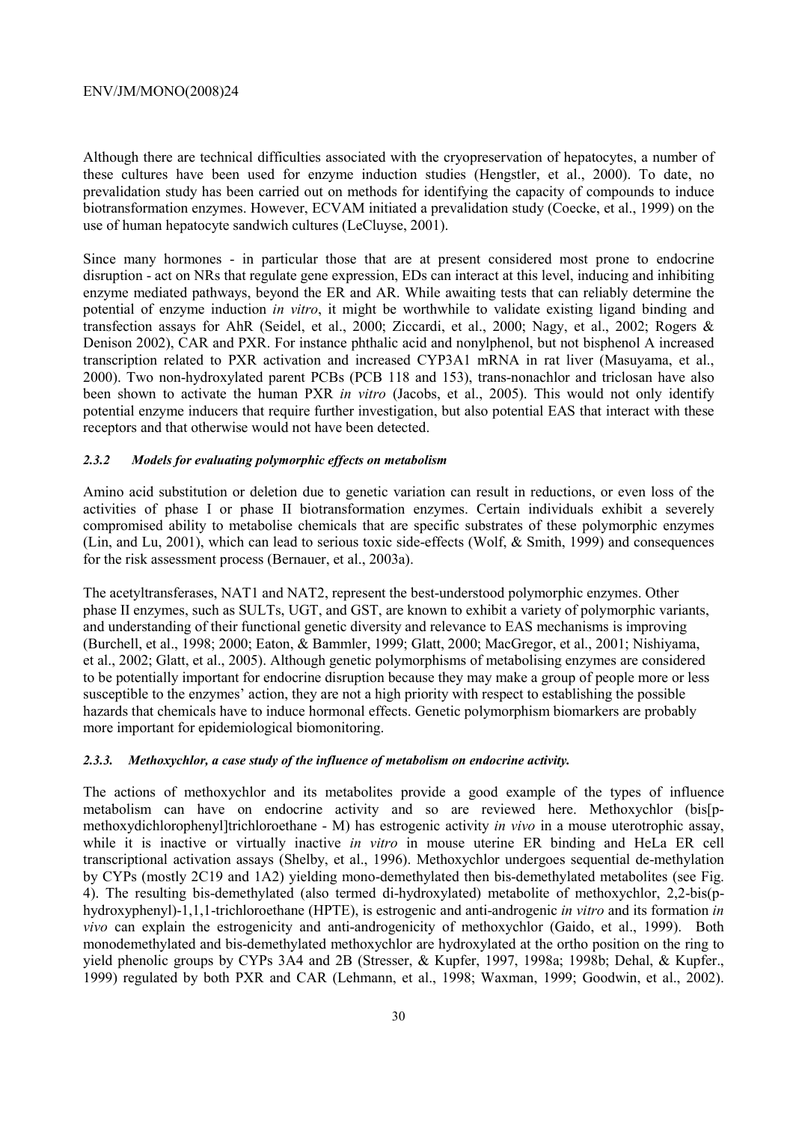Although there are technical difficulties associated with the cryopreservation of hepatocytes, a number of these cultures have been used for enzyme induction studies (Hengstler, et al., 2000). To date, no prevalidation study has been carried out on methods for identifying the capacity of compounds to induce biotransformation enzymes. However, ECVAM initiated a prevalidation study (Coecke, et al., 1999) on the use of human hepatocyte sandwich cultures (LeCluyse, 2001).

Since many hormones - in particular those that are at present considered most prone to endocrine disruption - act on NRs that regulate gene expression, EDs can interact at this level, inducing and inhibiting enzyme mediated pathways, beyond the ER and AR. While awaiting tests that can reliably determine the potential of enzyme induction *in vitro*, it might be worthwhile to validate existing ligand binding and transfection assays for AhR (Seidel, et al., 2000; Ziccardi, et al., 2000; Nagy, et al., 2002; Rogers & Denison 2002), CAR and PXR. For instance phthalic acid and nonylphenol, but not bisphenol A increased transcription related to PXR activation and increased CYP3A1 mRNA in rat liver (Masuyama, et al., 2000). Two non-hydroxylated parent PCBs (PCB 118 and 153), trans-nonachlor and triclosan have also been shown to activate the human PXR *in vitro* (Jacobs, et al., 2005). This would not only identify potential enzyme inducers that require further investigation, but also potential EAS that interact with these receptors and that otherwise would not have been detected.

## *2.3.2 Models for evaluating polymorphic effects on metabolism*

Amino acid substitution or deletion due to genetic variation can result in reductions, or even loss of the activities of phase I or phase II biotransformation enzymes. Certain individuals exhibit a severely compromised ability to metabolise chemicals that are specific substrates of these polymorphic enzymes (Lin, and Lu, 2001), which can lead to serious toxic side-effects (Wolf, & Smith, 1999) and consequences for the risk assessment process (Bernauer, et al., 2003a).

The acetyltransferases, NAT1 and NAT2, represent the best-understood polymorphic enzymes. Other phase II enzymes, such as SULTs, UGT, and GST, are known to exhibit a variety of polymorphic variants, and understanding of their functional genetic diversity and relevance to EAS mechanisms is improving (Burchell, et al., 1998; 2000; Eaton, & Bammler, 1999; Glatt, 2000; MacGregor, et al., 2001; Nishiyama, et al., 2002; Glatt, et al., 2005). Although genetic polymorphisms of metabolising enzymes are considered to be potentially important for endocrine disruption because they may make a group of people more or less susceptible to the enzymes' action, they are not a high priority with respect to establishing the possible hazards that chemicals have to induce hormonal effects. Genetic polymorphism biomarkers are probably more important for epidemiological biomonitoring.

## *2.3.3. Methoxychlor, a case study of the influence of metabolism on endocrine activity.*

The actions of methoxychlor and its metabolites provide a good example of the types of influence metabolism can have on endocrine activity and so are reviewed here. Methoxychlor (bis[pmethoxydichlorophenyl]trichloroethane - M) has estrogenic activity *in vivo* in a mouse uterotrophic assay, while it is inactive or virtually inactive *in vitro* in mouse uterine ER binding and HeLa ER cell transcriptional activation assays (Shelby, et al., 1996). Methoxychlor undergoes sequential de-methylation by CYPs (mostly 2C19 and 1A2) yielding mono-demethylated then bis-demethylated metabolites (see Fig. 4). The resulting bis-demethylated (also termed di-hydroxylated) metabolite of methoxychlor, 2,2-bis(phydroxyphenyl)-1,1,1-trichloroethane (HPTE), is estrogenic and anti-androgenic *in vitro* and its formation *in vivo* can explain the estrogenicity and anti-androgenicity of methoxychlor (Gaido, et al., 1999). Both monodemethylated and bis-demethylated methoxychlor are hydroxylated at the ortho position on the ring to yield phenolic groups by CYPs 3A4 and 2B (Stresser, & Kupfer, 1997, 1998a; 1998b; Dehal, & Kupfer., 1999) regulated by both PXR and CAR (Lehmann, et al., 1998; Waxman, 1999; Goodwin, et al., 2002).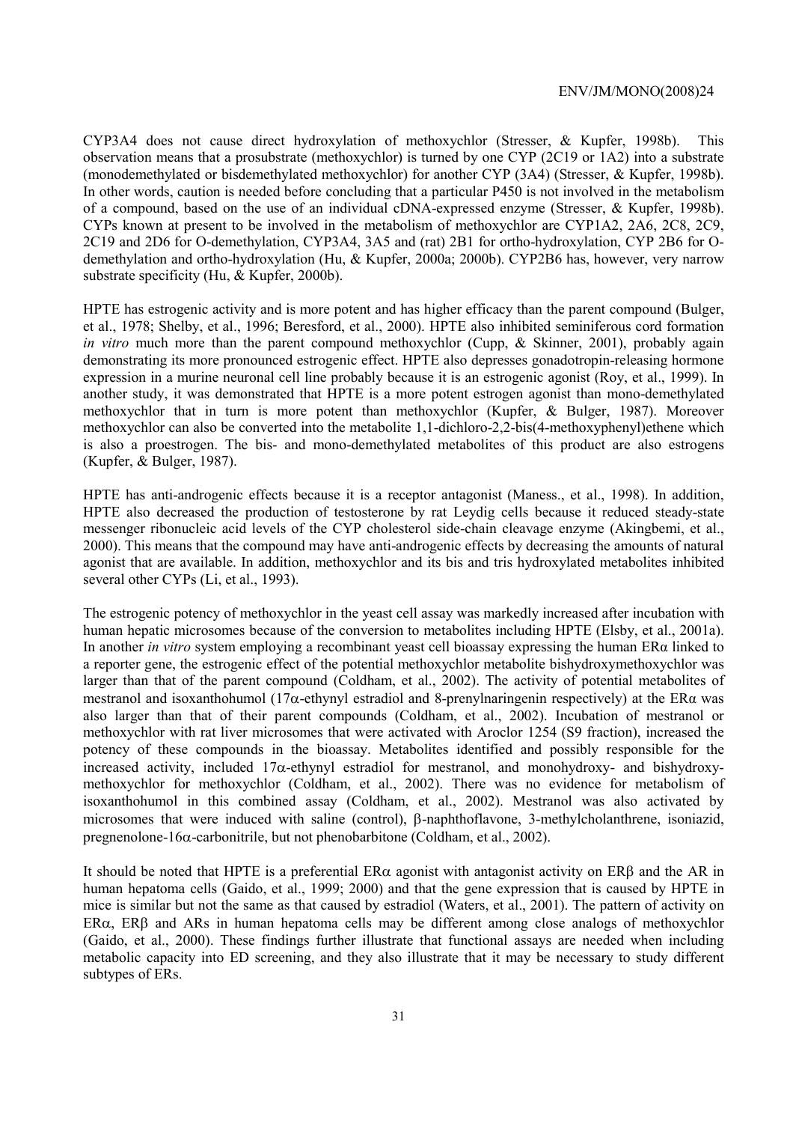CYP3A4 does not cause direct hydroxylation of methoxychlor (Stresser, & Kupfer, 1998b). This observation means that a prosubstrate (methoxychlor) is turned by one CYP (2C19 or 1A2) into a substrate (monodemethylated or bisdemethylated methoxychlor) for another CYP (3A4) (Stresser, & Kupfer, 1998b). In other words, caution is needed before concluding that a particular P450 is not involved in the metabolism of a compound, based on the use of an individual cDNA-expressed enzyme (Stresser, & Kupfer, 1998b). CYPs known at present to be involved in the metabolism of methoxychlor are CYP1A2, 2A6, 2C8, 2C9, 2C19 and 2D6 for O-demethylation, CYP3A4, 3A5 and (rat) 2B1 for ortho-hydroxylation, CYP 2B6 for Odemethylation and ortho-hydroxylation (Hu, & Kupfer, 2000a; 2000b). CYP2B6 has, however, very narrow substrate specificity (Hu, & Kupfer, 2000b).

HPTE has estrogenic activity and is more potent and has higher efficacy than the parent compound (Bulger, et al., 1978; Shelby, et al., 1996; Beresford, et al., 2000). HPTE also inhibited seminiferous cord formation *in vitro* much more than the parent compound methoxychlor (Cupp, & Skinner, 2001), probably again demonstrating its more pronounced estrogenic effect. HPTE also depresses gonadotropin-releasing hormone expression in a murine neuronal cell line probably because it is an estrogenic agonist (Roy, et al., 1999). In another study, it was demonstrated that HPTE is a more potent estrogen agonist than mono-demethylated methoxychlor that in turn is more potent than methoxychlor (Kupfer, & Bulger, 1987). Moreover methoxychlor can also be converted into the metabolite 1,1-dichloro-2,2-bis(4-methoxyphenyl)ethene which is also a proestrogen. The bis- and mono-demethylated metabolites of this product are also estrogens (Kupfer, & Bulger, 1987).

HPTE has anti-androgenic effects because it is a receptor antagonist (Maness., et al., 1998). In addition, HPTE also decreased the production of testosterone by rat Leydig cells because it reduced steady-state messenger ribonucleic acid levels of the CYP cholesterol side-chain cleavage enzyme (Akingbemi, et al., 2000). This means that the compound may have anti-androgenic effects by decreasing the amounts of natural agonist that are available. In addition, methoxychlor and its bis and tris hydroxylated metabolites inhibited several other CYPs (Li, et al., 1993).

The estrogenic potency of methoxychlor in the yeast cell assay was markedly increased after incubation with human hepatic microsomes because of the conversion to metabolites including HPTE (Elsby, et al., 2001a). In another *in vitro* system employing a recombinant yeast cell bioassay expressing the human ERα linked to a reporter gene, the estrogenic effect of the potential methoxychlor metabolite bishydroxymethoxychlor was larger than that of the parent compound (Coldham, et al., 2002). The activity of potential metabolites of mestranol and isoxanthohumol (17α-ethynyl estradiol and 8-prenylnaringenin respectively) at the ERα was also larger than that of their parent compounds (Coldham, et al., 2002). Incubation of mestranol or methoxychlor with rat liver microsomes that were activated with Aroclor 1254 (S9 fraction), increased the potency of these compounds in the bioassay. Metabolites identified and possibly responsible for the increased activity, included  $17\alpha$ -ethynyl estradiol for mestranol, and monohydroxy- and bishydroxymethoxychlor for methoxychlor (Coldham, et al., 2002). There was no evidence for metabolism of isoxanthohumol in this combined assay (Coldham, et al., 2002). Mestranol was also activated by microsomes that were induced with saline (control), β-naphthoflavone, 3-methylcholanthrene, isoniazid, pregnenolone-16α-carbonitrile, but not phenobarbitone (Coldham, et al., 2002).

It should be noted that HPTE is a preferential  $ER\alpha$  agonist with antagonist activity on ERB and the AR in human hepatoma cells (Gaido, et al., 1999; 2000) and that the gene expression that is caused by HPTE in mice is similar but not the same as that caused by estradiol (Waters, et al., 2001). The pattern of activity on ER $\alpha$ , ER $\beta$  and ARs in human hepatoma cells may be different among close analogs of methoxychlor (Gaido, et al., 2000). These findings further illustrate that functional assays are needed when including metabolic capacity into ED screening, and they also illustrate that it may be necessary to study different subtypes of ERs.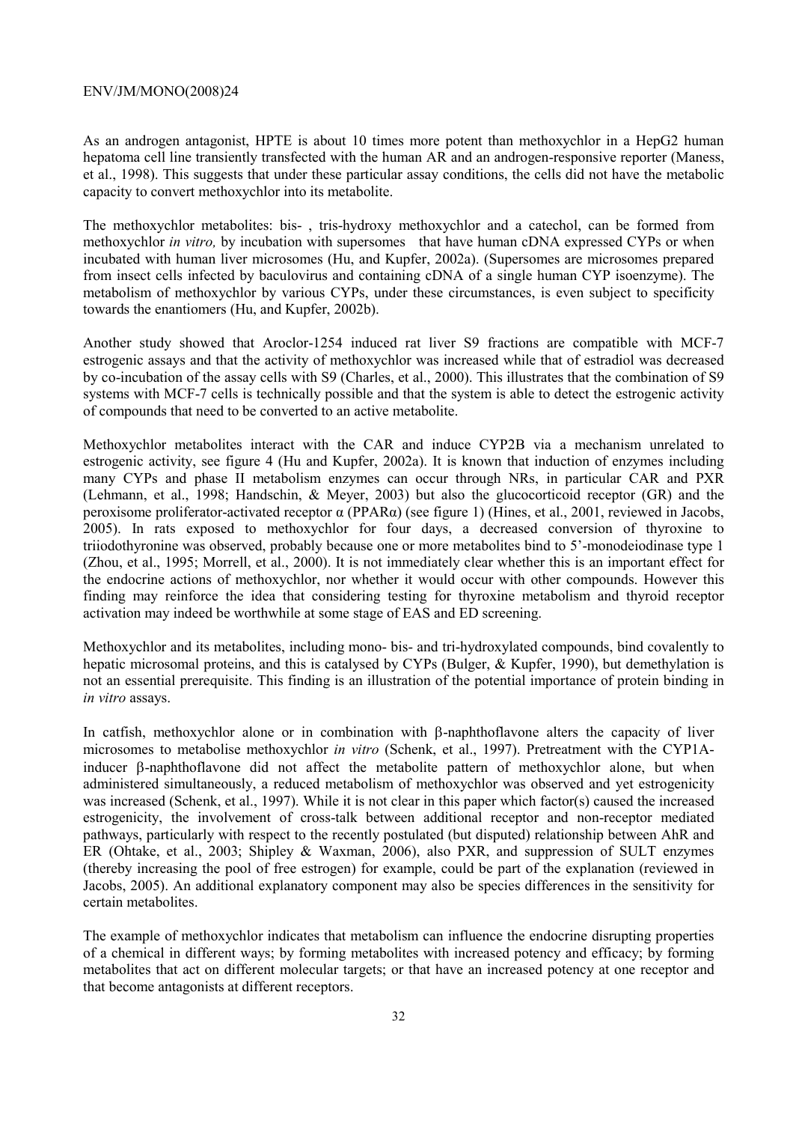As an androgen antagonist, HPTE is about 10 times more potent than methoxychlor in a HepG2 human hepatoma cell line transiently transfected with the human AR and an androgen-responsive reporter (Maness, et al., 1998). This suggests that under these particular assay conditions, the cells did not have the metabolic capacity to convert methoxychlor into its metabolite.

The methoxychlor metabolites: bis- , tris-hydroxy methoxychlor and a catechol, can be formed from methoxychlor *in vitro,* by incubation with supersomes that have human cDNA expressed CYPs or when incubated with human liver microsomes (Hu, and Kupfer, 2002a). (Supersomes are microsomes prepared from insect cells infected by baculovirus and containing cDNA of a single human CYP isoenzyme). The metabolism of methoxychlor by various CYPs, under these circumstances, is even subject to specificity towards the enantiomers (Hu, and Kupfer, 2002b).

Another study showed that Aroclor-1254 induced rat liver S9 fractions are compatible with MCF-7 estrogenic assays and that the activity of methoxychlor was increased while that of estradiol was decreased by co-incubation of the assay cells with S9 (Charles, et al., 2000). This illustrates that the combination of S9 systems with MCF-7 cells is technically possible and that the system is able to detect the estrogenic activity of compounds that need to be converted to an active metabolite.

Methoxychlor metabolites interact with the CAR and induce CYP2B via a mechanism unrelated to estrogenic activity, see figure 4 (Hu and Kupfer, 2002a). It is known that induction of enzymes including many CYPs and phase II metabolism enzymes can occur through NRs, in particular CAR and PXR (Lehmann, et al., 1998; Handschin, & Meyer, 2003) but also the glucocorticoid receptor (GR) and the peroxisome proliferator-activated receptor α (PPARα) (see figure 1) (Hines, et al., 2001, reviewed in Jacobs, 2005). In rats exposed to methoxychlor for four days, a decreased conversion of thyroxine to triiodothyronine was observed, probably because one or more metabolites bind to 5'-monodeiodinase type 1 (Zhou, et al., 1995; Morrell, et al., 2000). It is not immediately clear whether this is an important effect for the endocrine actions of methoxychlor, nor whether it would occur with other compounds. However this finding may reinforce the idea that considering testing for thyroxine metabolism and thyroid receptor activation may indeed be worthwhile at some stage of EAS and ED screening.

Methoxychlor and its metabolites, including mono- bis- and tri-hydroxylated compounds, bind covalently to hepatic microsomal proteins, and this is catalysed by CYPs (Bulger, & Kupfer, 1990), but demethylation is not an essential prerequisite. This finding is an illustration of the potential importance of protein binding in *in vitro* assays.

In catfish, methoxychlor alone or in combination with β-naphthoflavone alters the capacity of liver microsomes to metabolise methoxychlor *in vitro* (Schenk, et al., 1997). Pretreatment with the CYP1Ainducer β-naphthoflavone did not affect the metabolite pattern of methoxychlor alone, but when administered simultaneously, a reduced metabolism of methoxychlor was observed and yet estrogenicity was increased (Schenk, et al., 1997). While it is not clear in this paper which factor(s) caused the increased estrogenicity, the involvement of cross-talk between additional receptor and non-receptor mediated pathways, particularly with respect to the recently postulated (but disputed) relationship between AhR and ER (Ohtake, et al., 2003; Shipley & Waxman, 2006), also PXR, and suppression of SULT enzymes (thereby increasing the pool of free estrogen) for example, could be part of the explanation (reviewed in Jacobs, 2005). An additional explanatory component may also be species differences in the sensitivity for certain metabolites.

The example of methoxychlor indicates that metabolism can influence the endocrine disrupting properties of a chemical in different ways; by forming metabolites with increased potency and efficacy; by forming metabolites that act on different molecular targets; or that have an increased potency at one receptor and that become antagonists at different receptors.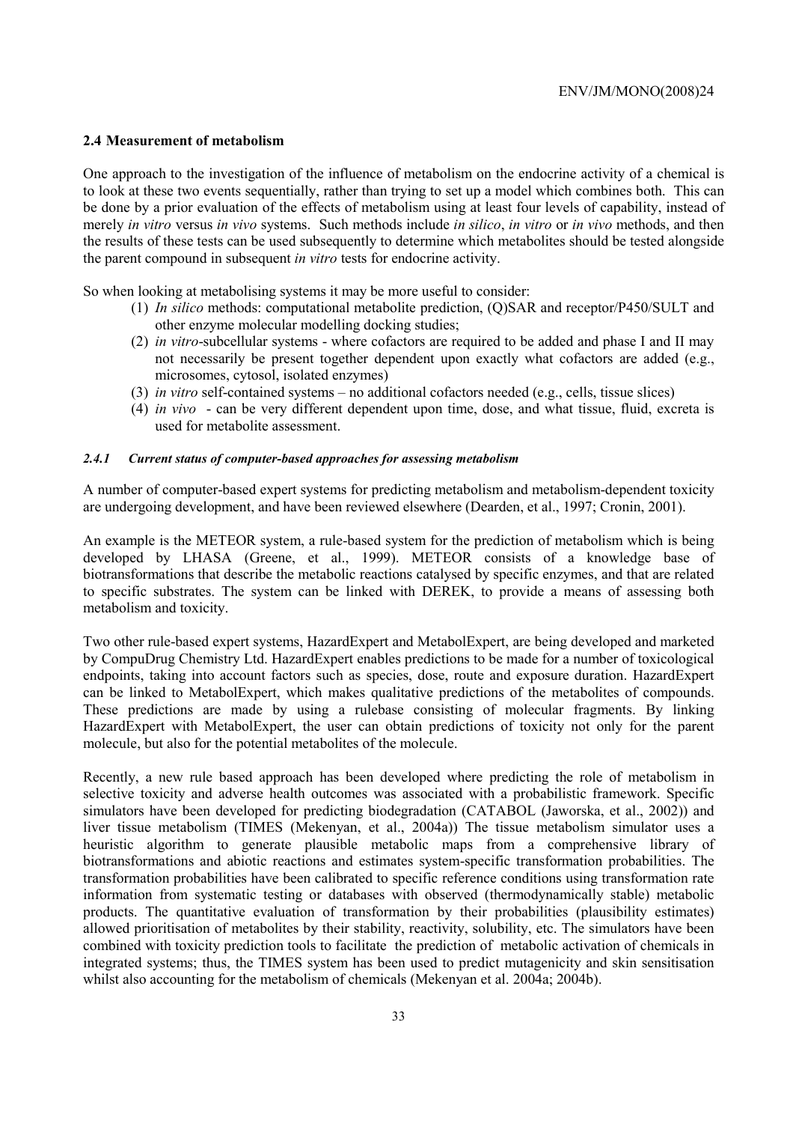## **2.4 Measurement of metabolism**

One approach to the investigation of the influence of metabolism on the endocrine activity of a chemical is to look at these two events sequentially, rather than trying to set up a model which combines both. This can be done by a prior evaluation of the effects of metabolism using at least four levels of capability, instead of merely *in vitro* versus *in vivo* systems. Such methods include *in silico*, *in vitro* or *in vivo* methods, and then the results of these tests can be used subsequently to determine which metabolites should be tested alongside the parent compound in subsequent *in vitro* tests for endocrine activity.

So when looking at metabolising systems it may be more useful to consider:

- (1) *In silico* methods: computational metabolite prediction, (Q)SAR and receptor/P450/SULT and other enzyme molecular modelling docking studies;
- (2) *in vitro*-subcellular systems where cofactors are required to be added and phase I and II may not necessarily be present together dependent upon exactly what cofactors are added (e.g., microsomes, cytosol, isolated enzymes)
- (3) *in vitro* self-contained systems no additional cofactors needed (e.g., cells, tissue slices)
- (4) *in vivo* can be very different dependent upon time, dose, and what tissue, fluid, excreta is used for metabolite assessment.

## *2.4.1 Current status of computer-based approaches for assessing metabolism*

A number of computer-based expert systems for predicting metabolism and metabolism-dependent toxicity are undergoing development, and have been reviewed elsewhere (Dearden, et al., 1997; Cronin, 2001).

An example is the METEOR system, a rule-based system for the prediction of metabolism which is being developed by LHASA (Greene, et al., 1999). METEOR consists of a knowledge base of biotransformations that describe the metabolic reactions catalysed by specific enzymes, and that are related to specific substrates. The system can be linked with DEREK, to provide a means of assessing both metabolism and toxicity.

Two other rule-based expert systems, HazardExpert and MetabolExpert, are being developed and marketed by CompuDrug Chemistry Ltd. HazardExpert enables predictions to be made for a number of toxicological endpoints, taking into account factors such as species, dose, route and exposure duration. HazardExpert can be linked to MetabolExpert, which makes qualitative predictions of the metabolites of compounds. These predictions are made by using a rulebase consisting of molecular fragments. By linking HazardExpert with MetabolExpert, the user can obtain predictions of toxicity not only for the parent molecule, but also for the potential metabolites of the molecule.

Recently, a new rule based approach has been developed where predicting the role of metabolism in selective toxicity and adverse health outcomes was associated with a probabilistic framework. Specific simulators have been developed for predicting biodegradation (CATABOL (Jaworska, et al., 2002)) and liver tissue metabolism (TIMES (Mekenyan, et al., 2004a)) The tissue metabolism simulator uses a heuristic algorithm to generate plausible metabolic maps from a comprehensive library of biotransformations and abiotic reactions and estimates system-specific transformation probabilities. The transformation probabilities have been calibrated to specific reference conditions using transformation rate information from systematic testing or databases with observed (thermodynamically stable) metabolic products. The quantitative evaluation of transformation by their probabilities (plausibility estimates) allowed prioritisation of metabolites by their stability, reactivity, solubility, etc. The simulators have been combined with toxicity prediction tools to facilitate the prediction of metabolic activation of chemicals in integrated systems; thus, the TIMES system has been used to predict mutagenicity and skin sensitisation whilst also accounting for the metabolism of chemicals (Mekenyan et al. 2004a; 2004b).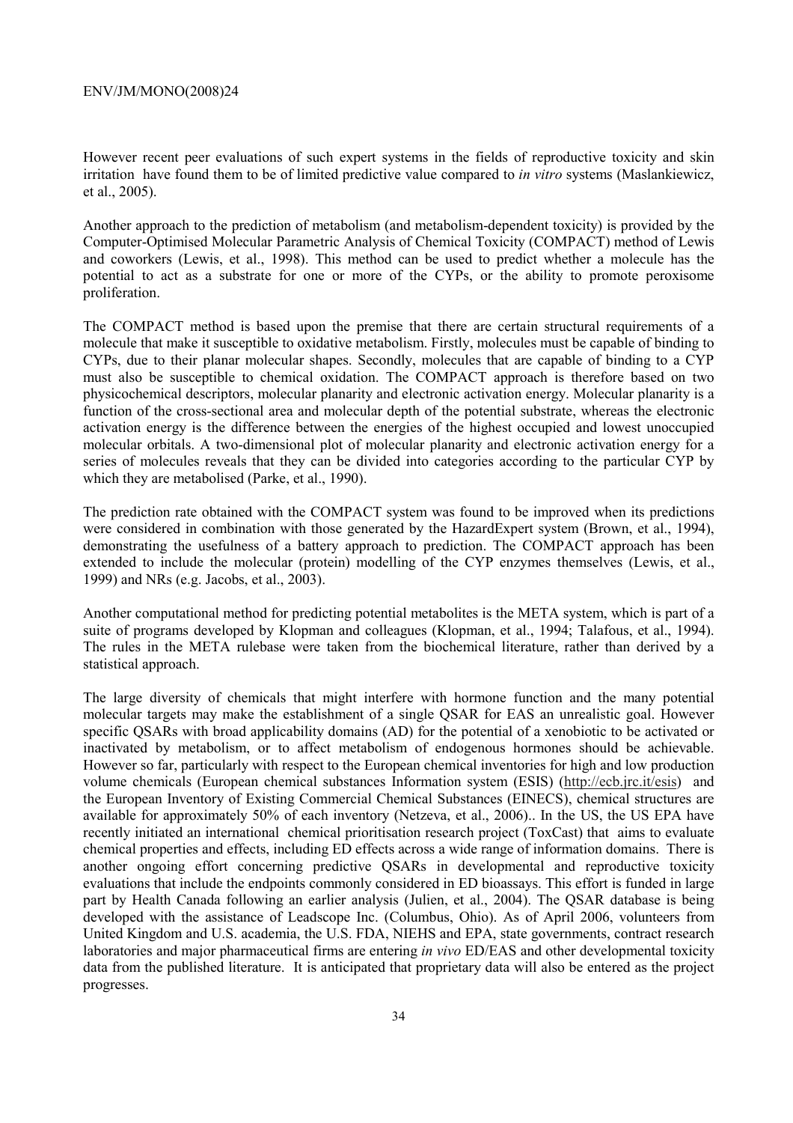However recent peer evaluations of such expert systems in the fields of reproductive toxicity and skin irritation have found them to be of limited predictive value compared to *in vitro* systems (Maslankiewicz, et al., 2005).

Another approach to the prediction of metabolism (and metabolism-dependent toxicity) is provided by the Computer-Optimised Molecular Parametric Analysis of Chemical Toxicity (COMPACT) method of Lewis and coworkers (Lewis, et al., 1998). This method can be used to predict whether a molecule has the potential to act as a substrate for one or more of the CYPs, or the ability to promote peroxisome proliferation.

The COMPACT method is based upon the premise that there are certain structural requirements of a molecule that make it susceptible to oxidative metabolism. Firstly, molecules must be capable of binding to CYPs, due to their planar molecular shapes. Secondly, molecules that are capable of binding to a CYP must also be susceptible to chemical oxidation. The COMPACT approach is therefore based on two physicochemical descriptors, molecular planarity and electronic activation energy. Molecular planarity is a function of the cross-sectional area and molecular depth of the potential substrate, whereas the electronic activation energy is the difference between the energies of the highest occupied and lowest unoccupied molecular orbitals. A two-dimensional plot of molecular planarity and electronic activation energy for a series of molecules reveals that they can be divided into categories according to the particular CYP by which they are metabolised (Parke, et al., 1990).

The prediction rate obtained with the COMPACT system was found to be improved when its predictions were considered in combination with those generated by the HazardExpert system (Brown, et al., 1994), demonstrating the usefulness of a battery approach to prediction. The COMPACT approach has been extended to include the molecular (protein) modelling of the CYP enzymes themselves (Lewis, et al., 1999) and NRs (e.g. Jacobs, et al., 2003).

Another computational method for predicting potential metabolites is the META system, which is part of a suite of programs developed by Klopman and colleagues (Klopman, et al., 1994; Talafous, et al., 1994). The rules in the META rulebase were taken from the biochemical literature, rather than derived by a statistical approach.

The large diversity of chemicals that might interfere with hormone function and the many potential molecular targets may make the establishment of a single QSAR for EAS an unrealistic goal. However specific QSARs with broad applicability domains (AD) for the potential of a xenobiotic to be activated or inactivated by metabolism, or to affect metabolism of endogenous hormones should be achievable. However so far, particularly with respect to the European chemical inventories for high and low production volume chemicals (European chemical substances Information system (ESIS) (http://ecb.jrc.it/esis) and the European Inventory of Existing Commercial Chemical Substances (EINECS), chemical structures are available for approximately 50% of each inventory (Netzeva, et al., 2006).. In the US, the US EPA have recently initiated an international chemical prioritisation research project (ToxCast) that aims to evaluate chemical properties and effects, including ED effects across a wide range of information domains. There is another ongoing effort concerning predictive QSARs in developmental and reproductive toxicity evaluations that include the endpoints commonly considered in ED bioassays. This effort is funded in large part by Health Canada following an earlier analysis (Julien, et al., 2004). The QSAR database is being developed with the assistance of Leadscope Inc. (Columbus, Ohio). As of April 2006, volunteers from United Kingdom and U.S. academia, the U.S. FDA, NIEHS and EPA, state governments, contract research laboratories and major pharmaceutical firms are entering *in vivo* ED/EAS and other developmental toxicity data from the published literature. It is anticipated that proprietary data will also be entered as the project progresses.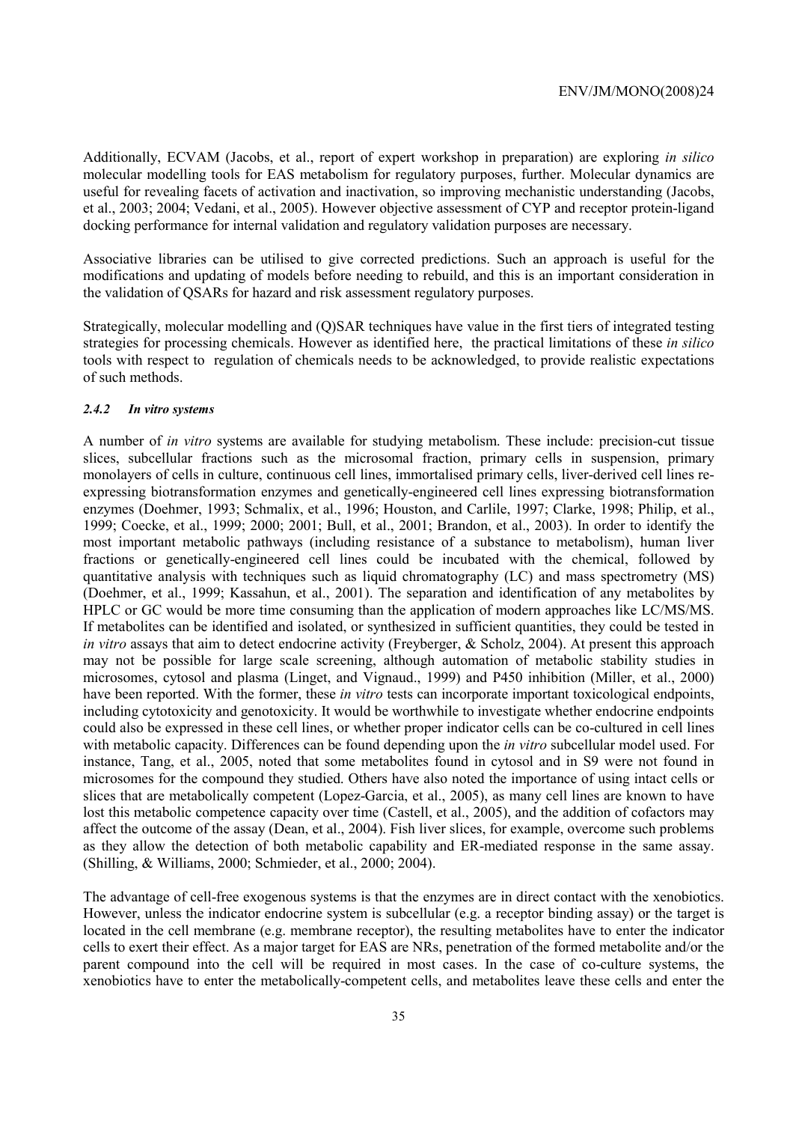Additionally, ECVAM (Jacobs, et al., report of expert workshop in preparation) are exploring *in silico* molecular modelling tools for EAS metabolism for regulatory purposes, further. Molecular dynamics are useful for revealing facets of activation and inactivation, so improving mechanistic understanding (Jacobs, et al., 2003; 2004; Vedani, et al., 2005). However objective assessment of CYP and receptor protein-ligand docking performance for internal validation and regulatory validation purposes are necessary.

Associative libraries can be utilised to give corrected predictions. Such an approach is useful for the modifications and updating of models before needing to rebuild, and this is an important consideration in the validation of QSARs for hazard and risk assessment regulatory purposes.

Strategically, molecular modelling and (Q)SAR techniques have value in the first tiers of integrated testing strategies for processing chemicals. However as identified here, the practical limitations of these *in silico* tools with respect to regulation of chemicals needs to be acknowledged, to provide realistic expectations of such methods.

## *2.4.2 In vitro systems*

A number of *in vitro* systems are available for studying metabolism. These include: precision-cut tissue slices, subcellular fractions such as the microsomal fraction, primary cells in suspension, primary monolayers of cells in culture, continuous cell lines, immortalised primary cells, liver-derived cell lines reexpressing biotransformation enzymes and genetically-engineered cell lines expressing biotransformation enzymes (Doehmer, 1993; Schmalix, et al., 1996; Houston, and Carlile, 1997; Clarke, 1998; Philip, et al., 1999; Coecke, et al., 1999; 2000; 2001; Bull, et al., 2001; Brandon, et al., 2003). In order to identify the most important metabolic pathways (including resistance of a substance to metabolism), human liver fractions or genetically-engineered cell lines could be incubated with the chemical, followed by quantitative analysis with techniques such as liquid chromatography (LC) and mass spectrometry (MS) (Doehmer, et al., 1999; Kassahun, et al., 2001). The separation and identification of any metabolites by HPLC or GC would be more time consuming than the application of modern approaches like LC/MS/MS. If metabolites can be identified and isolated, or synthesized in sufficient quantities, they could be tested in *in vitro* assays that aim to detect endocrine activity (Freyberger, & Scholz, 2004). At present this approach may not be possible for large scale screening, although automation of metabolic stability studies in microsomes, cytosol and plasma (Linget, and Vignaud., 1999) and P450 inhibition (Miller, et al., 2000) have been reported. With the former, these *in vitro* tests can incorporate important toxicological endpoints, including cytotoxicity and genotoxicity. It would be worthwhile to investigate whether endocrine endpoints could also be expressed in these cell lines, or whether proper indicator cells can be co-cultured in cell lines with metabolic capacity. Differences can be found depending upon the *in vitro* subcellular model used. For instance, Tang, et al., 2005, noted that some metabolites found in cytosol and in S9 were not found in microsomes for the compound they studied. Others have also noted the importance of using intact cells or slices that are metabolically competent (Lopez-Garcia, et al., 2005), as many cell lines are known to have lost this metabolic competence capacity over time (Castell, et al., 2005), and the addition of cofactors may affect the outcome of the assay (Dean, et al., 2004). Fish liver slices, for example, overcome such problems as they allow the detection of both metabolic capability and ER-mediated response in the same assay. (Shilling, & Williams, 2000; Schmieder, et al., 2000; 2004).

The advantage of cell-free exogenous systems is that the enzymes are in direct contact with the xenobiotics. However, unless the indicator endocrine system is subcellular (e.g. a receptor binding assay) or the target is located in the cell membrane (e.g. membrane receptor), the resulting metabolites have to enter the indicator cells to exert their effect. As a major target for EAS are NRs, penetration of the formed metabolite and/or the parent compound into the cell will be required in most cases. In the case of co-culture systems, the xenobiotics have to enter the metabolically-competent cells, and metabolites leave these cells and enter the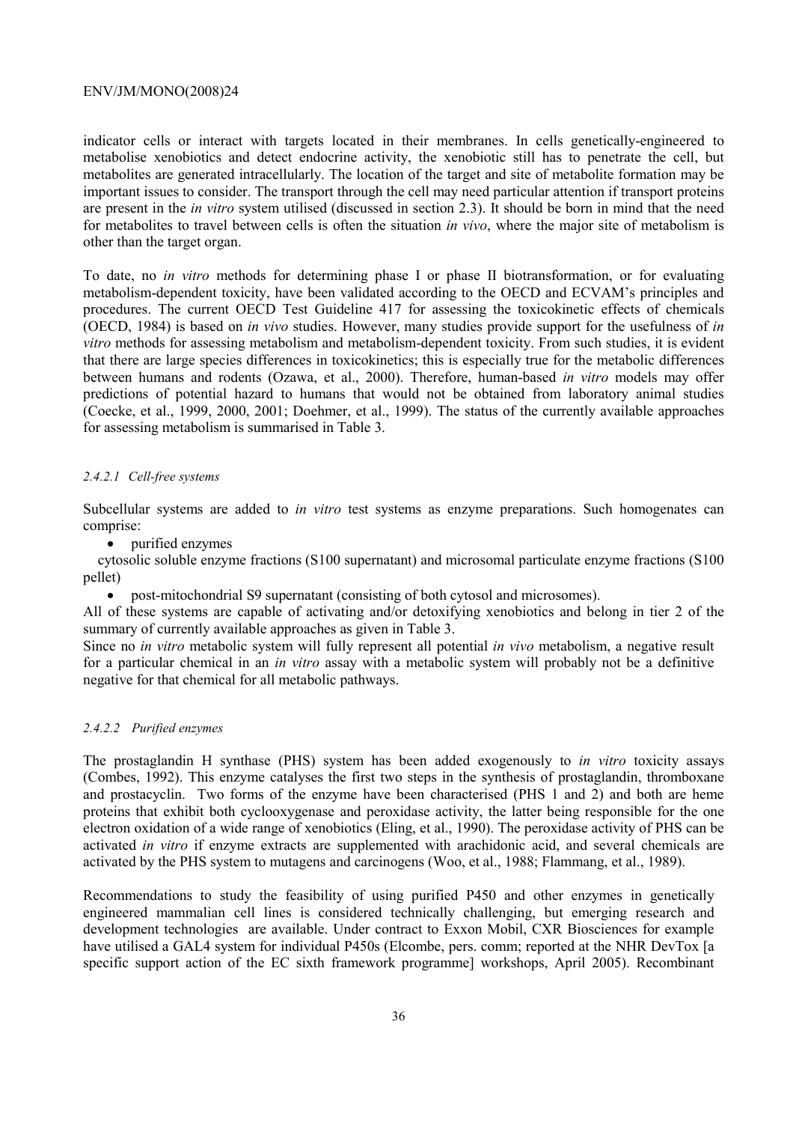indicator cells or interact with targets located in their membranes. In cells genetically-engineered to metabolise xenobiotics and detect endocrine activity, the xenobiotic still has to penetrate the cell, but metabolites are generated intracellularly. The location of the target and site of metabolite formation may be important issues to consider. The transport through the cell may need particular attention if transport proteins are present in the *in vitro* system utilised (discussed in section 2.3). It should be born in mind that the need for metabolites to travel between cells is often the situation *in vivo*, where the major site of metabolism is other than the target organ.

To date, no *in vitro* methods for determining phase I or phase II biotransformation, or for evaluating metabolism-dependent toxicity, have been validated according to the OECD and ECVAM's principles and procedures. The current OECD Test Guideline 417 for assessing the toxicokinetic effects of chemicals (OECD, 1984) is based on *in vivo* studies. However, many studies provide support for the usefulness of *in vitro* methods for assessing metabolism and metabolism-dependent toxicity. From such studies, it is evident that there are large species differences in toxicokinetics; this is especially true for the metabolic differences between humans and rodents (Ozawa, et al., 2000). Therefore, human-based *in vitro* models may offer predictions of potential hazard to humans that would not be obtained from laboratory animal studies (Coecke, et al., 1999, 2000, 2001; Doehmer, et al., 1999). The status of the currently available approaches for assessing metabolism is summarised in Table 3.

## *2.4.2.1 Cell-free systems*

Subcellular systems are added to *in vitro* test systems as enzyme preparations. Such homogenates can comprise:

• purified enzymes

 cytosolic soluble enzyme fractions (S100 supernatant) and microsomal particulate enzyme fractions (S100 pellet)

• post-mitochondrial S9 supernatant (consisting of both cytosol and microsomes).

All of these systems are capable of activating and/or detoxifying xenobiotics and belong in tier 2 of the summary of currently available approaches as given in Table 3.

Since no *in vitro* metabolic system will fully represent all potential *in vivo* metabolism, a negative result for a particular chemical in an *in vitro* assay with a metabolic system will probably not be a definitive negative for that chemical for all metabolic pathways.

#### *2.4.2.2 Purified enzymes*

The prostaglandin H synthase (PHS) system has been added exogenously to *in vitro* toxicity assays (Combes, 1992). This enzyme catalyses the first two steps in the synthesis of prostaglandin, thromboxane and prostacyclin. Two forms of the enzyme have been characterised (PHS 1 and 2) and both are heme proteins that exhibit both cyclooxygenase and peroxidase activity, the latter being responsible for the one electron oxidation of a wide range of xenobiotics (Eling, et al., 1990). The peroxidase activity of PHS can be activated *in vitro* if enzyme extracts are supplemented with arachidonic acid, and several chemicals are activated by the PHS system to mutagens and carcinogens (Woo, et al., 1988; Flammang, et al., 1989).

Recommendations to study the feasibility of using purified P450 and other enzymes in genetically engineered mammalian cell lines is considered technically challenging, but emerging research and development technologies are available. Under contract to Exxon Mobil, CXR Biosciences for example have utilised a GAL4 system for individual P450s (Elcombe, pers. comm; reported at the NHR DevTox [a specific support action of the EC sixth framework programme] workshops, April 2005). Recombinant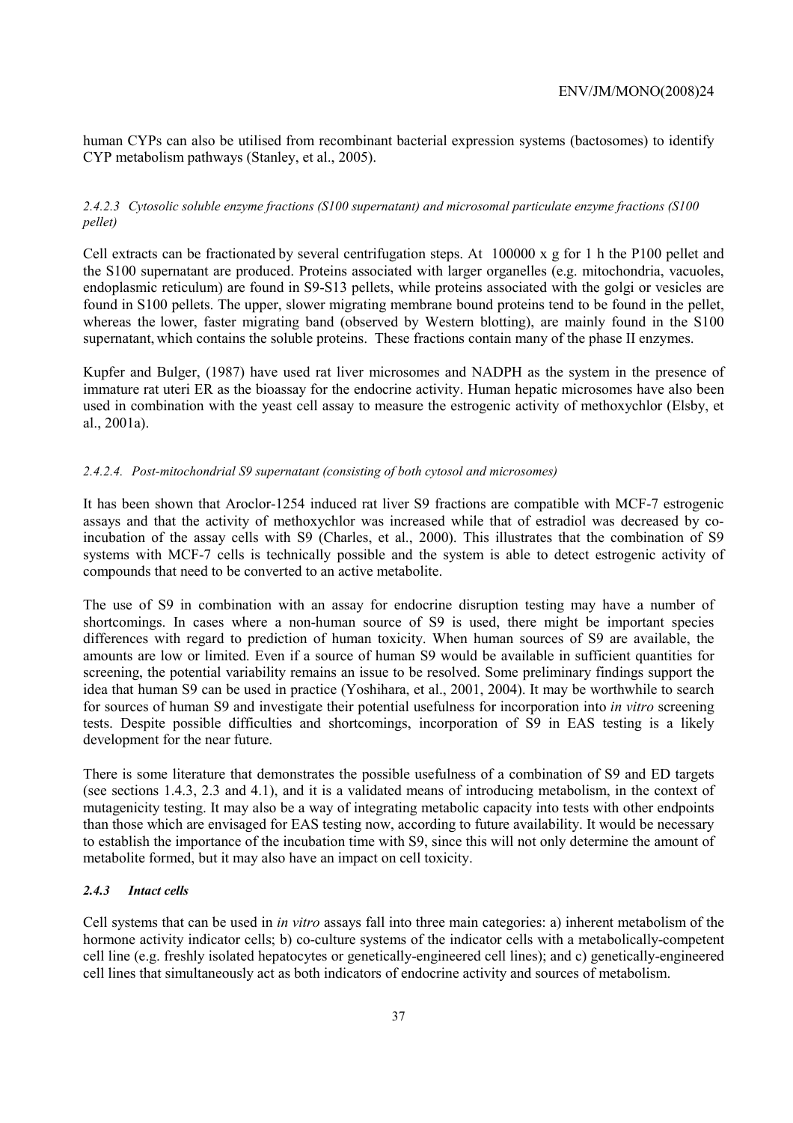human CYPs can also be utilised from recombinant bacterial expression systems (bactosomes) to identify CYP metabolism pathways (Stanley, et al., 2005).

# *2.4.2.3 Cytosolic soluble enzyme fractions (S100 supernatant) and microsomal particulate enzyme fractions (S100 pellet)*

Cell extracts can be fractionated by several centrifugation steps. At 100000 x g for 1 h the P100 pellet and the S100 supernatant are produced. Proteins associated with larger organelles (e.g. mitochondria, vacuoles, endoplasmic reticulum) are found in S9-S13 pellets, while proteins associated with the golgi or vesicles are found in S100 pellets. The upper, slower migrating membrane bound proteins tend to be found in the pellet, whereas the lower, faster migrating band (observed by Western blotting), are mainly found in the S100 supernatant, which contains the soluble proteins. These fractions contain many of the phase II enzymes.

Kupfer and Bulger, (1987) have used rat liver microsomes and NADPH as the system in the presence of immature rat uteri ER as the bioassay for the endocrine activity. Human hepatic microsomes have also been used in combination with the yeast cell assay to measure the estrogenic activity of methoxychlor (Elsby, et al., 2001a).

# *2.4.2.4. Post-mitochondrial S9 supernatant (consisting of both cytosol and microsomes)*

It has been shown that Aroclor-1254 induced rat liver S9 fractions are compatible with MCF-7 estrogenic assays and that the activity of methoxychlor was increased while that of estradiol was decreased by coincubation of the assay cells with S9 (Charles, et al., 2000). This illustrates that the combination of S9 systems with MCF-7 cells is technically possible and the system is able to detect estrogenic activity of compounds that need to be converted to an active metabolite.

The use of S9 in combination with an assay for endocrine disruption testing may have a number of shortcomings. In cases where a non-human source of S9 is used, there might be important species differences with regard to prediction of human toxicity. When human sources of S9 are available, the amounts are low or limited. Even if a source of human S9 would be available in sufficient quantities for screening, the potential variability remains an issue to be resolved. Some preliminary findings support the idea that human S9 can be used in practice (Yoshihara, et al., 2001, 2004). It may be worthwhile to search for sources of human S9 and investigate their potential usefulness for incorporation into *in vitro* screening tests. Despite possible difficulties and shortcomings, incorporation of S9 in EAS testing is a likely development for the near future.

There is some literature that demonstrates the possible usefulness of a combination of S9 and ED targets (see sections 1.4.3, 2.3 and 4.1), and it is a validated means of introducing metabolism, in the context of mutagenicity testing. It may also be a way of integrating metabolic capacity into tests with other endpoints than those which are envisaged for EAS testing now, according to future availability. It would be necessary to establish the importance of the incubation time with S9, since this will not only determine the amount of metabolite formed, but it may also have an impact on cell toxicity.

#### *2.4.3 Intact cells*

Cell systems that can be used in *in vitro* assays fall into three main categories: a) inherent metabolism of the hormone activity indicator cells; b) co-culture systems of the indicator cells with a metabolically-competent cell line (e.g. freshly isolated hepatocytes or genetically-engineered cell lines); and c) genetically-engineered cell lines that simultaneously act as both indicators of endocrine activity and sources of metabolism.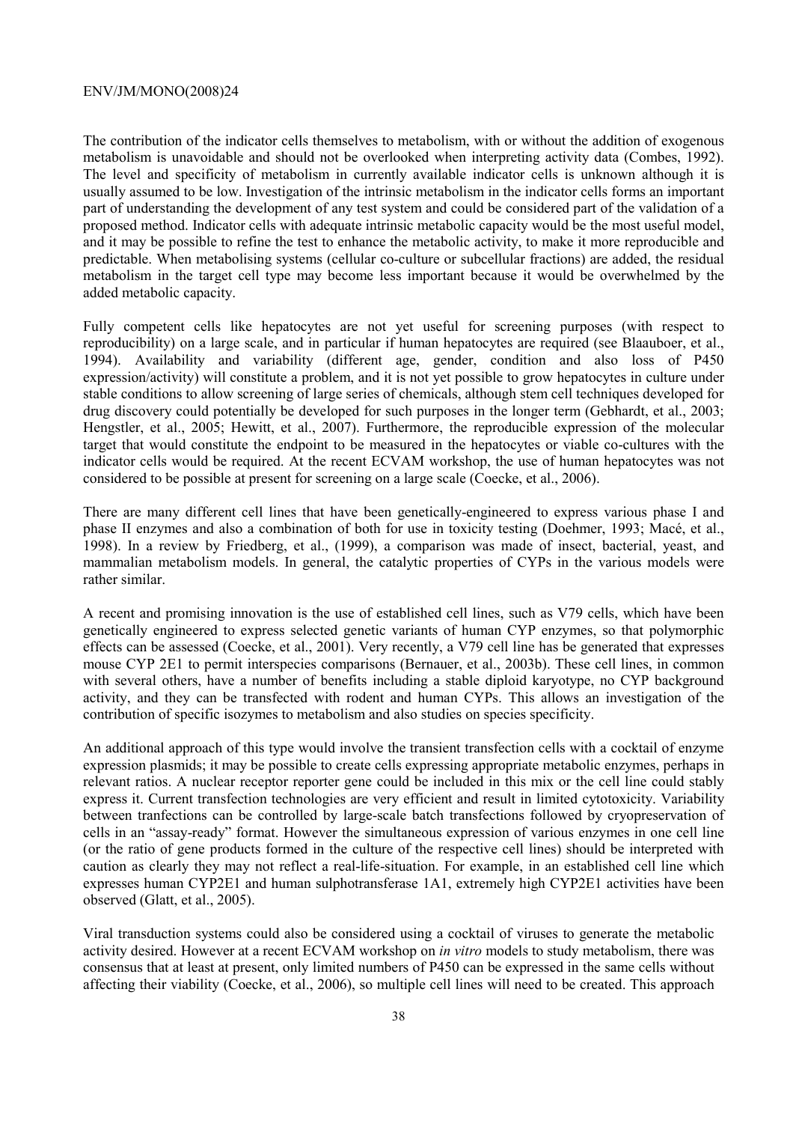The contribution of the indicator cells themselves to metabolism, with or without the addition of exogenous metabolism is unavoidable and should not be overlooked when interpreting activity data (Combes, 1992). The level and specificity of metabolism in currently available indicator cells is unknown although it is usually assumed to be low. Investigation of the intrinsic metabolism in the indicator cells forms an important part of understanding the development of any test system and could be considered part of the validation of a proposed method. Indicator cells with adequate intrinsic metabolic capacity would be the most useful model, and it may be possible to refine the test to enhance the metabolic activity, to make it more reproducible and predictable. When metabolising systems (cellular co-culture or subcellular fractions) are added, the residual metabolism in the target cell type may become less important because it would be overwhelmed by the added metabolic capacity.

Fully competent cells like hepatocytes are not yet useful for screening purposes (with respect to reproducibility) on a large scale, and in particular if human hepatocytes are required (see Blaauboer, et al., 1994). Availability and variability (different age, gender, condition and also loss of P450 expression/activity) will constitute a problem, and it is not yet possible to grow hepatocytes in culture under stable conditions to allow screening of large series of chemicals, although stem cell techniques developed for drug discovery could potentially be developed for such purposes in the longer term (Gebhardt, et al., 2003; Hengstler, et al., 2005; Hewitt, et al., 2007). Furthermore, the reproducible expression of the molecular target that would constitute the endpoint to be measured in the hepatocytes or viable co-cultures with the indicator cells would be required. At the recent ECVAM workshop, the use of human hepatocytes was not considered to be possible at present for screening on a large scale (Coecke, et al., 2006).

There are many different cell lines that have been genetically-engineered to express various phase I and phase II enzymes and also a combination of both for use in toxicity testing (Doehmer, 1993; Macé, et al., 1998). In a review by Friedberg, et al., (1999), a comparison was made of insect, bacterial, yeast, and mammalian metabolism models. In general, the catalytic properties of CYPs in the various models were rather similar.

A recent and promising innovation is the use of established cell lines, such as V79 cells, which have been genetically engineered to express selected genetic variants of human CYP enzymes, so that polymorphic effects can be assessed (Coecke, et al., 2001). Very recently, a V79 cell line has be generated that expresses mouse CYP 2E1 to permit interspecies comparisons (Bernauer, et al., 2003b). These cell lines, in common with several others, have a number of benefits including a stable diploid karyotype, no CYP background activity, and they can be transfected with rodent and human CYPs. This allows an investigation of the contribution of specific isozymes to metabolism and also studies on species specificity.

An additional approach of this type would involve the transient transfection cells with a cocktail of enzyme expression plasmids; it may be possible to create cells expressing appropriate metabolic enzymes, perhaps in relevant ratios. A nuclear receptor reporter gene could be included in this mix or the cell line could stably express it. Current transfection technologies are very efficient and result in limited cytotoxicity. Variability between tranfections can be controlled by large-scale batch transfections followed by cryopreservation of cells in an "assay-ready" format. However the simultaneous expression of various enzymes in one cell line (or the ratio of gene products formed in the culture of the respective cell lines) should be interpreted with caution as clearly they may not reflect a real-life-situation. For example, in an established cell line which expresses human CYP2E1 and human sulphotransferase 1A1, extremely high CYP2E1 activities have been observed (Glatt, et al., 2005).

Viral transduction systems could also be considered using a cocktail of viruses to generate the metabolic activity desired. However at a recent ECVAM workshop on *in vitro* models to study metabolism, there was consensus that at least at present, only limited numbers of P450 can be expressed in the same cells without affecting their viability (Coecke, et al., 2006), so multiple cell lines will need to be created. This approach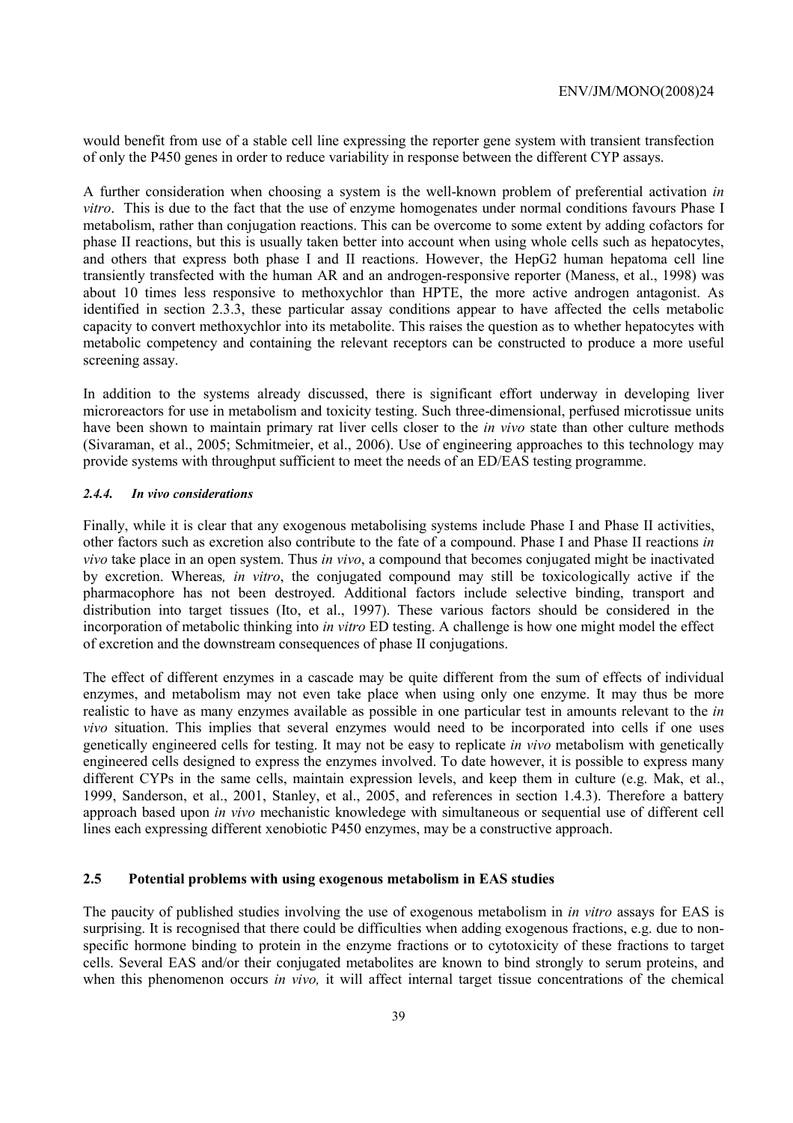would benefit from use of a stable cell line expressing the reporter gene system with transient transfection of only the P450 genes in order to reduce variability in response between the different CYP assays.

A further consideration when choosing a system is the well-known problem of preferential activation *in vitro*. This is due to the fact that the use of enzyme homogenates under normal conditions favours Phase I metabolism, rather than conjugation reactions. This can be overcome to some extent by adding cofactors for phase II reactions, but this is usually taken better into account when using whole cells such as hepatocytes, and others that express both phase I and II reactions. However, the HepG2 human hepatoma cell line transiently transfected with the human AR and an androgen-responsive reporter (Maness, et al., 1998) was about 10 times less responsive to methoxychlor than HPTE, the more active androgen antagonist. As identified in section 2.3.3, these particular assay conditions appear to have affected the cells metabolic capacity to convert methoxychlor into its metabolite. This raises the question as to whether hepatocytes with metabolic competency and containing the relevant receptors can be constructed to produce a more useful screening assay.

In addition to the systems already discussed, there is significant effort underway in developing liver microreactors for use in metabolism and toxicity testing. Such three-dimensional, perfused microtissue units have been shown to maintain primary rat liver cells closer to the *in vivo* state than other culture methods (Sivaraman, et al., 2005; Schmitmeier, et al., 2006). Use of engineering approaches to this technology may provide systems with throughput sufficient to meet the needs of an ED/EAS testing programme.

# *2.4.4. In vivo considerations*

Finally, while it is clear that any exogenous metabolising systems include Phase I and Phase II activities, other factors such as excretion also contribute to the fate of a compound. Phase I and Phase II reactions *in vivo* take place in an open system. Thus *in vivo*, a compound that becomes conjugated might be inactivated by excretion. Whereas*, in vitro*, the conjugated compound may still be toxicologically active if the pharmacophore has not been destroyed. Additional factors include selective binding, transport and distribution into target tissues (Ito, et al., 1997). These various factors should be considered in the incorporation of metabolic thinking into *in vitro* ED testing. A challenge is how one might model the effect of excretion and the downstream consequences of phase II conjugations.

The effect of different enzymes in a cascade may be quite different from the sum of effects of individual enzymes, and metabolism may not even take place when using only one enzyme. It may thus be more realistic to have as many enzymes available as possible in one particular test in amounts relevant to the *in vivo* situation. This implies that several enzymes would need to be incorporated into cells if one uses genetically engineered cells for testing. It may not be easy to replicate *in vivo* metabolism with genetically engineered cells designed to express the enzymes involved. To date however, it is possible to express many different CYPs in the same cells, maintain expression levels, and keep them in culture (e.g. Mak, et al., 1999, Sanderson, et al., 2001, Stanley, et al., 2005, and references in section 1.4.3). Therefore a battery approach based upon *in vivo* mechanistic knowledege with simultaneous or sequential use of different cell lines each expressing different xenobiotic P450 enzymes, may be a constructive approach.

# **2.5 Potential problems with using exogenous metabolism in EAS studies**

The paucity of published studies involving the use of exogenous metabolism in *in vitro* assays for EAS is surprising. It is recognised that there could be difficulties when adding exogenous fractions, e.g. due to nonspecific hormone binding to protein in the enzyme fractions or to cytotoxicity of these fractions to target cells. Several EAS and/or their conjugated metabolites are known to bind strongly to serum proteins, and when this phenomenon occurs *in vivo,* it will affect internal target tissue concentrations of the chemical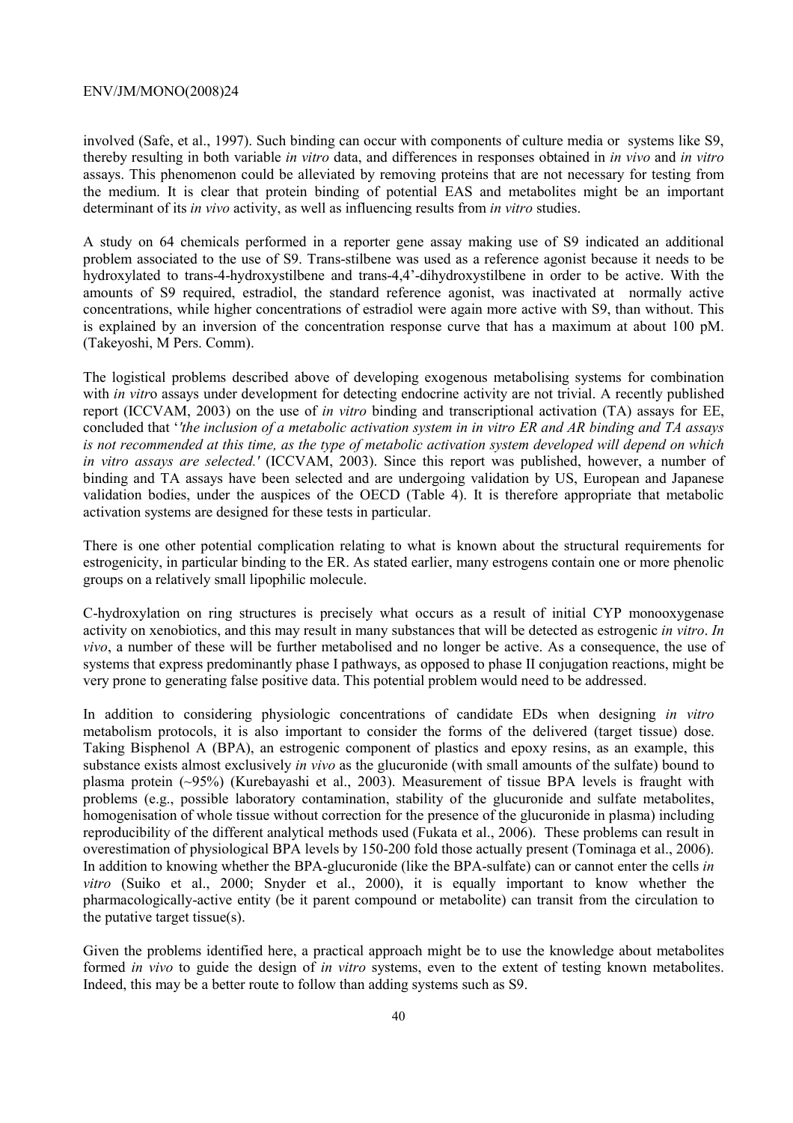involved (Safe, et al., 1997). Such binding can occur with components of culture media or systems like S9, thereby resulting in both variable *in vitro* data, and differences in responses obtained in *in vivo* and *in vitro* assays. This phenomenon could be alleviated by removing proteins that are not necessary for testing from the medium. It is clear that protein binding of potential EAS and metabolites might be an important determinant of its *in vivo* activity, as well as influencing results from *in vitro* studies.

A study on 64 chemicals performed in a reporter gene assay making use of S9 indicated an additional problem associated to the use of S9. Trans-stilbene was used as a reference agonist because it needs to be hydroxylated to trans-4-hydroxystilbene and trans-4,4'-dihydroxystilbene in order to be active. With the amounts of S9 required, estradiol, the standard reference agonist, was inactivated at normally active concentrations, while higher concentrations of estradiol were again more active with S9, than without. This is explained by an inversion of the concentration response curve that has a maximum at about 100 pM. (Takeyoshi, M Pers. Comm).

The logistical problems described above of developing exogenous metabolising systems for combination with *in vitro* assays under development for detecting endocrine activity are not trivial. A recently published report (ICCVAM, 2003) on the use of *in vitro* binding and transcriptional activation (TA) assays for EE, concluded that '*'the inclusion of a metabolic activation system in in vitro ER and AR binding and TA assays is not recommended at this time, as the type of metabolic activation system developed will depend on which in vitro assays are selected.'* (ICCVAM, 2003). Since this report was published, however, a number of binding and TA assays have been selected and are undergoing validation by US, European and Japanese validation bodies, under the auspices of the OECD (Table 4). It is therefore appropriate that metabolic activation systems are designed for these tests in particular.

There is one other potential complication relating to what is known about the structural requirements for estrogenicity, in particular binding to the ER. As stated earlier, many estrogens contain one or more phenolic groups on a relatively small lipophilic molecule.

C-hydroxylation on ring structures is precisely what occurs as a result of initial CYP monooxygenase activity on xenobiotics, and this may result in many substances that will be detected as estrogenic *in vitro*. *In vivo*, a number of these will be further metabolised and no longer be active. As a consequence, the use of systems that express predominantly phase I pathways, as opposed to phase II conjugation reactions, might be very prone to generating false positive data. This potential problem would need to be addressed.

In addition to considering physiologic concentrations of candidate EDs when designing *in vitro* metabolism protocols, it is also important to consider the forms of the delivered (target tissue) dose. Taking Bisphenol A (BPA), an estrogenic component of plastics and epoxy resins, as an example, this substance exists almost exclusively *in vivo* as the glucuronide (with small amounts of the sulfate) bound to plasma protein (~95%) (Kurebayashi et al., 2003). Measurement of tissue BPA levels is fraught with problems (e.g., possible laboratory contamination, stability of the glucuronide and sulfate metabolites, homogenisation of whole tissue without correction for the presence of the glucuronide in plasma) including reproducibility of the different analytical methods used (Fukata et al., 2006). These problems can result in overestimation of physiological BPA levels by 150-200 fold those actually present (Tominaga et al., 2006). In addition to knowing whether the BPA-glucuronide (like the BPA-sulfate) can or cannot enter the cells *in vitro* (Suiko et al., 2000; Snyder et al., 2000), it is equally important to know whether the pharmacologically-active entity (be it parent compound or metabolite) can transit from the circulation to the putative target tissue(s).

Given the problems identified here, a practical approach might be to use the knowledge about metabolites formed *in vivo* to guide the design of *in vitro* systems, even to the extent of testing known metabolites. Indeed, this may be a better route to follow than adding systems such as S9.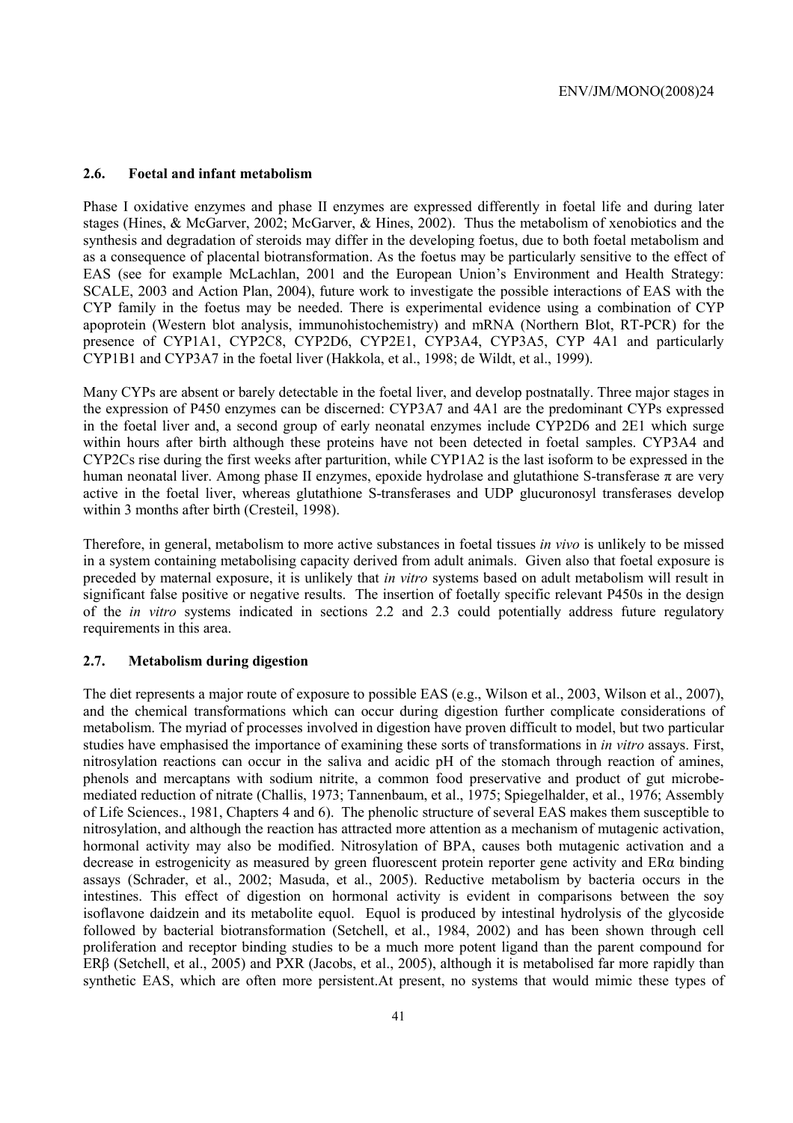# **2.6. Foetal and infant metabolism**

Phase I oxidative enzymes and phase II enzymes are expressed differently in foetal life and during later stages (Hines, & McGarver, 2002; McGarver, & Hines, 2002). Thus the metabolism of xenobiotics and the synthesis and degradation of steroids may differ in the developing foetus, due to both foetal metabolism and as a consequence of placental biotransformation. As the foetus may be particularly sensitive to the effect of EAS (see for example McLachlan, 2001 and the European Union's Environment and Health Strategy: SCALE, 2003 and Action Plan, 2004), future work to investigate the possible interactions of EAS with the CYP family in the foetus may be needed. There is experimental evidence using a combination of CYP apoprotein (Western blot analysis, immunohistochemistry) and mRNA (Northern Blot, RT-PCR) for the presence of CYP1A1, CYP2C8, CYP2D6, CYP2E1, CYP3A4, CYP3A5, CYP 4A1 and particularly CYP1B1 and CYP3A7 in the foetal liver (Hakkola, et al., 1998; de Wildt, et al., 1999).

Many CYPs are absent or barely detectable in the foetal liver, and develop postnatally. Three major stages in the expression of P450 enzymes can be discerned: CYP3A7 and 4A1 are the predominant CYPs expressed in the foetal liver and, a second group of early neonatal enzymes include CYP2D6 and 2E1 which surge within hours after birth although these proteins have not been detected in foetal samples. CYP3A4 and CYP2Cs rise during the first weeks after parturition, while CYP1A2 is the last isoform to be expressed in the human neonatal liver. Among phase II enzymes, epoxide hydrolase and glutathione S-transferase π are very active in the foetal liver, whereas glutathione S-transferases and UDP glucuronosyl transferases develop within 3 months after birth (Cresteil, 1998).

Therefore, in general, metabolism to more active substances in foetal tissues *in vivo* is unlikely to be missed in a system containing metabolising capacity derived from adult animals. Given also that foetal exposure is preceded by maternal exposure, it is unlikely that *in vitro* systems based on adult metabolism will result in significant false positive or negative results. The insertion of foetally specific relevant P450s in the design of the *in vitro* systems indicated in sections 2.2 and 2.3 could potentially address future regulatory requirements in this area.

#### **2.7. Metabolism during digestion**

The diet represents a major route of exposure to possible EAS (e.g., Wilson et al., 2003, Wilson et al., 2007), and the chemical transformations which can occur during digestion further complicate considerations of metabolism. The myriad of processes involved in digestion have proven difficult to model, but two particular studies have emphasised the importance of examining these sorts of transformations in *in vitro* assays. First, nitrosylation reactions can occur in the saliva and acidic pH of the stomach through reaction of amines, phenols and mercaptans with sodium nitrite, a common food preservative and product of gut microbemediated reduction of nitrate (Challis, 1973; Tannenbaum, et al., 1975; Spiegelhalder, et al., 1976; Assembly of Life Sciences., 1981, Chapters 4 and 6). The phenolic structure of several EAS makes them susceptible to nitrosylation, and although the reaction has attracted more attention as a mechanism of mutagenic activation, hormonal activity may also be modified. Nitrosylation of BPA, causes both mutagenic activation and a decrease in estrogenicity as measured by green fluorescent protein reporter gene activity and ERα binding assays (Schrader, et al., 2002; Masuda, et al., 2005). Reductive metabolism by bacteria occurs in the intestines. This effect of digestion on hormonal activity is evident in comparisons between the soy isoflavone daidzein and its metabolite equol. Equol is produced by intestinal hydrolysis of the glycoside followed by bacterial biotransformation (Setchell, et al., 1984, 2002) and has been shown through cell proliferation and receptor binding studies to be a much more potent ligand than the parent compound for ERβ (Setchell, et al., 2005) and PXR (Jacobs, et al., 2005), although it is metabolised far more rapidly than synthetic EAS, which are often more persistent.At present, no systems that would mimic these types of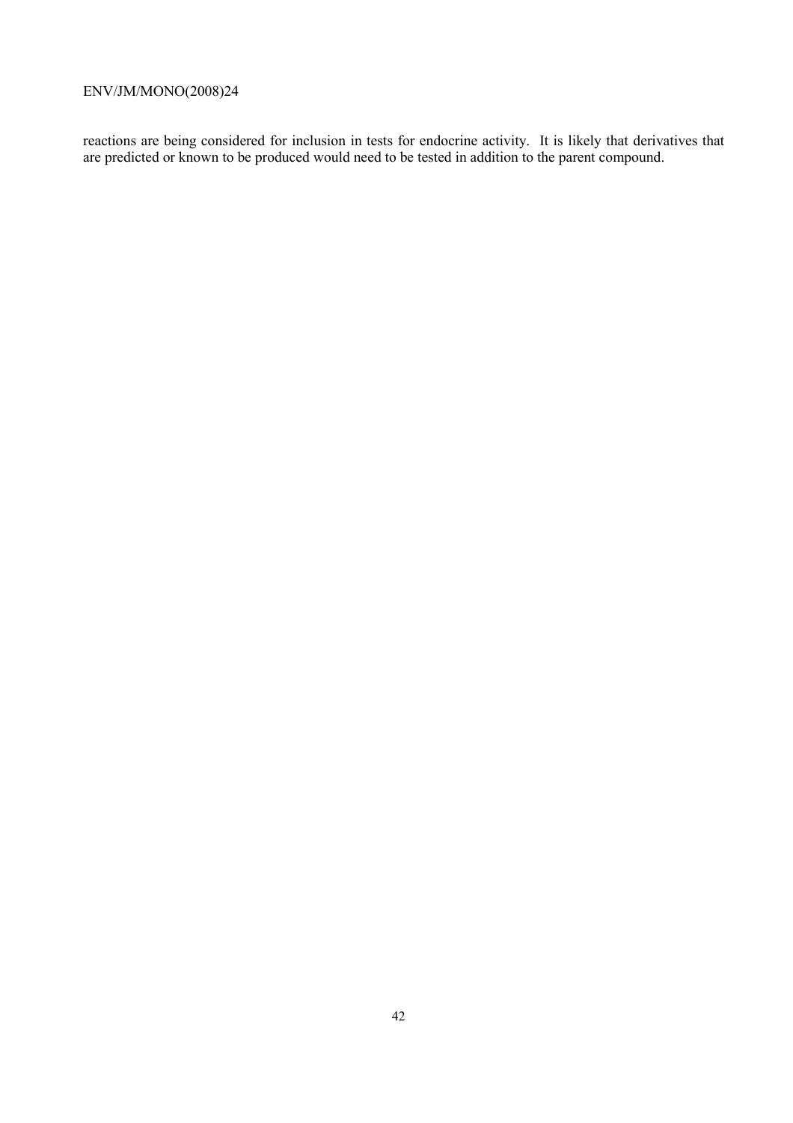reactions are being considered for inclusion in tests for endocrine activity. It is likely that derivatives that are predicted or known to be produced would need to be tested in addition to the parent compound.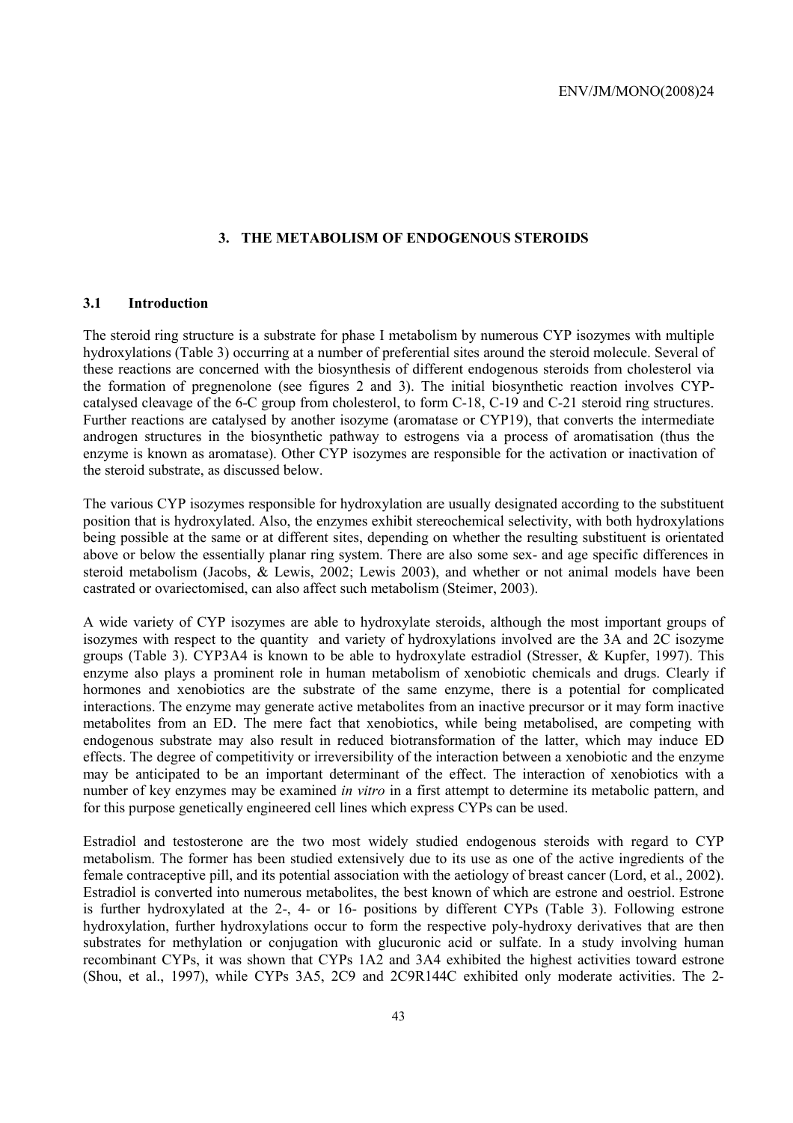## **3. THE METABOLISM OF ENDOGENOUS STEROIDS**

#### **3.1 Introduction**

The steroid ring structure is a substrate for phase I metabolism by numerous CYP isozymes with multiple hydroxylations (Table 3) occurring at a number of preferential sites around the steroid molecule. Several of these reactions are concerned with the biosynthesis of different endogenous steroids from cholesterol via the formation of pregnenolone (see figures 2 and 3). The initial biosynthetic reaction involves CYPcatalysed cleavage of the 6-C group from cholesterol, to form C-18, C-19 and C-21 steroid ring structures. Further reactions are catalysed by another isozyme (aromatase or CYP19), that converts the intermediate androgen structures in the biosynthetic pathway to estrogens via a process of aromatisation (thus the enzyme is known as aromatase). Other CYP isozymes are responsible for the activation or inactivation of the steroid substrate, as discussed below.

The various CYP isozymes responsible for hydroxylation are usually designated according to the substituent position that is hydroxylated. Also, the enzymes exhibit stereochemical selectivity, with both hydroxylations being possible at the same or at different sites, depending on whether the resulting substituent is orientated above or below the essentially planar ring system. There are also some sex- and age specific differences in steroid metabolism (Jacobs, & Lewis, 2002; Lewis 2003), and whether or not animal models have been castrated or ovariectomised, can also affect such metabolism (Steimer, 2003).

A wide variety of CYP isozymes are able to hydroxylate steroids, although the most important groups of isozymes with respect to the quantity and variety of hydroxylations involved are the 3A and 2C isozyme groups (Table 3). CYP3A4 is known to be able to hydroxylate estradiol (Stresser, & Kupfer, 1997). This enzyme also plays a prominent role in human metabolism of xenobiotic chemicals and drugs. Clearly if hormones and xenobiotics are the substrate of the same enzyme, there is a potential for complicated interactions. The enzyme may generate active metabolites from an inactive precursor or it may form inactive metabolites from an ED. The mere fact that xenobiotics, while being metabolised, are competing with endogenous substrate may also result in reduced biotransformation of the latter, which may induce ED effects. The degree of competitivity or irreversibility of the interaction between a xenobiotic and the enzyme may be anticipated to be an important determinant of the effect. The interaction of xenobiotics with a number of key enzymes may be examined *in vitro* in a first attempt to determine its metabolic pattern, and for this purpose genetically engineered cell lines which express CYPs can be used.

Estradiol and testosterone are the two most widely studied endogenous steroids with regard to CYP metabolism. The former has been studied extensively due to its use as one of the active ingredients of the female contraceptive pill, and its potential association with the aetiology of breast cancer (Lord, et al., 2002). Estradiol is converted into numerous metabolites, the best known of which are estrone and oestriol. Estrone is further hydroxylated at the 2-, 4- or 16- positions by different CYPs (Table 3). Following estrone hydroxylation, further hydroxylations occur to form the respective poly-hydroxy derivatives that are then substrates for methylation or conjugation with glucuronic acid or sulfate. In a study involving human recombinant CYPs, it was shown that CYPs 1A2 and 3A4 exhibited the highest activities toward estrone (Shou, et al., 1997), while CYPs 3A5, 2C9 and 2C9R144C exhibited only moderate activities. The 2-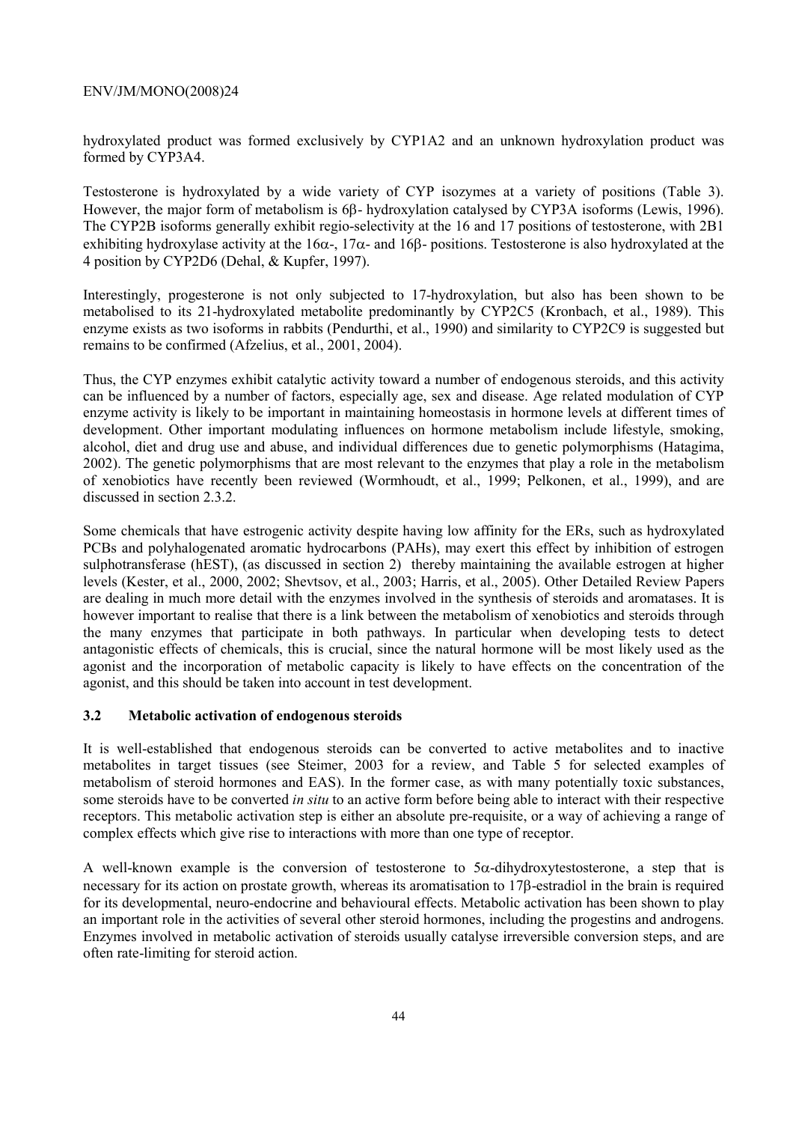hydroxylated product was formed exclusively by CYP1A2 and an unknown hydroxylation product was formed by CYP3A4.

Testosterone is hydroxylated by a wide variety of CYP isozymes at a variety of positions (Table 3). However, the major form of metabolism is 6β- hydroxylation catalysed by CYP3A isoforms (Lewis, 1996). The CYP2B isoforms generally exhibit regio-selectivity at the 16 and 17 positions of testosterone, with 2B1 exhibiting hydroxylase activity at the  $16\alpha$ -,  $17\alpha$ - and  $16\beta$ - positions. Testosterone is also hydroxylated at the 4 position by CYP2D6 (Dehal, & Kupfer, 1997).

Interestingly, progesterone is not only subjected to 17-hydroxylation, but also has been shown to be metabolised to its 21-hydroxylated metabolite predominantly by CYP2C5 (Kronbach, et al., 1989). This enzyme exists as two isoforms in rabbits (Pendurthi, et al., 1990) and similarity to CYP2C9 is suggested but remains to be confirmed (Afzelius, et al., 2001, 2004).

Thus, the CYP enzymes exhibit catalytic activity toward a number of endogenous steroids, and this activity can be influenced by a number of factors, especially age, sex and disease. Age related modulation of CYP enzyme activity is likely to be important in maintaining homeostasis in hormone levels at different times of development. Other important modulating influences on hormone metabolism include lifestyle, smoking, alcohol, diet and drug use and abuse, and individual differences due to genetic polymorphisms (Hatagima, 2002). The genetic polymorphisms that are most relevant to the enzymes that play a role in the metabolism of xenobiotics have recently been reviewed (Wormhoudt, et al., 1999; Pelkonen, et al., 1999), and are discussed in section 2.3.2.

Some chemicals that have estrogenic activity despite having low affinity for the ERs, such as hydroxylated PCBs and polyhalogenated aromatic hydrocarbons (PAHs), may exert this effect by inhibition of estrogen sulphotransferase (hEST), (as discussed in section 2) thereby maintaining the available estrogen at higher levels (Kester, et al., 2000, 2002; Shevtsov, et al., 2003; Harris, et al., 2005). Other Detailed Review Papers are dealing in much more detail with the enzymes involved in the synthesis of steroids and aromatases. It is however important to realise that there is a link between the metabolism of xenobiotics and steroids through the many enzymes that participate in both pathways. In particular when developing tests to detect antagonistic effects of chemicals, this is crucial, since the natural hormone will be most likely used as the agonist and the incorporation of metabolic capacity is likely to have effects on the concentration of the agonist, and this should be taken into account in test development.

# **3.2 Metabolic activation of endogenous steroids**

It is well-established that endogenous steroids can be converted to active metabolites and to inactive metabolites in target tissues (see Steimer, 2003 for a review, and Table 5 for selected examples of metabolism of steroid hormones and EAS). In the former case, as with many potentially toxic substances, some steroids have to be converted *in situ* to an active form before being able to interact with their respective receptors. This metabolic activation step is either an absolute pre-requisite, or a way of achieving a range of complex effects which give rise to interactions with more than one type of receptor.

A well-known example is the conversion of testosterone to 5α-dihydroxytestosterone, a step that is necessary for its action on prostate growth, whereas its aromatisation to 17β-estradiol in the brain is required for its developmental, neuro-endocrine and behavioural effects. Metabolic activation has been shown to play an important role in the activities of several other steroid hormones, including the progestins and androgens. Enzymes involved in metabolic activation of steroids usually catalyse irreversible conversion steps, and are often rate-limiting for steroid action.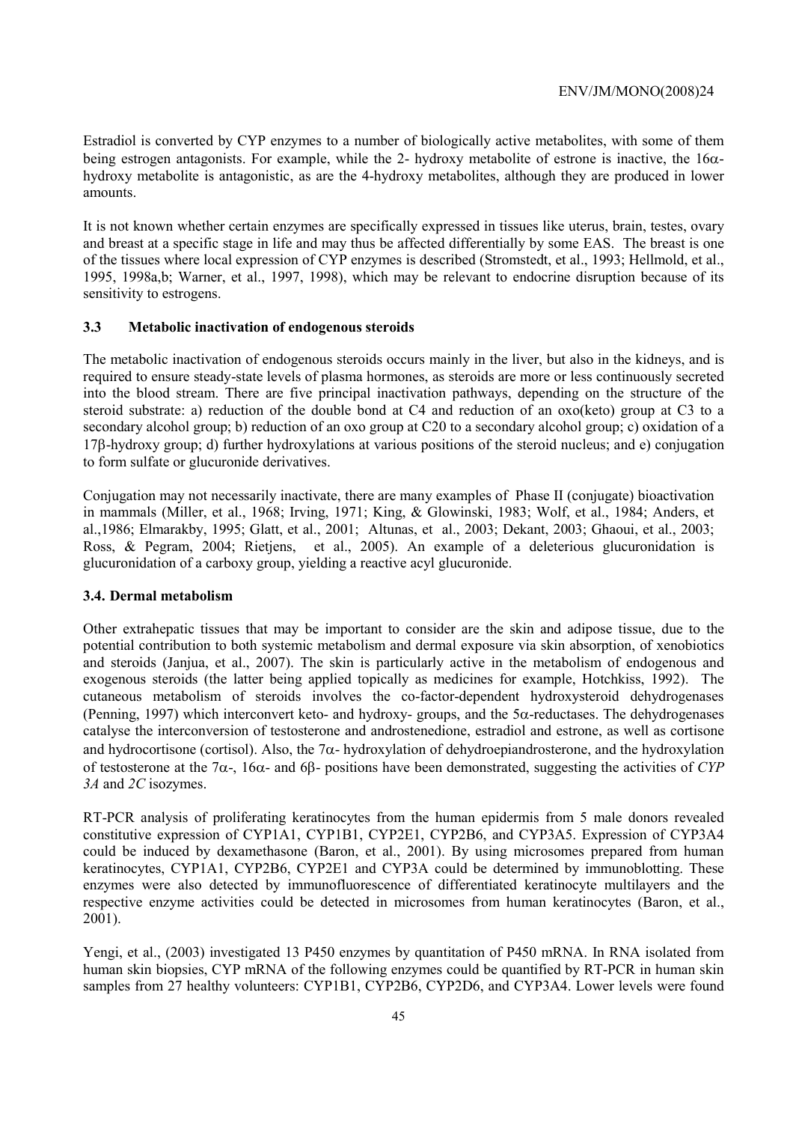Estradiol is converted by CYP enzymes to a number of biologically active metabolites, with some of them being estrogen antagonists. For example, while the 2- hydroxy metabolite of estrone is inactive, the  $16\alpha$ hydroxy metabolite is antagonistic, as are the 4-hydroxy metabolites, although they are produced in lower amounts.

It is not known whether certain enzymes are specifically expressed in tissues like uterus, brain, testes, ovary and breast at a specific stage in life and may thus be affected differentially by some EAS. The breast is one of the tissues where local expression of CYP enzymes is described (Stromstedt, et al., 1993; Hellmold, et al., 1995, 1998a,b; Warner, et al., 1997, 1998), which may be relevant to endocrine disruption because of its sensitivity to estrogens.

# **3.3 Metabolic inactivation of endogenous steroids**

The metabolic inactivation of endogenous steroids occurs mainly in the liver, but also in the kidneys, and is required to ensure steady-state levels of plasma hormones, as steroids are more or less continuously secreted into the blood stream. There are five principal inactivation pathways, depending on the structure of the steroid substrate: a) reduction of the double bond at C4 and reduction of an oxo(keto) group at C3 to a secondary alcohol group; b) reduction of an oxo group at C20 to a secondary alcohol group; c) oxidation of a 17β-hydroxy group; d) further hydroxylations at various positions of the steroid nucleus; and e) conjugation to form sulfate or glucuronide derivatives.

Conjugation may not necessarily inactivate, there are many examples of Phase II (conjugate) bioactivation in mammals (Miller, et al., 1968; Irving, 1971; King, & Glowinski, 1983; Wolf, et al., 1984; Anders, et al.,1986; Elmarakby, 1995; Glatt, et al., 2001; Altunas, et al., 2003; Dekant, 2003; Ghaoui, et al., 2003; Ross, & Pegram, 2004; Rietjens, et al., 2005). An example of a deleterious glucuronidation is glucuronidation of a carboxy group, yielding a reactive acyl glucuronide.

#### **3.4. Dermal metabolism**

Other extrahepatic tissues that may be important to consider are the skin and adipose tissue, due to the potential contribution to both systemic metabolism and dermal exposure via skin absorption, of xenobiotics and steroids (Janjua, et al., 2007). The skin is particularly active in the metabolism of endogenous and exogenous steroids (the latter being applied topically as medicines for example, Hotchkiss, 1992). The cutaneous metabolism of steroids involves the co-factor-dependent hydroxysteroid dehydrogenases (Penning, 1997) which interconvert keto- and hydroxy- groups, and the  $5\alpha$ -reductases. The dehydrogenases catalyse the interconversion of testosterone and androstenedione, estradiol and estrone, as well as cortisone and hydrocortisone (cortisol). Also, the  $7\alpha$ - hydroxylation of dehydroepiandrosterone, and the hydroxylation of testosterone at the 7α-, 16α- and 6β- positions have been demonstrated, suggesting the activities of *CYP 3A* and *2C* isozymes.

RT-PCR analysis of proliferating keratinocytes from the human epidermis from 5 male donors revealed constitutive expression of CYP1A1, CYP1B1, CYP2E1, CYP2B6, and CYP3A5. Expression of CYP3A4 could be induced by dexamethasone (Baron, et al., 2001). By using microsomes prepared from human keratinocytes, CYP1A1, CYP2B6, CYP2E1 and CYP3A could be determined by immunoblotting. These enzymes were also detected by immunofluorescence of differentiated keratinocyte multilayers and the respective enzyme activities could be detected in microsomes from human keratinocytes (Baron, et al., 2001).

Yengi, et al., (2003) investigated 13 P450 enzymes by quantitation of P450 mRNA. In RNA isolated from human skin biopsies, CYP mRNA of the following enzymes could be quantified by RT-PCR in human skin samples from 27 healthy volunteers: CYP1B1, CYP2B6, CYP2D6, and CYP3A4. Lower levels were found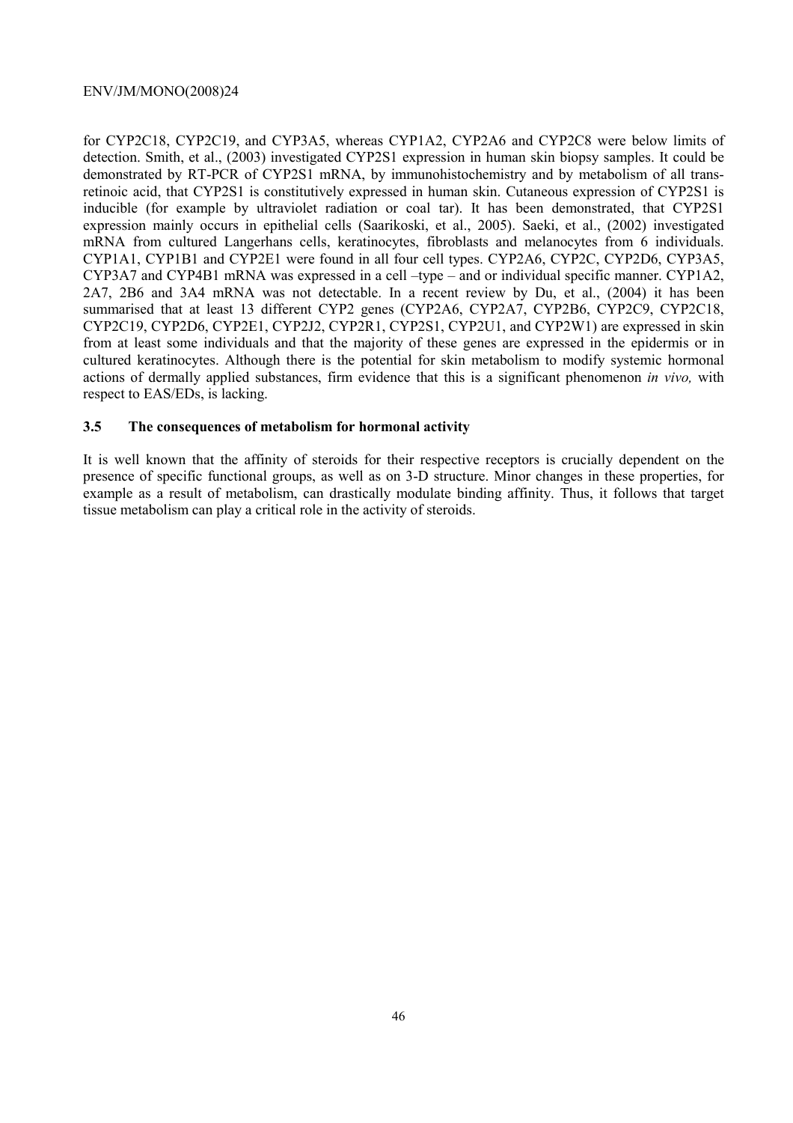for CYP2C18, CYP2C19, and CYP3A5, whereas CYP1A2, CYP2A6 and CYP2C8 were below limits of detection. Smith, et al., (2003) investigated CYP2S1 expression in human skin biopsy samples. It could be demonstrated by RT-PCR of CYP2S1 mRNA, by immunohistochemistry and by metabolism of all transretinoic acid, that CYP2S1 is constitutively expressed in human skin. Cutaneous expression of CYP2S1 is inducible (for example by ultraviolet radiation or coal tar). It has been demonstrated, that CYP2S1 expression mainly occurs in epithelial cells (Saarikoski, et al., 2005). Saeki, et al., (2002) investigated mRNA from cultured Langerhans cells, keratinocytes, fibroblasts and melanocytes from 6 individuals. CYP1A1, CYP1B1 and CYP2E1 were found in all four cell types. CYP2A6, CYP2C, CYP2D6, CYP3A5, CYP3A7 and CYP4B1 mRNA was expressed in a cell –type – and or individual specific manner. CYP1A2, 2A7, 2B6 and 3A4 mRNA was not detectable. In a recent review by Du, et al., (2004) it has been summarised that at least 13 different CYP2 genes (CYP2A6, CYP2A7, CYP2B6, CYP2C9, CYP2C18, CYP2C19, CYP2D6, CYP2E1, CYP2J2, CYP2R1, CYP2S1, CYP2U1, and CYP2W1) are expressed in skin from at least some individuals and that the majority of these genes are expressed in the epidermis or in cultured keratinocytes. Although there is the potential for skin metabolism to modify systemic hormonal actions of dermally applied substances, firm evidence that this is a significant phenomenon *in vivo,* with respect to EAS/EDs, is lacking.

# **3.5 The consequences of metabolism for hormonal activity**

It is well known that the affinity of steroids for their respective receptors is crucially dependent on the presence of specific functional groups, as well as on 3-D structure. Minor changes in these properties, for example as a result of metabolism, can drastically modulate binding affinity. Thus, it follows that target tissue metabolism can play a critical role in the activity of steroids.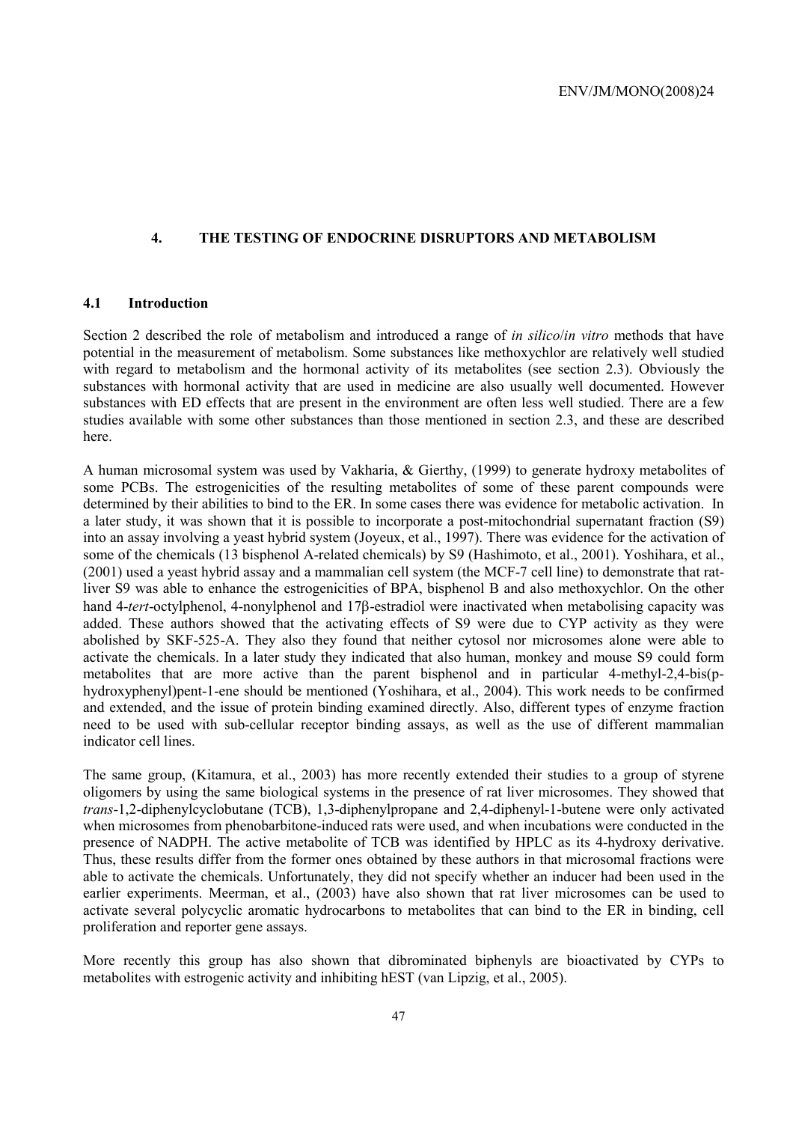## **4. THE TESTING OF ENDOCRINE DISRUPTORS AND METABOLISM**

#### **4.1 Introduction**

Section 2 described the role of metabolism and introduced a range of *in silico*/*in vitro* methods that have potential in the measurement of metabolism. Some substances like methoxychlor are relatively well studied with regard to metabolism and the hormonal activity of its metabolites (see section 2.3). Obviously the substances with hormonal activity that are used in medicine are also usually well documented. However substances with ED effects that are present in the environment are often less well studied. There are a few studies available with some other substances than those mentioned in section 2.3, and these are described here.

A human microsomal system was used by Vakharia, & Gierthy, (1999) to generate hydroxy metabolites of some PCBs. The estrogenicities of the resulting metabolites of some of these parent compounds were determined by their abilities to bind to the ER. In some cases there was evidence for metabolic activation. In a later study, it was shown that it is possible to incorporate a post-mitochondrial supernatant fraction (S9) into an assay involving a yeast hybrid system (Joyeux, et al., 1997). There was evidence for the activation of some of the chemicals (13 bisphenol A-related chemicals) by S9 (Hashimoto, et al., 2001). Yoshihara, et al., (2001) used a yeast hybrid assay and a mammalian cell system (the MCF-7 cell line) to demonstrate that ratliver S9 was able to enhance the estrogenicities of BPA, bisphenol B and also methoxychlor. On the other hand 4-*tert*-octylphenol, 4-nonylphenol and 17β-estradiol were inactivated when metabolising capacity was added. These authors showed that the activating effects of S9 were due to CYP activity as they were abolished by SKF-525-A. They also they found that neither cytosol nor microsomes alone were able to activate the chemicals. In a later study they indicated that also human, monkey and mouse S9 could form metabolites that are more active than the parent bisphenol and in particular 4-methyl-2,4-bis(phydroxyphenyl)pent-1-ene should be mentioned (Yoshihara, et al., 2004). This work needs to be confirmed and extended, and the issue of protein binding examined directly. Also, different types of enzyme fraction need to be used with sub-cellular receptor binding assays, as well as the use of different mammalian indicator cell lines.

The same group, (Kitamura, et al., 2003) has more recently extended their studies to a group of styrene oligomers by using the same biological systems in the presence of rat liver microsomes. They showed that *trans*-1,2-diphenylcyclobutane (TCB), 1,3-diphenylpropane and 2,4-diphenyl-1-butene were only activated when microsomes from phenobarbitone-induced rats were used, and when incubations were conducted in the presence of NADPH. The active metabolite of TCB was identified by HPLC as its 4-hydroxy derivative. Thus, these results differ from the former ones obtained by these authors in that microsomal fractions were able to activate the chemicals. Unfortunately, they did not specify whether an inducer had been used in the earlier experiments. Meerman, et al., (2003) have also shown that rat liver microsomes can be used to activate several polycyclic aromatic hydrocarbons to metabolites that can bind to the ER in binding, cell proliferation and reporter gene assays.

More recently this group has also shown that dibrominated biphenyls are bioactivated by CYPs to metabolites with estrogenic activity and inhibiting hEST (van Lipzig, et al., 2005).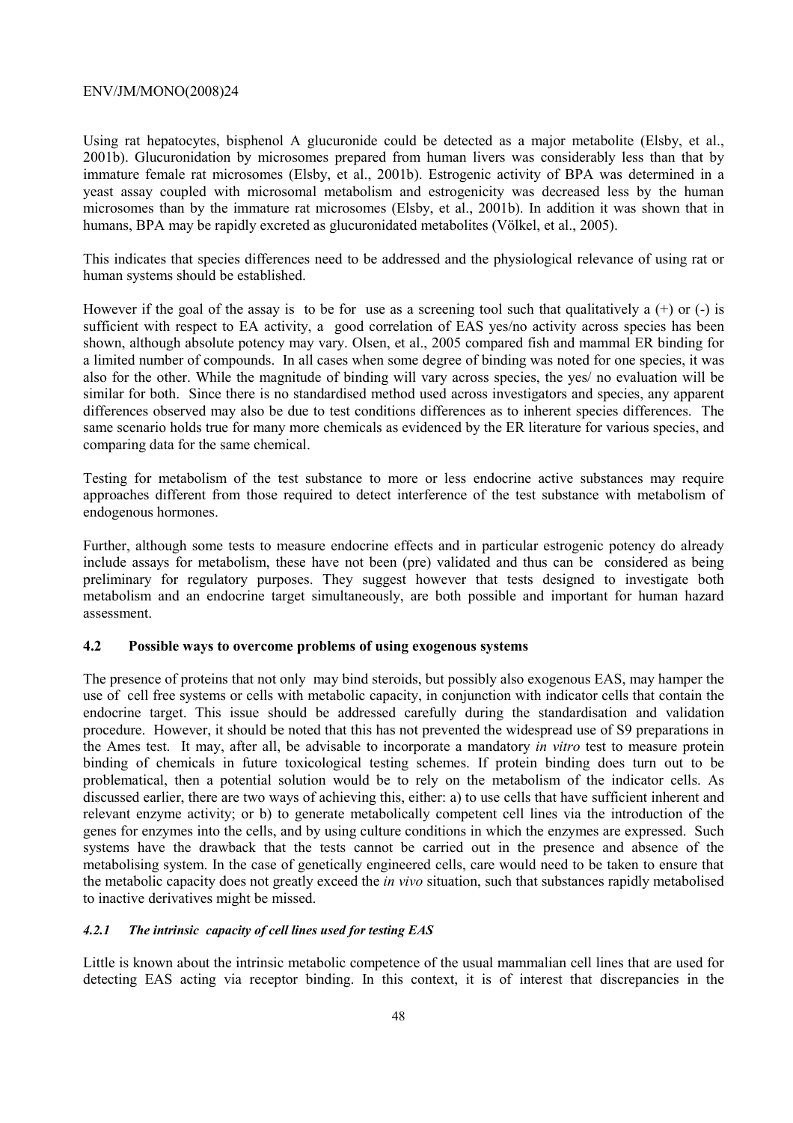Using rat hepatocytes, bisphenol A glucuronide could be detected as a major metabolite (Elsby, et al., 2001b). Glucuronidation by microsomes prepared from human livers was considerably less than that by immature female rat microsomes (Elsby, et al., 2001b). Estrogenic activity of BPA was determined in a yeast assay coupled with microsomal metabolism and estrogenicity was decreased less by the human microsomes than by the immature rat microsomes (Elsby, et al., 2001b). In addition it was shown that in humans, BPA may be rapidly excreted as glucuronidated metabolites (Völkel, et al., 2005).

This indicates that species differences need to be addressed and the physiological relevance of using rat or human systems should be established.

However if the goal of the assay is to be for use as a screening tool such that qualitatively a  $(+)$  or  $(-)$  is sufficient with respect to EA activity, a good correlation of EAS yes/no activity across species has been shown, although absolute potency may vary. Olsen, et al., 2005 compared fish and mammal ER binding for a limited number of compounds. In all cases when some degree of binding was noted for one species, it was also for the other. While the magnitude of binding will vary across species, the yes/ no evaluation will be similar for both. Since there is no standardised method used across investigators and species, any apparent differences observed may also be due to test conditions differences as to inherent species differences. The same scenario holds true for many more chemicals as evidenced by the ER literature for various species, and comparing data for the same chemical.

Testing for metabolism of the test substance to more or less endocrine active substances may require approaches different from those required to detect interference of the test substance with metabolism of endogenous hormones.

Further, although some tests to measure endocrine effects and in particular estrogenic potency do already include assays for metabolism, these have not been (pre) validated and thus can be considered as being preliminary for regulatory purposes. They suggest however that tests designed to investigate both metabolism and an endocrine target simultaneously, are both possible and important for human hazard assessment.

#### **4.2 Possible ways to overcome problems of using exogenous systems**

The presence of proteins that not only may bind steroids, but possibly also exogenous EAS, may hamper the use of cell free systems or cells with metabolic capacity, in conjunction with indicator cells that contain the endocrine target. This issue should be addressed carefully during the standardisation and validation procedure. However, it should be noted that this has not prevented the widespread use of S9 preparations in the Ames test. It may, after all, be advisable to incorporate a mandatory *in vitro* test to measure protein binding of chemicals in future toxicological testing schemes. If protein binding does turn out to be problematical, then a potential solution would be to rely on the metabolism of the indicator cells. As discussed earlier, there are two ways of achieving this, either: a) to use cells that have sufficient inherent and relevant enzyme activity; or b) to generate metabolically competent cell lines via the introduction of the genes for enzymes into the cells, and by using culture conditions in which the enzymes are expressed. Such systems have the drawback that the tests cannot be carried out in the presence and absence of the metabolising system. In the case of genetically engineered cells, care would need to be taken to ensure that the metabolic capacity does not greatly exceed the *in vivo* situation, such that substances rapidly metabolised to inactive derivatives might be missed.

#### *4.2.1 The intrinsic capacity of cell lines used for testing EAS*

Little is known about the intrinsic metabolic competence of the usual mammalian cell lines that are used for detecting EAS acting via receptor binding. In this context, it is of interest that discrepancies in the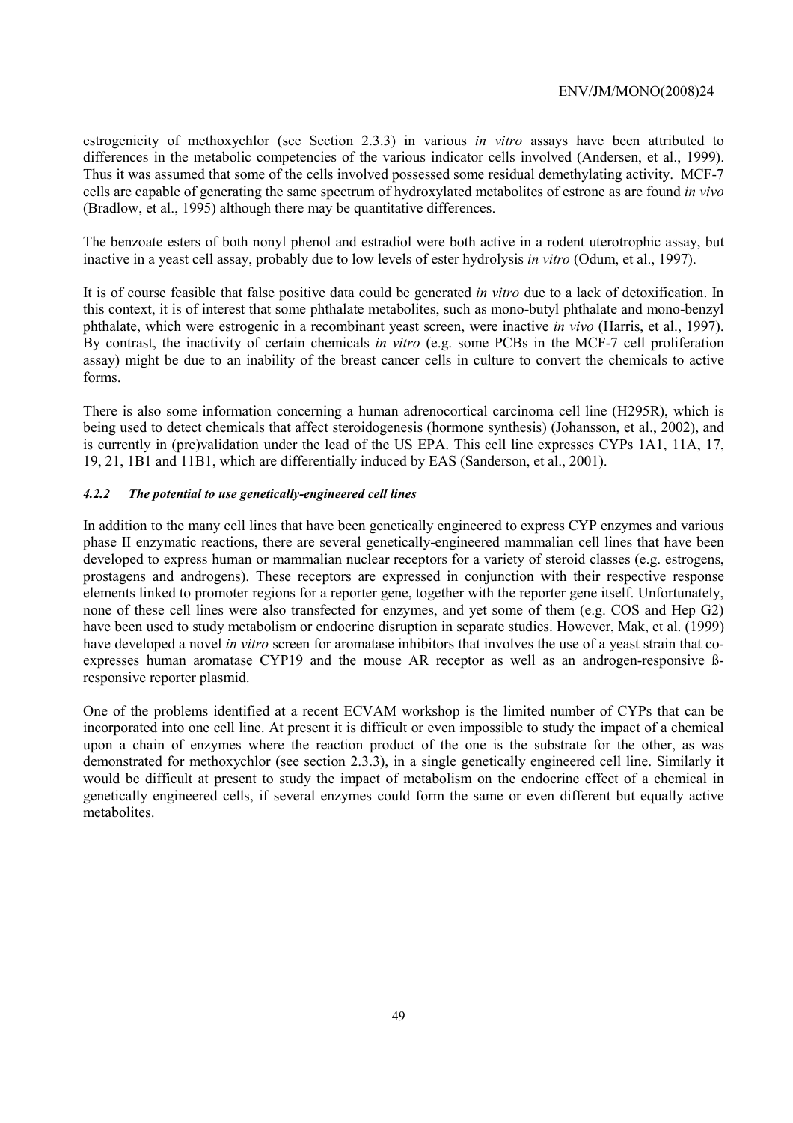estrogenicity of methoxychlor (see Section 2.3.3) in various *in vitro* assays have been attributed to differences in the metabolic competencies of the various indicator cells involved (Andersen, et al., 1999). Thus it was assumed that some of the cells involved possessed some residual demethylating activity. MCF-7 cells are capable of generating the same spectrum of hydroxylated metabolites of estrone as are found *in vivo* (Bradlow, et al., 1995) although there may be quantitative differences.

The benzoate esters of both nonyl phenol and estradiol were both active in a rodent uterotrophic assay, but inactive in a yeast cell assay, probably due to low levels of ester hydrolysis *in vitro* (Odum, et al., 1997).

It is of course feasible that false positive data could be generated *in vitro* due to a lack of detoxification. In this context, it is of interest that some phthalate metabolites, such as mono-butyl phthalate and mono-benzyl phthalate, which were estrogenic in a recombinant yeast screen, were inactive *in vivo* (Harris, et al., 1997). By contrast, the inactivity of certain chemicals *in vitro* (e.g. some PCBs in the MCF-7 cell proliferation assay) might be due to an inability of the breast cancer cells in culture to convert the chemicals to active forms.

There is also some information concerning a human adrenocortical carcinoma cell line (H295R), which is being used to detect chemicals that affect steroidogenesis (hormone synthesis) (Johansson, et al., 2002), and is currently in (pre)validation under the lead of the US EPA. This cell line expresses CYPs 1A1, 11A, 17, 19, 21, 1B1 and 11B1, which are differentially induced by EAS (Sanderson, et al., 2001).

# *4.2.2 The potential to use genetically-engineered cell lines*

In addition to the many cell lines that have been genetically engineered to express CYP enzymes and various phase II enzymatic reactions, there are several genetically-engineered mammalian cell lines that have been developed to express human or mammalian nuclear receptors for a variety of steroid classes (e.g. estrogens, prostagens and androgens). These receptors are expressed in conjunction with their respective response elements linked to promoter regions for a reporter gene, together with the reporter gene itself. Unfortunately, none of these cell lines were also transfected for enzymes, and yet some of them (e.g. COS and Hep G2) have been used to study metabolism or endocrine disruption in separate studies. However, Mak, et al. (1999) have developed a novel *in vitro* screen for aromatase inhibitors that involves the use of a yeast strain that coexpresses human aromatase CYP19 and the mouse AR receptor as well as an androgen-responsive ßresponsive reporter plasmid.

One of the problems identified at a recent ECVAM workshop is the limited number of CYPs that can be incorporated into one cell line. At present it is difficult or even impossible to study the impact of a chemical upon a chain of enzymes where the reaction product of the one is the substrate for the other, as was demonstrated for methoxychlor (see section 2.3.3), in a single genetically engineered cell line. Similarly it would be difficult at present to study the impact of metabolism on the endocrine effect of a chemical in genetically engineered cells, if several enzymes could form the same or even different but equally active metabolites.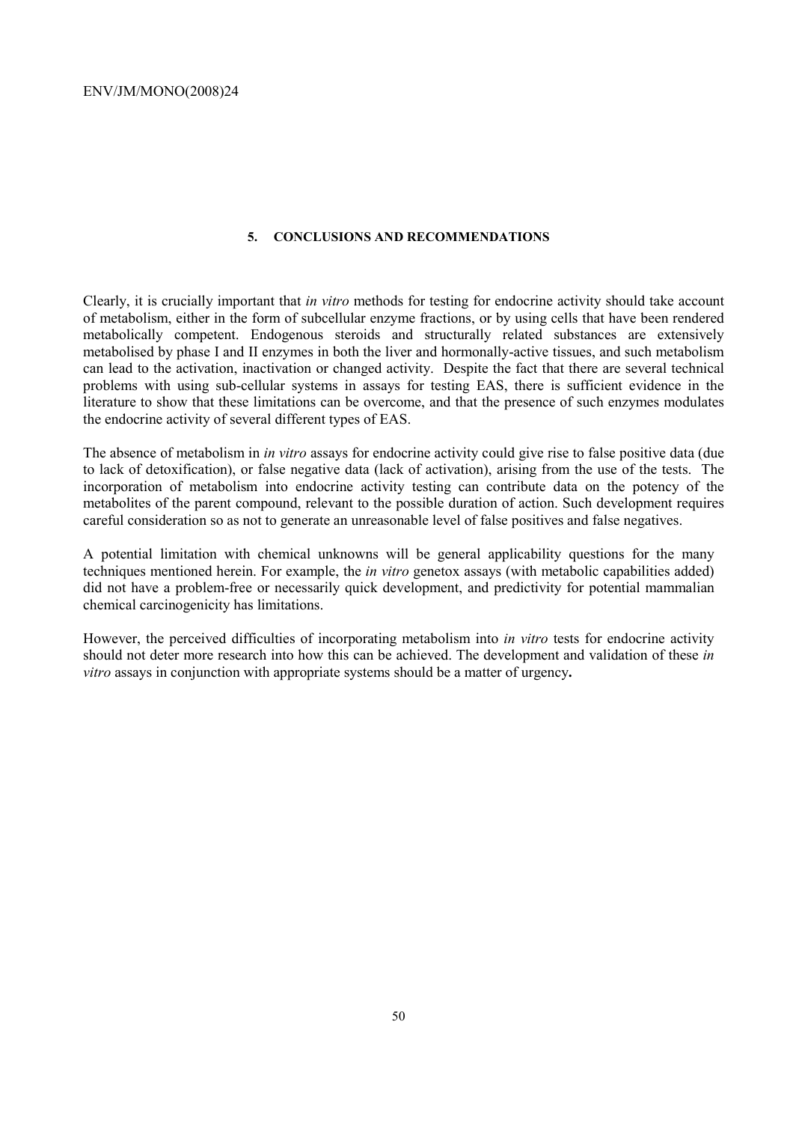#### **5. CONCLUSIONS AND RECOMMENDATIONS**

Clearly, it is crucially important that *in vitro* methods for testing for endocrine activity should take account of metabolism, either in the form of subcellular enzyme fractions, or by using cells that have been rendered metabolically competent. Endogenous steroids and structurally related substances are extensively metabolised by phase I and II enzymes in both the liver and hormonally-active tissues, and such metabolism can lead to the activation, inactivation or changed activity. Despite the fact that there are several technical problems with using sub-cellular systems in assays for testing EAS, there is sufficient evidence in the literature to show that these limitations can be overcome, and that the presence of such enzymes modulates the endocrine activity of several different types of EAS.

The absence of metabolism in *in vitro* assays for endocrine activity could give rise to false positive data (due to lack of detoxification), or false negative data (lack of activation), arising from the use of the tests. The incorporation of metabolism into endocrine activity testing can contribute data on the potency of the metabolites of the parent compound, relevant to the possible duration of action. Such development requires careful consideration so as not to generate an unreasonable level of false positives and false negatives.

A potential limitation with chemical unknowns will be general applicability questions for the many techniques mentioned herein. For example, the *in vitro* genetox assays (with metabolic capabilities added) did not have a problem-free or necessarily quick development, and predictivity for potential mammalian chemical carcinogenicity has limitations.

However, the perceived difficulties of incorporating metabolism into *in vitro* tests for endocrine activity should not deter more research into how this can be achieved. The development and validation of these *in vitro* assays in conjunction with appropriate systems should be a matter of urgency**.**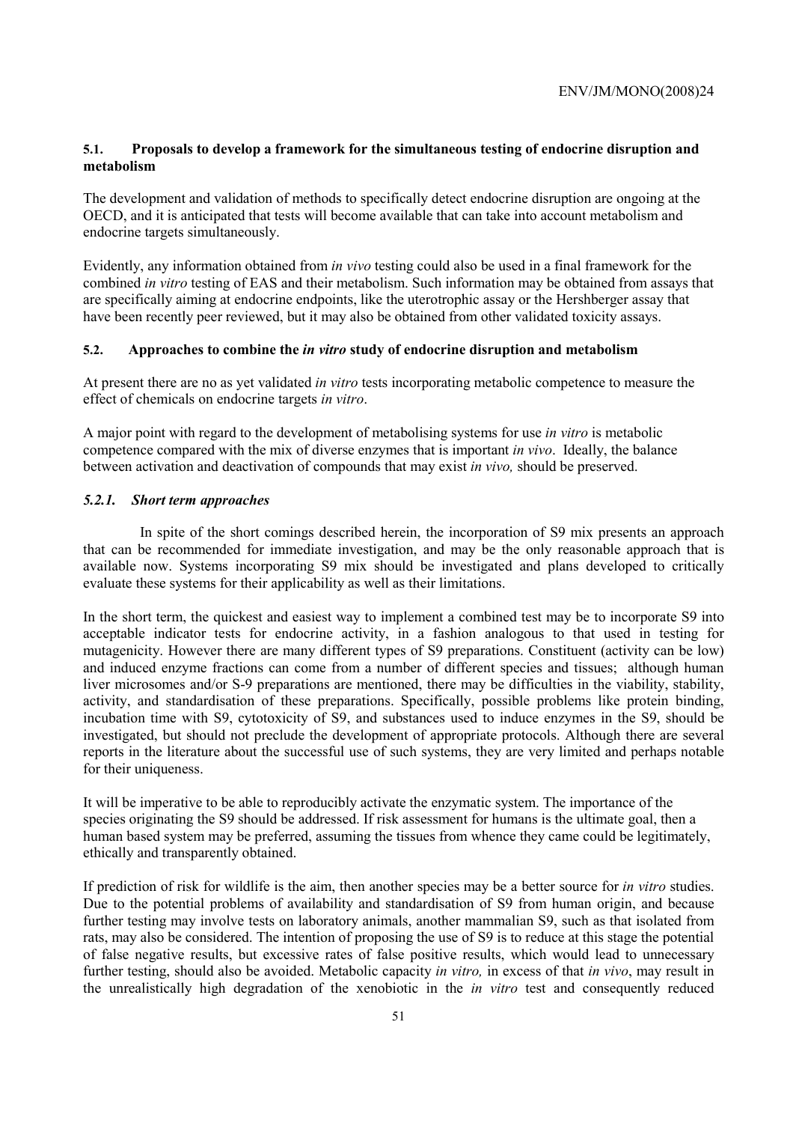# **5.1. Proposals to develop a framework for the simultaneous testing of endocrine disruption and metabolism**

The development and validation of methods to specifically detect endocrine disruption are ongoing at the OECD, and it is anticipated that tests will become available that can take into account metabolism and endocrine targets simultaneously.

Evidently, any information obtained from *in vivo* testing could also be used in a final framework for the combined *in vitro* testing of EAS and their metabolism. Such information may be obtained from assays that are specifically aiming at endocrine endpoints, like the uterotrophic assay or the Hershberger assay that have been recently peer reviewed, but it may also be obtained from other validated toxicity assays.

# **5.2. Approaches to combine the** *in vitro* **study of endocrine disruption and metabolism**

At present there are no as yet validated *in vitro* tests incorporating metabolic competence to measure the effect of chemicals on endocrine targets *in vitro*.

A major point with regard to the development of metabolising systems for use *in vitro* is metabolic competence compared with the mix of diverse enzymes that is important *in vivo*. Ideally, the balance between activation and deactivation of compounds that may exist *in vivo,* should be preserved.

# *5.2.1. Short term approaches*

In spite of the short comings described herein, the incorporation of S9 mix presents an approach that can be recommended for immediate investigation, and may be the only reasonable approach that is available now. Systems incorporating S9 mix should be investigated and plans developed to critically evaluate these systems for their applicability as well as their limitations.

In the short term, the quickest and easiest way to implement a combined test may be to incorporate S9 into acceptable indicator tests for endocrine activity, in a fashion analogous to that used in testing for mutagenicity. However there are many different types of S9 preparations. Constituent (activity can be low) and induced enzyme fractions can come from a number of different species and tissues; although human liver microsomes and/or S-9 preparations are mentioned, there may be difficulties in the viability, stability, activity, and standardisation of these preparations. Specifically, possible problems like protein binding, incubation time with S9, cytotoxicity of S9, and substances used to induce enzymes in the S9, should be investigated, but should not preclude the development of appropriate protocols. Although there are several reports in the literature about the successful use of such systems, they are very limited and perhaps notable for their uniqueness.

It will be imperative to be able to reproducibly activate the enzymatic system. The importance of the species originating the S9 should be addressed. If risk assessment for humans is the ultimate goal, then a human based system may be preferred, assuming the tissues from whence they came could be legitimately, ethically and transparently obtained.

If prediction of risk for wildlife is the aim, then another species may be a better source for *in vitro* studies. Due to the potential problems of availability and standardisation of S9 from human origin, and because further testing may involve tests on laboratory animals, another mammalian S9, such as that isolated from rats, may also be considered. The intention of proposing the use of S9 is to reduce at this stage the potential of false negative results, but excessive rates of false positive results, which would lead to unnecessary further testing, should also be avoided. Metabolic capacity *in vitro,* in excess of that *in vivo*, may result in the unrealistically high degradation of the xenobiotic in the *in vitro* test and consequently reduced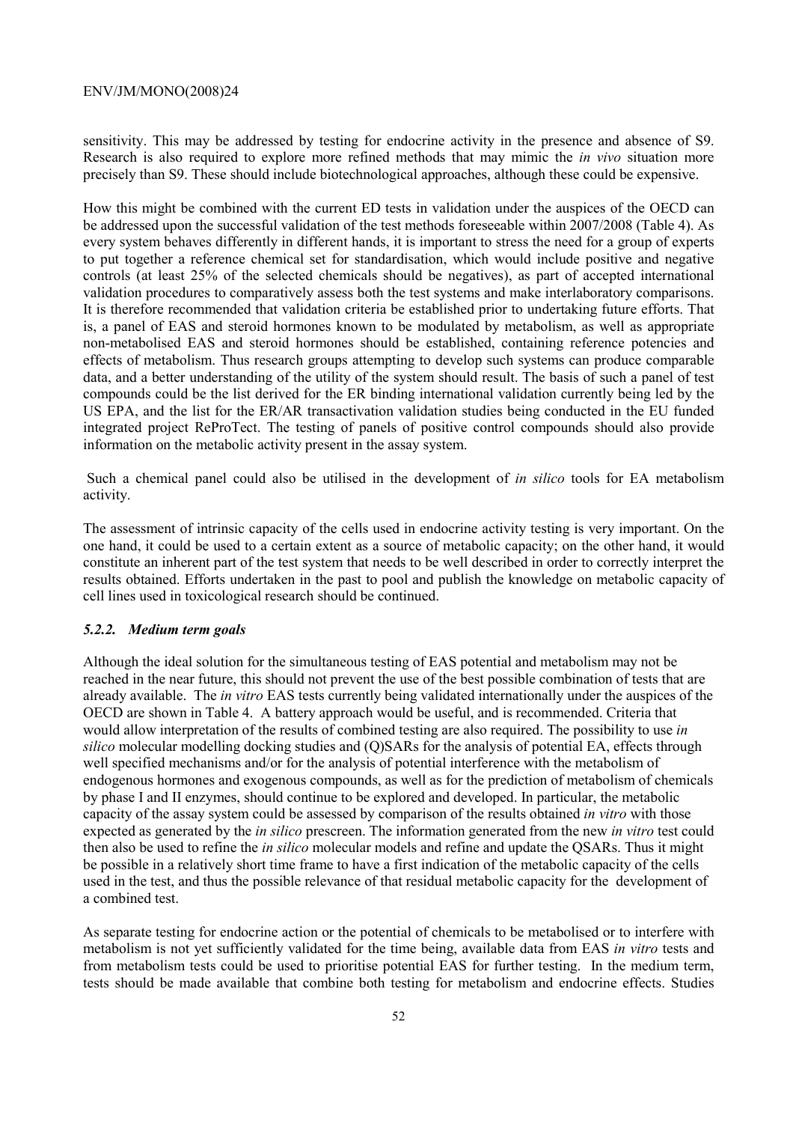sensitivity. This may be addressed by testing for endocrine activity in the presence and absence of S9. Research is also required to explore more refined methods that may mimic the *in vivo* situation more precisely than S9. These should include biotechnological approaches, although these could be expensive.

How this might be combined with the current ED tests in validation under the auspices of the OECD can be addressed upon the successful validation of the test methods foreseeable within 2007/2008 (Table 4). As every system behaves differently in different hands, it is important to stress the need for a group of experts to put together a reference chemical set for standardisation, which would include positive and negative controls (at least 25% of the selected chemicals should be negatives), as part of accepted international validation procedures to comparatively assess both the test systems and make interlaboratory comparisons. It is therefore recommended that validation criteria be established prior to undertaking future efforts. That is, a panel of EAS and steroid hormones known to be modulated by metabolism, as well as appropriate non-metabolised EAS and steroid hormones should be established, containing reference potencies and effects of metabolism. Thus research groups attempting to develop such systems can produce comparable data, and a better understanding of the utility of the system should result. The basis of such a panel of test compounds could be the list derived for the ER binding international validation currently being led by the US EPA, and the list for the ER/AR transactivation validation studies being conducted in the EU funded integrated project ReProTect. The testing of panels of positive control compounds should also provide information on the metabolic activity present in the assay system.

 Such a chemical panel could also be utilised in the development of *in silico* tools for EA metabolism activity.

The assessment of intrinsic capacity of the cells used in endocrine activity testing is very important. On the one hand, it could be used to a certain extent as a source of metabolic capacity; on the other hand, it would constitute an inherent part of the test system that needs to be well described in order to correctly interpret the results obtained. Efforts undertaken in the past to pool and publish the knowledge on metabolic capacity of cell lines used in toxicological research should be continued.

#### *5.2.2. Medium term goals*

Although the ideal solution for the simultaneous testing of EAS potential and metabolism may not be reached in the near future, this should not prevent the use of the best possible combination of tests that are already available. The *in vitro* EAS tests currently being validated internationally under the auspices of the OECD are shown in Table 4. A battery approach would be useful, and is recommended. Criteria that would allow interpretation of the results of combined testing are also required. The possibility to use *in silico* molecular modelling docking studies and (Q)SARs for the analysis of potential EA, effects through well specified mechanisms and/or for the analysis of potential interference with the metabolism of endogenous hormones and exogenous compounds, as well as for the prediction of metabolism of chemicals by phase I and II enzymes, should continue to be explored and developed. In particular, the metabolic capacity of the assay system could be assessed by comparison of the results obtained *in vitro* with those expected as generated by the *in silico* prescreen. The information generated from the new *in vitro* test could then also be used to refine the *in silico* molecular models and refine and update the QSARs. Thus it might be possible in a relatively short time frame to have a first indication of the metabolic capacity of the cells used in the test, and thus the possible relevance of that residual metabolic capacity for the development of a combined test.

As separate testing for endocrine action or the potential of chemicals to be metabolised or to interfere with metabolism is not yet sufficiently validated for the time being, available data from EAS *in vitro* tests and from metabolism tests could be used to prioritise potential EAS for further testing. In the medium term, tests should be made available that combine both testing for metabolism and endocrine effects. Studies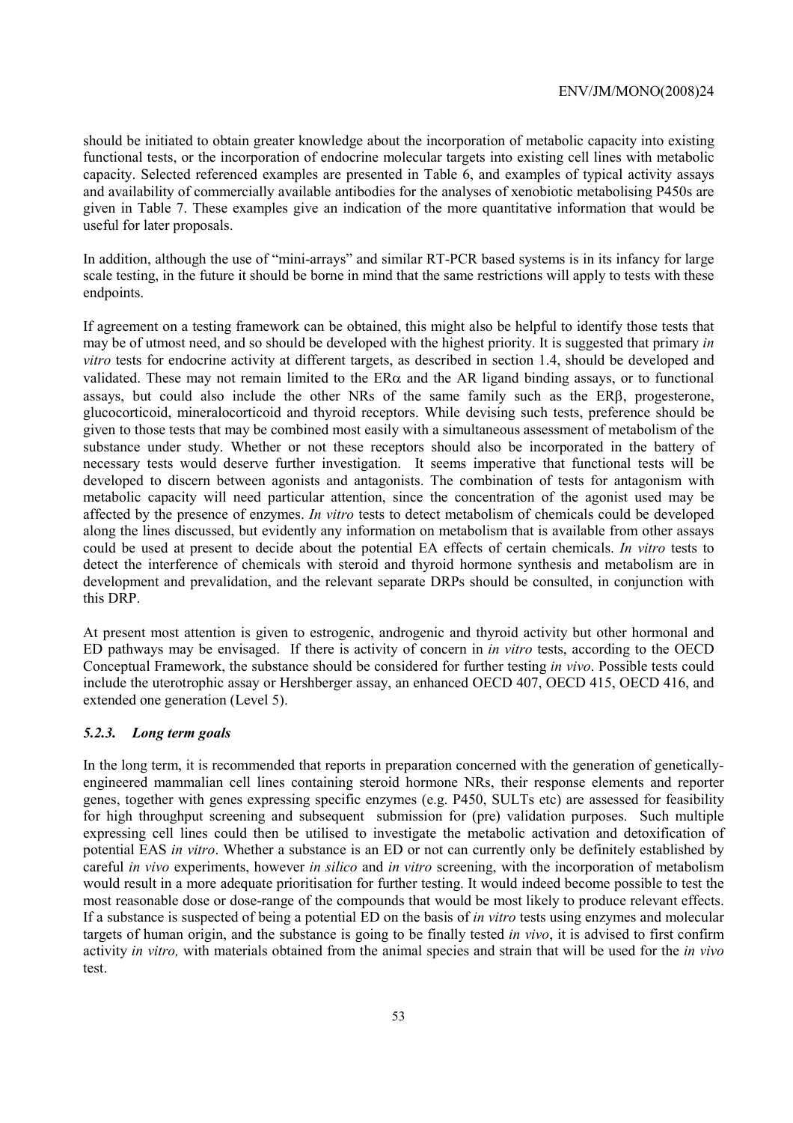should be initiated to obtain greater knowledge about the incorporation of metabolic capacity into existing functional tests, or the incorporation of endocrine molecular targets into existing cell lines with metabolic capacity. Selected referenced examples are presented in Table 6, and examples of typical activity assays and availability of commercially available antibodies for the analyses of xenobiotic metabolising P450s are given in Table 7. These examples give an indication of the more quantitative information that would be useful for later proposals.

In addition, although the use of "mini-arrays" and similar RT-PCR based systems is in its infancy for large scale testing, in the future it should be borne in mind that the same restrictions will apply to tests with these endpoints.

If agreement on a testing framework can be obtained, this might also be helpful to identify those tests that may be of utmost need, and so should be developed with the highest priority. It is suggested that primary *in vitro* tests for endocrine activity at different targets, as described in section 1.4, should be developed and validated. These may not remain limited to the  $ER\alpha$  and the AR ligand binding assays, or to functional assays, but could also include the other NRs of the same family such as the ERβ, progesterone, glucocorticoid, mineralocorticoid and thyroid receptors. While devising such tests, preference should be given to those tests that may be combined most easily with a simultaneous assessment of metabolism of the substance under study. Whether or not these receptors should also be incorporated in the battery of necessary tests would deserve further investigation. It seems imperative that functional tests will be developed to discern between agonists and antagonists. The combination of tests for antagonism with metabolic capacity will need particular attention, since the concentration of the agonist used may be affected by the presence of enzymes. *In vitro* tests to detect metabolism of chemicals could be developed along the lines discussed, but evidently any information on metabolism that is available from other assays could be used at present to decide about the potential EA effects of certain chemicals. *In vitro* tests to detect the interference of chemicals with steroid and thyroid hormone synthesis and metabolism are in development and prevalidation, and the relevant separate DRPs should be consulted, in conjunction with this DRP.

At present most attention is given to estrogenic, androgenic and thyroid activity but other hormonal and ED pathways may be envisaged. If there is activity of concern in *in vitro* tests, according to the OECD Conceptual Framework, the substance should be considered for further testing *in vivo*. Possible tests could include the uterotrophic assay or Hershberger assay, an enhanced OECD 407, OECD 415, OECD 416, and extended one generation (Level 5).

#### *5.2.3. Long term goals*

In the long term, it is recommended that reports in preparation concerned with the generation of geneticallyengineered mammalian cell lines containing steroid hormone NRs, their response elements and reporter genes, together with genes expressing specific enzymes (e.g. P450, SULTs etc) are assessed for feasibility for high throughput screening and subsequent submission for (pre) validation purposes. Such multiple expressing cell lines could then be utilised to investigate the metabolic activation and detoxification of potential EAS *in vitro*. Whether a substance is an ED or not can currently only be definitely established by careful *in vivo* experiments, however *in silico* and *in vitro* screening, with the incorporation of metabolism would result in a more adequate prioritisation for further testing. It would indeed become possible to test the most reasonable dose or dose-range of the compounds that would be most likely to produce relevant effects. If a substance is suspected of being a potential ED on the basis of *in vitro* tests using enzymes and molecular targets of human origin, and the substance is going to be finally tested *in vivo*, it is advised to first confirm activity *in vitro,* with materials obtained from the animal species and strain that will be used for the *in vivo* test.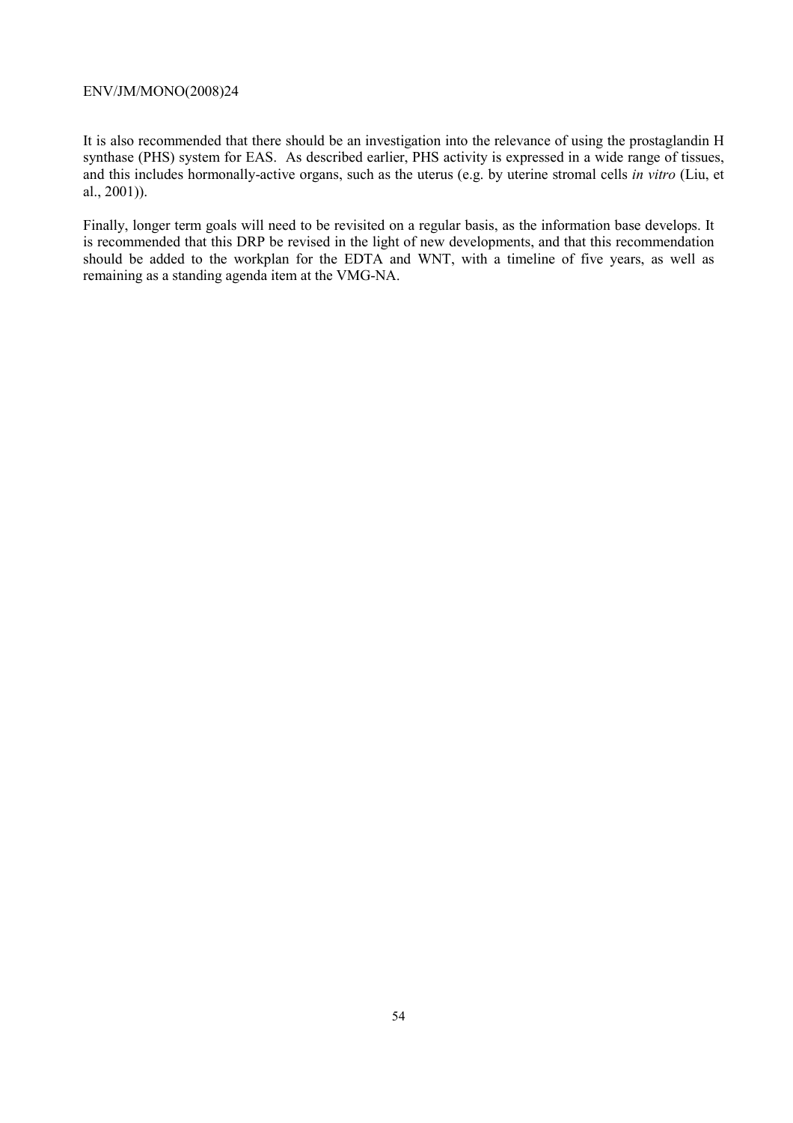It is also recommended that there should be an investigation into the relevance of using the prostaglandin H synthase (PHS) system for EAS. As described earlier, PHS activity is expressed in a wide range of tissues, and this includes hormonally-active organs, such as the uterus (e.g. by uterine stromal cells *in vitro* (Liu, et al., 2001)).

Finally, longer term goals will need to be revisited on a regular basis, as the information base develops. It is recommended that this DRP be revised in the light of new developments, and that this recommendation should be added to the workplan for the EDTA and WNT, with a timeline of five years, as well as remaining as a standing agenda item at the VMG-NA.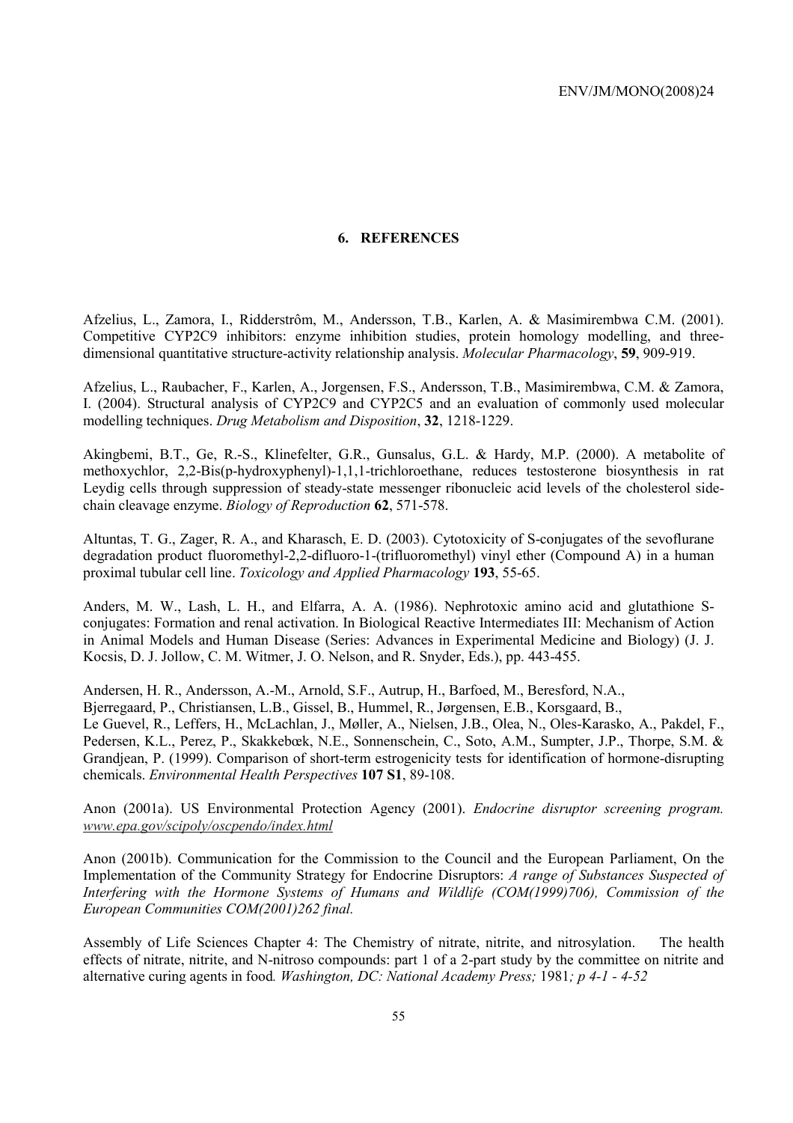#### **6. REFERENCES**

Afzelius, L., Zamora, I., Ridderstrôm, M., Andersson, T.B., Karlen, A. & Masimirembwa C.M. (2001). Competitive CYP2C9 inhibitors: enzyme inhibition studies, protein homology modelling, and threedimensional quantitative structure-activity relationship analysis. *Molecular Pharmacology*, **59**, 909-919.

Afzelius, L., Raubacher, F., Karlen, A., Jorgensen, F.S., Andersson, T.B., Masimirembwa, C.M. & Zamora, I. (2004). Structural analysis of CYP2C9 and CYP2C5 and an evaluation of commonly used molecular modelling techniques. *Drug Metabolism and Disposition*, **32**, 1218-1229.

Akingbemi, B.T., Ge, R.-S., Klinefelter, G.R., Gunsalus, G.L. & Hardy, M.P. (2000). A metabolite of methoxychlor, 2,2-Bis(p-hydroxyphenyl)-1,1,1-trichloroethane, reduces testosterone biosynthesis in rat Leydig cells through suppression of steady-state messenger ribonucleic acid levels of the cholesterol sidechain cleavage enzyme. *Biology of Reproduction* **62**, 571-578.

Altuntas, T. G., Zager, R. A., and Kharasch, E. D. (2003). Cytotoxicity of S-conjugates of the sevoflurane degradation product fluoromethyl-2,2-difluoro-1-(trifluoromethyl) vinyl ether (Compound A) in a human proximal tubular cell line. *Toxicology and Applied Pharmacology* **193**, 55-65.

Anders, M. W., Lash, L. H., and Elfarra, A. A. (1986). Nephrotoxic amino acid and glutathione Sconjugates: Formation and renal activation. In Biological Reactive Intermediates III: Mechanism of Action in Animal Models and Human Disease (Series: Advances in Experimental Medicine and Biology) (J. J. Kocsis, D. J. Jollow, C. M. Witmer, J. O. Nelson, and R. Snyder, Eds.), pp. 443-455.

Andersen, H. R., Andersson, A.-M., Arnold, S.F., Autrup, H., Barfoed, M., Beresford, N.A.,

Bjerregaard, P., Christiansen, L.B., Gissel, B., Hummel, R., Jørgensen, E.B., Korsgaard, B.,

Le Guevel, R., Leffers, H., McLachlan, J., Møller, A., Nielsen, J.B., Olea, N., Oles-Karasko, A., Pakdel, F., Pedersen, K.L., Perez, P., Skakkebœk, N.E., Sonnenschein, C., Soto, A.M., Sumpter, J.P., Thorpe, S.M. & Grandjean, P. (1999). Comparison of short-term estrogenicity tests for identification of hormone-disrupting chemicals. *Environmental Health Perspectives* **107 S1**, 89-108.

Anon (2001a). US Environmental Protection Agency (2001). *Endocrine disruptor screening program. www.epa.gov/scipoly/oscpendo/index.html*

Anon (2001b). Communication for the Commission to the Council and the European Parliament, On the Implementation of the Community Strategy for Endocrine Disruptors: *A range of Substances Suspected of Interfering with the Hormone Systems of Humans and Wildlife (COM(1999)706), Commission of the European Communities COM(2001)262 final.* 

Assembly of Life Sciences Chapter 4: The Chemistry of nitrate, nitrite, and nitrosylation. The health effects of nitrate, nitrite, and N-nitroso compounds: part 1 of a 2-part study by the committee on nitrite and alternative curing agents in food*. Washington, DC: National Academy Press;* 1981*; p 4-1 - 4-52*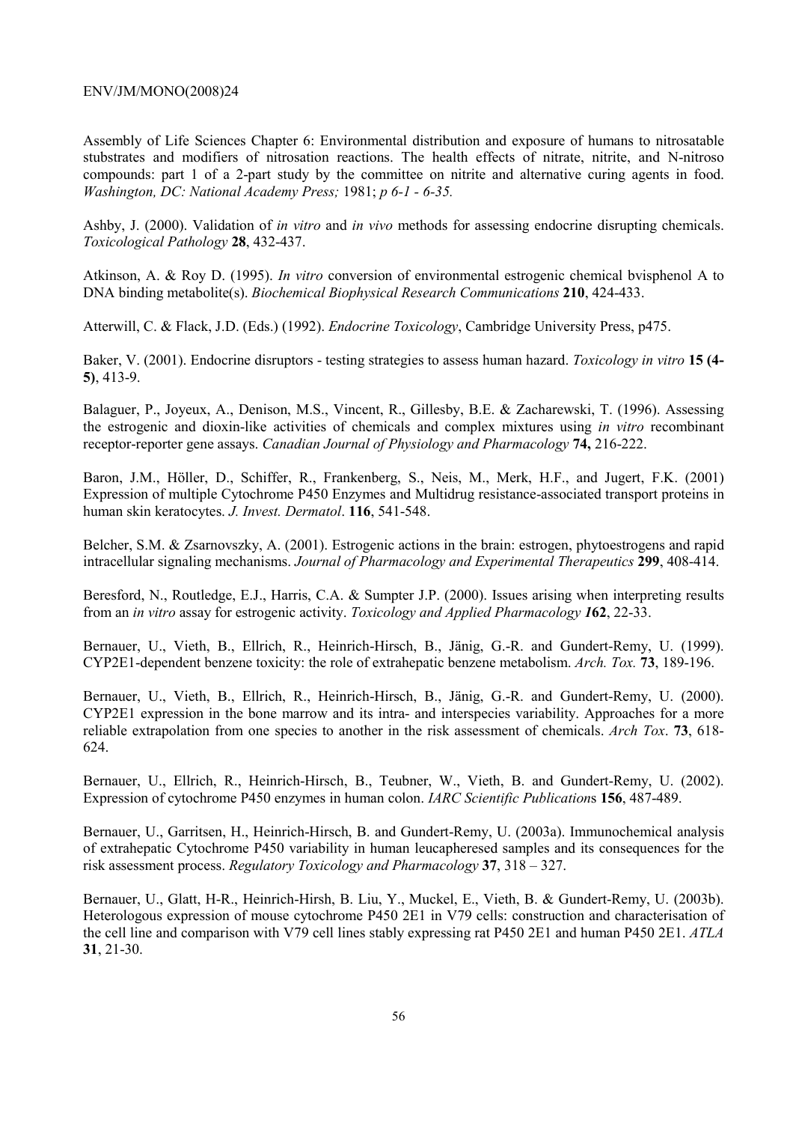Assembly of Life Sciences Chapter 6: Environmental distribution and exposure of humans to nitrosatable stubstrates and modifiers of nitrosation reactions. The health effects of nitrate, nitrite, and N-nitroso compounds: part 1 of a 2-part study by the committee on nitrite and alternative curing agents in food. *Washington, DC: National Academy Press;* 1981; *p 6-1 - 6-35.* 

Ashby, J. (2000). Validation of *in vitro* and *in vivo* methods for assessing endocrine disrupting chemicals. *Toxicological Pathology* **28**, 432-437.

Atkinson, A. & Roy D. (1995). *In vitro* conversion of environmental estrogenic chemical bvisphenol A to DNA binding metabolite(s). *Biochemical Biophysical Research Communications* **210**, 424-433.

Atterwill, C. & Flack, J.D. (Eds.) (1992). *Endocrine Toxicology*, Cambridge University Press, p475.

Baker, V. (2001). Endocrine disruptors - testing strategies to assess human hazard. *Toxicology in vitro* **15 (4- 5)**, 413-9.

Balaguer, P., Joyeux, A., Denison, M.S., Vincent, R., Gillesby, B.E. & Zacharewski, T. (1996). Assessing the estrogenic and dioxin-like activities of chemicals and complex mixtures using *in vitro* recombinant receptor-reporter gene assays. *Canadian Journal of Physiology and Pharmacology* **74,** 216-222.

Baron, J.M., Höller, D., Schiffer, R., Frankenberg, S., Neis, M., Merk, H.F., and Jugert, F.K. (2001) Expression of multiple Cytochrome P450 Enzymes and Multidrug resistance-associated transport proteins in human skin keratocytes. *J. Invest. Dermatol*. **116**, 541-548.

Belcher, S.M. & Zsarnovszky, A. (2001). Estrogenic actions in the brain: estrogen, phytoestrogens and rapid intracellular signaling mechanisms. *Journal of Pharmacology and Experimental Therapeutics* **299**, 408-414.

Beresford, N., Routledge, E.J., Harris, C.A. & Sumpter J.P. (2000). Issues arising when interpreting results from an *in vitro* assay for estrogenic activity. *Toxicology and Applied Pharmacology 1***62**, 22-33.

Bernauer, U., Vieth, B., Ellrich, R., Heinrich-Hirsch, B., Jänig, G.-R. and Gundert-Remy, U. (1999). CYP2E1-dependent benzene toxicity: the role of extrahepatic benzene metabolism. *Arch. Tox.* **73**, 189-196.

Bernauer, U., Vieth, B., Ellrich, R., Heinrich-Hirsch, B., Jänig, G.-R. and Gundert-Remy, U. (2000). CYP2E1 expression in the bone marrow and its intra- and interspecies variability. Approaches for a more reliable extrapolation from one species to another in the risk assessment of chemicals. *Arch Tox*. **73**, 618- 624.

Bernauer, U., Ellrich, R., Heinrich-Hirsch, B., Teubner, W., Vieth, B. and Gundert-Remy, U. (2002). Expression of cytochrome P450 enzymes in human colon. *IARC Scientific Publication*s **156**, 487-489.

Bernauer, U., Garritsen, H., Heinrich-Hirsch, B. and Gundert-Remy, U. (2003a). Immunochemical analysis of extrahepatic Cytochrome P450 variability in human leucapheresed samples and its consequences for the risk assessment process. *Regulatory Toxicology and Pharmacology* **37**, 318 – 327.

Bernauer, U., Glatt, H-R., Heinrich-Hirsh, B. Liu, Y., Muckel, E., Vieth, B. & Gundert-Remy, U. (2003b). Heterologous expression of mouse cytochrome P450 2E1 in V79 cells: construction and characterisation of the cell line and comparison with V79 cell lines stably expressing rat P450 2E1 and human P450 2E1. *ATLA* **31**, 21-30.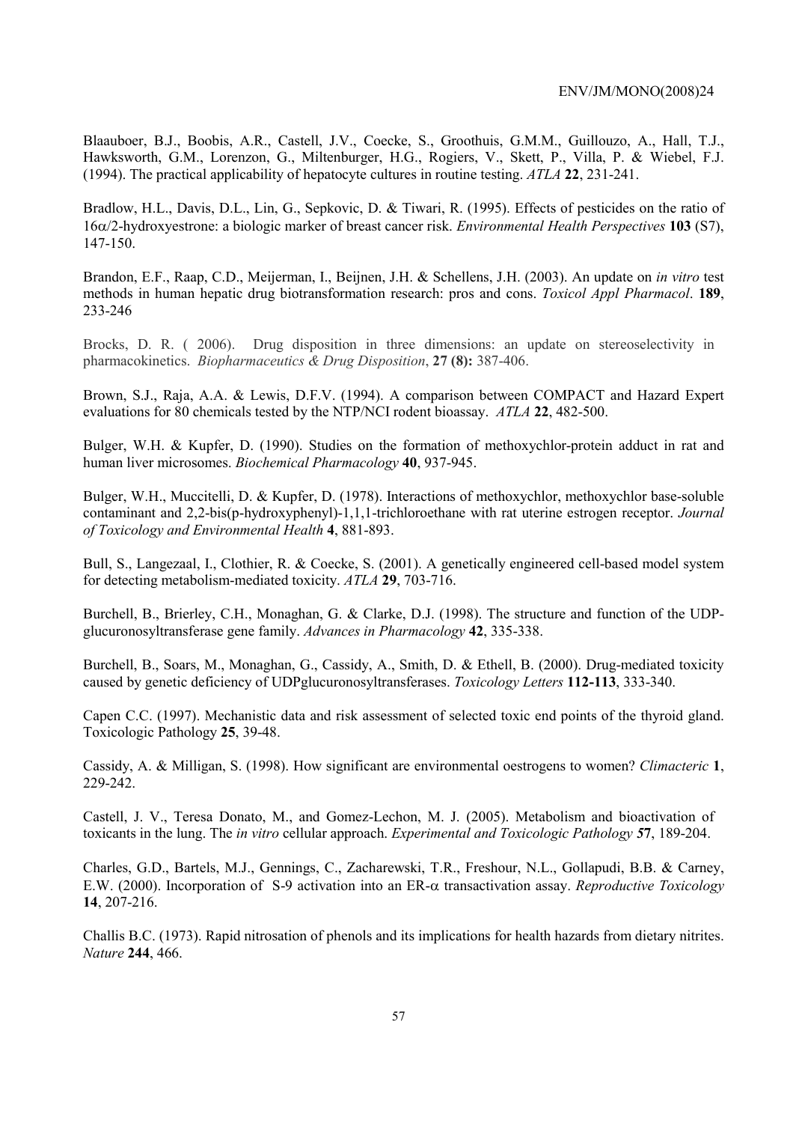Blaauboer, B.J., Boobis, A.R., Castell, J.V., Coecke, S., Groothuis, G.M.M., Guillouzo, A., Hall, T.J., Hawksworth, G.M., Lorenzon, G., Miltenburger, H.G., Rogiers, V., Skett, P., Villa, P. & Wiebel, F.J. (1994). The practical applicability of hepatocyte cultures in routine testing. *ATLA* **22**, 231-241.

Bradlow, H.L., Davis, D.L., Lin, G., Sepkovic, D. & Tiwari, R. (1995). Effects of pesticides on the ratio of 16α/2-hydroxyestrone: a biologic marker of breast cancer risk. *Environmental Health Perspectives* **103** (S7), 147-150.

Brandon, E.F., Raap, C.D., Meijerman, I., Beijnen, J.H. & Schellens, J.H. (2003). An update on *in vitro* test methods in human hepatic drug biotransformation research: pros and cons. *Toxicol Appl Pharmacol*. **189**, 233-246

Brocks, D. R. ( 2006). Drug disposition in three dimensions: an update on stereoselectivity in pharmacokinetics. *Biopharmaceutics & Drug Disposition*, **27 (8):** 387-406.

Brown, S.J., Raja, A.A. & Lewis, D.F.V. (1994). A comparison between COMPACT and Hazard Expert evaluations for 80 chemicals tested by the NTP/NCI rodent bioassay. *ATLA* **22**, 482-500.

Bulger, W.H. & Kupfer, D. (1990). Studies on the formation of methoxychlor-protein adduct in rat and human liver microsomes. *Biochemical Pharmacology* **40**, 937-945.

Bulger, W.H., Muccitelli, D. & Kupfer, D. (1978). Interactions of methoxychlor, methoxychlor base-soluble contaminant and 2,2-bis(p-hydroxyphenyl)-1,1,1-trichloroethane with rat uterine estrogen receptor. *Journal of Toxicology and Environmental Health* **4**, 881-893.

Bull, S., Langezaal, I., Clothier, R. & Coecke, S. (2001). A genetically engineered cell-based model system for detecting metabolism-mediated toxicity. *ATLA* **29**, 703-716.

Burchell, B., Brierley, C.H., Monaghan, G. & Clarke, D.J. (1998). The structure and function of the UDPglucuronosyltransferase gene family. *Advances in Pharmacology* **42**, 335-338.

Burchell, B., Soars, M., Monaghan, G., Cassidy, A., Smith, D. & Ethell, B. (2000). Drug-mediated toxicity caused by genetic deficiency of UDPglucuronosyltransferases. *Toxicology Letters* **112-113**, 333-340.

Capen C.C. (1997). Mechanistic data and risk assessment of selected toxic end points of the thyroid gland. Toxicologic Pathology **25**, 39-48.

Cassidy, A. & Milligan, S. (1998). How significant are environmental oestrogens to women? *Climacteric* **1**, 229-242.

Castell, J. V., Teresa Donato, M., and Gomez-Lechon, M. J. (2005). Metabolism and bioactivation of toxicants in the lung. The *in vitro* cellular approach. *Experimental and Toxicologic Pathology 5***7**, 189-204.

Charles, G.D., Bartels, M.J., Gennings, C., Zacharewski, T.R., Freshour, N.L., Gollapudi, B.B. & Carney, E.W. (2000). Incorporation of S-9 activation into an ER-α transactivation assay. *Reproductive Toxicology* **14**, 207-216.

Challis B.C. (1973). Rapid nitrosation of phenols and its implications for health hazards from dietary nitrites. *Nature* **244**, 466.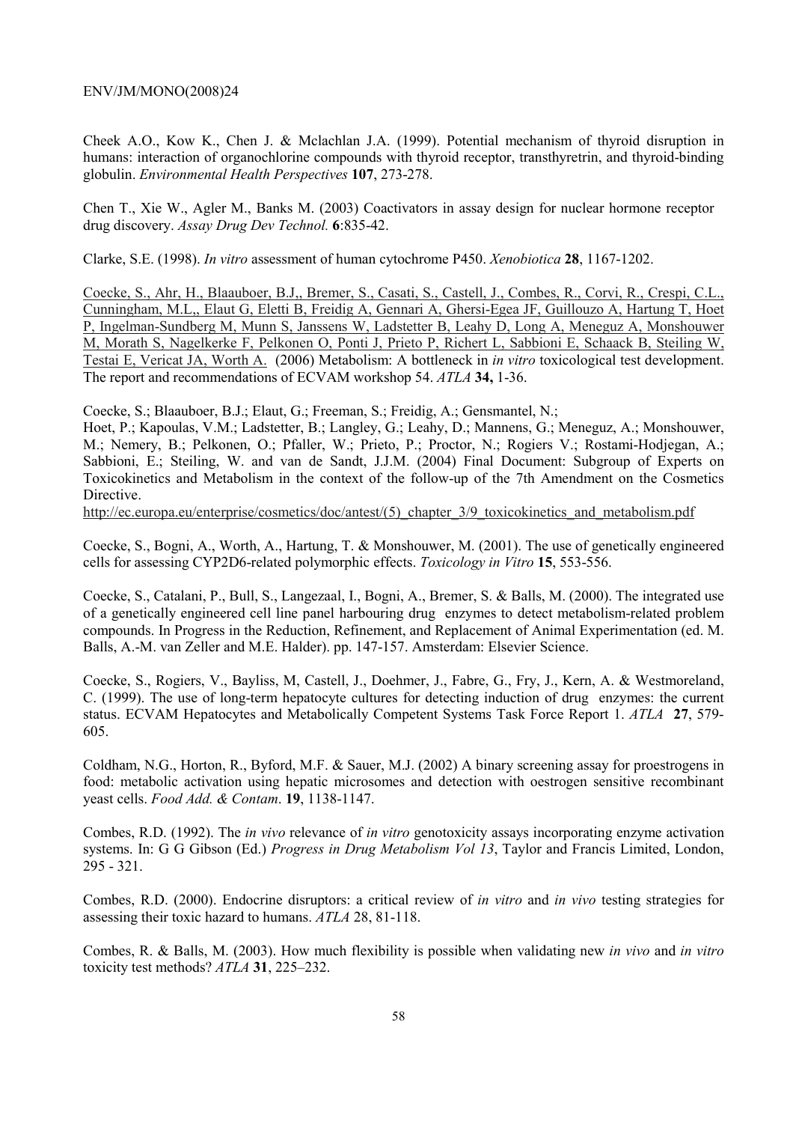Cheek A.O., Kow K., Chen J. & Mclachlan J.A. (1999). Potential mechanism of thyroid disruption in humans: interaction of organochlorine compounds with thyroid receptor, transthyretrin, and thyroid-binding globulin. *Environmental Health Perspectives* **107**, 273-278.

Chen T., Xie W., Agler M., Banks M. (2003) Coactivators in assay design for nuclear hormone receptor drug discovery. *Assay Drug Dev Technol.* **6**:835-42.

Clarke, S.E. (1998). *In vitro* assessment of human cytochrome P450. *Xenobiotica* **28**, 1167-1202.

Coecke, S., Ahr, H., Blaauboer, B.J,, Bremer, S., Casati, S., Castell, J., Combes, R., Corvi, R., Crespi, C.L., Cunningham, M.L,, Elaut G, Eletti B, Freidig A, Gennari A, Ghersi-Egea JF, Guillouzo A, Hartung T, Hoet P, Ingelman-Sundberg M, Munn S, Janssens W, Ladstetter B, Leahy D, Long A, Meneguz A, Monshouwer M, Morath S, Nagelkerke F, Pelkonen O, Ponti J, Prieto P, Richert L, Sabbioni E, Schaack B, Steiling W, Testai E, Vericat JA, Worth A. (2006) Metabolism: A bottleneck in *in vitro* toxicological test development. The report and recommendations of ECVAM workshop 54. *ATLA* **34,** 1-36.

Coecke, S.; Blaauboer, B.J.; Elaut, G.; Freeman, S.; Freidig, A.; Gensmantel, N.;

Hoet, P.; Kapoulas, V.M.; Ladstetter, B.; Langley, G.; Leahy, D.; Mannens, G.; Meneguz, A.; Monshouwer, M.; Nemery, B.; Pelkonen, O.; Pfaller, W.; Prieto, P.; Proctor, N.; Rogiers V.; Rostami-Hodjegan, A.; Sabbioni, E.; Steiling, W. and van de Sandt, J.J.M. (2004) Final Document: Subgroup of Experts on Toxicokinetics and Metabolism in the context of the follow-up of the 7th Amendment on the Cosmetics Directive.

http://ec.europa.eu/enterprise/cosmetics/doc/antest/(5) chapter 3/9 toxicokinetics and metabolism.pdf

Coecke, S., Bogni, A., Worth, A., Hartung, T. & Monshouwer, M. (2001). The use of genetically engineered cells for assessing CYP2D6-related polymorphic effects. *Toxicology in Vitro* **15**, 553-556.

Coecke, S., Catalani, P., Bull, S., Langezaal, I., Bogni, A., Bremer, S. & Balls, M. (2000). The integrated use of a genetically engineered cell line panel harbouring drug enzymes to detect metabolism-related problem compounds. In Progress in the Reduction, Refinement, and Replacement of Animal Experimentation (ed. M. Balls, A.-M. van Zeller and M.E. Halder). pp. 147-157. Amsterdam: Elsevier Science.

Coecke, S., Rogiers, V., Bayliss, M, Castell, J., Doehmer, J., Fabre, G., Fry, J., Kern, A. & Westmoreland, C. (1999). The use of long-term hepatocyte cultures for detecting induction of drug enzymes: the current status. ECVAM Hepatocytes and Metabolically Competent Systems Task Force Report 1. *ATLA* **27**, 579- 605.

Coldham, N.G., Horton, R., Byford, M.F. & Sauer, M.J. (2002) A binary screening assay for proestrogens in food: metabolic activation using hepatic microsomes and detection with oestrogen sensitive recombinant yeast cells. *Food Add. & Contam*. **19**, 1138-1147.

Combes, R.D. (1992). The *in vivo* relevance of *in vitro* genotoxicity assays incorporating enzyme activation systems. In: G G Gibson (Ed.) *Progress in Drug Metabolism Vol 13*, Taylor and Francis Limited, London, 295 - 321.

Combes, R.D. (2000). Endocrine disruptors: a critical review of *in vitro* and *in vivo* testing strategies for assessing their toxic hazard to humans. *ATLA* 28, 81-118.

Combes, R. & Balls, M. (2003). How much flexibility is possible when validating new *in vivo* and *in vitro* toxicity test methods? *ATLA* **31**, 225–232.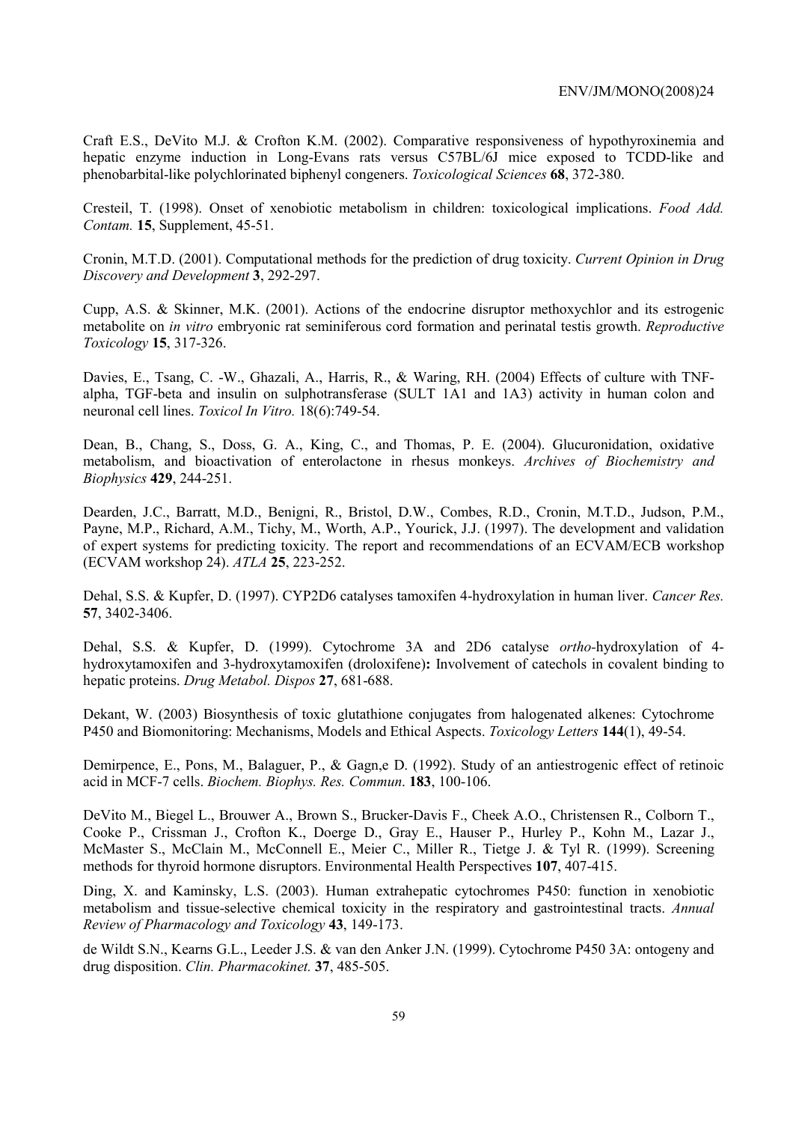Craft E.S., DeVito M.J. & Crofton K.M. (2002). Comparative responsiveness of hypothyroxinemia and hepatic enzyme induction in Long-Evans rats versus C57BL/6J mice exposed to TCDD-like and phenobarbital-like polychlorinated biphenyl congeners. *Toxicological Sciences* **68**, 372-380.

Cresteil, T. (1998). Onset of xenobiotic metabolism in children: toxicological implications. *Food Add. Contam.* **15**, Supplement, 45-51.

Cronin, M.T.D. (2001). Computational methods for the prediction of drug toxicity. *Current Opinion in Drug Discovery and Development* **3**, 292-297.

Cupp, A.S. & Skinner, M.K. (2001). Actions of the endocrine disruptor methoxychlor and its estrogenic metabolite on *in vitro* embryonic rat seminiferous cord formation and perinatal testis growth. *Reproductive Toxicology* **15**, 317-326.

Davies, E., Tsang, C. -W., Ghazali, A., Harris, R., & Waring, RH. (2004) Effects of culture with TNFalpha, TGF-beta and insulin on sulphotransferase (SULT 1A1 and 1A3) activity in human colon and neuronal cell lines. *Toxicol In Vitro.* 18(6):749-54.

Dean, B., Chang, S., Doss, G. A., King, C., and Thomas, P. E. (2004). Glucuronidation, oxidative metabolism, and bioactivation of enterolactone in rhesus monkeys. *Archives of Biochemistry and Biophysics* **429**, 244-251.

Dearden, J.C., Barratt, M.D., Benigni, R., Bristol, D.W., Combes, R.D., Cronin, M.T.D., Judson, P.M., Payne, M.P., Richard, A.M., Tichy, M., Worth, A.P., Yourick, J.J. (1997). The development and validation of expert systems for predicting toxicity. The report and recommendations of an ECVAM/ECB workshop (ECVAM workshop 24). *ATLA* **25**, 223-252.

Dehal, S.S. & Kupfer, D. (1997). CYP2D6 catalyses tamoxifen 4-hydroxylation in human liver. *Cancer Res.* **57**, 3402-3406.

Dehal, S.S. & Kupfer, D. (1999). Cytochrome 3A and 2D6 catalyse *ortho-*hydroxylation of 4 hydroxytamoxifen and 3-hydroxytamoxifen (droloxifene)**:** Involvement of catechols in covalent binding to hepatic proteins. *Drug Metabol. Dispos* **27**, 681-688.

Dekant, W. (2003) Biosynthesis of toxic glutathione conjugates from halogenated alkenes: Cytochrome P450 and Biomonitoring: Mechanisms, Models and Ethical Aspects. *Toxicology Letters* **144**(1), 49-54.

Demirpence, E., Pons, M., Balaguer, P., & Gagn,e D. (1992). Study of an antiestrogenic effect of retinoic acid in MCF-7 cells. *Biochem. Biophys. Res. Commun*. **183**, 100-106.

DeVito M., Biegel L., Brouwer A., Brown S., Brucker-Davis F., Cheek A.O., Christensen R., Colborn T., Cooke P., Crissman J., Crofton K., Doerge D., Gray E., Hauser P., Hurley P., Kohn M., Lazar J., McMaster S., McClain M., McConnell E., Meier C., Miller R., Tietge J. & Tyl R. (1999). Screening methods for thyroid hormone disruptors. Environmental Health Perspectives **107**, 407-415.

Ding, X. and Kaminsky, L.S. (2003). Human extrahepatic cytochromes P450: function in xenobiotic metabolism and tissue-selective chemical toxicity in the respiratory and gastrointestinal tracts. *Annual Review of Pharmacology and Toxicology* **43**, 149-173.

de Wildt S.N., Kearns G.L., Leeder J.S. & van den Anker J.N. (1999). Cytochrome P450 3A: ontogeny and drug disposition. *Clin. Pharmacokinet.* **37**, 485-505.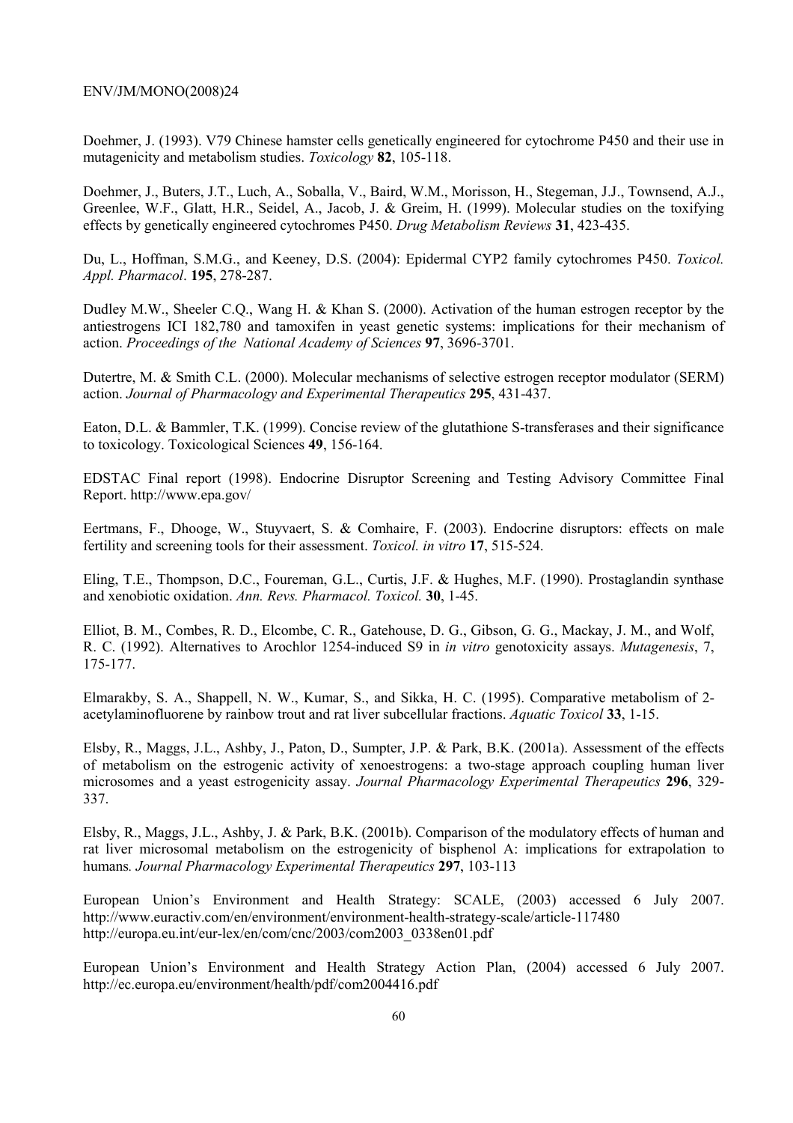Doehmer, J. (1993). V79 Chinese hamster cells genetically engineered for cytochrome P450 and their use in mutagenicity and metabolism studies. *Toxicology* **82**, 105-118.

Doehmer, J., Buters, J.T., Luch, A., Soballa, V., Baird, W.M., Morisson, H., Stegeman, J.J., Townsend, A.J., Greenlee, W.F., Glatt, H.R., Seidel, A., Jacob, J. & Greim, H. (1999). Molecular studies on the toxifying effects by genetically engineered cytochromes P450. *Drug Metabolism Reviews* **31**, 423-435.

Du, L., Hoffman, S.M.G., and Keeney, D.S. (2004): Epidermal CYP2 family cytochromes P450. *Toxicol. Appl. Pharmacol*. **195**, 278-287.

Dudley M.W., Sheeler C.Q., Wang H. & Khan S. (2000). Activation of the human estrogen receptor by the antiestrogens ICI 182,780 and tamoxifen in yeast genetic systems: implications for their mechanism of action. *Proceedings of the National Academy of Sciences* **97**, 3696-3701.

Dutertre, M. & Smith C.L. (2000). Molecular mechanisms of selective estrogen receptor modulator (SERM) action. *Journal of Pharmacology and Experimental Therapeutics* **295**, 431-437.

Eaton, D.L. & Bammler, T.K. (1999). Concise review of the glutathione S-transferases and their significance to toxicology. Toxicological Sciences **49**, 156-164.

EDSTAC Final report (1998). Endocrine Disruptor Screening and Testing Advisory Committee Final Report. http://www.epa.gov/

Eertmans, F., Dhooge, W., Stuyvaert, S. & Comhaire, F. (2003). Endocrine disruptors: effects on male fertility and screening tools for their assessment. *Toxicol. in vitro* **17**, 515-524.

Eling, T.E., Thompson, D.C., Foureman, G.L., Curtis, J.F. & Hughes, M.F. (1990). Prostaglandin synthase and xenobiotic oxidation. *Ann. Revs. Pharmacol. Toxicol.* **30**, 1-45.

Elliot, B. M., Combes, R. D., Elcombe, C. R., Gatehouse, D. G., Gibson, G. G., Mackay, J. M., and Wolf, R. C. (1992). Alternatives to Arochlor 1254-induced S9 in *in vitro* genotoxicity assays. *Mutagenesis*, 7, 175-177.

Elmarakby, S. A., Shappell, N. W., Kumar, S., and Sikka, H. C. (1995). Comparative metabolism of 2 acetylaminofluorene by rainbow trout and rat liver subcellular fractions. *Aquatic Toxicol* **33**, 1-15.

Elsby, R., Maggs, J.L., Ashby, J., Paton, D., Sumpter, J.P. & Park, B.K. (2001a). Assessment of the effects of metabolism on the estrogenic activity of xenoestrogens: a two-stage approach coupling human liver microsomes and a yeast estrogenicity assay. *Journal Pharmacology Experimental Therapeutics* **296**, 329- 337.

Elsby, R., Maggs, J.L., Ashby, J. & Park, B.K. (2001b). Comparison of the modulatory effects of human and rat liver microsomal metabolism on the estrogenicity of bisphenol A: implications for extrapolation to humans*. Journal Pharmacology Experimental Therapeutics* **297**, 103-113

European Union's Environment and Health Strategy: SCALE, (2003) accessed 6 July 2007. http://www.euractiv.com/en/environment/environment-health-strategy-scale/article-117480 http://europa.eu.int/eur-lex/en/com/cnc/2003/com2003\_0338en01.pdf

European Union's Environment and Health Strategy Action Plan, (2004) accessed 6 July 2007. http://ec.europa.eu/environment/health/pdf/com2004416.pdf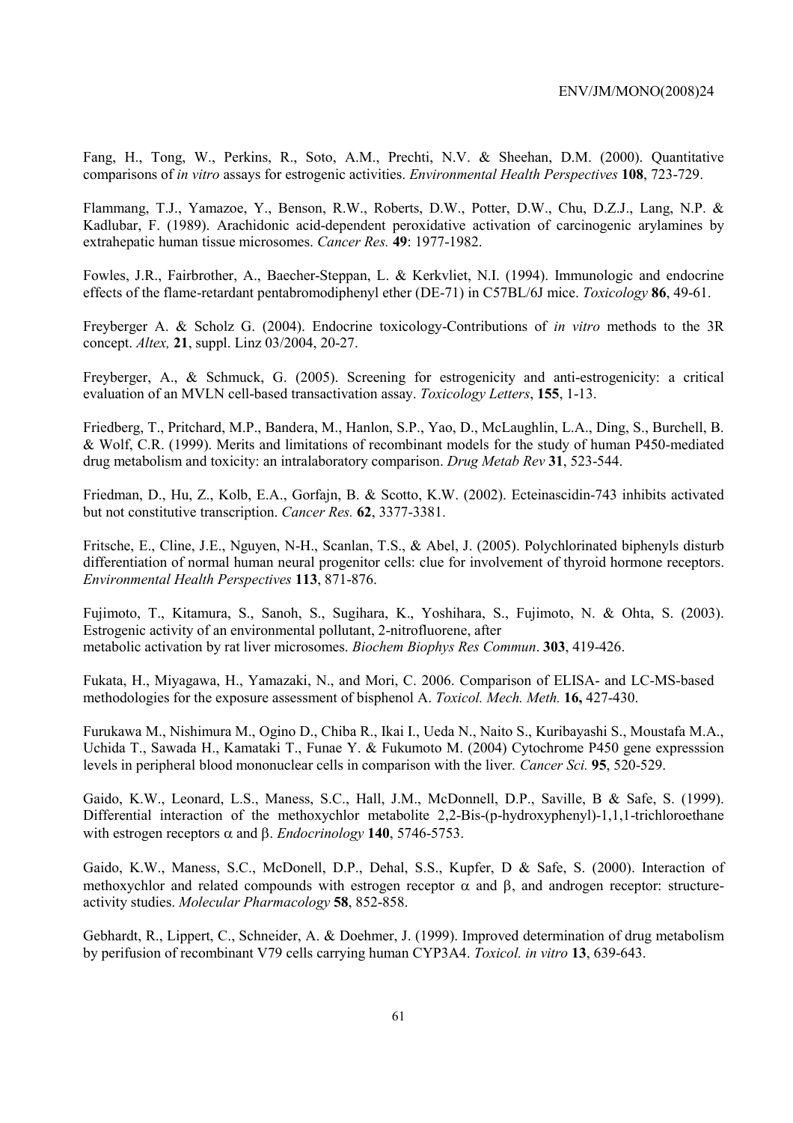Fang, H., Tong, W., Perkins, R., Soto, A.M., Prechti, N.V. & Sheehan, D.M. (2000). Quantitative comparisons of *in vitro* assays for estrogenic activities. *Environmental Health Perspectives* **108**, 723-729.

Flammang, T.J., Yamazoe, Y., Benson, R.W., Roberts, D.W., Potter, D.W., Chu, D.Z.J., Lang, N.P. & Kadlubar, F. (1989). Arachidonic acid-dependent peroxidative activation of carcinogenic arylamines by extrahepatic human tissue microsomes. *Cancer Res.* **49**: 1977-1982.

Fowles, J.R., Fairbrother, A., Baecher-Steppan, L. & Kerkvliet, N.I. (1994). Immunologic and endocrine effects of the flame-retardant pentabromodiphenyl ether (DE-71) in C57BL/6J mice. *Toxicology* **86**, 49-61.

Freyberger A. & Scholz G. (2004). Endocrine toxicology-Contributions of *in vitro* methods to the 3R concept. *Altex,* **21**, suppl. Linz 03/2004, 20-27.

Freyberger, A., & Schmuck, G. (2005). Screening for estrogenicity and anti-estrogenicity: a critical evaluation of an MVLN cell-based transactivation assay. *Toxicology Letters*, **155**, 1-13.

Friedberg, T., Pritchard, M.P., Bandera, M., Hanlon, S.P., Yao, D., McLaughlin, L.A., Ding, S., Burchell, B. & Wolf, C.R. (1999). Merits and limitations of recombinant models for the study of human P450-mediated drug metabolism and toxicity: an intralaboratory comparison. *Drug Metab Rev* **31**, 523-544.

Friedman, D., Hu, Z., Kolb, E.A., Gorfajn, B. & Scotto, K.W. (2002). Ecteinascidin-743 inhibits activated but not constitutive transcription. *Cancer Res.* **62**, 3377-3381.

Fritsche, E., Cline, J.E., Nguyen, N-H., Scanlan, T.S., & Abel, J. (2005). Polychlorinated biphenyls disturb differentiation of normal human neural progenitor cells: clue for involvement of thyroid hormone receptors. *Environmental Health Perspectives* **113**, 871-876.

Fujimoto, T., Kitamura, S., Sanoh, S., Sugihara, K., Yoshihara, S., Fujimoto, N. & Ohta, S. (2003). Estrogenic activity of an environmental pollutant, 2-nitrofluorene, after metabolic activation by rat liver microsomes. *Biochem Biophys Res Commun*. **303**, 419-426.

Fukata, H., Miyagawa, H., Yamazaki, N., and Mori, C. 2006. Comparison of ELISA- and LC-MS-based methodologies for the exposure assessment of bisphenol A. *Toxicol. Mech. Meth.* **16,** 427-430.

Furukawa M., Nishimura M., Ogino D., Chiba R., Ikai I., Ueda N., Naito S., Kuribayashi S., Moustafa M.A., Uchida T., Sawada H., Kamataki T., Funae Y. & Fukumoto M. (2004) Cytochrome P450 gene expresssion levels in peripheral blood mononuclear cells in comparison with the liver*. Cancer Sci.* **95**, 520-529.

Gaido, K.W., Leonard, L.S., Maness, S.C., Hall, J.M., McDonnell, D.P., Saville, B & Safe, S. (1999). Differential interaction of the methoxychlor metabolite 2,2-Bis-(p-hydroxyphenyl)-1,1,1-trichloroethane with estrogen receptors α and β. *Endocrinology* **140**, 5746-5753.

Gaido, K.W., Maness, S.C., McDonell, D.P., Dehal, S.S., Kupfer, D & Safe, S. (2000). Interaction of methoxychlor and related compounds with estrogen receptor  $\alpha$  and  $\beta$ , and androgen receptor: structureactivity studies. *Molecular Pharmacology* **58**, 852-858.

Gebhardt, R., Lippert, C., Schneider, A. & Doehmer, J. (1999). Improved determination of drug metabolism by perifusion of recombinant V79 cells carrying human CYP3A4. *Toxicol. in vitro* **13**, 639-643.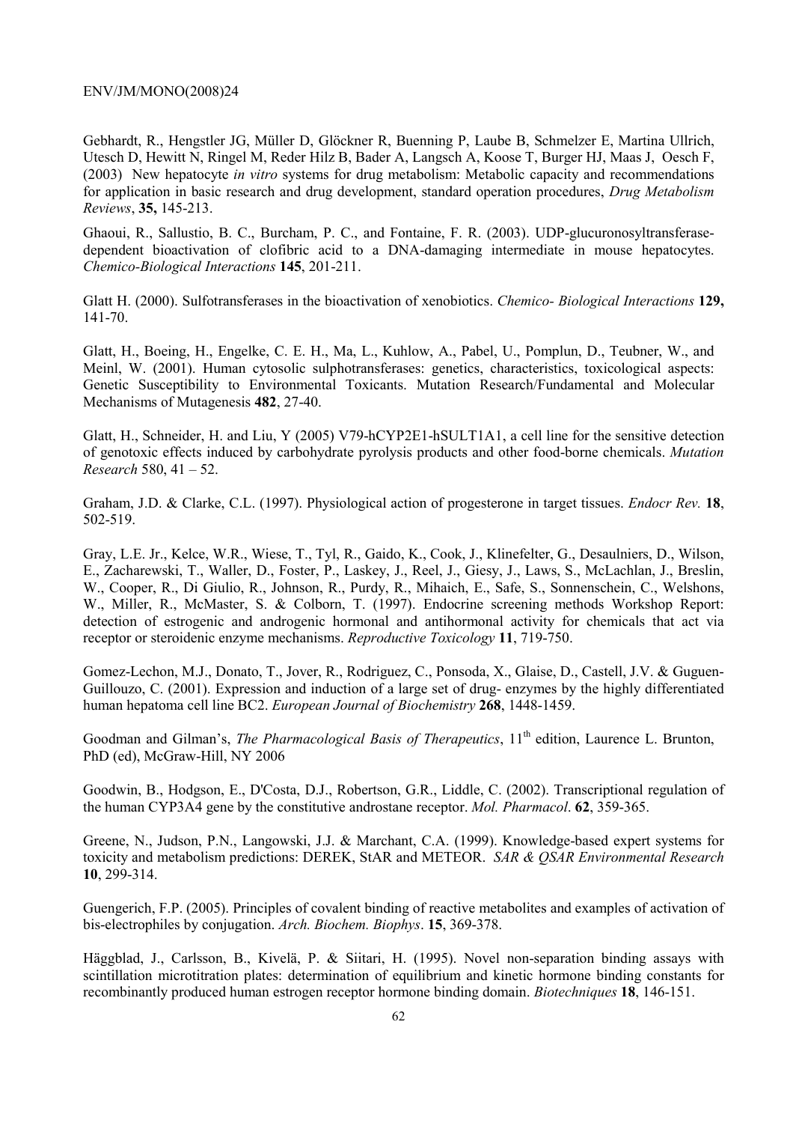Gebhardt, R., Hengstler JG, Müller D, Glöckner R, Buenning P, Laube B, Schmelzer E, Martina Ullrich, Utesch D, Hewitt N, Ringel M, Reder Hilz B, Bader A, Langsch A, Koose T, Burger HJ, Maas J, Oesch F, (2003) New hepatocyte *in vitro* systems for drug metabolism: Metabolic capacity and recommendations for application in basic research and drug development, standard operation procedures, *Drug Metabolism Reviews*, **35,** 145-213.

Ghaoui, R., Sallustio, B. C., Burcham, P. C., and Fontaine, F. R. (2003). UDP-glucuronosyltransferasedependent bioactivation of clofibric acid to a DNA-damaging intermediate in mouse hepatocytes. *Chemico-Biological Interactions* **145**, 201-211.

Glatt H. (2000). Sulfotransferases in the bioactivation of xenobiotics. *Chemico- Biological Interactions* **129,**  141-70.

Glatt, H., Boeing, H., Engelke, C. E. H., Ma, L., Kuhlow, A., Pabel, U., Pomplun, D., Teubner, W., and Meinl, W. (2001). Human cytosolic sulphotransferases: genetics, characteristics, toxicological aspects: Genetic Susceptibility to Environmental Toxicants. Mutation Research/Fundamental and Molecular Mechanisms of Mutagenesis **482**, 27-40.

Glatt, H., Schneider, H. and Liu, Y (2005) V79-hCYP2E1-hSULT1A1, a cell line for the sensitive detection of genotoxic effects induced by carbohydrate pyrolysis products and other food-borne chemicals. *Mutation Research* 580, 41 – 52.

Graham, J.D. & Clarke, C.L. (1997). Physiological action of progesterone in target tissues. *Endocr Rev.* **18**, 502-519.

Gray, L.E. Jr., Kelce, W.R., Wiese, T., Tyl, R., Gaido, K., Cook, J., Klinefelter, G., Desaulniers, D., Wilson, E., Zacharewski, T., Waller, D., Foster, P., Laskey, J., Reel, J., Giesy, J., Laws, S., McLachlan, J., Breslin, W., Cooper, R., Di Giulio, R., Johnson, R., Purdy, R., Mihaich, E., Safe, S., Sonnenschein, C., Welshons, W., Miller, R., McMaster, S. & Colborn, T. (1997). Endocrine screening methods Workshop Report: detection of estrogenic and androgenic hormonal and antihormonal activity for chemicals that act via receptor or steroidenic enzyme mechanisms. *Reproductive Toxicology* **11**, 719-750.

Gomez-Lechon, M.J., Donato, T., Jover, R., Rodriguez, C., Ponsoda, X., Glaise, D., Castell, J.V. & Guguen-Guillouzo, C. (2001). Expression and induction of a large set of drug- enzymes by the highly differentiated human hepatoma cell line BC2. *European Journal of Biochemistry* **268**, 1448-1459.

Goodman and Gilman's, *The Pharmacological Basis of Therapeutics*, 11<sup>th</sup> edition, Laurence L. Brunton, PhD (ed), McGraw-Hill, NY 2006

Goodwin, B., Hodgson, E., D'Costa, D.J., Robertson, G.R., Liddle, C. (2002). Transcriptional regulation of the human CYP3A4 gene by the constitutive androstane receptor. *Mol. Pharmacol*. **62**, 359-365.

Greene, N., Judson, P.N., Langowski, J.J. & Marchant, C.A. (1999). Knowledge-based expert systems for toxicity and metabolism predictions: DEREK, StAR and METEOR. *SAR & QSAR Environmental Research* **10**, 299-314.

Guengerich, F.P. (2005). Principles of covalent binding of reactive metabolites and examples of activation of bis-electrophiles by conjugation. *Arch. Biochem. Biophys*. **15**, 369-378.

Häggblad, J., Carlsson, B., Kivelä, P. & Siitari, H. (1995). Novel non-separation binding assays with scintillation microtitration plates: determination of equilibrium and kinetic hormone binding constants for recombinantly produced human estrogen receptor hormone binding domain. *Biotechniques* **18**, 146-151.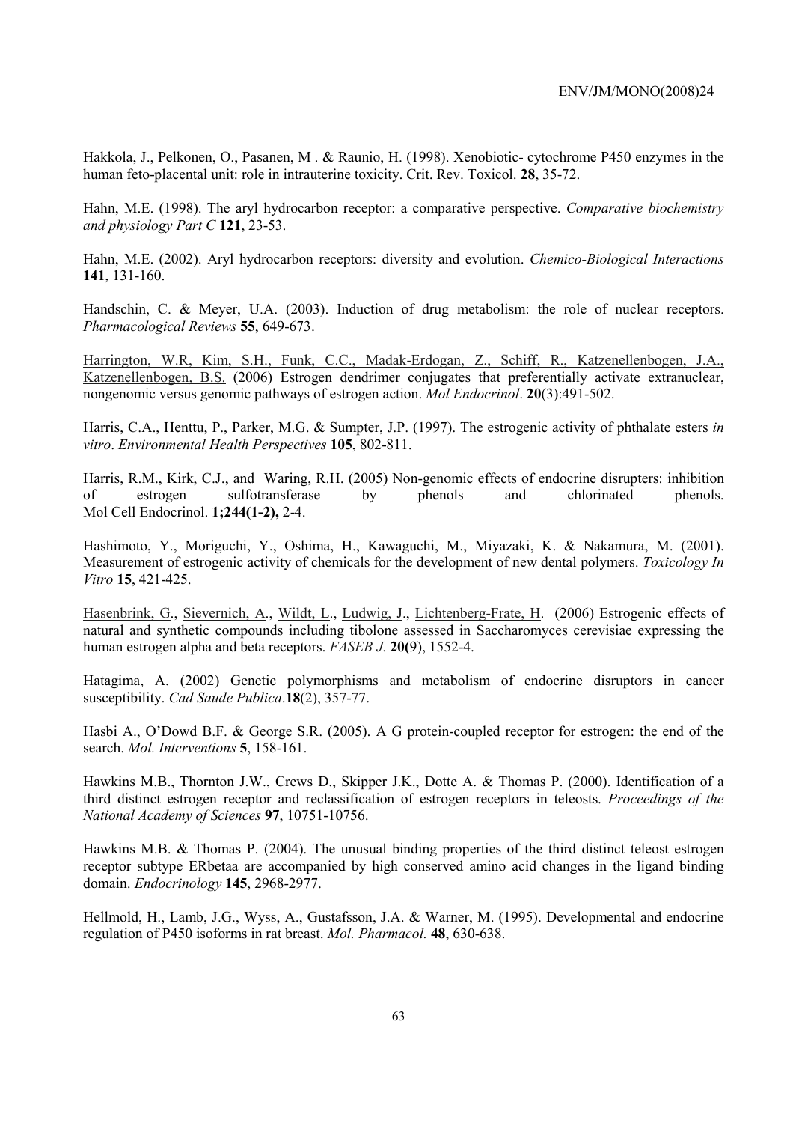Hakkola, J., Pelkonen, O., Pasanen, M . & Raunio, H. (1998). Xenobiotic- cytochrome P450 enzymes in the human feto-placental unit: role in intrauterine toxicity. Crit. Rev. Toxicol. **28**, 35-72.

Hahn, M.E. (1998). The aryl hydrocarbon receptor: a comparative perspective. *Comparative biochemistry and physiology Part C* **121**, 23-53.

Hahn, M.E. (2002). Aryl hydrocarbon receptors: diversity and evolution. *Chemico-Biological Interactions* **141**, 131-160.

Handschin, C. & Meyer, U.A. (2003). Induction of drug metabolism: the role of nuclear receptors. *Pharmacological Reviews* **55**, 649-673.

Harrington, W.R, Kim, S.H., Funk, C.C., Madak-Erdogan, Z., Schiff, R., Katzenellenbogen, J.A., Katzenellenbogen, B.S. (2006) Estrogen dendrimer conjugates that preferentially activate extranuclear, nongenomic versus genomic pathways of estrogen action. *Mol Endocrinol*. **20**(3):491-502.

Harris, C.A., Henttu, P., Parker, M.G. & Sumpter, J.P. (1997). The estrogenic activity of phthalate esters *in vitro*. *Environmental Health Perspectives* **105**, 802-811.

Harris, R.M., Kirk, C.J., and Waring, R.H. (2005) Non-genomic effects of endocrine disrupters: inhibition of estrogen sulfotransferase by phenols and chlorinated phenols. Mol Cell Endocrinol. **1;244(1-2),** 2-4.

Hashimoto, Y., Moriguchi, Y., Oshima, H., Kawaguchi, M., Miyazaki, K. & Nakamura, M. (2001). Measurement of estrogenic activity of chemicals for the development of new dental polymers. *Toxicology In Vitro* **15**, 421-425.

Hasenbrink, G., Sievernich, A., Wildt, L., Ludwig, J., Lichtenberg-Frate, H. (2006) Estrogenic effects of natural and synthetic compounds including tibolone assessed in Saccharomyces cerevisiae expressing the human estrogen alpha and beta receptors. *FASEB J.* **20(**9), 1552-4.

Hatagima, A. (2002) Genetic polymorphisms and metabolism of endocrine disruptors in cancer susceptibility. *Cad Saude Publica*.**18**(2), 357-77.

Hasbi A., O'Dowd B.F. & George S.R. (2005). A G protein-coupled receptor for estrogen: the end of the search. *Mol. Interventions* **5**, 158-161.

Hawkins M.B., Thornton J.W., Crews D., Skipper J.K., Dotte A. & Thomas P. (2000). Identification of a third distinct estrogen receptor and reclassification of estrogen receptors in teleosts. *Proceedings of the National Academy of Sciences* **97**, 10751-10756.

Hawkins M.B. & Thomas P. (2004). The unusual binding properties of the third distinct teleost estrogen receptor subtype ERbetaa are accompanied by high conserved amino acid changes in the ligand binding domain. *Endocrinology* **145**, 2968-2977.

Hellmold, H., Lamb, J.G., Wyss, A., Gustafsson, J.A. & Warner, M. (1995). Developmental and endocrine regulation of P450 isoforms in rat breast. *Mol. Pharmacol.* **48**, 630-638.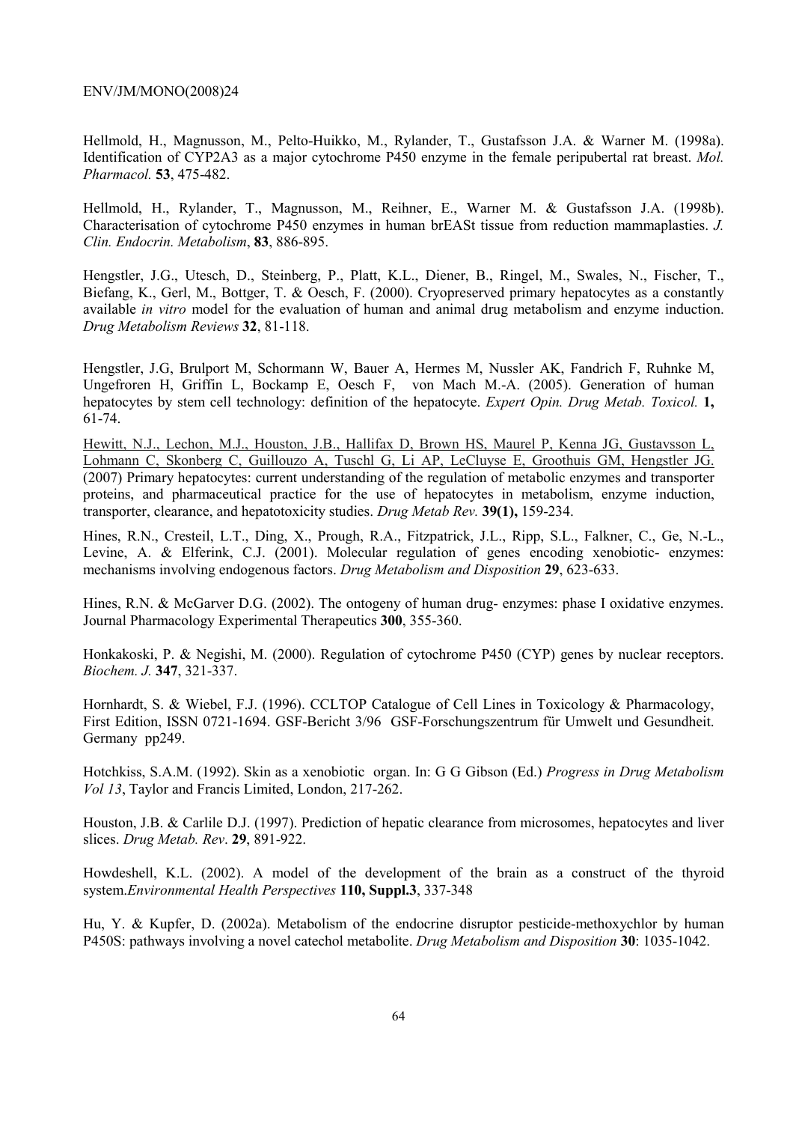Hellmold, H., Magnusson, M., Pelto-Huikko, M., Rylander, T., Gustafsson J.A. & Warner M. (1998a). Identification of CYP2A3 as a major cytochrome P450 enzyme in the female peripubertal rat breast. *Mol. Pharmacol.* **53**, 475-482.

Hellmold, H., Rylander, T., Magnusson, M., Reihner, E., Warner M. & Gustafsson J.A. (1998b). Characterisation of cytochrome P450 enzymes in human brEASt tissue from reduction mammaplasties. *J. Clin. Endocrin. Metabolism*, **83**, 886-895.

Hengstler, J.G., Utesch, D., Steinberg, P., Platt, K.L., Diener, B., Ringel, M., Swales, N., Fischer, T., Biefang, K., Gerl, M., Bottger, T. & Oesch, F. (2000). Cryopreserved primary hepatocytes as a constantly available *in vitro* model for the evaluation of human and animal drug metabolism and enzyme induction. *Drug Metabolism Reviews* **32**, 81-118.

Hengstler, J.G, Brulport M, Schormann W, Bauer A, Hermes M, Nussler AK, Fandrich F, Ruhnke M, Ungefroren H, Griffin L, Bockamp E, Oesch F, von Mach M.-A. (2005). Generation of human hepatocytes by stem cell technology: definition of the hepatocyte. *Expert Opin. Drug Metab. Toxicol.* **1,**  61-74.

Hewitt, N.J., Lechon, M.J., Houston, J.B., Hallifax D, Brown HS, Maurel P, Kenna JG, Gustavsson L, Lohmann C, Skonberg C, Guillouzo A, Tuschl G, Li AP, LeCluyse E, Groothuis GM, Hengstler JG. (2007) Primary hepatocytes: current understanding of the regulation of metabolic enzymes and transporter proteins, and pharmaceutical practice for the use of hepatocytes in metabolism, enzyme induction, transporter, clearance, and hepatotoxicity studies. *Drug Metab Rev.* **39(1),** 159-234.

Hines, R.N., Cresteil, L.T., Ding, X., Prough, R.A., Fitzpatrick, J.L., Ripp, S.L., Falkner, C., Ge, N.-L., Levine, A. & Elferink, C.J. (2001). Molecular regulation of genes encoding xenobiotic- enzymes: mechanisms involving endogenous factors. *Drug Metabolism and Disposition* **29**, 623-633.

Hines, R.N. & McGarver D.G. (2002). The ontogeny of human drug- enzymes: phase I oxidative enzymes. Journal Pharmacology Experimental Therapeutics **300**, 355-360.

Honkakoski, P. & Negishi, M. (2000). Regulation of cytochrome P450 (CYP) genes by nuclear receptors. *Biochem. J.* **347**, 321-337.

Hornhardt, S. & Wiebel, F.J. (1996). CCLTOP Catalogue of Cell Lines in Toxicology & Pharmacology, First Edition, ISSN 0721-1694. GSF-Bericht 3/96 GSF-Forschungszentrum für Umwelt und Gesundheit. Germany pp249.

Hotchkiss, S.A.M. (1992). Skin as a xenobiotic organ. In: G G Gibson (Ed.) *Progress in Drug Metabolism Vol 13*, Taylor and Francis Limited, London, 217-262.

Houston, J.B. & Carlile D.J. (1997). Prediction of hepatic clearance from microsomes, hepatocytes and liver slices. *Drug Metab. Rev*. **29**, 891-922.

Howdeshell, K.L. (2002). A model of the development of the brain as a construct of the thyroid system.*Environmental Health Perspectives* **110, Suppl.3**, 337-348

Hu, Y. & Kupfer, D. (2002a). Metabolism of the endocrine disruptor pesticide-methoxychlor by human P450S: pathways involving a novel catechol metabolite. *Drug Metabolism and Disposition* **30**: 1035-1042.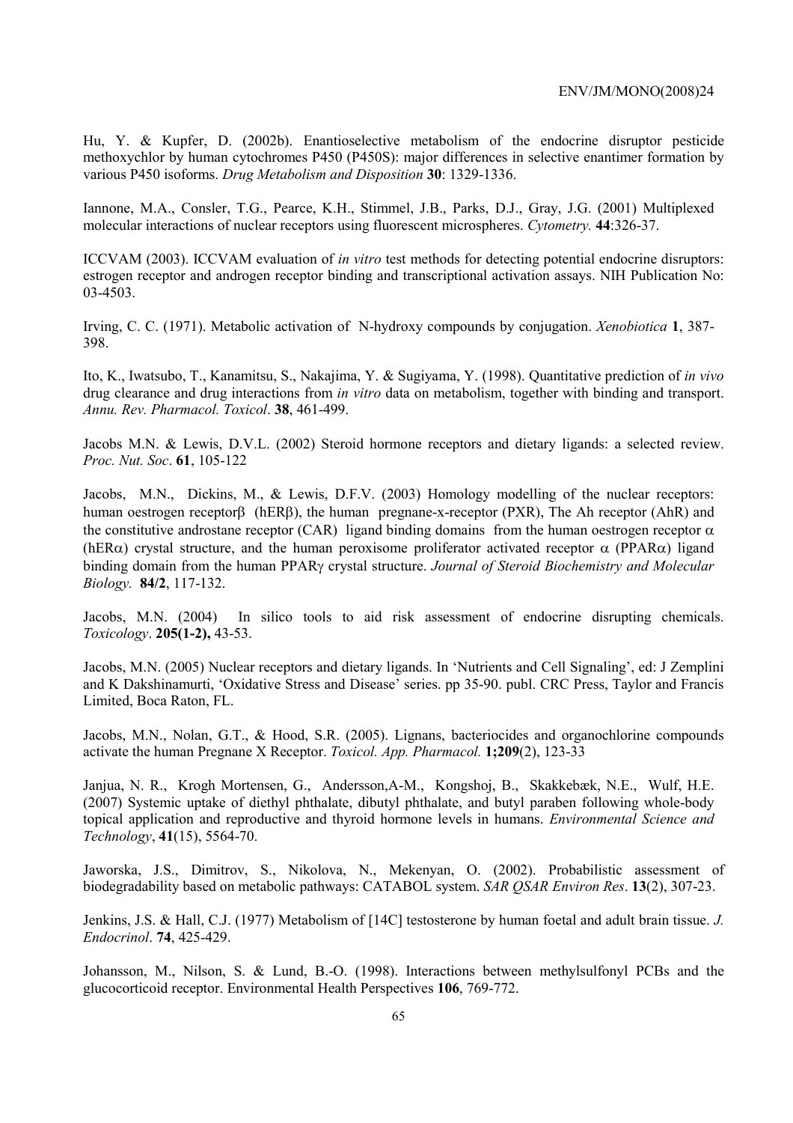Hu, Y. & Kupfer, D. (2002b). Enantioselective metabolism of the endocrine disruptor pesticide methoxychlor by human cytochromes P450 (P450S): major differences in selective enantimer formation by various P450 isoforms. *Drug Metabolism and Disposition* **30**: 1329-1336.

Iannone, M.A., Consler, T.G., Pearce, K.H., Stimmel, J.B., Parks, D.J., Gray, J.G. (2001) Multiplexed molecular interactions of nuclear receptors using fluorescent microspheres. *Cytometry.* **44**:326-37.

ICCVAM (2003). ICCVAM evaluation of *in vitro* test methods for detecting potential endocrine disruptors: estrogen receptor and androgen receptor binding and transcriptional activation assays. NIH Publication No: 03-4503.

Irving, C. C. (1971). Metabolic activation of N-hydroxy compounds by conjugation. *Xenobiotica* **1**, 387- 398.

Ito, K., Iwatsubo, T., Kanamitsu, S., Nakajima, Y. & Sugiyama, Y. (1998). Quantitative prediction of *in vivo* drug clearance and drug interactions from *in vitro* data on metabolism, together with binding and transport. *Annu. Rev. Pharmacol. Toxicol*. **38**, 461-499.

Jacobs M.N. & Lewis, D.V.L. (2002) Steroid hormone receptors and dietary ligands: a selected review. *Proc. Nut. Soc*. **61**, 105-122

Jacobs, M.N., Dickins, M., & Lewis, D.F.V. (2003) Homology modelling of the nuclear receptors: human oestrogen receptorβ (hERβ), the human pregnane-x-receptor (PXR), The Ah receptor (AhR) and the constitutive androstane receptor (CAR) ligand binding domains from the human oestrogen receptor  $\alpha$ (hER $\alpha$ ) crystal structure, and the human peroxisome proliferator activated receptor  $\alpha$  (PPAR $\alpha$ ) ligand binding domain from the human PPARγ crystal structure. *Journal of Steroid Biochemistry and Molecular Biology.* **84/2**, 117-132.

Jacobs, M.N. (2004) In silico tools to aid risk assessment of endocrine disrupting chemicals. *Toxicology*. **205(1-2),** 43-53.

Jacobs, M.N. (2005) Nuclear receptors and dietary ligands. In 'Nutrients and Cell Signaling', ed: J Zemplini and K Dakshinamurti, 'Oxidative Stress and Disease' series. pp 35-90. publ. CRC Press, Taylor and Francis Limited, Boca Raton, FL.

Jacobs, M.N., Nolan, G.T., & Hood, S.R. (2005). Lignans, bacteriocides and organochlorine compounds activate the human Pregnane X Receptor. *Toxicol. App. Pharmacol.* **1;209**(2), 123-33

Janjua, N. R., Krogh Mortensen, G., Andersson,A-M., Kongshoj, B., Skakkebæk, N.E., Wulf, H.E. (2007) Systemic uptake of diethyl phthalate, dibutyl phthalate, and butyl paraben following whole-body topical application and reproductive and thyroid hormone levels in humans. *Environmental Science and Technology*, **41**(15), 5564-70.

Jaworska, J.S., Dimitrov, S., Nikolova, N., Mekenyan, O. (2002). Probabilistic assessment of biodegradability based on metabolic pathways: CATABOL system. *SAR QSAR Environ Res*. **13**(2), 307-23.

Jenkins, J.S. & Hall, C.J. (1977) Metabolism of [14C] testosterone by human foetal and adult brain tissue. *J. Endocrinol*. **74**, 425-429.

Johansson, M., Nilson, S. & Lund, B.-O. (1998). Interactions between methylsulfonyl PCBs and the glucocorticoid receptor. Environmental Health Perspectives **106**, 769-772.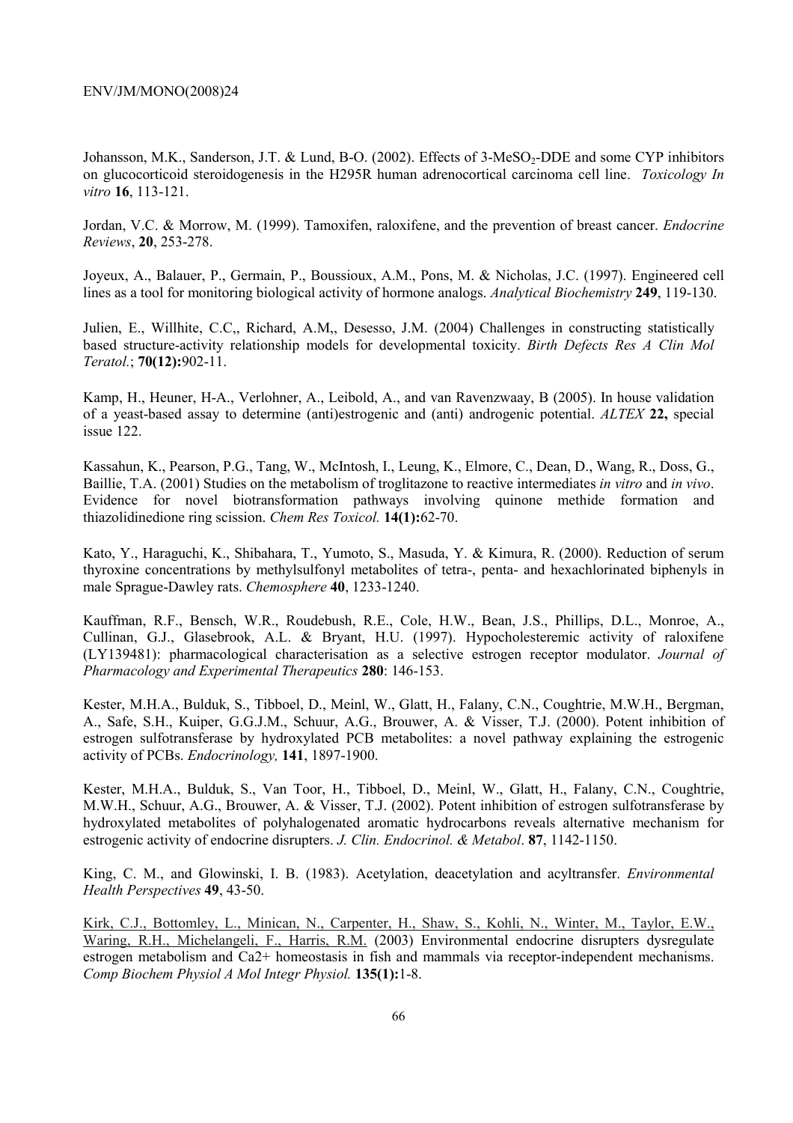Johansson, M.K., Sanderson, J.T. & Lund, B-O. (2002). Effects of 3-MeSO<sub>2</sub>-DDE and some CYP inhibitors on glucocorticoid steroidogenesis in the H295R human adrenocortical carcinoma cell line. *Toxicology In vitro* **16**, 113-121.

Jordan, V.C. & Morrow, M. (1999). Tamoxifen, raloxifene, and the prevention of breast cancer. *Endocrine Reviews*, **20**, 253-278.

Joyeux, A., Balauer, P., Germain, P., Boussioux, A.M., Pons, M. & Nicholas, J.C. (1997). Engineered cell lines as a tool for monitoring biological activity of hormone analogs. *Analytical Biochemistry* **249**, 119-130.

Julien, E., Willhite, C.C,, Richard, A.M,, Desesso, J.M. (2004) Challenges in constructing statistically based structure-activity relationship models for developmental toxicity. *Birth Defects Res A Clin Mol Teratol.*; **70(12):**902-11.

Kamp, H., Heuner, H-A., Verlohner, A., Leibold, A., and van Ravenzwaay, B (2005). In house validation of a yeast-based assay to determine (anti)estrogenic and (anti) androgenic potential. *ALTEX* **22,** special issue 122.

Kassahun, K., Pearson, P.G., Tang, W., McIntosh, I., Leung, K., Elmore, C., Dean, D., Wang, R., Doss, G., Baillie, T.A. (2001) Studies on the metabolism of troglitazone to reactive intermediates *in vitro* and *in vivo*. Evidence for novel biotransformation pathways involving quinone methide formation and thiazolidinedione ring scission. *Chem Res Toxicol.* **14(1):**62-70.

Kato, Y., Haraguchi, K., Shibahara, T., Yumoto, S., Masuda, Y. & Kimura, R. (2000). Reduction of serum thyroxine concentrations by methylsulfonyl metabolites of tetra-, penta- and hexachlorinated biphenyls in male Sprague-Dawley rats. *Chemosphere* **40**, 1233-1240.

Kauffman, R.F., Bensch, W.R., Roudebush, R.E., Cole, H.W., Bean, J.S., Phillips, D.L., Monroe, A., Cullinan, G.J., Glasebrook, A.L. & Bryant, H.U. (1997). Hypocholesteremic activity of raloxifene (LY139481): pharmacological characterisation as a selective estrogen receptor modulator. *Journal of Pharmacology and Experimental Therapeutics* **280**: 146-153.

Kester, M.H.A., Bulduk, S., Tibboel, D., Meinl, W., Glatt, H., Falany, C.N., Coughtrie, M.W.H., Bergman, A., Safe, S.H., Kuiper, G.G.J.M., Schuur, A.G., Brouwer, A. & Visser, T.J. (2000). Potent inhibition of estrogen sulfotransferase by hydroxylated PCB metabolites: a novel pathway explaining the estrogenic activity of PCBs. *Endocrinology,* **141**, 1897-1900.

Kester, M.H.A., Bulduk, S., Van Toor, H., Tibboel, D., Meinl, W., Glatt, H., Falany, C.N., Coughtrie, M.W.H., Schuur, A.G., Brouwer, A. & Visser, T.J. (2002). Potent inhibition of estrogen sulfotransferase by hydroxylated metabolites of polyhalogenated aromatic hydrocarbons reveals alternative mechanism for estrogenic activity of endocrine disrupters. *J. Clin. Endocrinol. & Metabol*. **87**, 1142-1150.

King, C. M., and Glowinski, I. B. (1983). Acetylation, deacetylation and acyltransfer. *Environmental Health Perspectives* **49**, 43-50.

Kirk, C.J., Bottomley, L., Minican, N., Carpenter, H., Shaw, S., Kohli, N., Winter, M., Taylor, E.W., Waring, R.H., Michelangeli, F., Harris, R.M. (2003) Environmental endocrine disrupters dysregulate estrogen metabolism and Ca2+ homeostasis in fish and mammals via receptor-independent mechanisms. *Comp Biochem Physiol A Mol Integr Physiol.* **135(1):**1-8.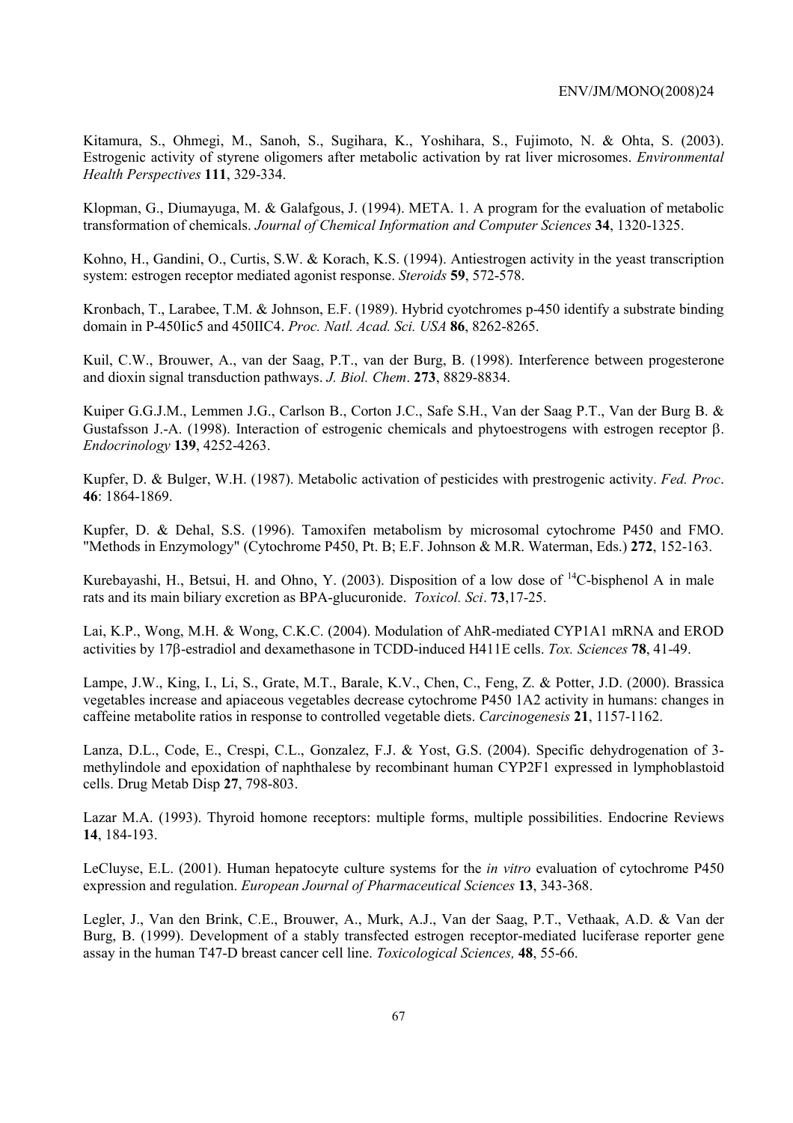Kitamura, S., Ohmegi, M., Sanoh, S., Sugihara, K., Yoshihara, S., Fujimoto, N. & Ohta, S. (2003). Estrogenic activity of styrene oligomers after metabolic activation by rat liver microsomes. *Environmental Health Perspectives* **111**, 329-334.

Klopman, G., Diumayuga, M. & Galafgous, J. (1994). META. 1. A program for the evaluation of metabolic transformation of chemicals. *Journal of Chemical Information and Computer Sciences* **34**, 1320-1325.

Kohno, H., Gandini, O., Curtis, S.W. & Korach, K.S. (1994). Antiestrogen activity in the yeast transcription system: estrogen receptor mediated agonist response. *Steroids* **59**, 572-578.

Kronbach, T., Larabee, T.M. & Johnson, E.F. (1989). Hybrid cyotchromes p-450 identify a substrate binding domain in P-450Iic5 and 450IIC4. *Proc. Natl. Acad. Sci. USA* **86**, 8262-8265.

Kuil, C.W., Brouwer, A., van der Saag, P.T., van der Burg, B. (1998). Interference between progesterone and dioxin signal transduction pathways. *J. Biol. Chem*. **273**, 8829-8834.

Kuiper G.G.J.M., Lemmen J.G., Carlson B., Corton J.C., Safe S.H., Van der Saag P.T., Van der Burg B. & Gustafsson J.-A. (1998). Interaction of estrogenic chemicals and phytoestrogens with estrogen receptor β. *Endocrinology* **139**, 4252-4263.

Kupfer, D. & Bulger, W.H. (1987). Metabolic activation of pesticides with prestrogenic activity. *Fed. Proc*. **46**: 1864-1869.

Kupfer, D. & Dehal, S.S. (1996). Tamoxifen metabolism by microsomal cytochrome P450 and FMO. "Methods in Enzymology" (Cytochrome P450, Pt. B; E.F. Johnson & M.R. Waterman, Eds.) **272**, 152-163.

Kurebayashi, H., Betsui, H. and Ohno, Y. (2003). Disposition of a low dose of <sup>14</sup>C-bisphenol A in male rats and its main biliary excretion as BPA-glucuronide. *Toxicol. Sci*. **73**,17-25.

Lai, K.P., Wong, M.H. & Wong, C.K.C. (2004). Modulation of AhR-mediated CYP1A1 mRNA and EROD activities by 17β-estradiol and dexamethasone in TCDD-induced H411E cells. *Tox. Sciences* **78**, 41-49.

Lampe, J.W., King, I., Li, S., Grate, M.T., Barale, K.V., Chen, C., Feng, Z. & Potter, J.D. (2000). Brassica vegetables increase and apiaceous vegetables decrease cytochrome P450 1A2 activity in humans: changes in caffeine metabolite ratios in response to controlled vegetable diets. *Carcinogenesis* **21**, 1157-1162.

Lanza, D.L., Code, E., Crespi, C.L., Gonzalez, F.J. & Yost, G.S. (2004). Specific dehydrogenation of 3 methylindole and epoxidation of naphthalese by recombinant human CYP2F1 expressed in lymphoblastoid cells. Drug Metab Disp **27**, 798-803.

Lazar M.A. (1993). Thyroid homone receptors: multiple forms, multiple possibilities. Endocrine Reviews **14**, 184-193.

LeCluyse, E.L. (2001). Human hepatocyte culture systems for the *in vitro* evaluation of cytochrome P450 expression and regulation. *European Journal of Pharmaceutical Sciences* **13**, 343-368.

Legler, J., Van den Brink, C.E., Brouwer, A., Murk, A.J., Van der Saag, P.T., Vethaak, A.D. & Van der Burg, B. (1999). Development of a stably transfected estrogen receptor-mediated luciferase reporter gene assay in the human T47-D breast cancer cell line. *Toxicological Sciences,* **48**, 55-66.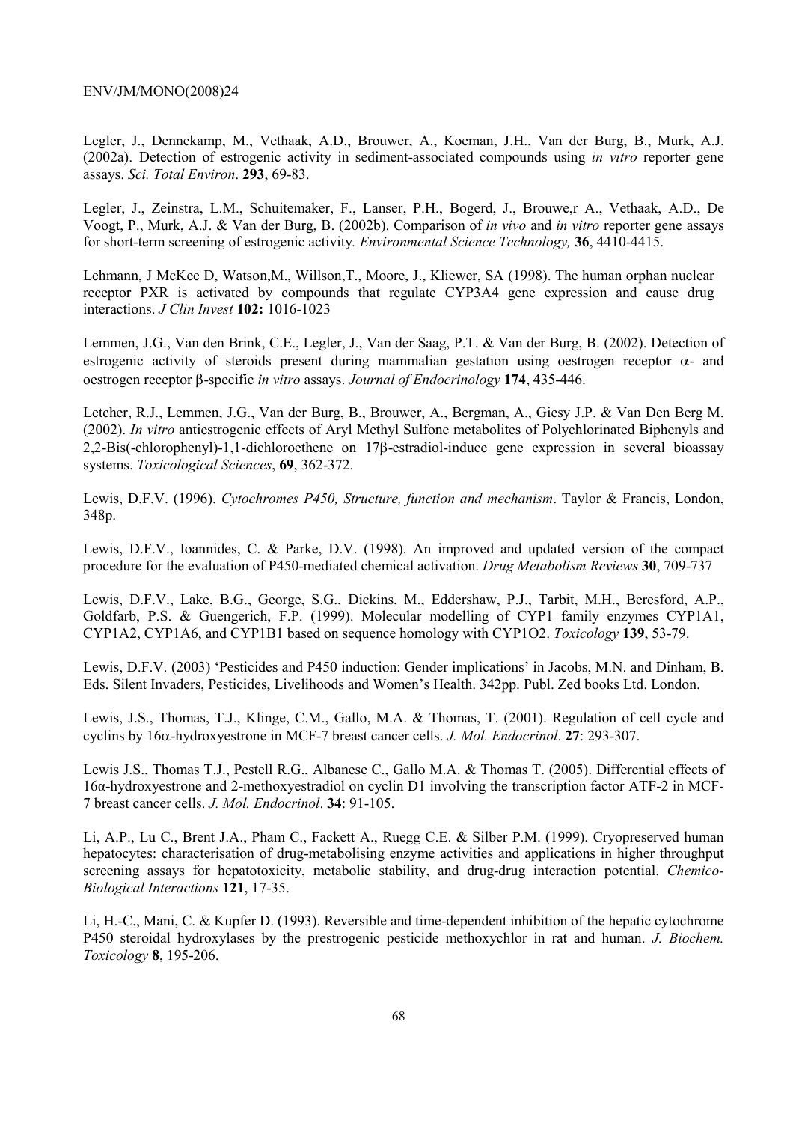Legler, J., Dennekamp, M., Vethaak, A.D., Brouwer, A., Koeman, J.H., Van der Burg, B., Murk, A.J. (2002a). Detection of estrogenic activity in sediment-associated compounds using *in vitro* reporter gene assays. *Sci. Total Environ*. **293**, 69-83.

Legler, J., Zeinstra, L.M., Schuitemaker, F., Lanser, P.H., Bogerd, J., Brouwe,r A., Vethaak, A.D., De Voogt, P., Murk, A.J. & Van der Burg, B. (2002b). Comparison of *in vivo* and *in vitro* reporter gene assays for short-term screening of estrogenic activity*. Environmental Science Technology,* **36**, 4410-4415.

Lehmann, J McKee D, Watson,M., Willson,T., Moore, J., Kliewer, SA (1998). The human orphan nuclear receptor PXR is activated by compounds that regulate CYP3A4 gene expression and cause drug interactions. *J Clin Invest* **102:** 1016-1023

Lemmen, J.G., Van den Brink, C.E., Legler, J., Van der Saag, P.T. & Van der Burg, B. (2002). Detection of estrogenic activity of steroids present during mammalian gestation using oestrogen receptor  $\alpha$ - and oestrogen receptor β-specific *in vitro* assays. *Journal of Endocrinology* **174**, 435-446.

Letcher, R.J., Lemmen, J.G., Van der Burg, B., Brouwer, A., Bergman, A., Giesy J.P. & Van Den Berg M. (2002). *In vitro* antiestrogenic effects of Aryl Methyl Sulfone metabolites of Polychlorinated Biphenyls and 2,2-Bis(-chlorophenyl)-1,1-dichloroethene on 17β-estradiol-induce gene expression in several bioassay systems. *Toxicological Sciences*, **69**, 362-372.

Lewis, D.F.V. (1996). *Cytochromes P450, Structure, function and mechanism*. Taylor & Francis, London, 348p.

Lewis, D.F.V., Ioannides, C. & Parke, D.V. (1998). An improved and updated version of the compact procedure for the evaluation of P450-mediated chemical activation. *Drug Metabolism Reviews* **30**, 709-737

Lewis, D.F.V., Lake, B.G., George, S.G., Dickins, M., Eddershaw, P.J., Tarbit, M.H., Beresford, A.P., Goldfarb, P.S. & Guengerich, F.P. (1999). Molecular modelling of CYP1 family enzymes CYP1A1, CYP1A2, CYP1A6, and CYP1B1 based on sequence homology with CYP1O2. *Toxicology* **139**, 53-79.

Lewis, D.F.V. (2003) 'Pesticides and P450 induction: Gender implications' in Jacobs, M.N. and Dinham, B. Eds. Silent Invaders, Pesticides, Livelihoods and Women's Health. 342pp. Publ. Zed books Ltd. London.

Lewis, J.S., Thomas, T.J., Klinge, C.M., Gallo, M.A. & Thomas, T. (2001). Regulation of cell cycle and cyclins by 16α-hydroxyestrone in MCF-7 breast cancer cells. *J. Mol. Endocrinol*. **27**: 293-307.

Lewis J.S., Thomas T.J., Pestell R.G., Albanese C., Gallo M.A. & Thomas T. (2005). Differential effects of 16α-hydroxyestrone and 2-methoxyestradiol on cyclin D1 involving the transcription factor ATF-2 in MCF-7 breast cancer cells. *J. Mol. Endocrinol*. **34**: 91-105.

Li, A.P., Lu C., Brent J.A., Pham C., Fackett A., Ruegg C.E. & Silber P.M. (1999). Cryopreserved human hepatocytes: characterisation of drug-metabolising enzyme activities and applications in higher throughput screening assays for hepatotoxicity, metabolic stability, and drug-drug interaction potential. *Chemico-Biological Interactions* **121**, 17-35.

Li, H.-C., Mani, C. & Kupfer D. (1993). Reversible and time-dependent inhibition of the hepatic cytochrome P450 steroidal hydroxylases by the prestrogenic pesticide methoxychlor in rat and human. *J. Biochem. Toxicology* **8**, 195-206.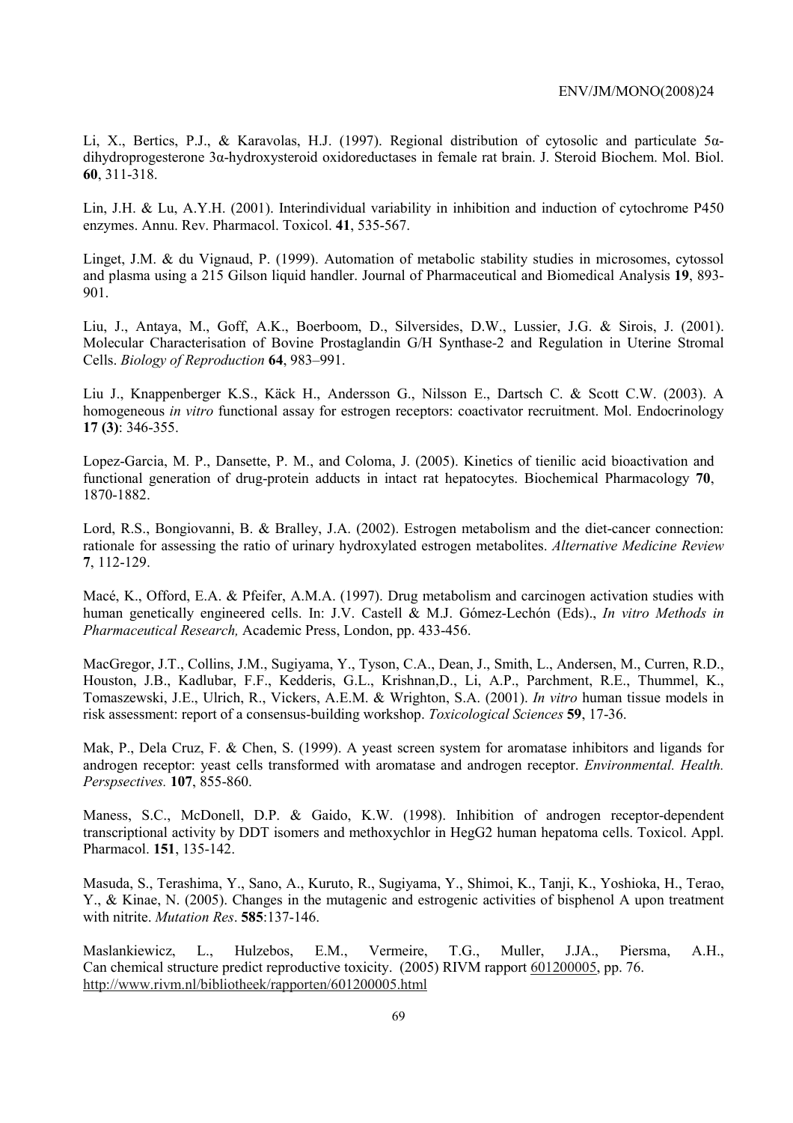Li, X., Bertics, P.J., & Karavolas, H.J. (1997). Regional distribution of cytosolic and particulate 5αdihydroprogesterone 3α-hydroxysteroid oxidoreductases in female rat brain. J. Steroid Biochem. Mol. Biol. **60**, 311-318.

Lin, J.H. & Lu, A.Y.H. (2001). Interindividual variability in inhibition and induction of cytochrome P450 enzymes. Annu. Rev. Pharmacol. Toxicol. **41**, 535-567.

Linget, J.M. & du Vignaud, P. (1999). Automation of metabolic stability studies in microsomes, cytossol and plasma using a 215 Gilson liquid handler. Journal of Pharmaceutical and Biomedical Analysis **19**, 893- 901.

Liu, J., Antaya, M., Goff, A.K., Boerboom, D., Silversides, D.W., Lussier, J.G. & Sirois, J. (2001). Molecular Characterisation of Bovine Prostaglandin G/H Synthase-2 and Regulation in Uterine Stromal Cells. *Biology of Reproduction* **64**, 983–991.

Liu J., Knappenberger K.S., Käck H., Andersson G., Nilsson E., Dartsch C. & Scott C.W. (2003). A homogeneous *in vitro* functional assay for estrogen receptors: coactivator recruitment. Mol. Endocrinology **17 (3)**: 346-355.

Lopez-Garcia, M. P., Dansette, P. M., and Coloma, J. (2005). Kinetics of tienilic acid bioactivation and functional generation of drug-protein adducts in intact rat hepatocytes. Biochemical Pharmacology **70**, 1870-1882.

Lord, R.S., Bongiovanni, B. & Bralley, J.A. (2002). Estrogen metabolism and the diet-cancer connection: rationale for assessing the ratio of urinary hydroxylated estrogen metabolites. *Alternative Medicine Review*  **7**, 112-129.

Macé, K., Offord, E.A. & Pfeifer, A.M.A. (1997). Drug metabolism and carcinogen activation studies with human genetically engineered cells. In: J.V. Castell & M.J. Gómez-Lechón (Eds)., *In vitro Methods in Pharmaceutical Research,* Academic Press, London, pp. 433-456.

MacGregor, J.T., Collins, J.M., Sugiyama, Y., Tyson, C.A., Dean, J., Smith, L., Andersen, M., Curren, R.D., Houston, J.B., Kadlubar, F.F., Kedderis, G.L., Krishnan,D., Li, A.P., Parchment, R.E., Thummel, K., Tomaszewski, J.E., Ulrich, R., Vickers, A.E.M. & Wrighton, S.A. (2001). *In vitro* human tissue models in risk assessment: report of a consensus-building workshop. *Toxicological Sciences* **59**, 17-36.

Mak, P., Dela Cruz, F. & Chen, S. (1999). A yeast screen system for aromatase inhibitors and ligands for androgen receptor: yeast cells transformed with aromatase and androgen receptor. *Environmental. Health. Perspsectives.* **107**, 855-860.

Maness, S.C., McDonell, D.P. & Gaido, K.W. (1998). Inhibition of androgen receptor-dependent transcriptional activity by DDT isomers and methoxychlor in HegG2 human hepatoma cells. Toxicol. Appl. Pharmacol. **151**, 135-142.

Masuda, S., Terashima, Y., Sano, A., Kuruto, R., Sugiyama, Y., Shimoi, K., Tanji, K., Yoshioka, H., Terao, Y., & Kinae, N. (2005). Changes in the mutagenic and estrogenic activities of bisphenol A upon treatment with nitrite. *Mutation Res*. **585**:137-146.

Maslankiewicz, L., Hulzebos, E.M., Vermeire, T.G., Muller, J.JA., Piersma, A.H., Can chemical structure predict reproductive toxicity. (2005) RIVM rapport 601200005, pp. 76. http://www.rivm.nl/bibliotheek/rapporten/601200005.html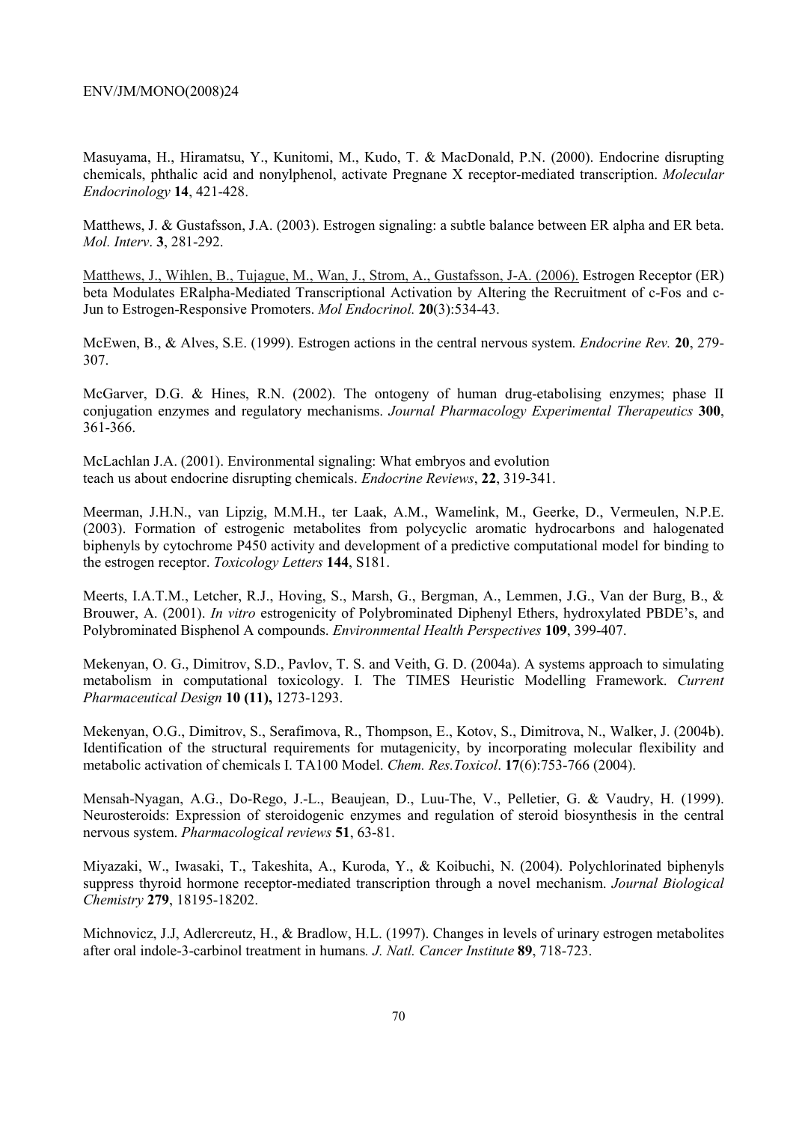Masuyama, H., Hiramatsu, Y., Kunitomi, M., Kudo, T. & MacDonald, P.N. (2000). Endocrine disrupting chemicals, phthalic acid and nonylphenol, activate Pregnane X receptor-mediated transcription. *Molecular Endocrinology* **14**, 421-428.

Matthews, J. & Gustafsson, J.A. (2003). Estrogen signaling: a subtle balance between ER alpha and ER beta. *Mol. Interv*. **3**, 281-292.

Matthews, J., Wihlen, B., Tujague, M., Wan, J., Strom, A., Gustafsson, J-A. (2006). Estrogen Receptor (ER) beta Modulates ERalpha-Mediated Transcriptional Activation by Altering the Recruitment of c-Fos and c-Jun to Estrogen-Responsive Promoters. *Mol Endocrinol.* **20**(3):534-43.

McEwen, B., & Alves, S.E. (1999). Estrogen actions in the central nervous system. *Endocrine Rev.* **20**, 279- 307.

McGarver, D.G. & Hines, R.N. (2002). The ontogeny of human drug-etabolising enzymes; phase II conjugation enzymes and regulatory mechanisms. *Journal Pharmacology Experimental Therapeutics* **300**, 361-366.

McLachlan J.A. (2001). Environmental signaling: What embryos and evolution teach us about endocrine disrupting chemicals. *Endocrine Reviews*, **22**, 319-341.

Meerman, J.H.N., van Lipzig, M.M.H., ter Laak, A.M., Wamelink, M., Geerke, D., Vermeulen, N.P.E. (2003). Formation of estrogenic metabolites from polycyclic aromatic hydrocarbons and halogenated biphenyls by cytochrome P450 activity and development of a predictive computational model for binding to the estrogen receptor. *Toxicology Letters* **144**, S181.

Meerts, I.A.T.M., Letcher, R.J., Hoving, S., Marsh, G., Bergman, A., Lemmen, J.G., Van der Burg, B., & Brouwer, A. (2001). *In vitro* estrogenicity of Polybrominated Diphenyl Ethers, hydroxylated PBDE's, and Polybrominated Bisphenol A compounds. *Environmental Health Perspectives* **109**, 399-407.

Mekenyan, O. G., Dimitrov, S.D., Pavlov, T. S. and Veith, G. D. (2004a). A systems approach to simulating metabolism in computational toxicology. I. The TIMES Heuristic Modelling Framework. *Current Pharmaceutical Design* **10 (11),** 1273-1293.

Mekenyan, O.G., Dimitrov, S., Serafimova, R., Thompson, E., Kotov, S., Dimitrova, N., Walker, J. (2004b). Identification of the structural requirements for mutagenicity, by incorporating molecular flexibility and metabolic activation of chemicals I. TA100 Model. *Chem. Res.Toxicol*. **17**(6):753-766 (2004).

Mensah-Nyagan, A.G., Do-Rego, J.-L., Beaujean, D., Luu-The, V., Pelletier, G. & Vaudry, H. (1999). Neurosteroids: Expression of steroidogenic enzymes and regulation of steroid biosynthesis in the central nervous system. *Pharmacological reviews* **51**, 63-81.

Miyazaki, W., Iwasaki, T., Takeshita, A., Kuroda, Y., & Koibuchi, N. (2004). Polychlorinated biphenyls suppress thyroid hormone receptor-mediated transcription through a novel mechanism. *Journal Biological Chemistry* **279**, 18195-18202.

Michnovicz, J.J, Adlercreutz, H., & Bradlow, H.L. (1997). Changes in levels of urinary estrogen metabolites after oral indole-3-carbinol treatment in humans*. J. Natl. Cancer Institute* **89**, 718-723.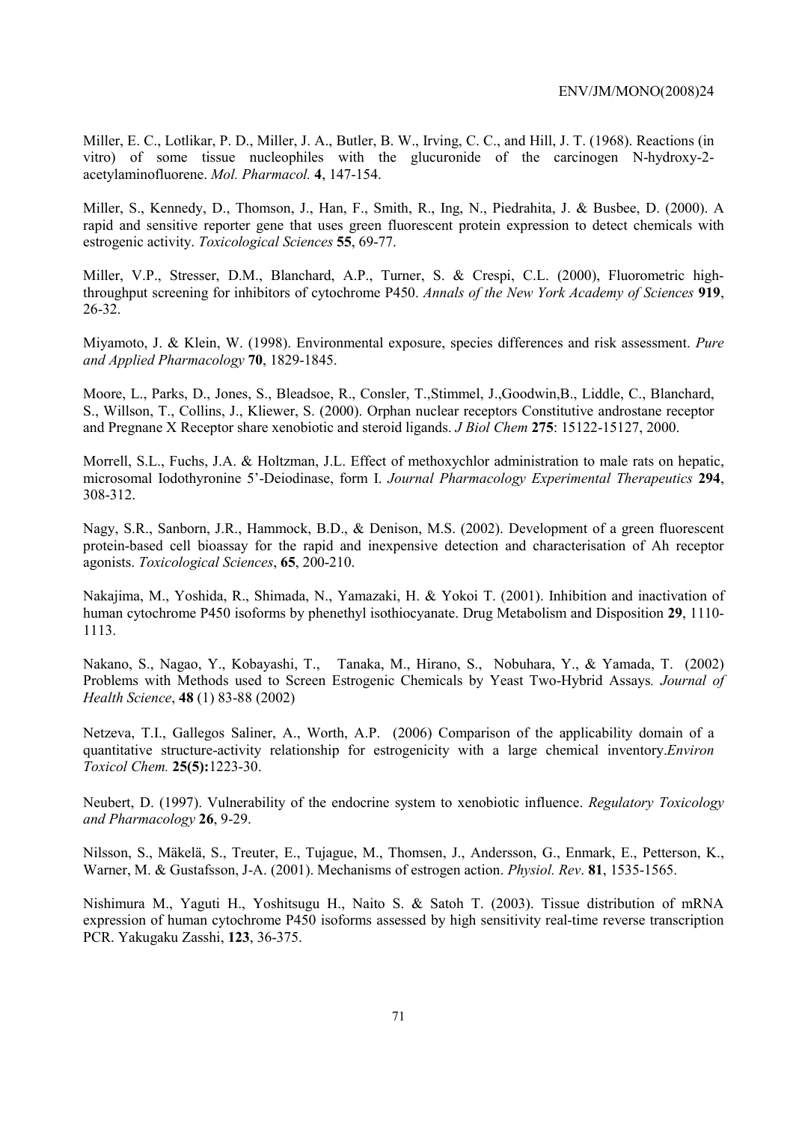Miller, E. C., Lotlikar, P. D., Miller, J. A., Butler, B. W., Irving, C. C., and Hill, J. T. (1968). Reactions (in vitro) of some tissue nucleophiles with the glucuronide of the carcinogen N-hydroxy-2 acetylaminofluorene. *Mol. Pharmacol.* **4**, 147-154.

Miller, S., Kennedy, D., Thomson, J., Han, F., Smith, R., Ing, N., Piedrahita, J. & Busbee, D. (2000). A rapid and sensitive reporter gene that uses green fluorescent protein expression to detect chemicals with estrogenic activity. *Toxicological Sciences* **55**, 69-77.

Miller, V.P., Stresser, D.M., Blanchard, A.P., Turner, S. & Crespi, C.L. (2000), Fluorometric highthroughput screening for inhibitors of cytochrome P450. *Annals of the New York Academy of Sciences* **919**, 26-32.

Miyamoto, J. & Klein, W. (1998). Environmental exposure, species differences and risk assessment. *Pure and Applied Pharmacology* **70**, 1829-1845.

Moore, L., Parks, D., Jones, S., Bleadsoe, R., Consler, T.,Stimmel, J.,Goodwin,B., Liddle, C., Blanchard, S., Willson, T., Collins, J., Kliewer, S. (2000). Orphan nuclear receptors Constitutive androstane receptor and Pregnane X Receptor share xenobiotic and steroid ligands. *J Biol Chem* **275**: 15122-15127, 2000.

Morrell, S.L., Fuchs, J.A. & Holtzman, J.L. Effect of methoxychlor administration to male rats on hepatic, microsomal Iodothyronine 5'-Deiodinase, form I. *Journal Pharmacology Experimental Therapeutics* **294**, 308-312.

Nagy, S.R., Sanborn, J.R., Hammock, B.D., & Denison, M.S. (2002). Development of a green fluorescent protein-based cell bioassay for the rapid and inexpensive detection and characterisation of Ah receptor agonists. *Toxicological Sciences*, **65**, 200-210.

Nakajima, M., Yoshida, R., Shimada, N., Yamazaki, H. & Yokoi T. (2001). Inhibition and inactivation of human cytochrome P450 isoforms by phenethyl isothiocyanate. Drug Metabolism and Disposition **29**, 1110- 1113.

Nakano, S., Nagao, Y., Kobayashi, T., Tanaka, M., Hirano, S., Nobuhara, Y., & Yamada, T. (2002) Problems with Methods used to Screen Estrogenic Chemicals by Yeast Two-Hybrid Assays*. Journal of Health Science*, **48** (1) 83-88 (2002)

Netzeva, T.I., Gallegos Saliner, A., Worth, A.P. (2006) Comparison of the applicability domain of a quantitative structure-activity relationship for estrogenicity with a large chemical inventory.*Environ Toxicol Chem.* **25(5):**1223-30.

Neubert, D. (1997). Vulnerability of the endocrine system to xenobiotic influence. *Regulatory Toxicology and Pharmacology* **26**, 9-29.

Nilsson, S., Mäkelä, S., Treuter, E., Tujague, M., Thomsen, J., Andersson, G., Enmark, E., Petterson, K., Warner, M. & Gustafsson, J-A. (2001). Mechanisms of estrogen action. *Physiol. Rev*. **81**, 1535-1565.

Nishimura M., Yaguti H., Yoshitsugu H., Naito S. & Satoh T. (2003). Tissue distribution of mRNA expression of human cytochrome P450 isoforms assessed by high sensitivity real-time reverse transcription PCR. Yakugaku Zasshi, **123**, 36-375.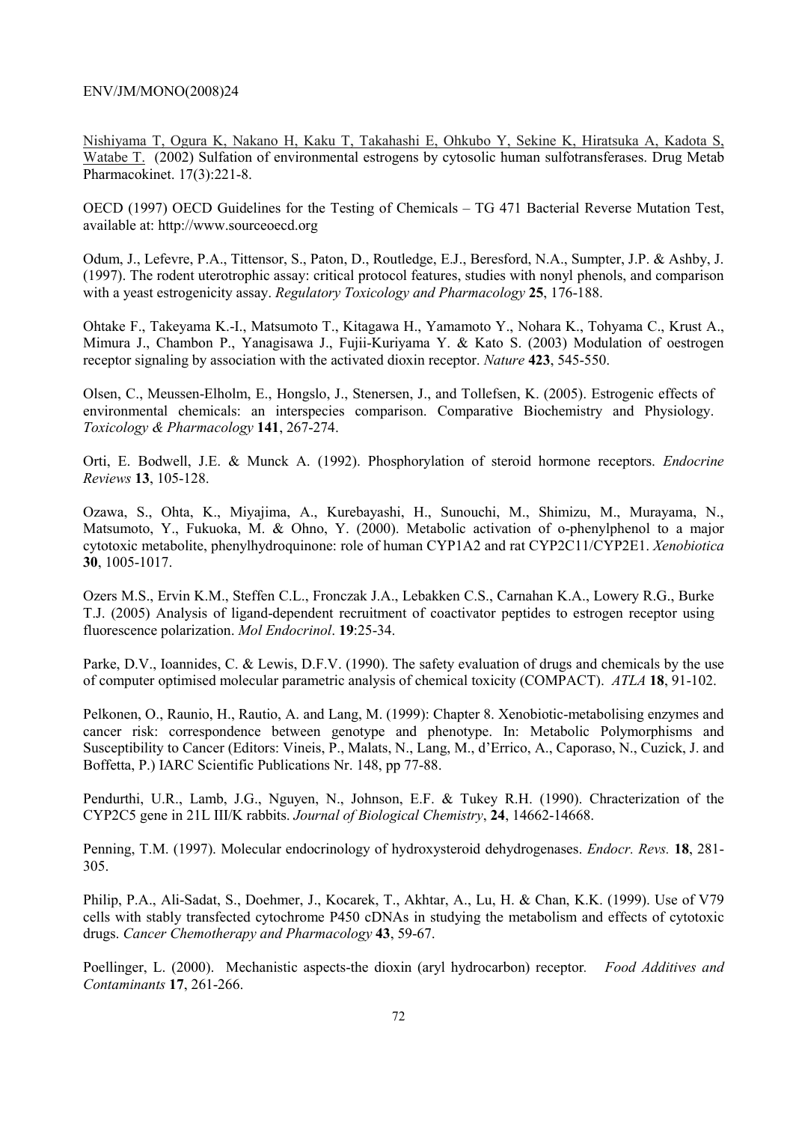Nishiyama T, Ogura K, Nakano H, Kaku T, Takahashi E, Ohkubo Y, Sekine K, Hiratsuka A, Kadota S, Watabe T. (2002) Sulfation of environmental estrogens by cytosolic human sulfotransferases. Drug Metab Pharmacokinet. 17(3):221-8.

OECD (1997) OECD Guidelines for the Testing of Chemicals – TG 471 Bacterial Reverse Mutation Test, available at: http://www.sourceoecd.org

Odum, J., Lefevre, P.A., Tittensor, S., Paton, D., Routledge, E.J., Beresford, N.A., Sumpter, J.P. & Ashby, J. (1997). The rodent uterotrophic assay: critical protocol features, studies with nonyl phenols, and comparison with a yeast estrogenicity assay. *Regulatory Toxicology and Pharmacology* **25**, 176-188.

Ohtake F., Takeyama K.-I., Matsumoto T., Kitagawa H., Yamamoto Y., Nohara K., Tohyama C., Krust A., Mimura J., Chambon P., Yanagisawa J., Fujii-Kuriyama Y. & Kato S. (2003) Modulation of oestrogen receptor signaling by association with the activated dioxin receptor. *Nature* **423**, 545-550.

Olsen, C., Meussen-Elholm, E., Hongslo, J., Stenersen, J., and Tollefsen, K. (2005). Estrogenic effects of environmental chemicals: an interspecies comparison. Comparative Biochemistry and Physiology. *Toxicology & Pharmacology* **141**, 267-274.

Orti, E. Bodwell, J.E. & Munck A. (1992). Phosphorylation of steroid hormone receptors. *Endocrine Reviews* **13**, 105-128.

Ozawa, S., Ohta, K., Miyajima, A., Kurebayashi, H., Sunouchi, M., Shimizu, M., Murayama, N., Matsumoto, Y., Fukuoka, M. & Ohno, Y. (2000). Metabolic activation of o-phenylphenol to a major cytotoxic metabolite, phenylhydroquinone: role of human CYP1A2 and rat CYP2C11/CYP2E1. *Xenobiotica*  **30**, 1005-1017.

Ozers M.S., Ervin K.M., Steffen C.L., Fronczak J.A., Lebakken C.S., Carnahan K.A., Lowery R.G., Burke T.J. (2005) Analysis of ligand-dependent recruitment of coactivator peptides to estrogen receptor using fluorescence polarization. *Mol Endocrinol*. **19**:25-34.

Parke, D.V., Ioannides, C. & Lewis, D.F.V. (1990). The safety evaluation of drugs and chemicals by the use of computer optimised molecular parametric analysis of chemical toxicity (COMPACT). *ATLA* **18**, 91-102.

Pelkonen, O., Raunio, H., Rautio, A. and Lang, M. (1999): Chapter 8. Xenobiotic-metabolising enzymes and cancer risk: correspondence between genotype and phenotype. In: Metabolic Polymorphisms and Susceptibility to Cancer (Editors: Vineis, P., Malats, N., Lang, M., d'Errico, A., Caporaso, N., Cuzick, J. and Boffetta, P.) IARC Scientific Publications Nr. 148, pp 77-88.

Pendurthi, U.R., Lamb, J.G., Nguyen, N., Johnson, E.F. & Tukey R.H. (1990). Chracterization of the CYP2C5 gene in 21L III/K rabbits. *Journal of Biological Chemistry*, **24**, 14662-14668.

Penning, T.M. (1997). Molecular endocrinology of hydroxysteroid dehydrogenases. *Endocr. Revs.* **18**, 281- 305.

Philip, P.A., Ali-Sadat, S., Doehmer, J., Kocarek, T., Akhtar, A., Lu, H. & Chan, K.K. (1999). Use of V79 cells with stably transfected cytochrome P450 cDNAs in studying the metabolism and effects of cytotoxic drugs. *Cancer Chemotherapy and Pharmacology* **43**, 59-67.

Poellinger, L. (2000). Mechanistic aspects-the dioxin (aryl hydrocarbon) receptor*. Food Additives and Contaminants* **17**, 261-266.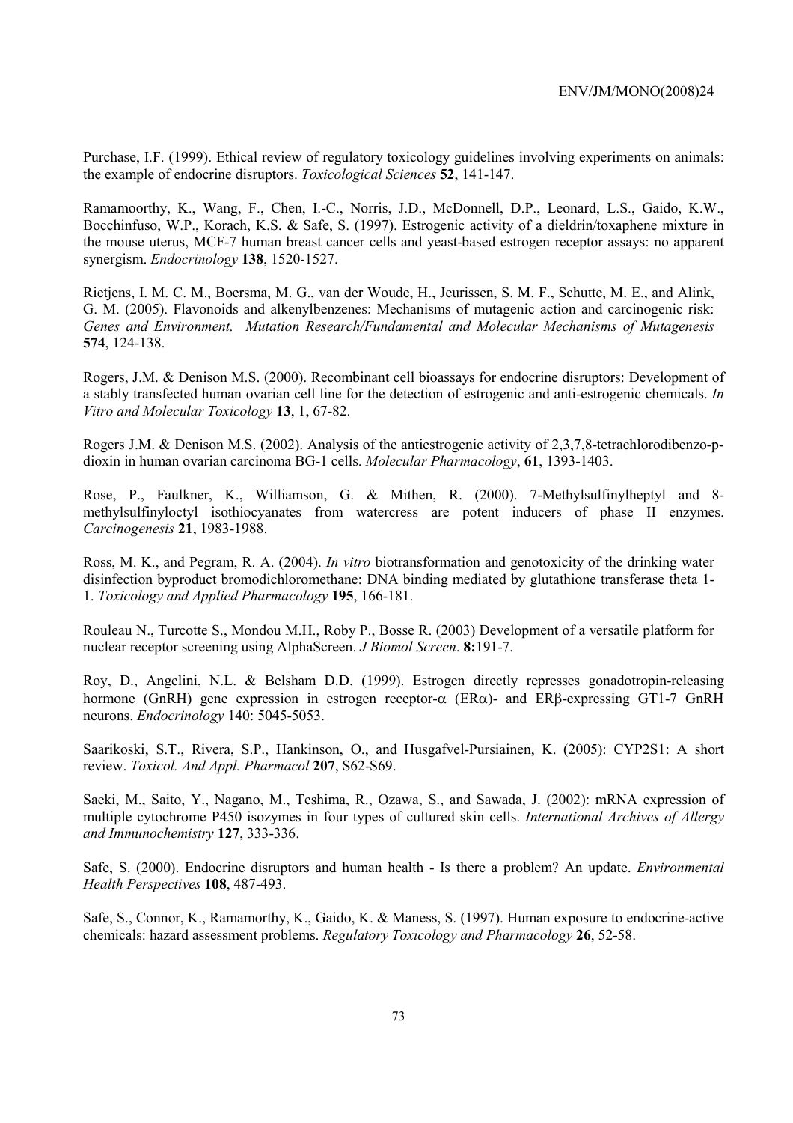Purchase, I.F. (1999). Ethical review of regulatory toxicology guidelines involving experiments on animals: the example of endocrine disruptors. *Toxicological Sciences* **52**, 141-147.

Ramamoorthy, K., Wang, F., Chen, I.-C., Norris, J.D., McDonnell, D.P., Leonard, L.S., Gaido, K.W., Bocchinfuso, W.P., Korach, K.S. & Safe, S. (1997). Estrogenic activity of a dieldrin/toxaphene mixture in the mouse uterus, MCF-7 human breast cancer cells and yeast-based estrogen receptor assays: no apparent synergism. *Endocrinology* **138**, 1520-1527.

Rietjens, I. M. C. M., Boersma, M. G., van der Woude, H., Jeurissen, S. M. F., Schutte, M. E., and Alink, G. M. (2005). Flavonoids and alkenylbenzenes: Mechanisms of mutagenic action and carcinogenic risk: *Genes and Environment. Mutation Research/Fundamental and Molecular Mechanisms of Mutagenesis* **574**, 124-138.

Rogers, J.M. & Denison M.S. (2000). Recombinant cell bioassays for endocrine disruptors: Development of a stably transfected human ovarian cell line for the detection of estrogenic and anti-estrogenic chemicals. *In Vitro and Molecular Toxicology* **13**, 1, 67-82.

Rogers J.M. & Denison M.S. (2002). Analysis of the antiestrogenic activity of 2,3,7,8-tetrachlorodibenzo-pdioxin in human ovarian carcinoma BG-1 cells. *Molecular Pharmacology*, **61**, 1393-1403.

Rose, P., Faulkner, K., Williamson, G. & Mithen, R. (2000). 7-Methylsulfinylheptyl and 8 methylsulfinyloctyl isothiocyanates from watercress are potent inducers of phase II enzymes. *Carcinogenesis* **21**, 1983-1988.

Ross, M. K., and Pegram, R. A. (2004). *In vitro* biotransformation and genotoxicity of the drinking water disinfection byproduct bromodichloromethane: DNA binding mediated by glutathione transferase theta 1- 1. *Toxicology and Applied Pharmacology* **195**, 166-181.

Rouleau N., Turcotte S., Mondou M.H., Roby P., Bosse R. (2003) Development of a versatile platform for nuclear receptor screening using AlphaScreen. *J Biomol Screen*. **8:**191-7.

Roy, D., Angelini, N.L. & Belsham D.D. (1999). Estrogen directly represses gonadotropin-releasing hormone (GnRH) gene expression in estrogen receptor-α (ERα)- and ERβ-expressing GT1-7 GnRH neurons. *Endocrinology* 140: 5045-5053.

Saarikoski, S.T., Rivera, S.P., Hankinson, O., and Husgafvel-Pursiainen, K. (2005): CYP2S1: A short review. *Toxicol. And Appl. Pharmacol* **207**, S62-S69.

Saeki, M., Saito, Y., Nagano, M., Teshima, R., Ozawa, S., and Sawada, J. (2002): mRNA expression of multiple cytochrome P450 isozymes in four types of cultured skin cells. *International Archives of Allergy and Immunochemistry* **127**, 333-336.

Safe, S. (2000). Endocrine disruptors and human health - Is there a problem? An update. *Environmental Health Perspectives* **108**, 487-493.

Safe, S., Connor, K., Ramamorthy, K., Gaido, K. & Maness, S. (1997). Human exposure to endocrine-active chemicals: hazard assessment problems. *Regulatory Toxicology and Pharmacology* **26**, 52-58.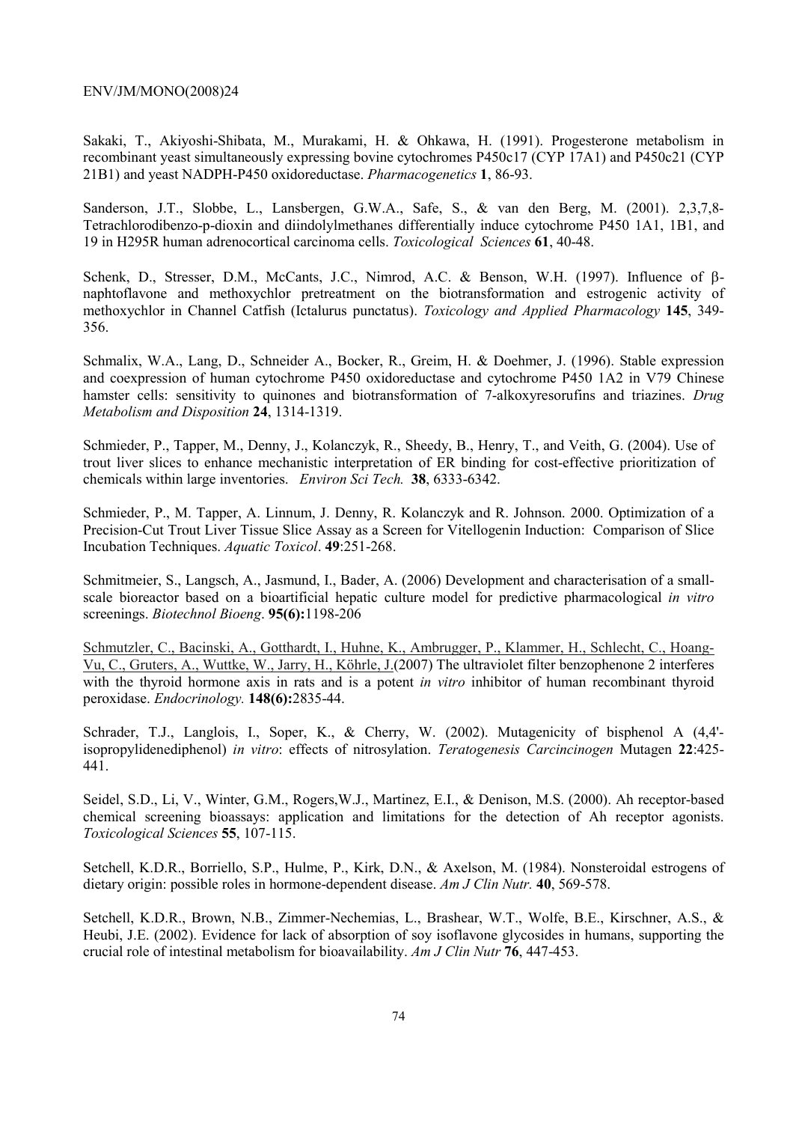Sakaki, T., Akiyoshi-Shibata, M., Murakami, H. & Ohkawa, H. (1991). Progesterone metabolism in recombinant yeast simultaneously expressing bovine cytochromes P450c17 (CYP 17A1) and P450c21 (CYP 21B1) and yeast NADPH-P450 oxidoreductase. *Pharmacogenetics* **1**, 86-93.

Sanderson, J.T., Slobbe, L., Lansbergen, G.W.A., Safe, S., & van den Berg, M. (2001). 2,3,7,8- Tetrachlorodibenzo-p-dioxin and diindolylmethanes differentially induce cytochrome P450 1A1, 1B1, and 19 in H295R human adrenocortical carcinoma cells. *Toxicological Sciences* **61**, 40-48.

Schenk, D., Stresser, D.M., McCants, J.C., Nimrod, A.C. & Benson, W.H. (1997). Influence of βnaphtoflavone and methoxychlor pretreatment on the biotransformation and estrogenic activity of methoxychlor in Channel Catfish (Ictalurus punctatus). *Toxicology and Applied Pharmacology* **145**, 349- 356.

Schmalix, W.A., Lang, D., Schneider A., Bocker, R., Greim, H. & Doehmer, J. (1996). Stable expression and coexpression of human cytochrome P450 oxidoreductase and cytochrome P450 1A2 in V79 Chinese hamster cells: sensitivity to quinones and biotransformation of 7-alkoxyresorufins and triazines. *Drug Metabolism and Disposition* **24**, 1314-1319.

Schmieder, P., Tapper, M., Denny, J., Kolanczyk, R., Sheedy, B., Henry, T., and Veith, G. (2004). Use of trout liver slices to enhance mechanistic interpretation of ER binding for cost-effective prioritization of chemicals within large inventories.*Environ Sci Tech.* **38**, 6333-6342.

Schmieder, P., M. Tapper, A. Linnum, J. Denny, R. Kolanczyk and R. Johnson. 2000. Optimization of a Precision-Cut Trout Liver Tissue Slice Assay as a Screen for Vitellogenin Induction: Comparison of Slice Incubation Techniques. *Aquatic Toxicol*. **49**:251-268.

Schmitmeier, S., Langsch, A., Jasmund, I., Bader, A. (2006) Development and characterisation of a smallscale bioreactor based on a bioartificial hepatic culture model for predictive pharmacological *in vitro* screenings. *Biotechnol Bioeng*. **95(6):**1198-206

Schmutzler, C., Bacinski, A., Gotthardt, I., Huhne, K., Ambrugger, P., Klammer, H., Schlecht, C., Hoang-Vu, C., Gruters, A., Wuttke, W., Jarry, H., Köhrle, J.(2007) The ultraviolet filter benzophenone 2 interferes with the thyroid hormone axis in rats and is a potent *in vitro* inhibitor of human recombinant thyroid peroxidase. *Endocrinology.* **148(6):**2835-44.

Schrader, T.J., Langlois, I., Soper, K., & Cherry, W. (2002). Mutagenicity of bisphenol A (4,4' isopropylidenediphenol) *in vitro*: effects of nitrosylation. *Teratogenesis Carcincinogen* Mutagen **22**:425- 441.

Seidel, S.D., Li, V., Winter, G.M., Rogers,W.J., Martinez, E.I., & Denison, M.S. (2000). Ah receptor-based chemical screening bioassays: application and limitations for the detection of Ah receptor agonists. *Toxicological Sciences* **55**, 107-115.

Setchell, K.D.R., Borriello, S.P., Hulme, P., Kirk, D.N., & Axelson, M. (1984). Nonsteroidal estrogens of dietary origin: possible roles in hormone-dependent disease. *Am J Clin Nutr.* **40**, 569-578.

Setchell, K.D.R., Brown, N.B., Zimmer-Nechemias, L., Brashear, W.T., Wolfe, B.E., Kirschner, A.S., & Heubi, J.E. (2002). Evidence for lack of absorption of soy isoflavone glycosides in humans, supporting the crucial role of intestinal metabolism for bioavailability. *Am J Clin Nutr* **76**, 447-453.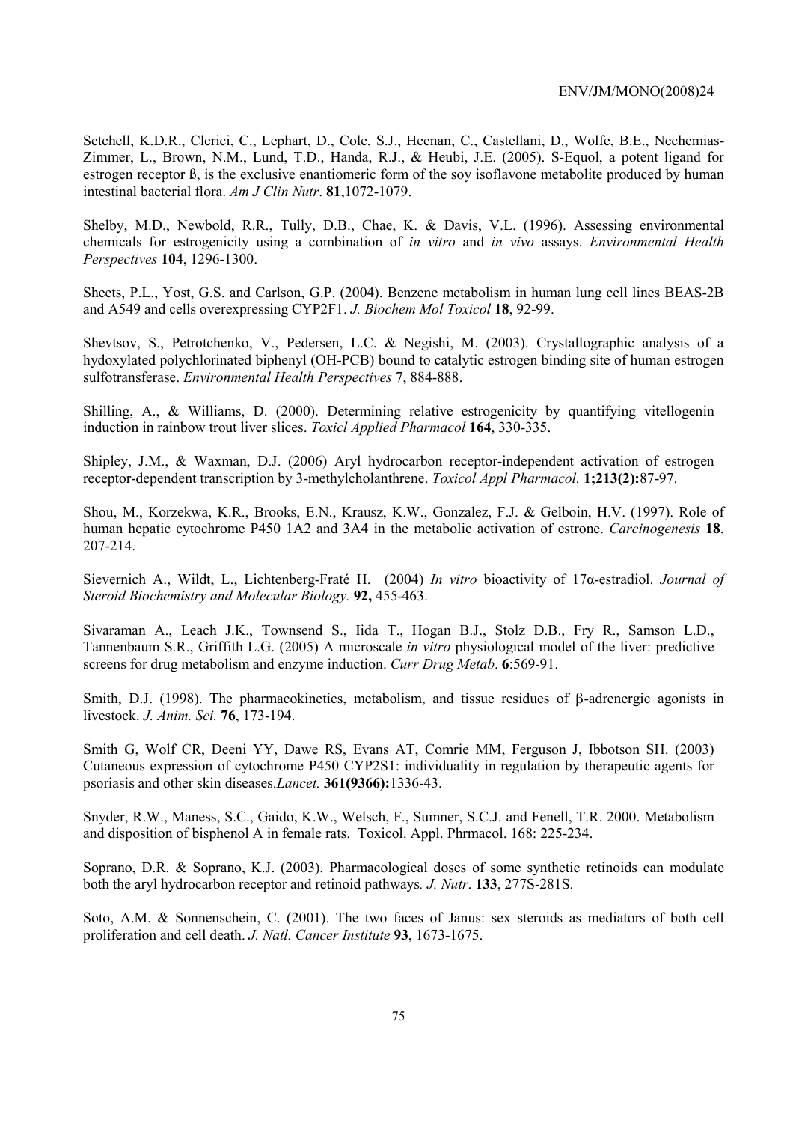Setchell, K.D.R., Clerici, C., Lephart, D., Cole, S.J., Heenan, C., Castellani, D., Wolfe, B.E., Nechemias-Zimmer, L., Brown, N.M., Lund, T.D., Handa, R.J., & Heubi, J.E. (2005). S-Equol, a potent ligand for estrogen receptor ß, is the exclusive enantiomeric form of the soy isoflavone metabolite produced by human intestinal bacterial flora. *Am J Clin Nutr*. **81**,1072-1079.

Shelby, M.D., Newbold, R.R., Tully, D.B., Chae, K. & Davis, V.L. (1996). Assessing environmental chemicals for estrogenicity using a combination of *in vitro* and *in vivo* assays. *Environmental Health Perspectives* **104**, 1296-1300.

Sheets, P.L., Yost, G.S. and Carlson, G.P. (2004). Benzene metabolism in human lung cell lines BEAS-2B and A549 and cells overexpressing CYP2F1. *J. Biochem Mol Toxicol* **18**, 92-99.

Shevtsov, S., Petrotchenko, V., Pedersen, L.C. & Negishi, M. (2003). Crystallographic analysis of a hydoxylated polychlorinated biphenyl (OH-PCB) bound to catalytic estrogen binding site of human estrogen sulfotransferase. *Environmental Health Perspectives* 7, 884-888.

Shilling, A., & Williams, D. (2000). Determining relative estrogenicity by quantifying vitellogenin induction in rainbow trout liver slices. *Toxicl Applied Pharmacol* **164**, 330-335.

Shipley, J.M., & Waxman, D.J. (2006) Aryl hydrocarbon receptor-independent activation of estrogen receptor-dependent transcription by 3-methylcholanthrene. *Toxicol Appl Pharmacol.* **1;213(2):**87-97.

Shou, M., Korzekwa, K.R., Brooks, E.N., Krausz, K.W., Gonzalez, F.J. & Gelboin, H.V. (1997). Role of human hepatic cytochrome P450 1A2 and 3A4 in the metabolic activation of estrone. *Carcinogenesis* **18**, 207-214.

Sievernich A., Wildt, L., Lichtenberg-Fraté H. (2004) *In vitro* bioactivity of 17α-estradiol. *Journal of Steroid Biochemistry and Molecular Biology.* **92,** 455-463.

Sivaraman A., Leach J.K., Townsend S., Iida T., Hogan B.J., Stolz D.B., Fry R., Samson L.D., Tannenbaum S.R., Griffith L.G. (2005) A microscale *in vitro* physiological model of the liver: predictive screens for drug metabolism and enzyme induction. *Curr Drug Metab*. **6**:569-91.

Smith, D.J. (1998). The pharmacokinetics, metabolism, and tissue residues of β-adrenergic agonists in livestock. *J. Anim. Sci.* **76**, 173-194.

Smith G, Wolf CR, Deeni YY, Dawe RS, Evans AT, Comrie MM, Ferguson J, Ibbotson SH. (2003) Cutaneous expression of cytochrome P450 CYP2S1: individuality in regulation by therapeutic agents for psoriasis and other skin diseases.*Lancet.* **361(9366):**1336-43.

Snyder, R.W., Maness, S.C., Gaido, K.W., Welsch, F., Sumner, S.C.J. and Fenell, T.R. 2000. Metabolism and disposition of bisphenol A in female rats. Toxicol. Appl. Phrmacol. 168: 225-234.

Soprano, D.R. & Soprano, K.J. (2003). Pharmacological doses of some synthetic retinoids can modulate both the aryl hydrocarbon receptor and retinoid pathways*. J. Nutr*. **133**, 277S-281S.

Soto, A.M. & Sonnenschein, C. (2001). The two faces of Janus: sex steroids as mediators of both cell proliferation and cell death. *J. Natl. Cancer Institute* **93**, 1673-1675.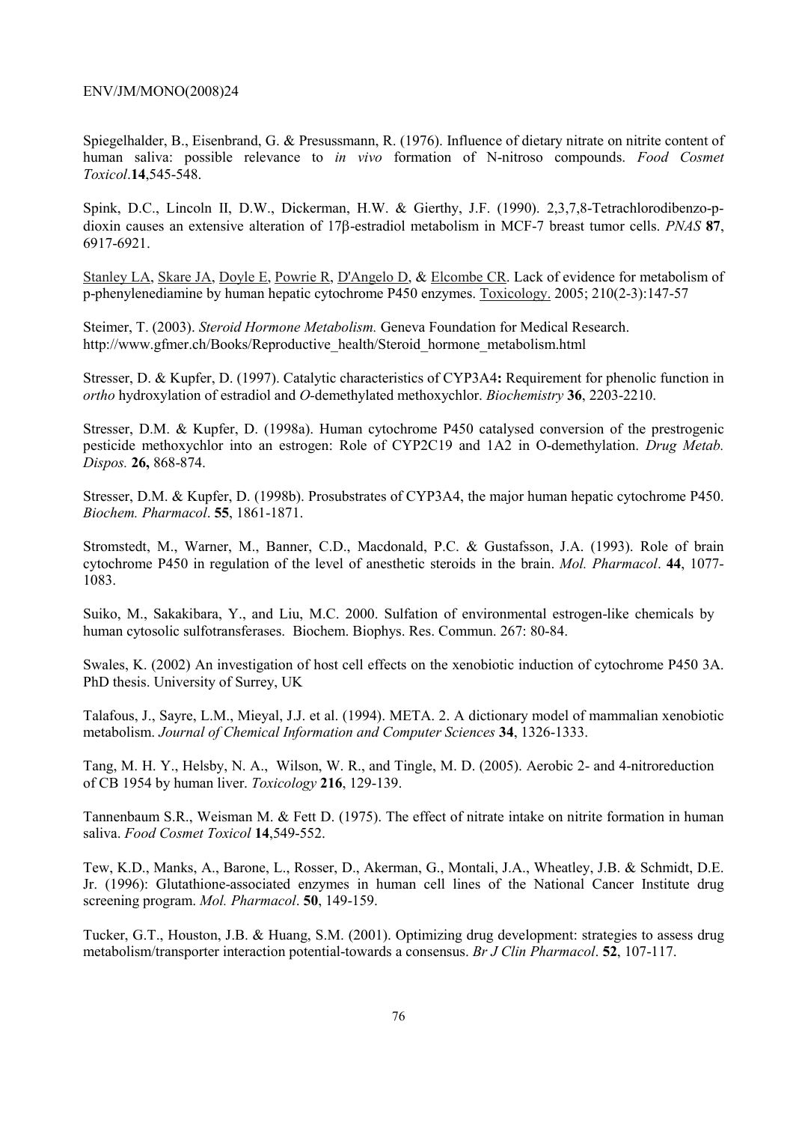Spiegelhalder, B., Eisenbrand, G. & Presussmann, R. (1976). Influence of dietary nitrate on nitrite content of human saliva: possible relevance to *in vivo* formation of N-nitroso compounds. *Food Cosmet Toxicol*.**14**,545-548.

Spink, D.C., Lincoln II, D.W., Dickerman, H.W. & Gierthy, J.F. (1990). 2,3,7,8-Tetrachlorodibenzo-pdioxin causes an extensive alteration of 17β-estradiol metabolism in MCF-7 breast tumor cells. *PNAS* **87**, 6917-6921.

Stanley LA, Skare JA, Doyle E, Powrie R, D'Angelo D, & Elcombe CR. Lack of evidence for metabolism of p-phenylenediamine by human hepatic cytochrome P450 enzymes. Toxicology. 2005; 210(2-3):147-57

Steimer, T. (2003). *Steroid Hormone Metabolism.* Geneva Foundation for Medical Research. http://www.gfmer.ch/Books/Reproductive\_health/Steroid\_hormone\_metabolism.html

Stresser, D. & Kupfer, D. (1997). Catalytic characteristics of CYP3A4**:** Requirement for phenolic function in *ortho* hydroxylation of estradiol and *O-*demethylated methoxychlor. *Biochemistry* **36**, 2203-2210.

Stresser, D.M. & Kupfer, D. (1998a). Human cytochrome P450 catalysed conversion of the prestrogenic pesticide methoxychlor into an estrogen: Role of CYP2C19 and 1A2 in O-demethylation. *Drug Metab. Dispos.* **26,** 868-874.

Stresser, D.M. & Kupfer, D. (1998b). Prosubstrates of CYP3A4, the major human hepatic cytochrome P450. *Biochem. Pharmacol*. **55**, 1861-1871.

Stromstedt, M., Warner, M., Banner, C.D., Macdonald, P.C. & Gustafsson, J.A. (1993). Role of brain cytochrome P450 in regulation of the level of anesthetic steroids in the brain. *Mol. Pharmacol*. **44**, 1077- 1083.

Suiko, M., Sakakibara, Y., and Liu, M.C. 2000. Sulfation of environmental estrogen-like chemicals by human cytosolic sulfotransferases. Biochem. Biophys. Res. Commun. 267: 80-84.

Swales, K. (2002) An investigation of host cell effects on the xenobiotic induction of cytochrome P450 3A. PhD thesis. University of Surrey, UK

Talafous, J., Sayre, L.M., Mieyal, J.J. et al. (1994). META. 2. A dictionary model of mammalian xenobiotic metabolism. *Journal of Chemical Information and Computer Sciences* **34**, 1326-1333.

Tang, M. H. Y., Helsby, N. A., Wilson, W. R., and Tingle, M. D. (2005). Aerobic 2- and 4-nitroreduction of CB 1954 by human liver. *Toxicology* **216**, 129-139.

Tannenbaum S.R., Weisman M. & Fett D. (1975). The effect of nitrate intake on nitrite formation in human saliva. *Food Cosmet Toxicol* **14**,549-552.

Tew, K.D., Manks, A., Barone, L., Rosser, D., Akerman, G., Montali, J.A., Wheatley, J.B. & Schmidt, D.E. Jr. (1996): Glutathione-associated enzymes in human cell lines of the National Cancer Institute drug screening program. *Mol. Pharmacol*. **50**, 149-159.

Tucker, G.T., Houston, J.B. & Huang, S.M. (2001). Optimizing drug development: strategies to assess drug metabolism/transporter interaction potential-towards a consensus. *Br J Clin Pharmacol*. **52**, 107-117.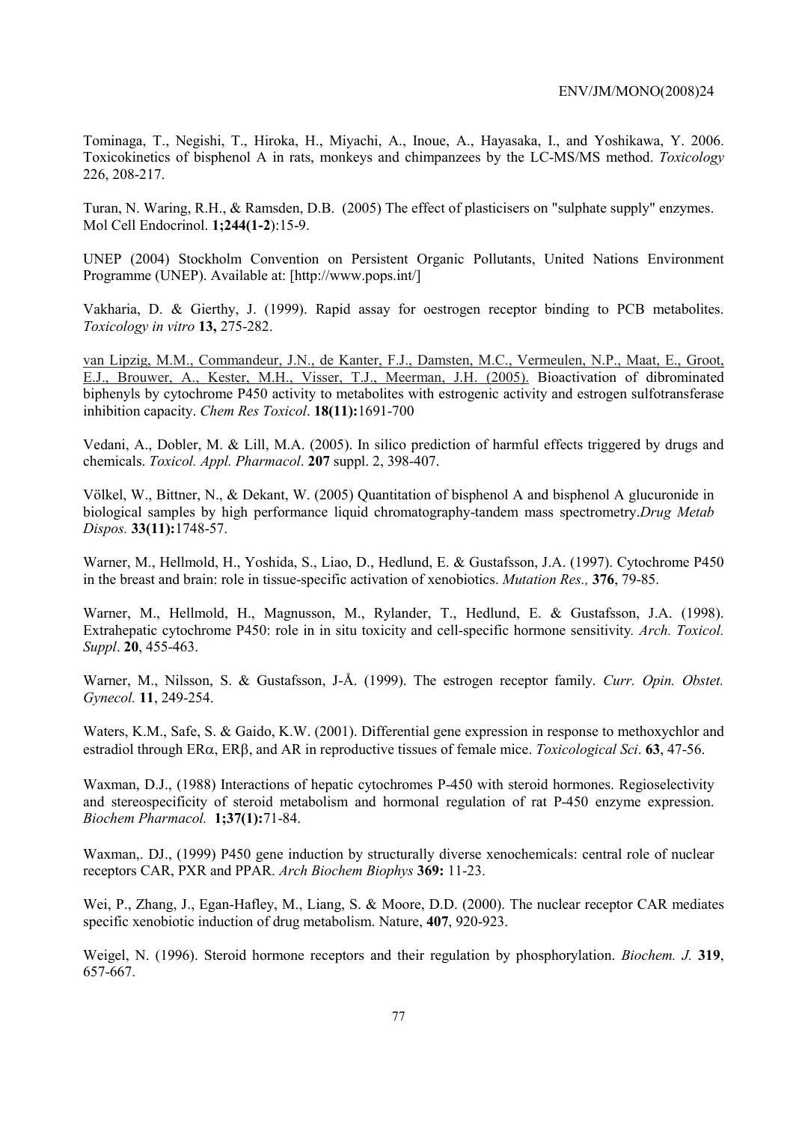Tominaga, T., Negishi, T., Hiroka, H., Miyachi, A., Inoue, A., Hayasaka, I., and Yoshikawa, Y. 2006. Toxicokinetics of bisphenol A in rats, monkeys and chimpanzees by the LC-MS/MS method. *Toxicology* 226, 208-217.

Turan, N. Waring, R.H., & Ramsden, D.B. (2005) The effect of plasticisers on "sulphate supply" enzymes. Mol Cell Endocrinol. **1;244(1-2**):15-9.

UNEP (2004) Stockholm Convention on Persistent Organic Pollutants, United Nations Environment Programme (UNEP). Available at: [http://www.pops.int/]

Vakharia, D. & Gierthy, J. (1999). Rapid assay for oestrogen receptor binding to PCB metabolites. *Toxicology in vitro* **13,** 275-282.

van Lipzig, M.M., Commandeur, J.N., de Kanter, F.J., Damsten, M.C., Vermeulen, N.P., Maat, E., Groot, E.J., Brouwer, A., Kester, M.H., Visser, T.J., Meerman, J.H. (2005). Bioactivation of dibrominated biphenyls by cytochrome P450 activity to metabolites with estrogenic activity and estrogen sulfotransferase inhibition capacity. *Chem Res Toxicol*. **18(11):**1691-700

Vedani, A., Dobler, M. & Lill, M.A. (2005). In silico prediction of harmful effects triggered by drugs and chemicals. *Toxicol. Appl. Pharmacol*. **207** suppl. 2, 398-407.

Völkel, W., Bittner, N., & Dekant, W. (2005) Quantitation of bisphenol A and bisphenol A glucuronide in biological samples by high performance liquid chromatography-tandem mass spectrometry.*Drug Metab Dispos.* **33(11):**1748-57.

Warner, M., Hellmold, H., Yoshida, S., Liao, D., Hedlund, E. & Gustafsson, J.A. (1997). Cytochrome P450 in the breast and brain: role in tissue-specific activation of xenobiotics. *Mutation Res.,* **376**, 79-85.

Warner, M., Hellmold, H., Magnusson, M., Rylander, T., Hedlund, E. & Gustafsson, J.A. (1998). Extrahepatic cytochrome P450: role in in situ toxicity and cell-specific hormone sensitivity*. Arch. Toxicol. Suppl*. **20**, 455-463.

Warner, M., Nilsson, S. & Gustafsson, J-Å. (1999). The estrogen receptor family. *Curr. Opin. Obstet. Gynecol.* **11**, 249-254.

Waters, K.M., Safe, S. & Gaido, K.W. (2001). Differential gene expression in response to methoxychlor and estradiol through ERα, ERβ, and AR in reproductive tissues of female mice. *Toxicological Sci*. **63**, 47-56.

Waxman, D.J., (1988) Interactions of hepatic cytochromes P-450 with steroid hormones. Regioselectivity and stereospecificity of steroid metabolism and hormonal regulation of rat P-450 enzyme expression. *Biochem Pharmacol.* **1;37(1):**71-84.

Waxman,. DJ., (1999) P450 gene induction by structurally diverse xenochemicals: central role of nuclear receptors CAR, PXR and PPAR. *Arch Biochem Biophys* **369:** 11-23.

Wei, P., Zhang, J., Egan-Hafley, M., Liang, S. & Moore, D.D. (2000). The nuclear receptor CAR mediates specific xenobiotic induction of drug metabolism. Nature, **407**, 920-923.

Weigel, N. (1996). Steroid hormone receptors and their regulation by phosphorylation. *Biochem. J.* **319**, 657-667.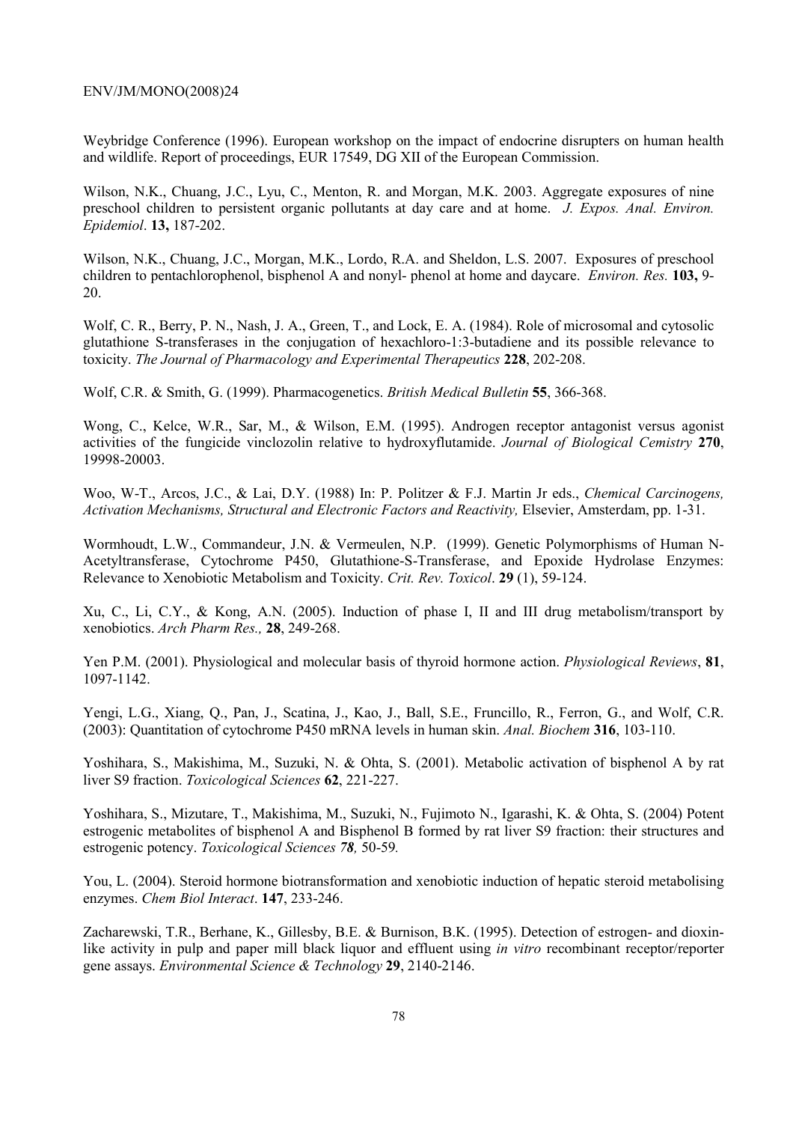Weybridge Conference (1996). European workshop on the impact of endocrine disrupters on human health and wildlife. Report of proceedings, EUR 17549, DG XII of the European Commission.

Wilson, N.K., Chuang, J.C., Lyu, C., Menton, R. and Morgan, M.K. 2003. Aggregate exposures of nine preschool children to persistent organic pollutants at day care and at home. *J. Expos. Anal. Environ. Epidemiol*. **13,** 187-202.

Wilson, N.K., Chuang, J.C., Morgan, M.K., Lordo, R.A. and Sheldon, L.S. 2007. Exposures of preschool children to pentachlorophenol, bisphenol A and nonyl- phenol at home and daycare. *Environ. Res.* **103,** 9- 20.

Wolf, C. R., Berry, P. N., Nash, J. A., Green, T., and Lock, E. A. (1984). Role of microsomal and cytosolic glutathione S-transferases in the conjugation of hexachloro-1:3-butadiene and its possible relevance to toxicity. *The Journal of Pharmacology and Experimental Therapeutics* **228**, 202-208.

Wolf, C.R. & Smith, G. (1999). Pharmacogenetics. *British Medical Bulletin* **55**, 366-368.

Wong, C., Kelce, W.R., Sar, M., & Wilson, E.M. (1995). Androgen receptor antagonist versus agonist activities of the fungicide vinclozolin relative to hydroxyflutamide. *Journal of Biological Cemistry* **270**, 19998-20003.

Woo, W-T., Arcos, J.C., & Lai, D.Y. (1988) In: P. Politzer & F.J. Martin Jr eds., *Chemical Carcinogens, Activation Mechanisms, Structural and Electronic Factors and Reactivity,* Elsevier, Amsterdam, pp. 1-31.

Wormhoudt, L.W., Commandeur, J.N. & Vermeulen, N.P. (1999). Genetic Polymorphisms of Human N-Acetyltransferase, Cytochrome P450, Glutathione-S-Transferase, and Epoxide Hydrolase Enzymes: Relevance to Xenobiotic Metabolism and Toxicity. *Crit. Rev. Toxicol*. **29** (1), 59-124.

Xu, C., Li, C.Y., & Kong, A.N. (2005). Induction of phase I, II and III drug metabolism/transport by xenobiotics. *Arch Pharm Res.,* **28**, 249-268.

Yen P.M. (2001). Physiological and molecular basis of thyroid hormone action. *Physiological Reviews*, **81**, 1097-1142.

Yengi, L.G., Xiang, Q., Pan, J., Scatina, J., Kao, J., Ball, S.E., Fruncillo, R., Ferron, G., and Wolf, C.R. (2003): Quantitation of cytochrome P450 mRNA levels in human skin. *Anal. Biochem* **316**, 103-110.

Yoshihara, S., Makishima, M., Suzuki, N. & Ohta, S. (2001). Metabolic activation of bisphenol A by rat liver S9 fraction. *Toxicological Sciences* **62**, 221-227.

Yoshihara, S., Mizutare, T., Makishima, M., Suzuki, N., Fujimoto N., Igarashi, K. & Ohta, S. (2004) Potent estrogenic metabolites of bisphenol A and Bisphenol B formed by rat liver S9 fraction: their structures and estrogenic potency. *Toxicological Sciences 78,* 50-59*.*

You, L. (2004). Steroid hormone biotransformation and xenobiotic induction of hepatic steroid metabolising enzymes. *Chem Biol Interact*. **147**, 233-246.

Zacharewski, T.R., Berhane, K., Gillesby, B.E. & Burnison, B.K. (1995). Detection of estrogen- and dioxinlike activity in pulp and paper mill black liquor and effluent using *in vitro* recombinant receptor/reporter gene assays. *Environmental Science & Technology* **29**, 2140-2146.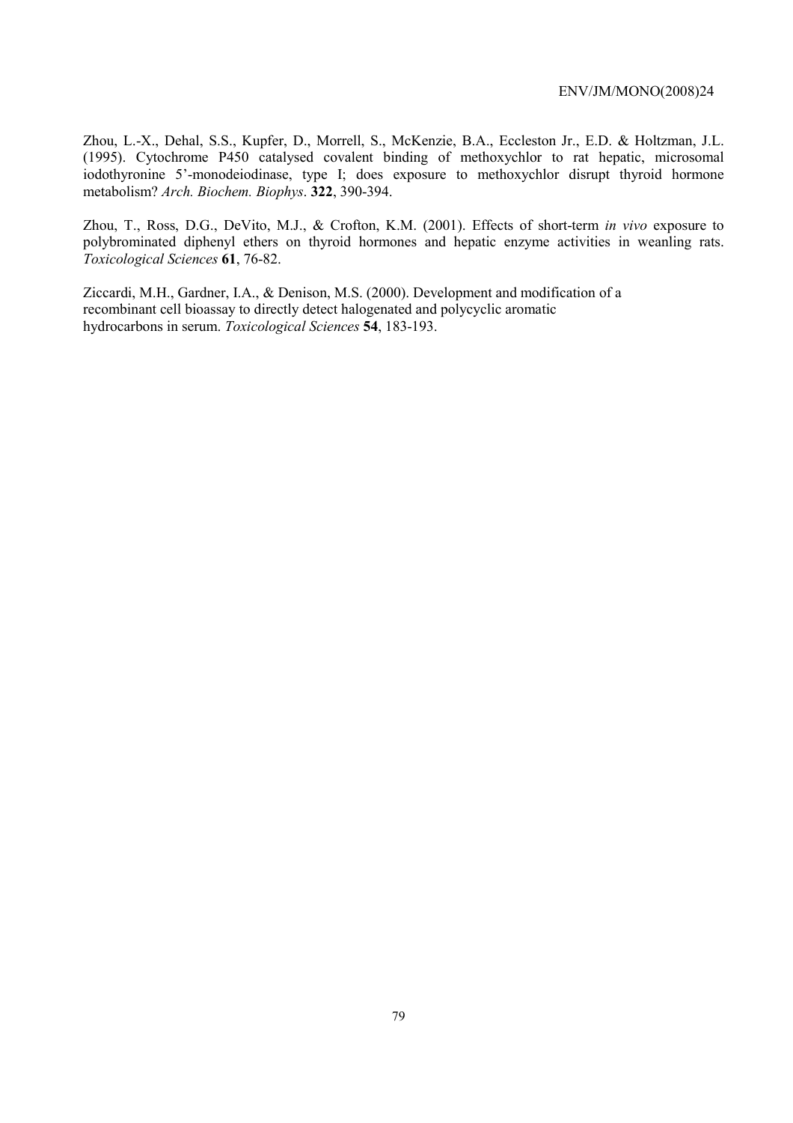Zhou, L.-X., Dehal, S.S., Kupfer, D., Morrell, S., McKenzie, B.A., Eccleston Jr., E.D. & Holtzman, J.L. (1995). Cytochrome P450 catalysed covalent binding of methoxychlor to rat hepatic, microsomal iodothyronine 5'-monodeiodinase, type I; does exposure to methoxychlor disrupt thyroid hormone metabolism? *Arch. Biochem. Biophys*. **322**, 390-394.

Zhou, T., Ross, D.G., DeVito, M.J., & Crofton, K.M. (2001). Effects of short-term *in vivo* exposure to polybrominated diphenyl ethers on thyroid hormones and hepatic enzyme activities in weanling rats. *Toxicological Sciences* **61**, 76-82.

Ziccardi, M.H., Gardner, I.A., & Denison, M.S. (2000). Development and modification of a recombinant cell bioassay to directly detect halogenated and polycyclic aromatic hydrocarbons in serum. *Toxicological Sciences* **54**, 183-193.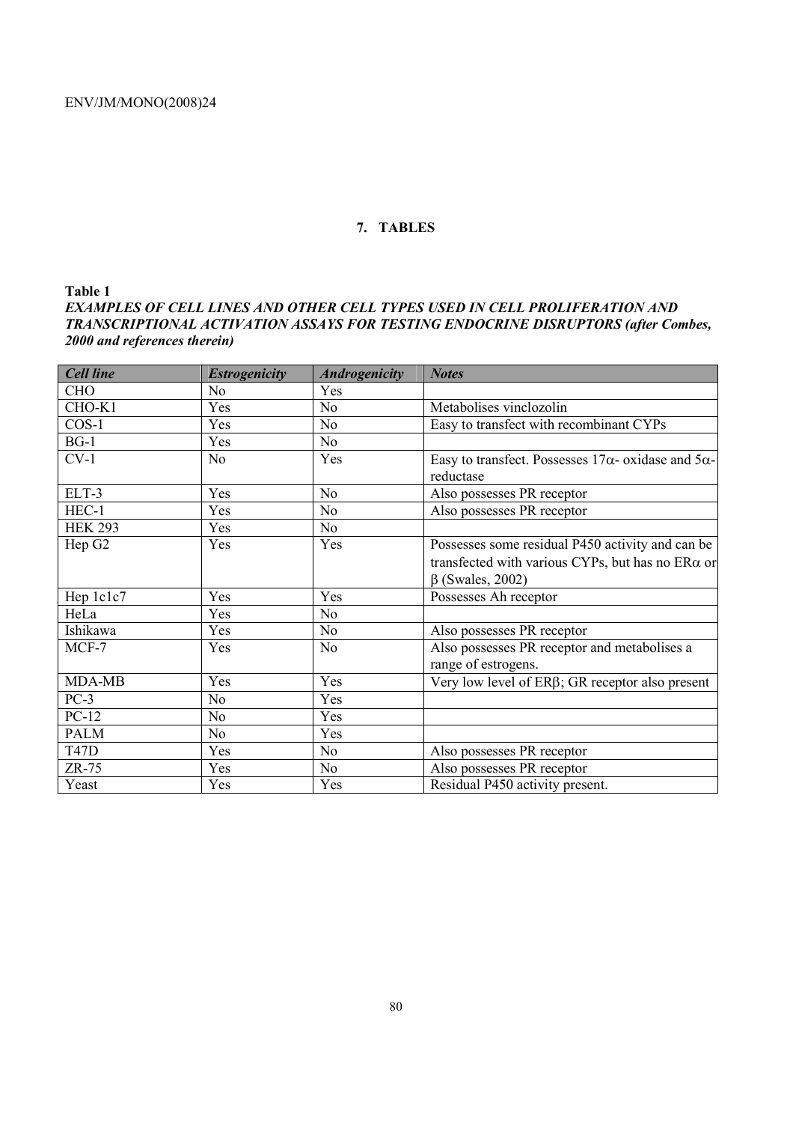## **7. TABLES**

**Table 1** 

## **EXAMPLES OF CELL LINES AND OTHER CELL TYPES USED IN CELL PROLIFERATION AND** *TRANSCRIPTIONAL ACTIVATION ASSAYS FOR TESTING ENDOCRINE DISRUPTORS (after Combes, 2000 and references therein)*

| <b>Cell line</b>   | <b>Estrogenicity</b> | <b>Androgenicity</b> | <b>Notes</b>                                                                                                                          |
|--------------------|----------------------|----------------------|---------------------------------------------------------------------------------------------------------------------------------------|
| <b>CHO</b>         | N <sub>0</sub>       | Yes                  |                                                                                                                                       |
| CHO-K1             | Yes                  | N <sub>o</sub>       | Metabolises vinclozolin                                                                                                               |
| $COS-1$            | Yes                  | N <sub>0</sub>       | Easy to transfect with recombinant CYPs                                                                                               |
| $BG-1$             | Yes                  | N <sub>o</sub>       |                                                                                                                                       |
| $CV-1$             | N <sub>0</sub>       | Yes                  | Easy to transfect. Possesses 17 $\alpha$ - oxidase and 5 $\alpha$ -<br>reductase                                                      |
| ELT-3              | Yes                  | N <sub>o</sub>       | Also possesses PR receptor                                                                                                            |
| HEC-1              | Yes                  | N <sub>o</sub>       | Also possesses PR receptor                                                                                                            |
| <b>HEK 293</b>     | Yes                  | No                   |                                                                                                                                       |
| Hep G <sub>2</sub> | Yes                  | Yes                  | Possesses some residual P450 activity and can be<br>transfected with various CYPs, but has no $ER\alpha$ or<br>$\beta$ (Swales, 2002) |
| Hep 1c1c7          | Yes                  | Yes                  | Possesses Ah receptor                                                                                                                 |
| HeLa               | Yes                  | N <sub>o</sub>       |                                                                                                                                       |
| Ishikawa           | Yes                  | N <sub>o</sub>       | Also possesses PR receptor                                                                                                            |
| MCF-7              | Yes                  | N <sub>o</sub>       | Also possesses PR receptor and metabolises a<br>range of estrogens.                                                                   |
| MDA-MB             | Yes                  | Yes                  | Very low level of $ER\beta$ ; GR receptor also present                                                                                |
| $PC-3$             | N <sub>o</sub>       | Yes                  |                                                                                                                                       |
| $PC-12$            | N <sub>o</sub>       | Yes                  |                                                                                                                                       |
| <b>PALM</b>        | No.                  | Yes                  |                                                                                                                                       |
| <b>T47D</b>        | Yes                  | N <sub>o</sub>       | Also possesses PR receptor                                                                                                            |
| ZR-75              | Yes                  | N <sub>o</sub>       | Also possesses PR receptor                                                                                                            |
| Yeast              | Yes                  | Yes                  | Residual P450 activity present.                                                                                                       |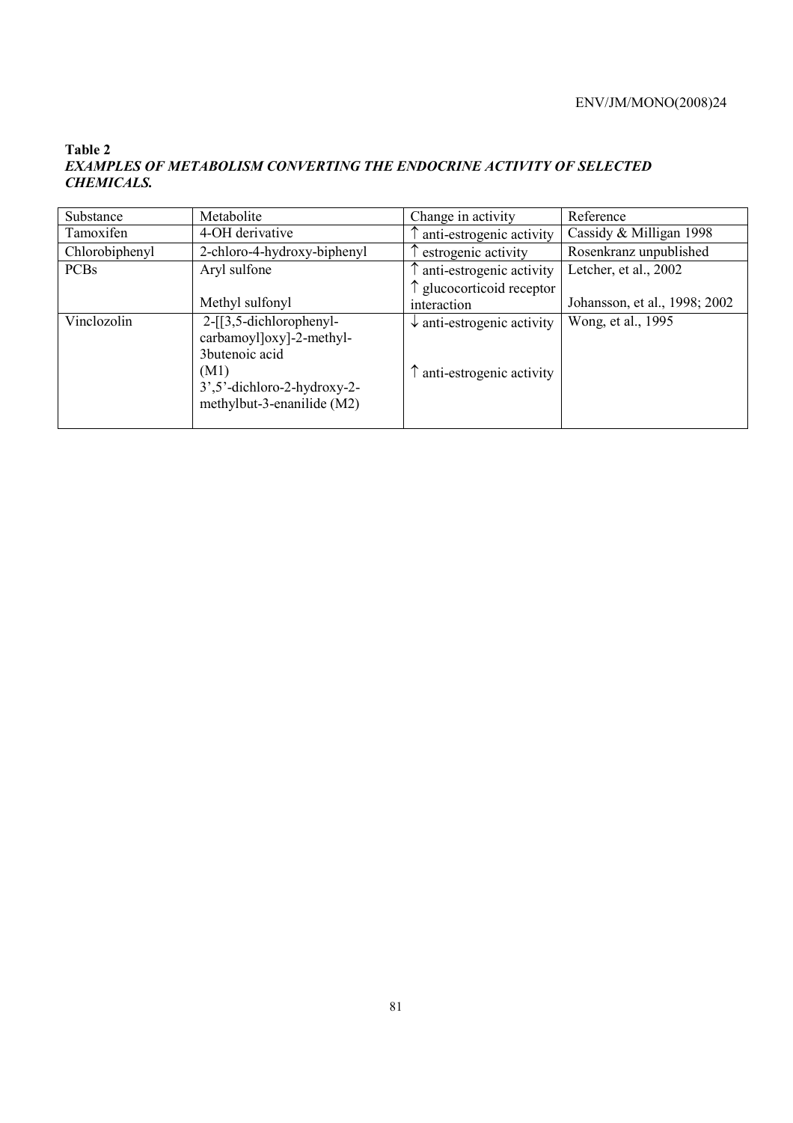### **Table 2**  *EXAMPLES OF METABOLISM CONVERTING THE ENDOCRINE ACTIVITY OF SELECTED CHEMICALS.*

| Substance      | Metabolite                  | Change in activity                    | Reference                     |
|----------------|-----------------------------|---------------------------------------|-------------------------------|
| Tamoxifen      | 4-OH derivative             | anti-estrogenic activity              | Cassidy & Milligan 1998       |
| Chlorobiphenyl | 2-chloro-4-hydroxy-biphenyl | $\uparrow$ estrogenic activity        | Rosenkranz unpublished        |
| <b>PCBs</b>    | Aryl sulfone                | ` anti-estrogenic activity            | Letcher, et al., 2002         |
|                |                             | $\uparrow$ glucocorticoid receptor    |                               |
|                | Methyl sulfonyl             | interaction                           | Johansson, et al., 1998; 2002 |
| Vinclozolin    | $2-[3,5-dichlorophenyl-$    | $\downarrow$ anti-estrogenic activity | Wong, et al., 1995            |
|                | carbamoyl]oxy]-2-methyl-    |                                       |                               |
|                | 3butenoic acid              |                                       |                               |
|                | (M1)                        | $\uparrow$ anti-estrogenic activity   |                               |
|                | 3',5'-dichloro-2-hydroxy-2- |                                       |                               |
|                | methylbut-3-enanilide (M2)  |                                       |                               |
|                |                             |                                       |                               |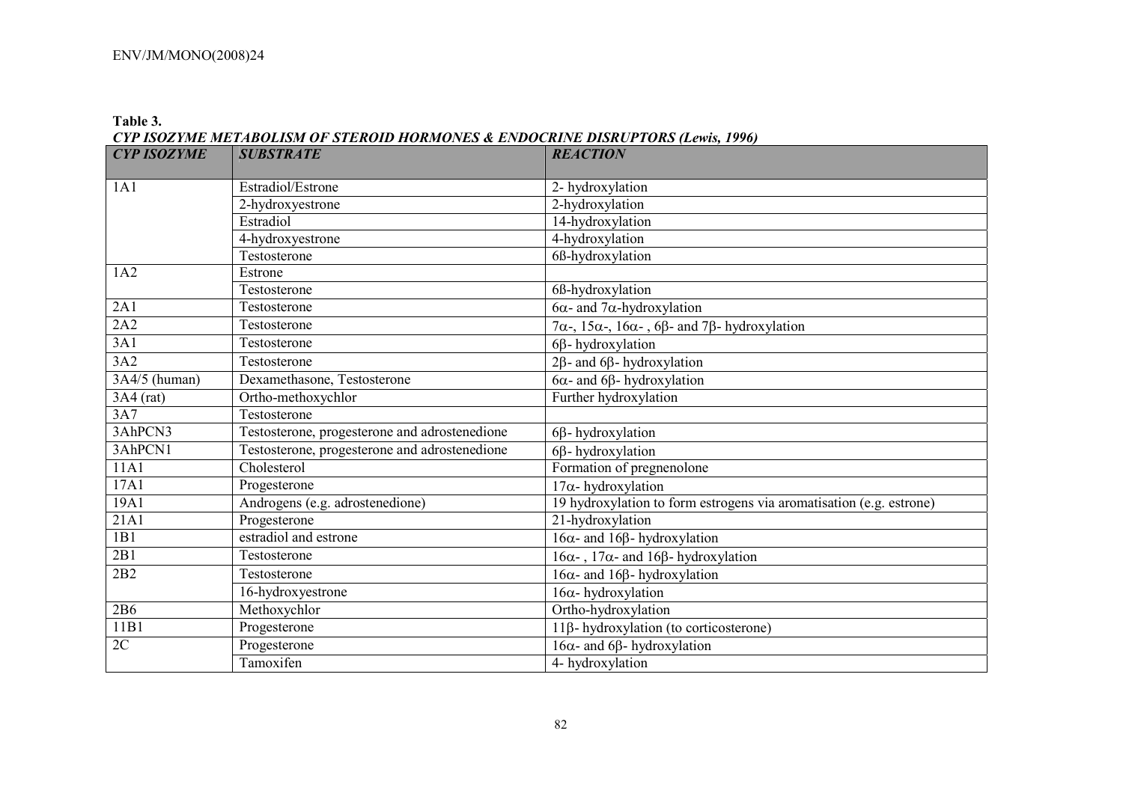**Table 3.** 

*CYP ISOZYME METABOLISM OF STEROID HORMONES & ENDOCRINE DISRUPTORS (Lewis, 1996)* 

| <b>CYP ISOZYME</b> | <b>SUBSTRATE</b>                              | <b>REACTION</b>                                                     |
|--------------------|-----------------------------------------------|---------------------------------------------------------------------|
| 1A1                | Estradiol/Estrone                             | 2- hydroxylation                                                    |
|                    | 2-hydroxyestrone                              | 2-hydroxylation                                                     |
|                    | Estradiol                                     | 14-hydroxylation                                                    |
|                    | 4-hydroxyestrone                              | 4-hydroxylation                                                     |
|                    | Testosterone                                  | 6ß-hydroxylation                                                    |
| 1A2                | Estrone                                       |                                                                     |
|                    | Testosterone                                  | 6ß-hydroxylation                                                    |
| 2A1                | Testosterone                                  | $6\alpha$ - and 7 $\alpha$ -hydroxylation                           |
| 2A2                | Testosterone                                  | 7α-, 15α-, 16α-, 6β- and 7β- hydroxylation                          |
| 3A1                | Testosterone                                  | $6\beta$ -hydroxylation                                             |
| 3A2                | Testosterone                                  | $2\beta$ - and 6 $\beta$ - hydroxylation                            |
| 3A4/5 (human)      | Dexamethasone, Testosterone                   | 6α- and 6β- hydroxylation                                           |
| $3A4$ (rat)        | Ortho-methoxychlor                            | Further hydroxylation                                               |
| 3A7                | Testosterone                                  |                                                                     |
| 3AhPCN3            | Testosterone, progesterone and adrostenedione | $6\beta$ -hydroxylation                                             |
| 3AhPCN1            | Testosterone, progesterone and adrostenedione | $6\beta$ -hydroxylation                                             |
| 11A1               | Cholesterol                                   | Formation of pregnenolone                                           |
| 17A1               | Progesterone                                  | $17\alpha$ -hydroxylation                                           |
| 19A1               | Androgens (e.g. adrostenedione)               | 19 hydroxylation to form estrogens via aromatisation (e.g. estrone) |
| 21A1               | Progesterone                                  | 21-hydroxylation                                                    |
| 1B1                | estradiol and estrone                         | $16\alpha$ - and $16\beta$ - hydroxylation                          |
| 2B1                | Testosterone                                  | $16\alpha$ -, $17\alpha$ - and $16\beta$ - hydroxylation            |
| 2B2                | Testosterone                                  | $16\alpha$ - and $16\beta$ - hydroxylation                          |
|                    | 16-hydroxyestrone                             | $16\alpha$ - hydroxylation                                          |
| 2B6                | Methoxychlor                                  | Ortho-hydroxylation                                                 |
| 11B1               | Progesterone                                  | 11β-hydroxylation (to corticosterone)                               |
| 2C                 | Progesterone                                  | $16\alpha$ - and 6 $\beta$ - hydroxylation                          |
|                    | Tamoxifen                                     | 4- hydroxylation                                                    |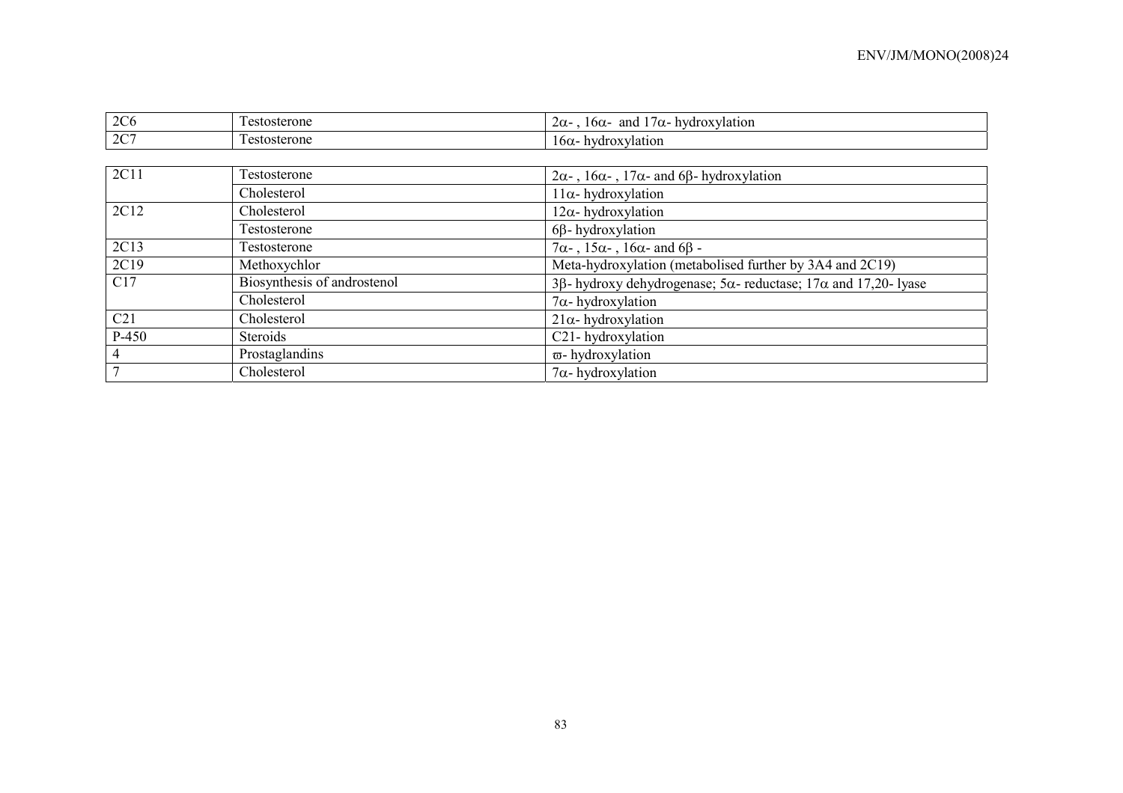| 2C6             | Testosterone                | $2\alpha$ -, 16 $\alpha$ - and 17 $\alpha$ - hydroxylation              |
|-----------------|-----------------------------|-------------------------------------------------------------------------|
| 2C7             | Testosterone                | $16\alpha$ -hydroxylation                                               |
|                 |                             |                                                                         |
| 2C11            | Testosterone                | $2\alpha$ -, 16 $\alpha$ -, 17 $\alpha$ - and 6 $\beta$ - hydroxylation |
|                 | Cholesterol                 | $11\alpha$ -hydroxylation                                               |
| 2C12            | Cholesterol                 | $12\alpha$ -hydroxylation                                               |
|                 | Testosterone                | $6\beta$ -hydroxylation                                                 |
| 2C13            | Testosterone                | $7\alpha$ -, $15\alpha$ -, $16\alpha$ - and $6\beta$ -                  |
| 2C19            | Methoxychlor                | Meta-hydroxylation (metabolised further by 3A4 and 2C19)                |
| C17             | Biosynthesis of androstenol | $3\beta$ - hydroxy dehydrogenase; 5α- reductase; 17α and 17,20- lyase   |
|                 | Cholesterol                 | $7\alpha$ -hydroxylation                                                |
| C <sub>21</sub> | Cholesterol                 | $21\alpha$ -hydroxylation                                               |
| P-450           | Steroids                    | C21-hydroxylation                                                       |
|                 | Prostaglandins              | $\overline{\omega}$ - hydroxylation                                     |
|                 | Cholesterol                 | $7\alpha$ -hydroxylation                                                |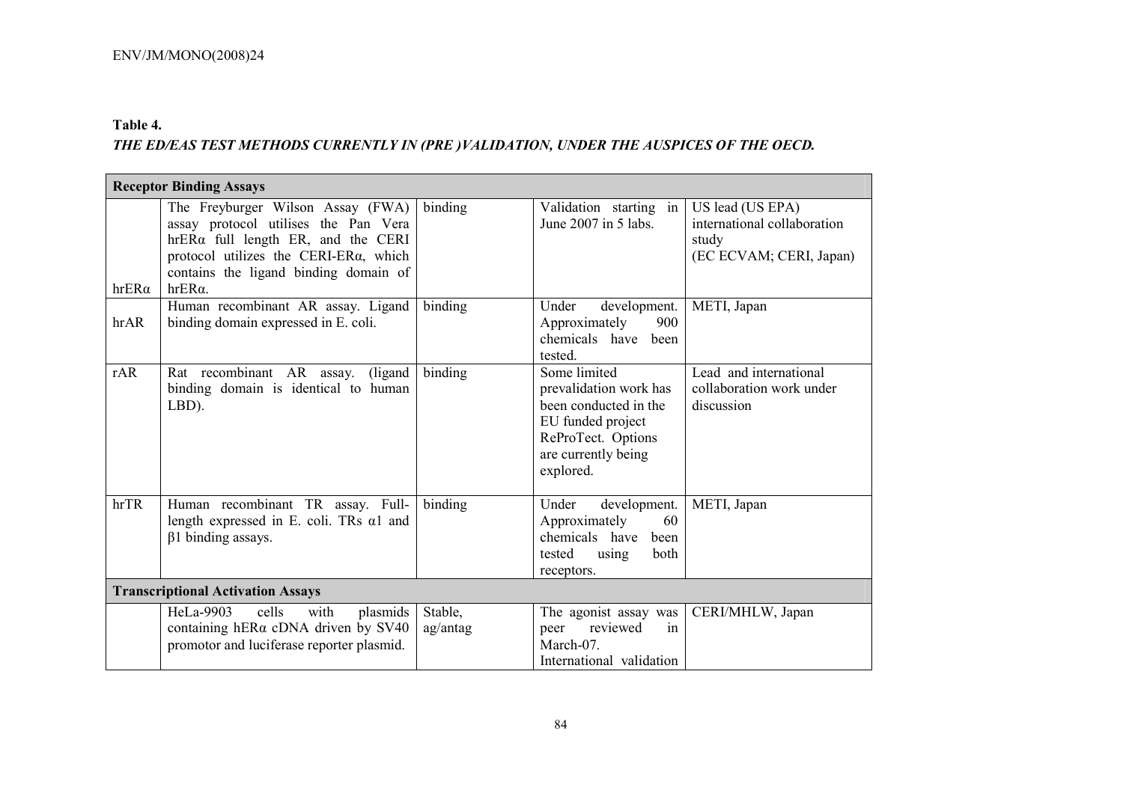#### **Table 4.**

# *THE ED/EAS TEST METHODS CURRENTLY IN (PRE )VALIDATION, UNDER THE AUSPICES OF THE OECD.*

|              | <b>Receptor Binding Assays</b>                                                                                                                                                                                      |                     |                                                                                                                                                |                                                                                     |
|--------------|---------------------------------------------------------------------------------------------------------------------------------------------------------------------------------------------------------------------|---------------------|------------------------------------------------------------------------------------------------------------------------------------------------|-------------------------------------------------------------------------------------|
| $hrER\alpha$ | The Freyburger Wilson Assay (FWA)<br>assay protocol utilises the Pan Vera<br>hrERa full length ER, and the CERI<br>protocol utilizes the CERI-ERa, which<br>contains the ligand binding domain of<br>$hrER\alpha$ . | binding             | Validation starting in<br>June 2007 in 5 labs.                                                                                                 | US lead (US EPA)<br>international collaboration<br>study<br>(EC ECVAM; CERI, Japan) |
| hrAR         | Human recombinant AR assay. Ligand<br>binding domain expressed in E. coli.                                                                                                                                          | binding             | Under<br>development.<br>Approximately<br>900<br>chemicals have been<br>tested.                                                                | METI, Japan                                                                         |
| rAR          | Rat recombinant AR assay.<br>(ligand)<br>binding domain is identical to human<br>LBD).                                                                                                                              | binding             | Some limited<br>prevalidation work has<br>been conducted in the<br>EU funded project<br>ReProTect. Options<br>are currently being<br>explored. | Lead and international<br>collaboration work under<br>discussion                    |
| hrTR         | Human recombinant TR assay. Full-<br>length expressed in E. coli. TRs $\alpha$ 1 and<br>$\beta$ 1 binding assays.                                                                                                   | binding             | Under<br>development.<br>Approximately<br>60<br>chemicals have<br>been<br>tested<br>using<br>both<br>receptors.                                | METI, Japan                                                                         |
|              | <b>Transcriptional Activation Assays</b>                                                                                                                                                                            |                     |                                                                                                                                                |                                                                                     |
|              | cells<br>HeLa-9903<br>with<br>plasmids<br>containing hERa cDNA driven by SV40<br>promotor and luciferase reporter plasmid.                                                                                          | Stable,<br>ag/antag | The agonist assay was<br>reviewed<br>peer<br>in<br>March-07.<br>International validation                                                       | CERI/MHLW, Japan                                                                    |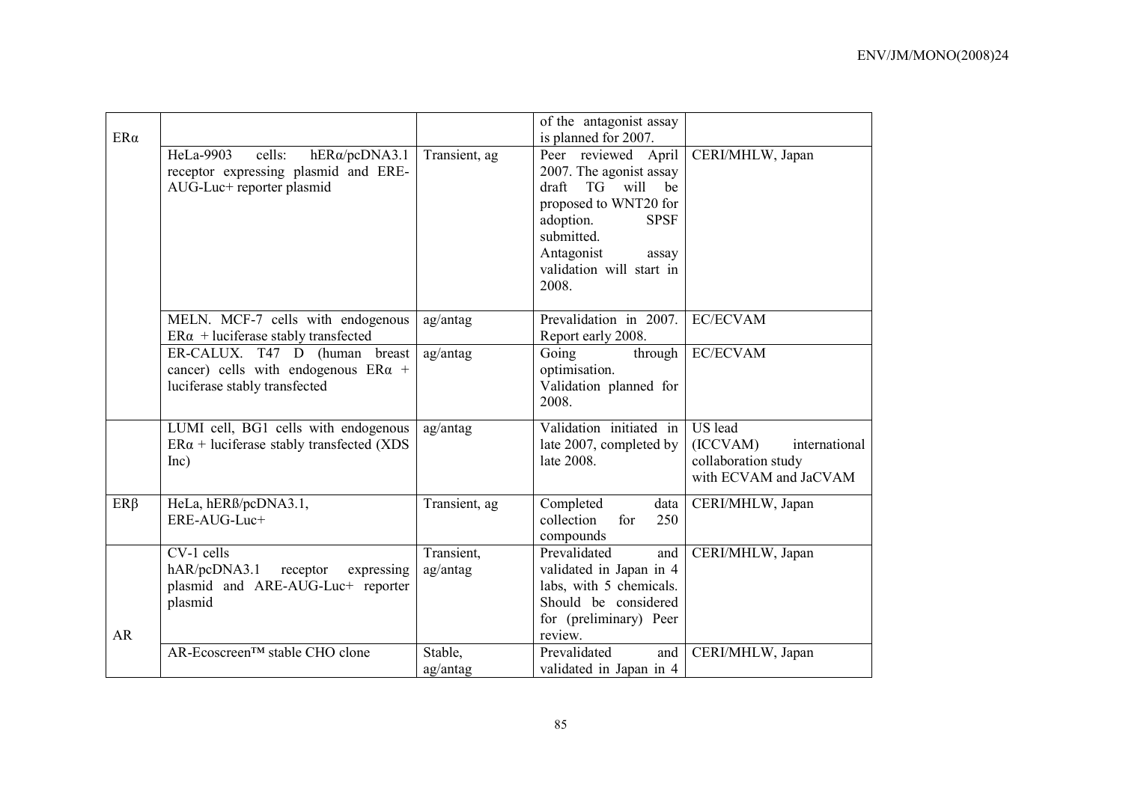|            |                                                                                                              |                        | of the antagonist assay                                                                                                                                                                                                            |                                                                                             |
|------------|--------------------------------------------------------------------------------------------------------------|------------------------|------------------------------------------------------------------------------------------------------------------------------------------------------------------------------------------------------------------------------------|---------------------------------------------------------------------------------------------|
| $ER\alpha$ | HeLa-9903<br>cells:<br>hERa/pcDNA3.1<br>receptor expressing plasmid and ERE-<br>AUG-Luc+ reporter plasmid    | Transient, ag          | is planned for 2007.<br>Peer reviewed April<br>2007. The agonist assay<br>draft<br>TG<br>will<br>be<br>proposed to WNT20 for<br>adoption.<br><b>SPSF</b><br>submitted.<br>Antagonist<br>assay<br>validation will start in<br>2008. | CERI/MHLW, Japan                                                                            |
|            | MELN. MCF-7 cells with endogenous<br>$ER\alpha$ + luciferase stably transfected                              | ag/antag               | Prevalidation in 2007.<br>Report early 2008.                                                                                                                                                                                       | <b>EC/ECVAM</b>                                                                             |
|            | ER-CALUX. T47 D (human breast<br>cancer) cells with endogenous $ER\alpha$ +<br>luciferase stably transfected | ag/antag               | Going<br>through<br>optimisation.<br>Validation planned for<br>2008.                                                                                                                                                               | <b>EC/ECVAM</b>                                                                             |
|            | LUMI cell, BG1 cells with endogenous<br>$ER\alpha$ + luciferase stably transfected (XDS<br>Inc)              | ag/antag               | Validation initiated in<br>late 2007, completed by<br>late 2008.                                                                                                                                                                   | <b>US</b> lead<br>international<br>(ICCVAM)<br>collaboration study<br>with ECVAM and JaCVAM |
| $ER\beta$  | HeLa, hERß/pcDNA3.1,<br>ERE-AUG-Luc+                                                                         | Transient, ag          | Completed<br>data<br>collection<br>for<br>250<br>compounds                                                                                                                                                                         | CERI/MHLW, Japan                                                                            |
| <b>AR</b>  | CV-1 cells<br>hAR/pcDNA3.1<br>receptor<br>expressing<br>plasmid and ARE-AUG-Luc+ reporter<br>plasmid         | Transient,<br>ag/antag | Prevalidated<br>and<br>validated in Japan in 4<br>labs, with 5 chemicals.<br>Should be considered<br>for (preliminary) Peer<br>review.                                                                                             | CERI/MHLW, Japan                                                                            |
|            | AR-Ecoscreen™ stable CHO clone                                                                               | Stable,<br>ag/antag    | Prevalidated<br>and<br>validated in Japan in 4                                                                                                                                                                                     | CERI/MHLW, Japan                                                                            |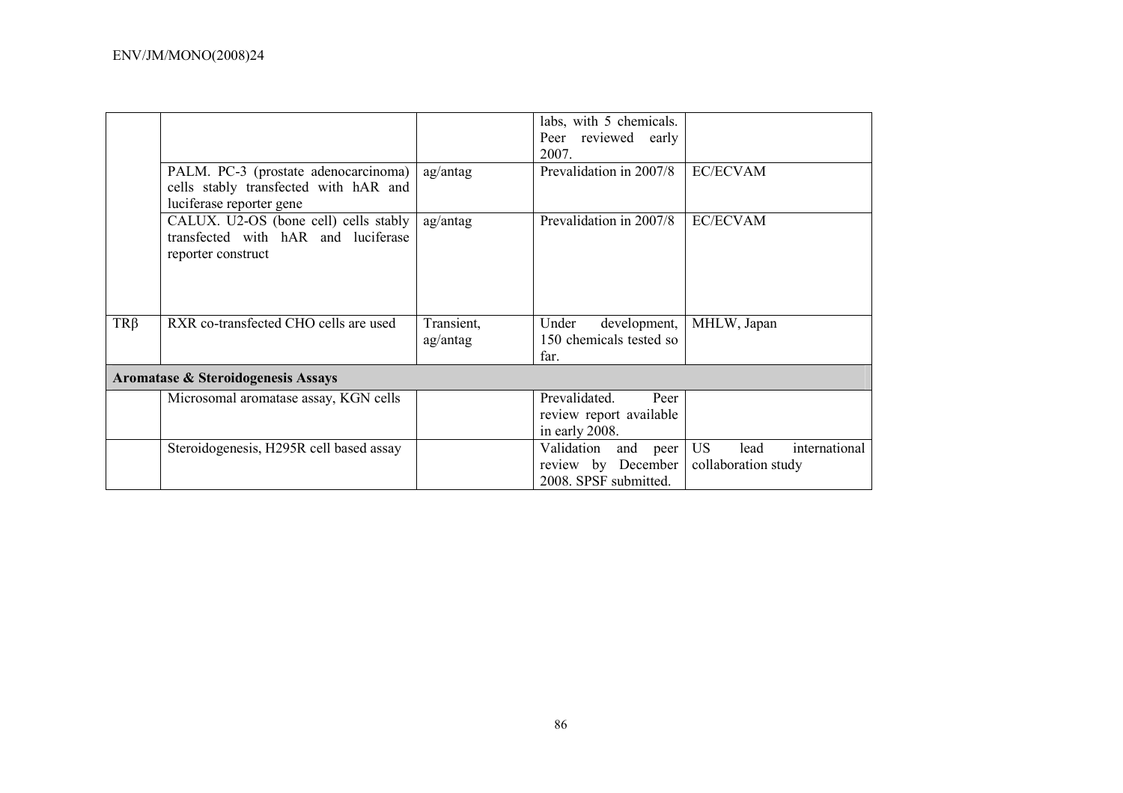|           | PALM. PC-3 (prostate adenocarcinoma)<br>cells stably transfected with hAR and<br>luciferase reporter gene | $a\alpha/antag$        | labs, with 5 chemicals.<br>Peer reviewed early<br>2007.<br>Prevalidation in 2007/8 | <b>EC/ECVAM</b>                                           |
|-----------|-----------------------------------------------------------------------------------------------------------|------------------------|------------------------------------------------------------------------------------|-----------------------------------------------------------|
|           | CALUX. U2-OS (bone cell) cells stably<br>transfected with hAR and luciferase<br>reporter construct        | $a\alpha/antag$        | Prevalidation in 2007/8                                                            | <b>EC/ECVAM</b>                                           |
| $TR\beta$ | RXR co-transfected CHO cells are used                                                                     | Transient,<br>ag/antag | Under<br>development,<br>150 chemicals tested so<br>far.                           | MHLW, Japan                                               |
|           | Aromatase & Steroidogenesis Assays                                                                        |                        |                                                                                    |                                                           |
|           | Microsomal aromatase assay, KGN cells                                                                     |                        | Prevalidated.<br>Peer<br>review report available<br>in early 2008.                 |                                                           |
|           | Steroidogenesis, H295R cell based assay                                                                   |                        | Validation<br>and peer<br>review by December<br>2008. SPSF submitted.              | international<br><b>US</b><br>lead<br>collaboration study |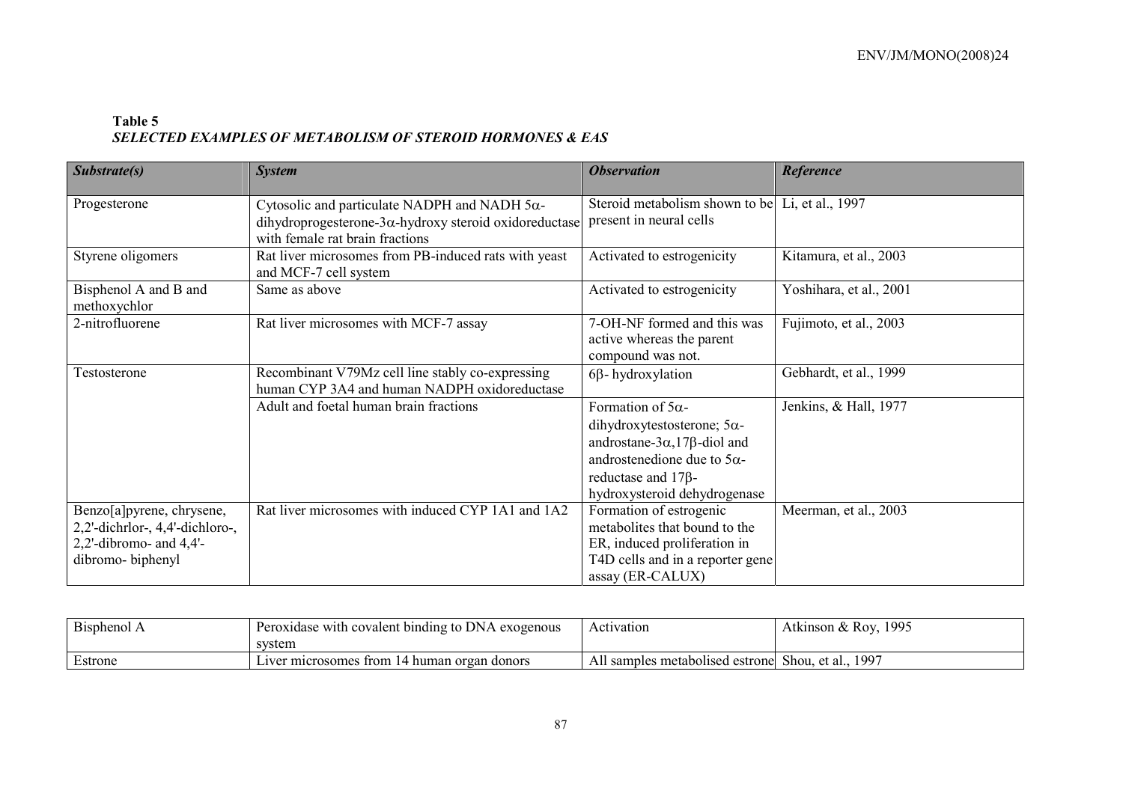## **Table 5***SELECTED EXAMPLES OF METABOLISM OF STEROID HORMONES & EAS*

| Substrate(s)                                                                                                   | <b>System</b>                                                                                                                                             | <b>Observation</b>                                                                                                                                                                                                | Reference               |
|----------------------------------------------------------------------------------------------------------------|-----------------------------------------------------------------------------------------------------------------------------------------------------------|-------------------------------------------------------------------------------------------------------------------------------------------------------------------------------------------------------------------|-------------------------|
| Progesterone                                                                                                   | Cytosolic and particulate NADPH and NADH $5\alpha$ -<br>dihydroprogesterone- $3\alpha$ -hydroxy steroid oxidoreductase<br>with female rat brain fractions | Steroid metabolism shown to be Li, et al., 1997<br>present in neural cells                                                                                                                                        |                         |
| Styrene oligomers                                                                                              | Rat liver microsomes from PB-induced rats with yeast<br>and MCF-7 cell system                                                                             | Activated to estrogenicity                                                                                                                                                                                        | Kitamura, et al., 2003  |
| Bisphenol A and B and<br>methoxychlor                                                                          | Same as above                                                                                                                                             | Activated to estrogenicity                                                                                                                                                                                        | Yoshihara, et al., 2001 |
| 2-nitrofluorene                                                                                                | Rat liver microsomes with MCF-7 assay                                                                                                                     | 7-OH-NF formed and this was<br>active whereas the parent<br>compound was not.                                                                                                                                     | Fujimoto, et al., 2003  |
| Testosterone                                                                                                   | Recombinant V79Mz cell line stably co-expressing<br>human CYP 3A4 and human NADPH oxidoreductase                                                          | $6\beta$ -hydroxylation                                                                                                                                                                                           | Gebhardt, et al., 1999  |
|                                                                                                                | Adult and foetal human brain fractions                                                                                                                    | Formation of $5\alpha$ -<br>dihydroxytestosterone; $5\alpha$ -<br>androstane- $3\alpha$ , 17 $\beta$ -diol and<br>androstenedione due to $5\alpha$ -<br>reductase and $17\beta$ -<br>hydroxysteroid dehydrogenase | Jenkins, & Hall, 1977   |
| Benzo[a]pyrene, chrysene,<br>2,2'-dichrlor-, 4,4'-dichloro-,<br>$2,2'$ -dibromo- and 4,4'-<br>dibromo-biphenyl | Rat liver microsomes with induced CYP 1A1 and 1A2                                                                                                         | Formation of estrogenic<br>metabolites that bound to the<br>ER, induced proliferation in<br>T4D cells and in a reporter gene<br>assay (ER-CALUX)                                                                  | Meerman, et al., 2003   |

| Bisphenol A | Peroxidase with covalent binding to DNA<br>exogenous ،     | Activation                     | 1995<br><b>R</b> ov<br>Atkinson |
|-------------|------------------------------------------------------------|--------------------------------|---------------------------------|
|             | svstem                                                     |                                |                                 |
| Estrone     | microsomes *<br>trom<br>human)<br>i organ donors<br>. aver | metabolised estrone<br>samples | 1997<br>et al.<br>Shou.         |
|             |                                                            |                                |                                 |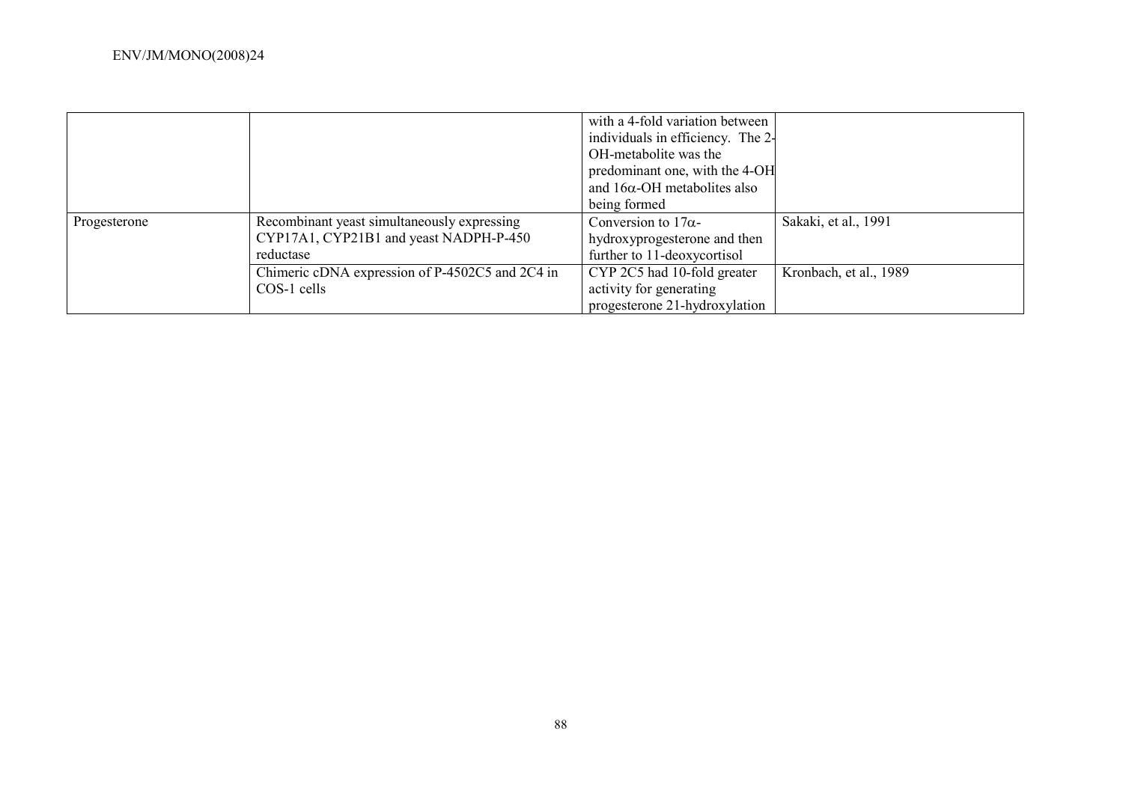|              |                                                 | with a 4-fold variation between<br>individuals in efficiency. The 2- |                        |
|--------------|-------------------------------------------------|----------------------------------------------------------------------|------------------------|
|              |                                                 | OH-metabolite was the                                                |                        |
|              |                                                 | predominant one, with the 4-OH                                       |                        |
|              |                                                 | and $16\alpha$ -OH metabolites also                                  |                        |
|              |                                                 | being formed                                                         |                        |
| Progesterone | Recombinant yeast simultaneously expressing     | Conversion to $17\alpha$ -                                           | Sakaki, et al., 1991   |
|              | CYP17A1, CYP21B1 and yeast NADPH-P-450          | hydroxyprogesterone and then                                         |                        |
|              | reductase                                       | further to 11-deoxycortisol                                          |                        |
|              | Chimeric cDNA expression of P-4502C5 and 2C4 in | CYP 2C5 had 10-fold greater                                          | Kronbach, et al., 1989 |
|              | COS-1 cells                                     | activity for generating                                              |                        |
|              |                                                 | progesterone 21-hydroxylation                                        |                        |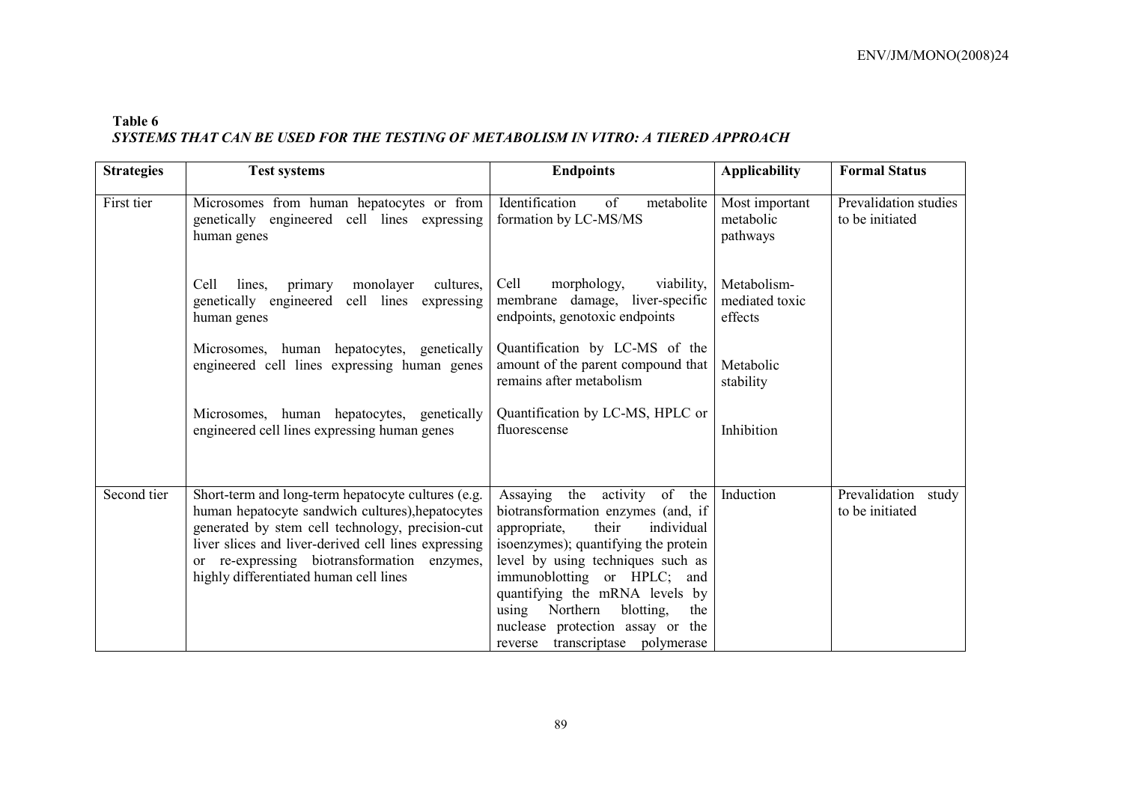### **Table 6** *SYSTEMS THAT CAN BE USED FOR THE TESTING OF METABOLISM IN VITRO: A TIERED APPROACH*

| <b>Strategies</b> | <b>Test systems</b>                                                                                                                                                                                                                                                                                         | <b>Endpoints</b>                                                                                                                                                                                                                                                                                                                                                         | <b>Applicability</b>                     | <b>Formal Status</b>                     |
|-------------------|-------------------------------------------------------------------------------------------------------------------------------------------------------------------------------------------------------------------------------------------------------------------------------------------------------------|--------------------------------------------------------------------------------------------------------------------------------------------------------------------------------------------------------------------------------------------------------------------------------------------------------------------------------------------------------------------------|------------------------------------------|------------------------------------------|
| First tier        | Microsomes from human hepatocytes or from<br>genetically engineered cell lines expressing<br>human genes                                                                                                                                                                                                    | Identification<br>of<br>metabolite<br>formation by LC-MS/MS                                                                                                                                                                                                                                                                                                              | Most important<br>metabolic<br>pathways  | Prevalidation studies<br>to be initiated |
|                   | Cell<br>lines,<br>primary<br>monolayer<br>cultures,<br>cell lines expressing<br>genetically engineered<br>human genes                                                                                                                                                                                       | Cell<br>morphology,<br>viability,<br>membrane damage, liver-specific<br>endpoints, genotoxic endpoints                                                                                                                                                                                                                                                                   | Metabolism-<br>mediated toxic<br>effects |                                          |
|                   | Microsomes, human hepatocytes, genetically<br>engineered cell lines expressing human genes                                                                                                                                                                                                                  | Quantification by LC-MS of the<br>amount of the parent compound that<br>remains after metabolism                                                                                                                                                                                                                                                                         | Metabolic<br>stability                   |                                          |
|                   | Microsomes, human hepatocytes, genetically<br>engineered cell lines expressing human genes                                                                                                                                                                                                                  | Quantification by LC-MS, HPLC or<br>fluorescense                                                                                                                                                                                                                                                                                                                         | Inhibition                               |                                          |
| Second tier       | Short-term and long-term hepatocyte cultures (e.g.<br>human hepatocyte sandwich cultures), hepatocytes<br>generated by stem cell technology, precision-cut<br>liver slices and liver-derived cell lines expressing<br>or re-expressing biotransformation enzymes,<br>highly differentiated human cell lines | the activity of the<br>Assaying<br>biotransformation enzymes (and, if<br>appropriate,<br>their<br>individual<br>isoenzymes); quantifying the protein<br>level by using techniques such as<br>immunoblotting or HPLC; and<br>quantifying the mRNA levels by<br>blotting,<br>using Northern<br>the<br>nuclease protection assay or the<br>reverse transcriptase polymerase | Induction                                | Prevalidation study<br>to be initiated   |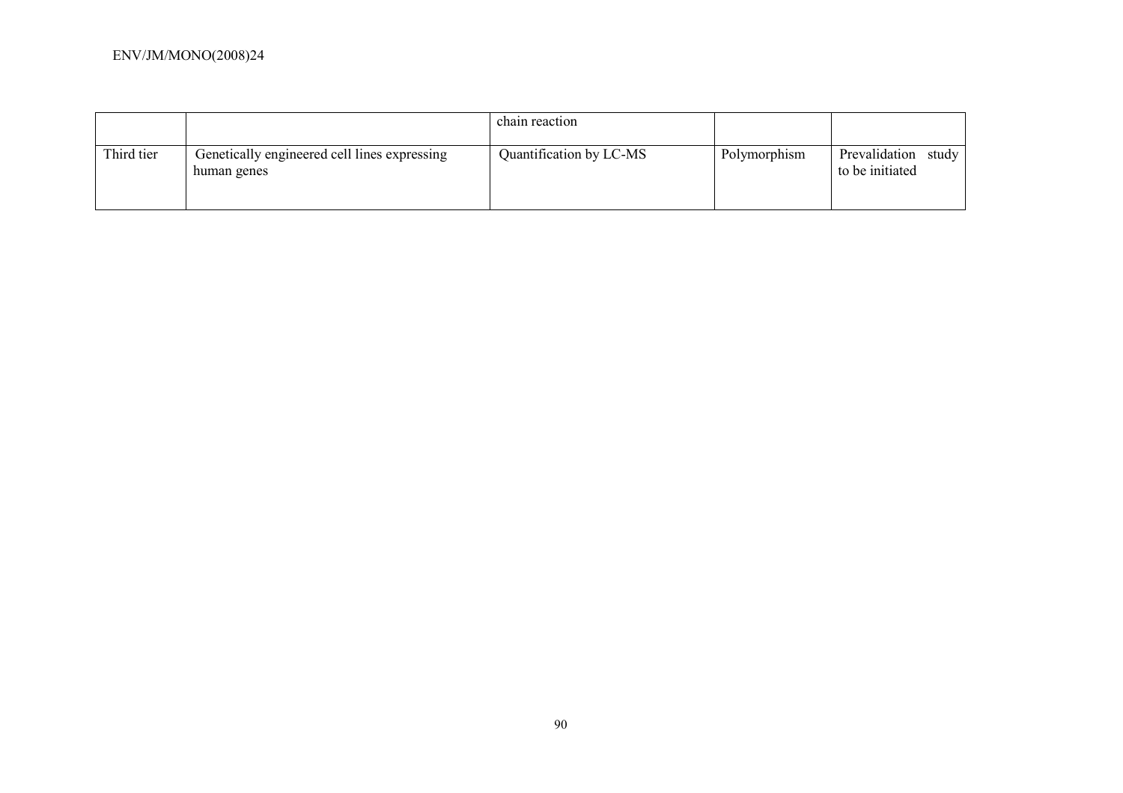|            |                                                             | chain reaction          |              |                                        |  |
|------------|-------------------------------------------------------------|-------------------------|--------------|----------------------------------------|--|
| Third tier | Genetically engineered cell lines expressing<br>human genes | Quantification by LC-MS | Polymorphism | Prevalidation study<br>to be initiated |  |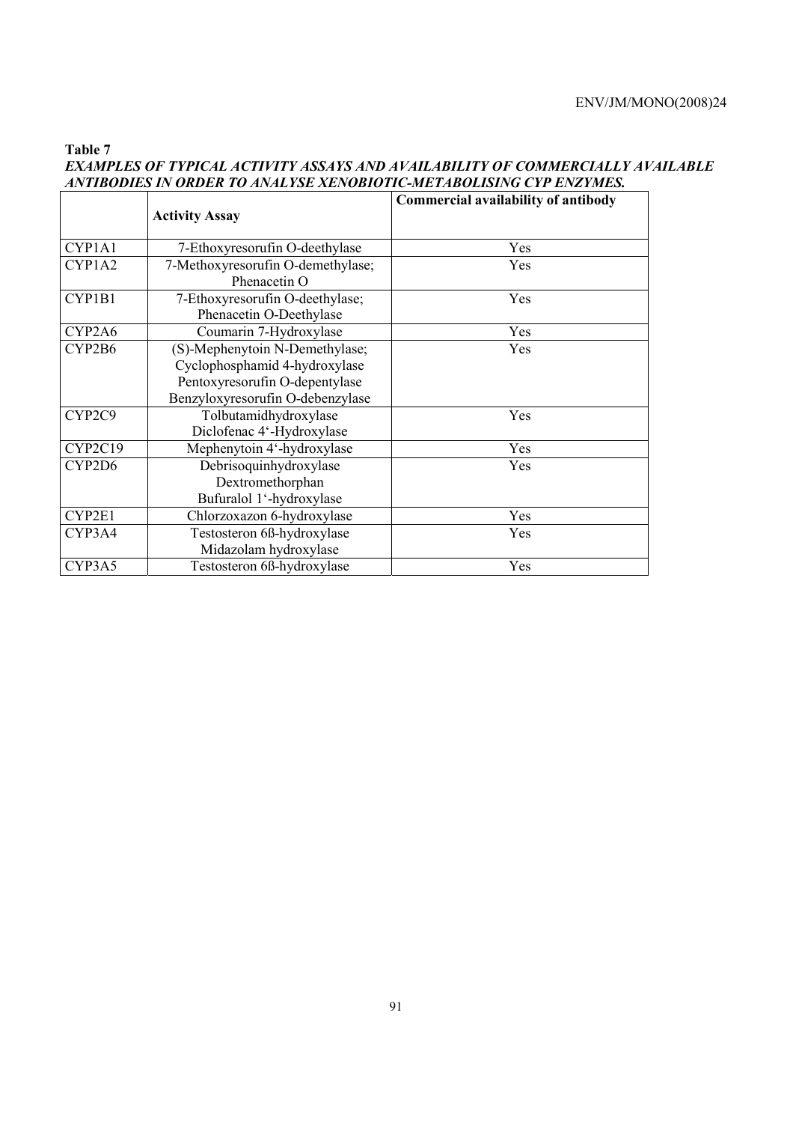**Table 7** 

*EXAMPLES OF TYPICAL ACTIVITY ASSAYS AND AVAILABILITY OF COMMERCIALLY AVAILABLE ANTIBODIES IN ORDER TO ANALYSE XENOBIOTIC-METABOLISING CYP ENZYMES.* 

|         | <b>Activity Assay</b>                                                                                                                 | <b>Commercial availability of antibody</b> |
|---------|---------------------------------------------------------------------------------------------------------------------------------------|--------------------------------------------|
| CYP1A1  | 7-Ethoxyresorufin O-deethylase                                                                                                        | Yes                                        |
| CYP1A2  | 7-Methoxyresorufin O-demethylase;<br>Phenacetin O                                                                                     | <b>Yes</b>                                 |
| CYP1B1  | 7-Ethoxyresorufin O-deethylase;<br>Phenacetin O-Deethylase                                                                            | Yes                                        |
| CYP2A6  | Coumarin 7-Hydroxylase                                                                                                                | Yes                                        |
| CYP2B6  | (S)-Mephenytoin N-Demethylase;<br>Cyclophosphamid 4-hydroxylase<br>Pentoxyresorufin O-depentylase<br>Benzyloxyresorufin O-debenzylase | Yes                                        |
| CYP2C9  | Tolbutamidhydroxylase<br>Diclofenac 4'-Hydroxylase                                                                                    | Yes                                        |
| CYP2C19 | Mephenytoin 4'-hydroxylase                                                                                                            | Yes                                        |
| CYP2D6  | Debrisoquinhydroxylase<br>Dextromethorphan<br>Bufuralol 1'-hydroxylase                                                                | Yes                                        |
| CYP2E1  | Chlorzoxazon 6-hydroxylase                                                                                                            | Yes                                        |
| CYP3A4  | Testosteron 6ß-hydroxylase<br>Midazolam hydroxylase                                                                                   | Yes                                        |
| CYP3A5  | Testosteron 6ß-hydroxylase                                                                                                            | Yes                                        |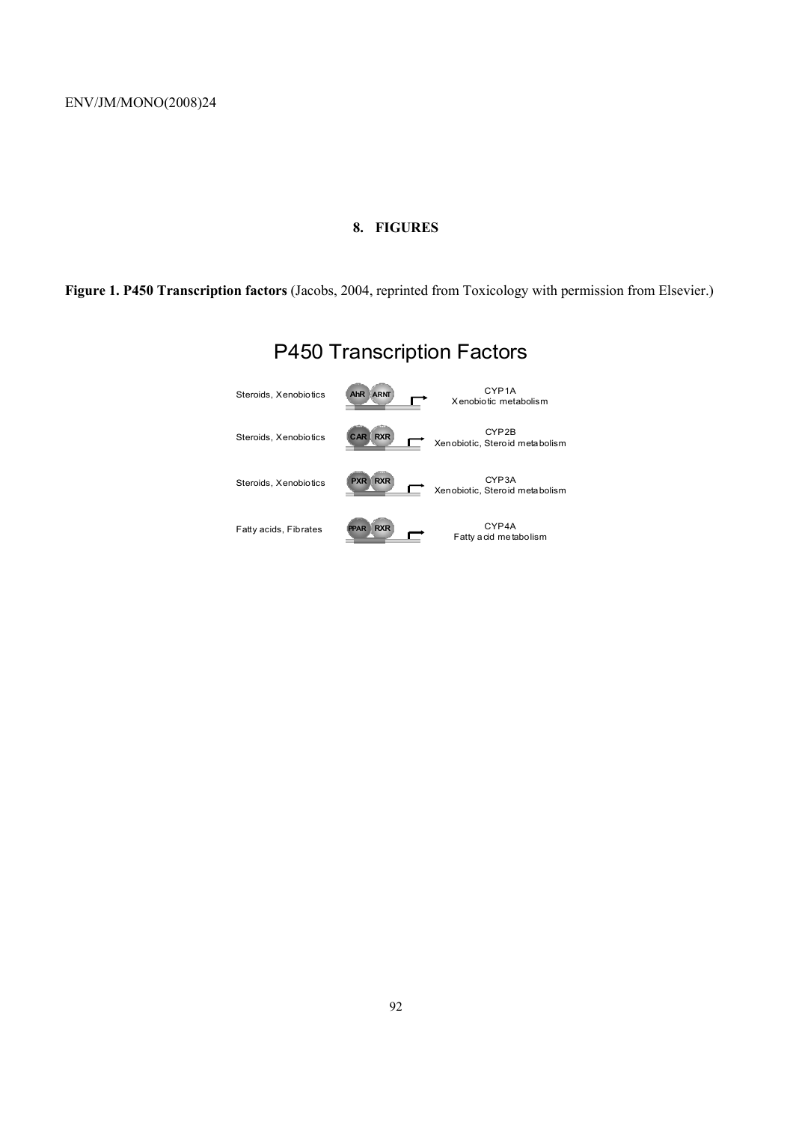### **8. FIGURES**

### **Figure 1. P450 Transcription factors** (Jacobs, 2004, reprinted from Toxicology with permission from Elsevier.)

# P450 Transcription Factors CYP4A Fatty acid metabolism **PPAR**ٛ **RXR** Steroids, Xenobiotics **CAR RXR CAR CAR COVE COVER COVER** *Steroid metabolism* Fatty acids, Fibrates CYP3A Xenobiotic, Steroid metabolism Steroids, Xenobiotics **PXR RXR** CYP1A Steroids, Xenobiotics **AhR ARNT CYP1A** *Xenobiotic metabolism*

#### 92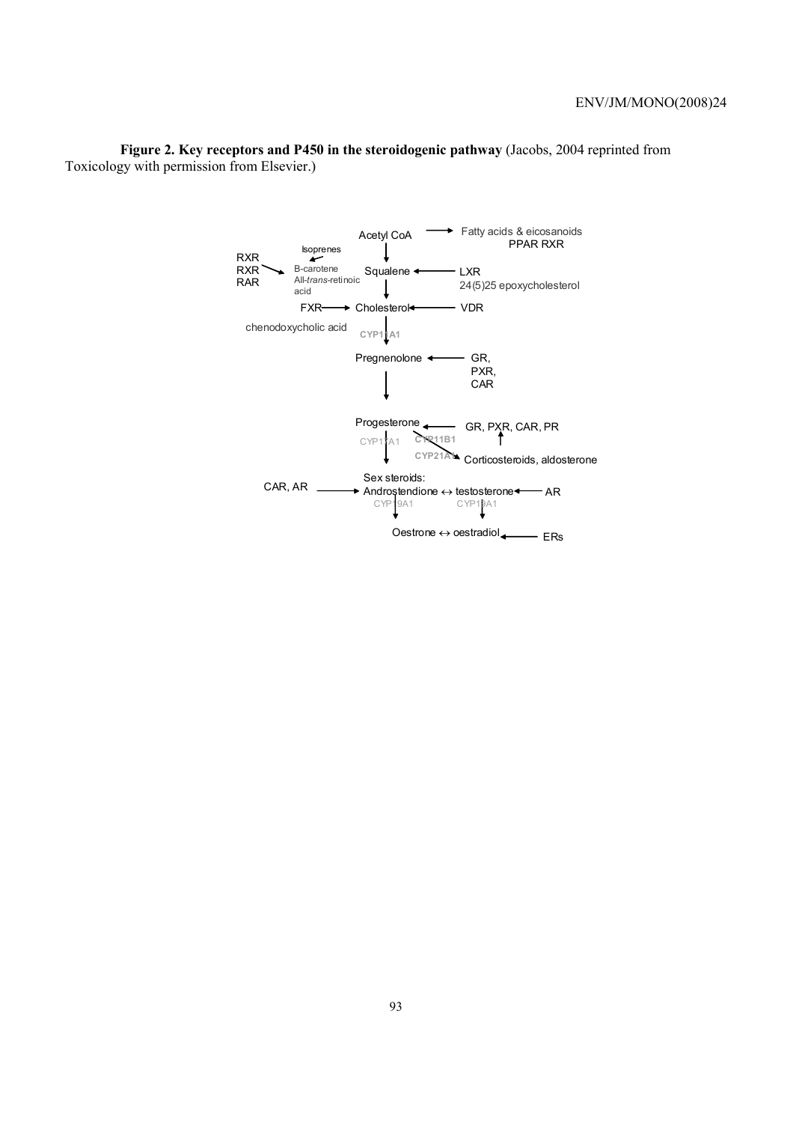**Figure 2. Key receptors and P450 in the steroidogenic pathway** (Jacobs, 2004 reprinted from Toxicology with permission from Elsevier.)

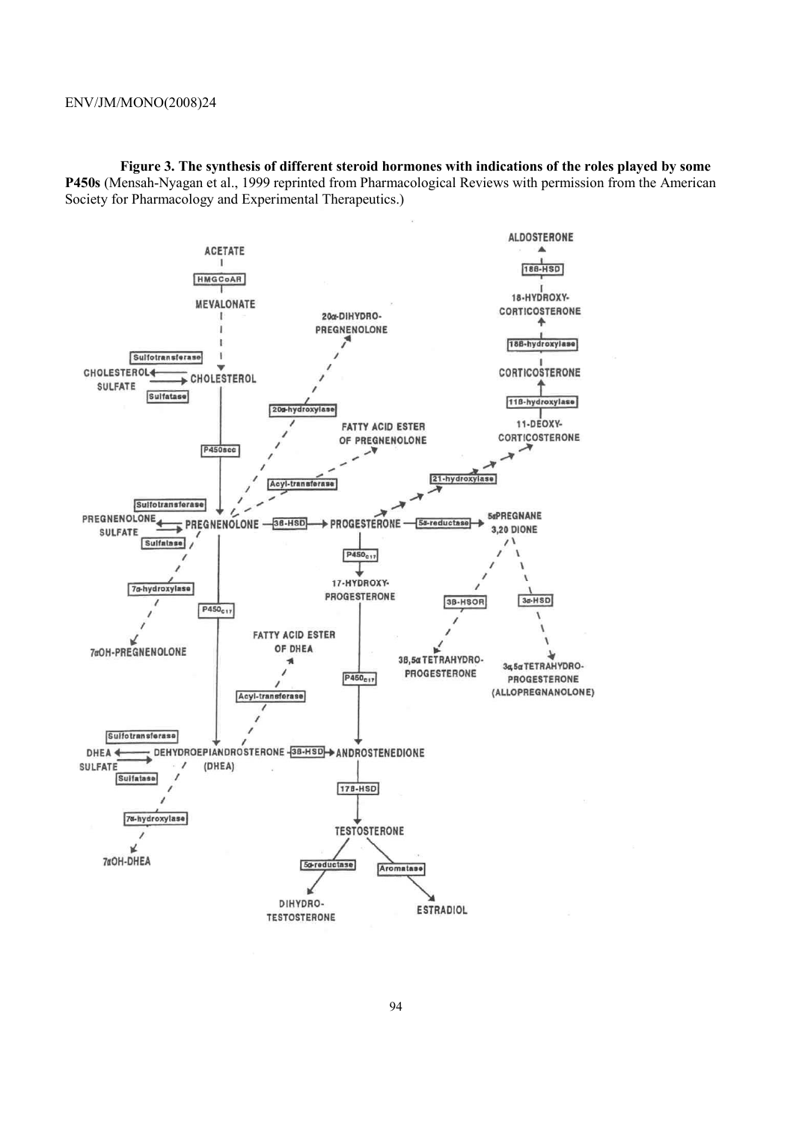**Figure 3. The synthesis of different steroid hormones with indications of the roles played by some P450s** (Mensah-Nyagan et al., 1999 reprinted from Pharmacological Reviews with permission from the American Society for Pharmacology and Experimental Therapeutics.)



94